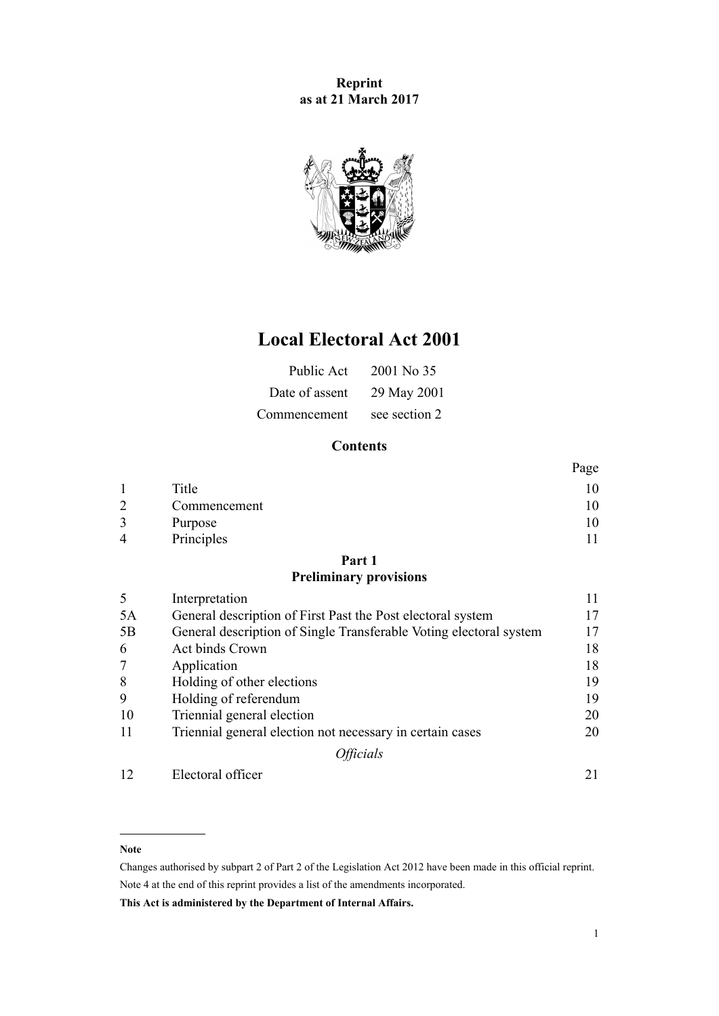**Reprint as at 21 March 2017**



## **Local Electoral Act 2001**

| Public Act     | 2001 No 35    |
|----------------|---------------|
| Date of assent | 29 May 2001   |
| Commencement   | see section 2 |

## **Contents**

|                |              | Page |
|----------------|--------------|------|
|                | Title        |      |
| $\overline{2}$ | Commencement |      |
| 3              | Purpose      |      |
| 4              | Principles   |      |

## **[Part 1](#page-10-0)**

## **[Preliminary provisions](#page-10-0)**

| 5  | Interpretation                                                     | 11 |
|----|--------------------------------------------------------------------|----|
| 5A | General description of First Past the Post electoral system        | 17 |
| 5B | General description of Single Transferable Voting electoral system | 17 |
| 6  | Act binds Crown                                                    | 18 |
| 7  | Application                                                        | 18 |
| 8  | Holding of other elections                                         | 19 |
| 9  | Holding of referendum                                              | 19 |
| 10 | Triennial general election                                         | 20 |
| 11 | Triennial general election not necessary in certain cases          | 20 |
|    | <i><b>Officials</b></i>                                            |    |
| 12 | Electoral officer                                                  |    |

#### **Note**

Changes authorised by [subpart 2](http://prd-lgnz-nlb.prd.pco.net.nz/pdflink.aspx?id=DLM2998524) of Part 2 of the Legislation Act 2012 have been made in this official reprint. Note 4 at the end of this reprint provides a list of the amendments incorporated.

**This Act is administered by the Department of Internal Affairs.**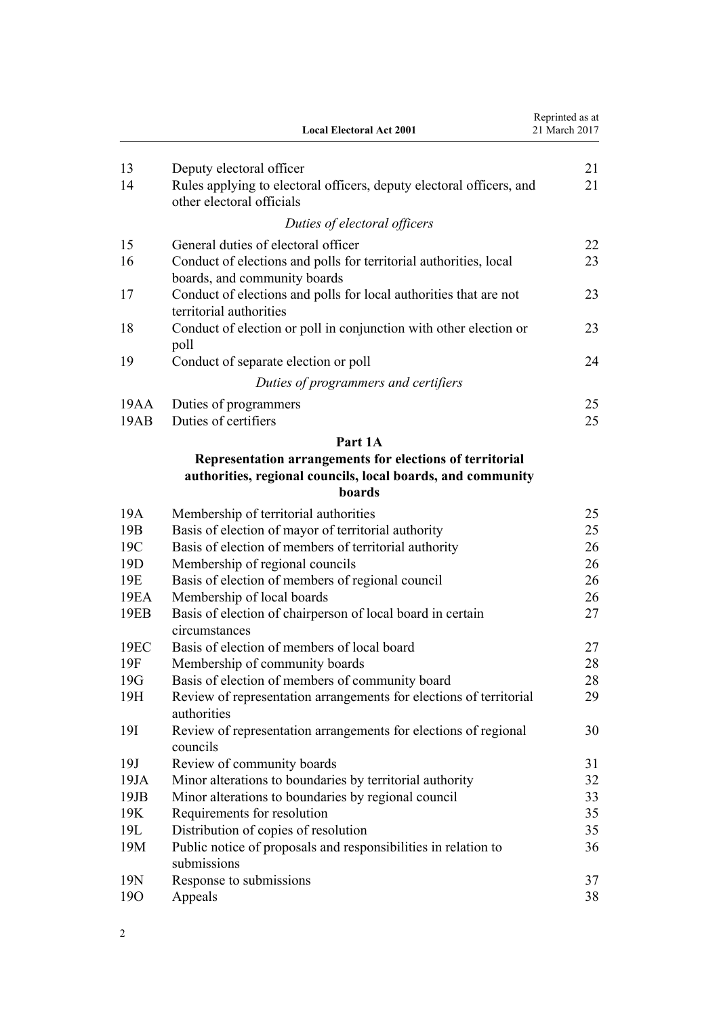|                  | <b>Local Electoral Act 2001</b>                                                                   | Reprinted as at<br>21 March 2017 |
|------------------|---------------------------------------------------------------------------------------------------|----------------------------------|
| 13               | Deputy electoral officer                                                                          | 21                               |
| 14               | Rules applying to electoral officers, deputy electoral officers, and<br>other electoral officials | 21                               |
|                  | Duties of electoral officers                                                                      |                                  |
| 15               | General duties of electoral officer                                                               | 22                               |
| 16               | Conduct of elections and polls for territorial authorities, local<br>boards, and community boards | 23                               |
| 17               | Conduct of elections and polls for local authorities that are not<br>territorial authorities      | 23                               |
| 18               | Conduct of election or poll in conjunction with other election or<br>poll                         | 23                               |
| 19               | Conduct of separate election or poll                                                              | 24                               |
|                  | Duties of programmers and certifiers                                                              |                                  |
| 19AA             | Duties of programmers                                                                             | 25                               |
| 19AB             | Duties of certifiers                                                                              | 25                               |
|                  | Part 1A                                                                                           |                                  |
|                  | Representation arrangements for elections of territorial                                          |                                  |
|                  | authorities, regional councils, local boards, and community                                       |                                  |
|                  | boards                                                                                            |                                  |
| 19A              | Membership of territorial authorities                                                             | 25                               |
| 19B              | Basis of election of mayor of territorial authority                                               | 25                               |
| 19C              | Basis of election of members of territorial authority                                             | 26                               |
| 19D              | Membership of regional councils                                                                   | 26                               |
| 19E              | Basis of election of members of regional council                                                  | 26                               |
| 19EA             | Membership of local boards                                                                        | 26                               |
| 19EB             | Basis of election of chairperson of local board in certain<br>circumstances                       | 27                               |
| 19 <sub>EC</sub> | Basis of election of members of local board                                                       | 27                               |
| 19F              | Membership of community boards                                                                    | 28                               |
| 19G              | Basis of election of members of community board                                                   | 28                               |
| 19H              | Review of representation arrangements for elections of territorial<br>authorities                 | 29                               |
| 19I              | Review of representation arrangements for elections of regional<br>councils                       | 30                               |
| 19J              | Review of community boards                                                                        | 31                               |
| 19JA             | Minor alterations to boundaries by territorial authority                                          | 32                               |
| 19JB             | Minor alterations to boundaries by regional council                                               | 33                               |
| 19K              | Requirements for resolution                                                                       | 35                               |
| 19L              | Distribution of copies of resolution                                                              | 35                               |
| 19M              | Public notice of proposals and responsibilities in relation to<br>submissions                     | 36                               |
| 19N              | Response to submissions                                                                           | 37                               |
| 190              | Appeals                                                                                           | 38                               |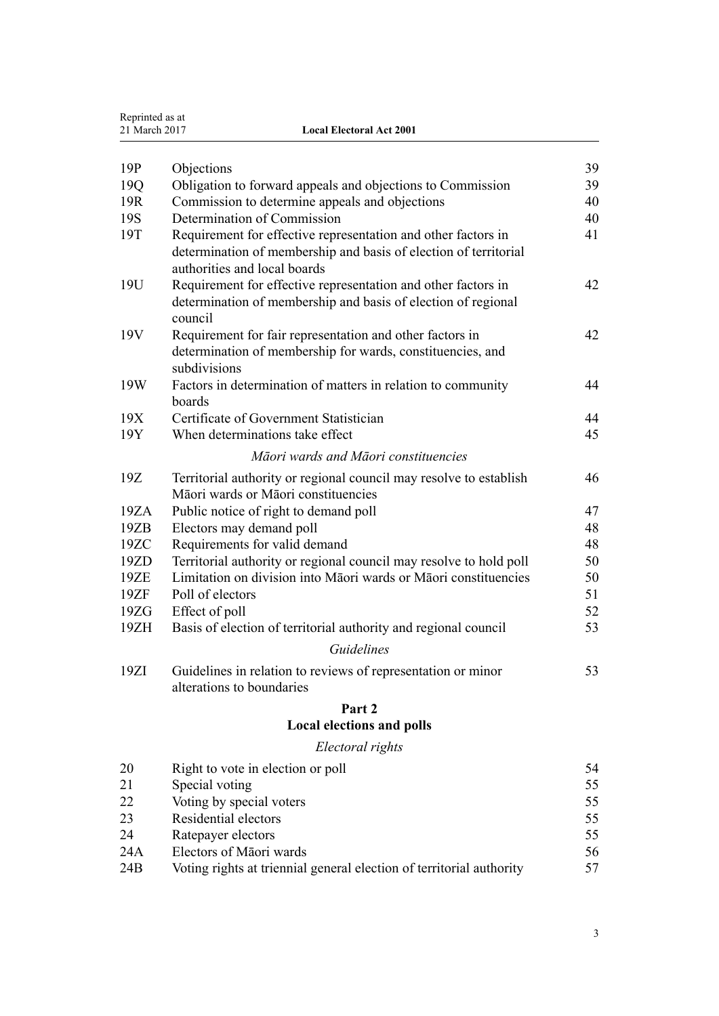| Reprinted as at<br>21 March 2017 | <b>Local Electoral Act 2001</b>                                                                                                                                   |    |
|----------------------------------|-------------------------------------------------------------------------------------------------------------------------------------------------------------------|----|
|                                  |                                                                                                                                                                   |    |
| 19P                              | Objections                                                                                                                                                        | 39 |
| 19Q                              | Obligation to forward appeals and objections to Commission                                                                                                        | 39 |
| 19R                              | Commission to determine appeals and objections                                                                                                                    | 40 |
| 19S                              | Determination of Commission                                                                                                                                       | 40 |
| 19T                              | Requirement for effective representation and other factors in<br>determination of membership and basis of election of territorial<br>authorities and local boards | 41 |
| 19U                              | Requirement for effective representation and other factors in<br>determination of membership and basis of election of regional<br>council                         | 42 |
| 19V                              | Requirement for fair representation and other factors in<br>determination of membership for wards, constituencies, and<br>subdivisions                            | 42 |
| 19W                              | Factors in determination of matters in relation to community<br>boards                                                                                            | 44 |
| 19X                              | Certificate of Government Statistician                                                                                                                            | 44 |
| 19Y                              | When determinations take effect                                                                                                                                   | 45 |
|                                  | Māori wards and Māori constituencies                                                                                                                              |    |
| 19Z                              | Territorial authority or regional council may resolve to establish<br>Māori wards or Māori constituencies                                                         | 46 |
| 19ZA                             | Public notice of right to demand poll                                                                                                                             | 47 |
| 19ZB                             | Electors may demand poll                                                                                                                                          | 48 |
| 19ZC                             | Requirements for valid demand                                                                                                                                     | 48 |
| 19ZD                             | Territorial authority or regional council may resolve to hold poll                                                                                                | 50 |
| 19ZE                             | Limitation on division into Māori wards or Māori constituencies                                                                                                   | 50 |
| 19ZF                             | Poll of electors                                                                                                                                                  | 51 |
| 19ZG                             | Effect of poll                                                                                                                                                    | 52 |
| 19ZH                             | Basis of election of territorial authority and regional council                                                                                                   | 53 |
|                                  | Guidelines                                                                                                                                                        |    |
| 19ZI                             | Guidelines in relation to reviews of representation or minor<br>alterations to boundaries                                                                         | 53 |
|                                  | Part 2                                                                                                                                                            |    |
|                                  | <b>Local elections and polls</b>                                                                                                                                  |    |
|                                  | Electoral rights                                                                                                                                                  |    |
| 20                               | Right to vote in election or poll                                                                                                                                 | 54 |
| 21                               | Special voting                                                                                                                                                    | 55 |
| 22                               | Voting by special voters                                                                                                                                          | 55 |
| 23                               | Residential electors                                                                                                                                              | 55 |

[24](#page-54-0) [Ratepayer electors](#page-54-0) [55](#page-54-0)

| 24A | Electors of Māori wards                                              | 56 |
|-----|----------------------------------------------------------------------|----|
| 24B | Voting rights at triennial general election of territorial authority | 57 |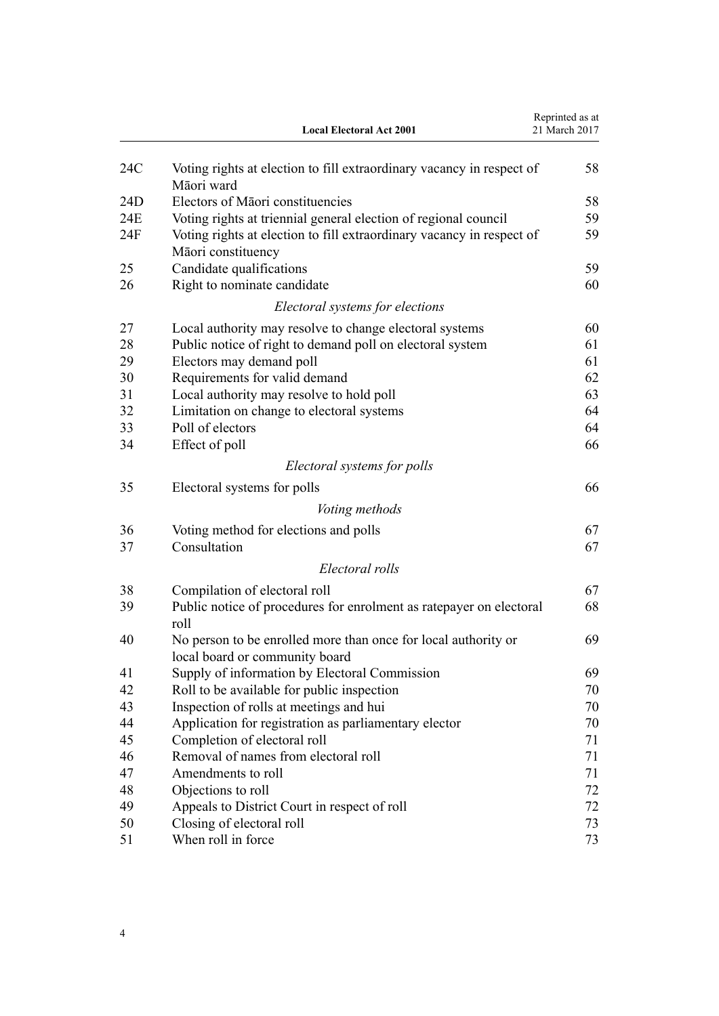|     | <b>Local Electoral Act 2001</b>                                                                  | Reprinted as at<br>21 March 2017 |
|-----|--------------------------------------------------------------------------------------------------|----------------------------------|
| 24C | Voting rights at election to fill extraordinary vacancy in respect of<br>Māori ward              | 58                               |
| 24D | Electors of Māori constituencies                                                                 | 58                               |
| 24E | Voting rights at triennial general election of regional council                                  | 59                               |
| 24F | Voting rights at election to fill extraordinary vacancy in respect of<br>Māori constituency      | 59                               |
| 25  | Candidate qualifications                                                                         | 59                               |
| 26  | Right to nominate candidate                                                                      | 60                               |
|     | Electoral systems for elections                                                                  |                                  |
| 27  | Local authority may resolve to change electoral systems                                          | 60                               |
| 28  | Public notice of right to demand poll on electoral system                                        | 61                               |
| 29  | Electors may demand poll                                                                         | 61                               |
| 30  | Requirements for valid demand                                                                    | 62                               |
| 31  | Local authority may resolve to hold poll                                                         | 63                               |
| 32  | Limitation on change to electoral systems                                                        | 64                               |
| 33  | Poll of electors                                                                                 | 64                               |
| 34  | Effect of poll                                                                                   | 66                               |
|     | Electoral systems for polls                                                                      |                                  |
|     |                                                                                                  |                                  |
| 35  | Electoral systems for polls                                                                      | 66                               |
|     | Voting methods                                                                                   |                                  |
| 36  | Voting method for elections and polls                                                            | 67                               |
| 37  | Consultation                                                                                     | 67                               |
|     | Electoral rolls                                                                                  |                                  |
| 38  | Compilation of electoral roll                                                                    | 67                               |
| 39  | Public notice of procedures for enrolment as ratepayer on electoral<br>roll                      | 68                               |
| 40  | No person to be enrolled more than once for local authority or<br>local board or community board | 69                               |
| 41  | Supply of information by Electoral Commission                                                    | 69                               |
| 42  | Roll to be available for public inspection                                                       | 70                               |
| 43  | Inspection of rolls at meetings and hui                                                          | 70                               |
| 44  | Application for registration as parliamentary elector                                            | 70                               |
| 45  | Completion of electoral roll                                                                     | 71                               |
| 46  | Removal of names from electoral roll                                                             | 71                               |
| 47  | Amendments to roll                                                                               | 71                               |
| 48  | Objections to roll                                                                               | 72                               |
| 49  | Appeals to District Court in respect of roll                                                     | 72                               |
| 50  | Closing of electoral roll                                                                        | 73                               |
| 51  | When roll in force                                                                               | 73                               |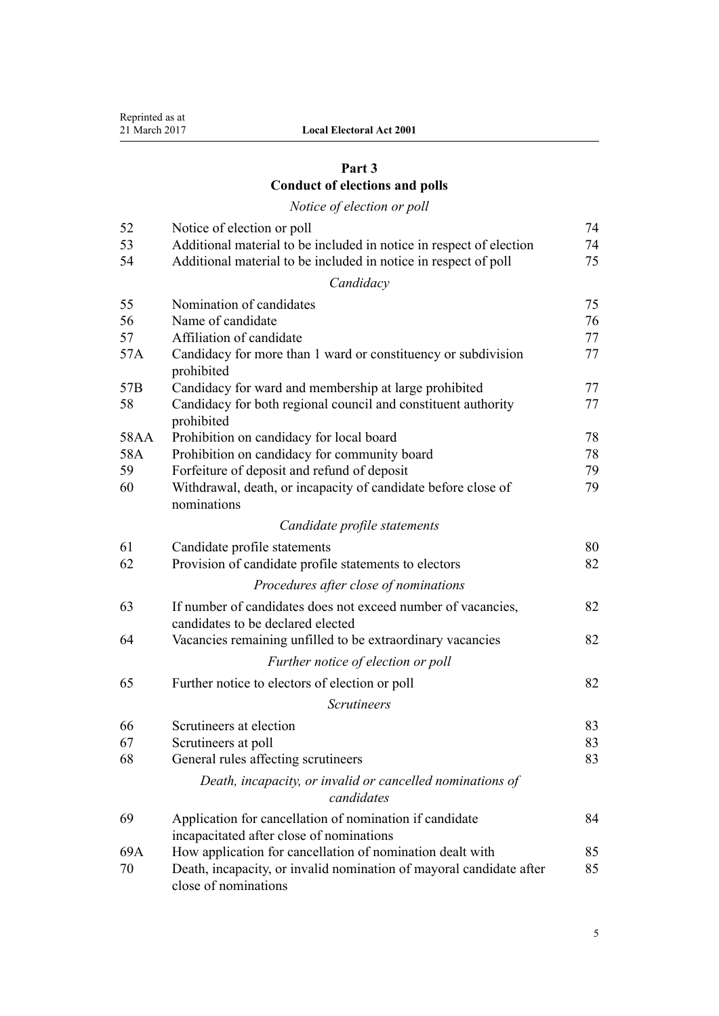## **[Part 3](#page-73-0) [Conduct of elections and polls](#page-73-0)**

# *[Notice of election or poll](#page-73-0)*

| 52   | Notice of election or poll                                                                          | 74 |
|------|-----------------------------------------------------------------------------------------------------|----|
| 53   | Additional material to be included in notice in respect of election                                 | 74 |
| 54   | Additional material to be included in notice in respect of poll                                     | 75 |
|      | Candidacy                                                                                           |    |
| 55   | Nomination of candidates                                                                            | 75 |
| 56   | Name of candidate                                                                                   | 76 |
| 57   | Affiliation of candidate                                                                            | 77 |
| 57A  | Candidacy for more than 1 ward or constituency or subdivision<br>prohibited                         | 77 |
| 57B  | Candidacy for ward and membership at large prohibited                                               | 77 |
| 58   | Candidacy for both regional council and constituent authority<br>prohibited                         | 77 |
| 58AA | Prohibition on candidacy for local board                                                            | 78 |
| 58A  | Prohibition on candidacy for community board                                                        | 78 |
| 59   | Forfeiture of deposit and refund of deposit                                                         | 79 |
| 60   | Withdrawal, death, or incapacity of candidate before close of<br>nominations                        | 79 |
|      | Candidate profile statements                                                                        |    |
| 61   | Candidate profile statements                                                                        | 80 |
| 62   | Provision of candidate profile statements to electors                                               | 82 |
|      | Procedures after close of nominations                                                               |    |
| 63   | If number of candidates does not exceed number of vacancies,<br>candidates to be declared elected   | 82 |
| 64   | Vacancies remaining unfilled to be extraordinary vacancies                                          | 82 |
|      | Further notice of election or poll                                                                  |    |
| 65   | Further notice to electors of election or poll                                                      | 82 |
|      | <b>Scrutineers</b>                                                                                  |    |
| 66   | Scrutineers at election                                                                             | 83 |
| 67   | Scrutineers at poll                                                                                 | 83 |
| 68   | General rules affecting scrutineers                                                                 | 83 |
|      | Death, incapacity, or invalid or cancelled nominations of<br>candidates                             |    |
| 69   | Application for cancellation of nomination if candidate<br>incapacitated after close of nominations | 84 |
| 69A  | How application for cancellation of nomination dealt with                                           | 85 |
| 70   | Death, incapacity, or invalid nomination of mayoral candidate after<br>close of nominations         | 85 |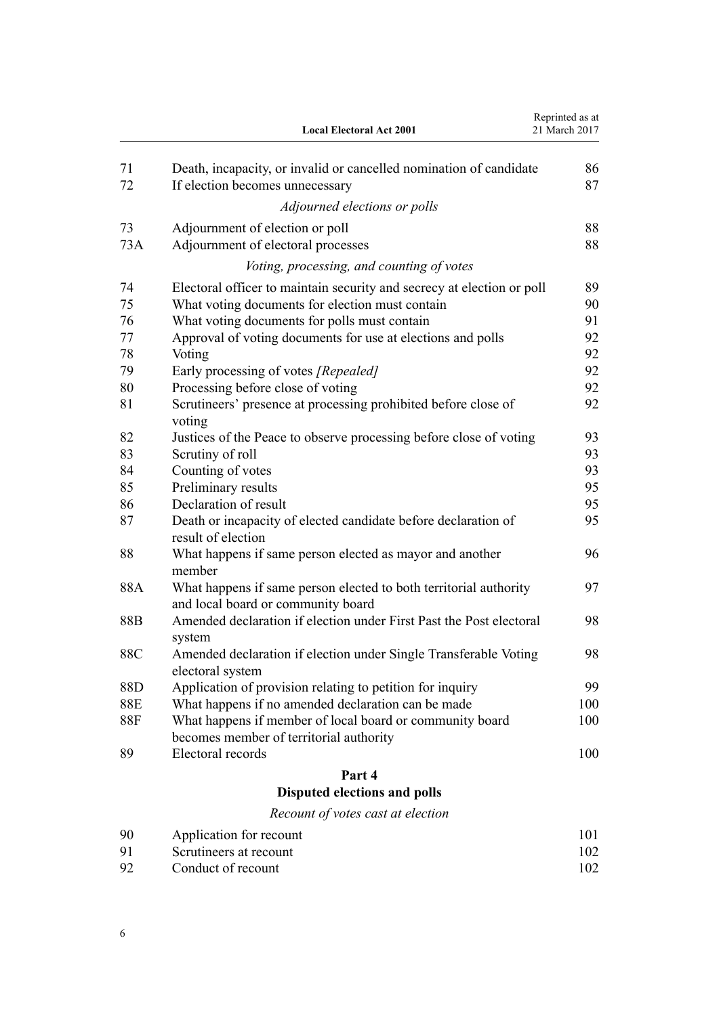|            | <b>Local Electoral Act 2001</b>                                                                         | Reprinted as at<br>21 March 2017 |
|------------|---------------------------------------------------------------------------------------------------------|----------------------------------|
| 71         | Death, incapacity, or invalid or cancelled nomination of candidate                                      | 86                               |
| 72         | If election becomes unnecessary                                                                         | 87                               |
|            | Adjourned elections or polls                                                                            |                                  |
| 73         | Adjournment of election or poll                                                                         | 88                               |
| 73A        | Adjournment of electoral processes                                                                      | 88                               |
|            | Voting, processing, and counting of votes                                                               |                                  |
| 74         | Electoral officer to maintain security and secrecy at election or poll                                  | 89                               |
| 75         | What voting documents for election must contain                                                         | 90                               |
| 76         | What voting documents for polls must contain                                                            | 91                               |
| 77         | Approval of voting documents for use at elections and polls                                             | 92                               |
| 78         | Voting                                                                                                  | 92                               |
| 79         | Early processing of votes [Repealed]                                                                    | 92                               |
| 80         | Processing before close of voting                                                                       | 92                               |
| 81         | Scrutineers' presence at processing prohibited before close of<br>voting                                | 92                               |
| 82         | Justices of the Peace to observe processing before close of voting                                      | 93                               |
| 83         | Scrutiny of roll                                                                                        | 93                               |
| 84         | Counting of votes                                                                                       | 93                               |
| 85         | Preliminary results                                                                                     | 95                               |
| 86         | Declaration of result                                                                                   | 95                               |
| 87         | Death or incapacity of elected candidate before declaration of<br>result of election                    | 95                               |
| 88         | What happens if same person elected as mayor and another<br>member                                      | 96                               |
| 88A        | What happens if same person elected to both territorial authority<br>and local board or community board | 97                               |
| 88B        | Amended declaration if election under First Past the Post electoral<br>system                           | 98                               |
| 88C        | Amended declaration if election under Single Transferable Voting<br>electoral system                    | 98                               |
| 88D        | Application of provision relating to petition for inquiry                                               | 99                               |
| 88E        | What happens if no amended declaration can be made                                                      | 100                              |
| <b>88F</b> | What happens if member of local board or community board<br>becomes member of territorial authority     | 100                              |
| 89         | Electoral records                                                                                       | 100                              |
|            | Part 4                                                                                                  |                                  |
|            | <b>Disputed elections and polls</b>                                                                     |                                  |
|            | Recount of votes cast at election                                                                       |                                  |
| 90         | Application for recount                                                                                 | 101                              |
| 91         | Scrutineers at recount                                                                                  | 102                              |
| 92         | Conduct of recount                                                                                      | 102                              |

6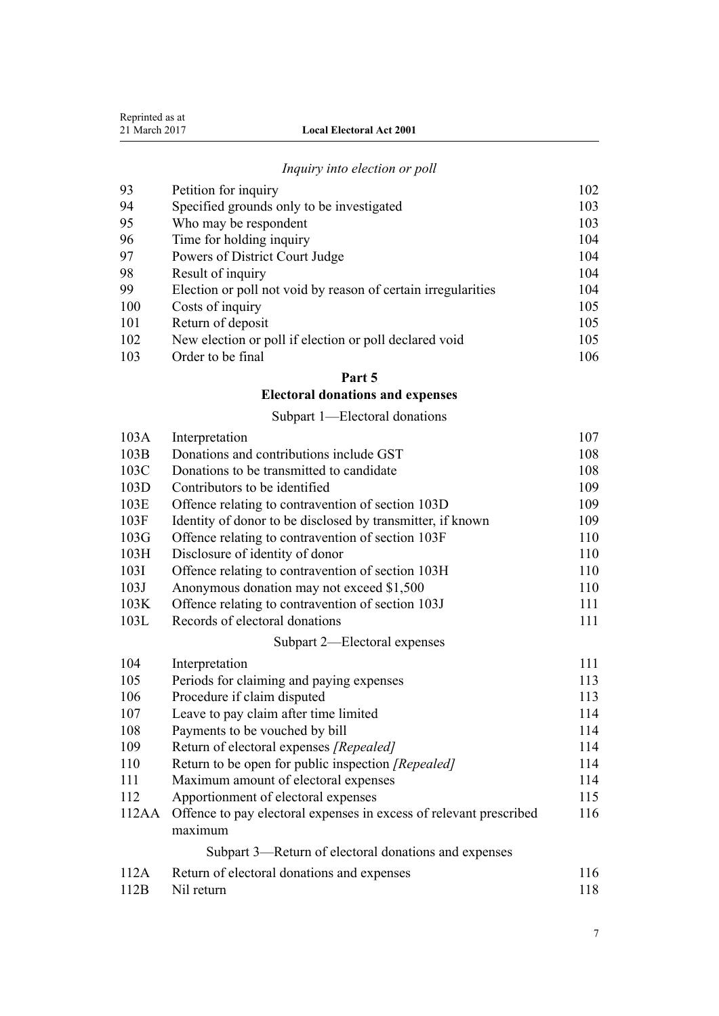| Reprinted as at |
|-----------------|
| 21 March 2017   |

## *[Inquiry into election or poll](#page-101-0)*

| 94<br>Specified grounds only to be investigated<br>95<br>Who may be respondent<br>96<br>Time for holding inquiry<br>97<br>Powers of District Court Judge<br>98<br>Result of inquiry<br>99<br>Election or poll not void by reason of certain irregularities<br>100<br>Costs of inquiry<br>101<br>Return of deposit<br>New election or poll if election or poll declared void<br>102<br>Order to be final<br>103 | 93 | Petition for inquiry | 102 |
|----------------------------------------------------------------------------------------------------------------------------------------------------------------------------------------------------------------------------------------------------------------------------------------------------------------------------------------------------------------------------------------------------------------|----|----------------------|-----|
|                                                                                                                                                                                                                                                                                                                                                                                                                |    |                      | 103 |
|                                                                                                                                                                                                                                                                                                                                                                                                                |    |                      | 103 |
|                                                                                                                                                                                                                                                                                                                                                                                                                |    |                      | 104 |
|                                                                                                                                                                                                                                                                                                                                                                                                                |    |                      | 104 |
|                                                                                                                                                                                                                                                                                                                                                                                                                |    |                      | 104 |
|                                                                                                                                                                                                                                                                                                                                                                                                                |    |                      | 104 |
|                                                                                                                                                                                                                                                                                                                                                                                                                |    |                      | 105 |
|                                                                                                                                                                                                                                                                                                                                                                                                                |    |                      | 105 |
|                                                                                                                                                                                                                                                                                                                                                                                                                |    |                      | 105 |
|                                                                                                                                                                                                                                                                                                                                                                                                                |    |                      | 106 |

## **[Part 5](#page-105-0)**

## **[Electoral donations and expenses](#page-105-0)**

[Subpart 1—Electoral donations](#page-105-0)

| 103A  | Interpretation                                                                | 107 |
|-------|-------------------------------------------------------------------------------|-----|
| 103B  | Donations and contributions include GST                                       | 108 |
| 103C  | Donations to be transmitted to candidate                                      | 108 |
| 103D  | Contributors to be identified                                                 | 109 |
| 103E  | Offence relating to contravention of section 103D                             | 109 |
| 103F  | Identity of donor to be disclosed by transmitter, if known                    | 109 |
| 103G  | Offence relating to contravention of section 103F                             | 110 |
| 103H  | Disclosure of identity of donor                                               | 110 |
| 103I  | Offence relating to contravention of section 103H                             | 110 |
| 103J  | Anonymous donation may not exceed \$1,500                                     | 110 |
| 103K  | Offence relating to contravention of section 103J                             | 111 |
| 103L  | Records of electoral donations                                                | 111 |
|       | Subpart 2-Electoral expenses                                                  |     |
| 104   | Interpretation                                                                | 111 |
| 105   | Periods for claiming and paying expenses                                      | 113 |
| 106   | Procedure if claim disputed                                                   | 113 |
| 107   | Leave to pay claim after time limited                                         | 114 |
| 108   | Payments to be vouched by bill                                                | 114 |
| 109   | Return of electoral expenses [Repealed]                                       | 114 |
| 110   | Return to be open for public inspection [Repealed]                            | 114 |
| 111   | Maximum amount of electoral expenses                                          | 114 |
| 112   | Apportionment of electoral expenses                                           | 115 |
| 112AA | Offence to pay electoral expenses in excess of relevant prescribed<br>maximum | 116 |
|       | Subpart 3—Return of electoral donations and expenses                          |     |
| 112A  | Return of electoral donations and expenses                                    | 116 |
| 112B  | Nil return                                                                    | 118 |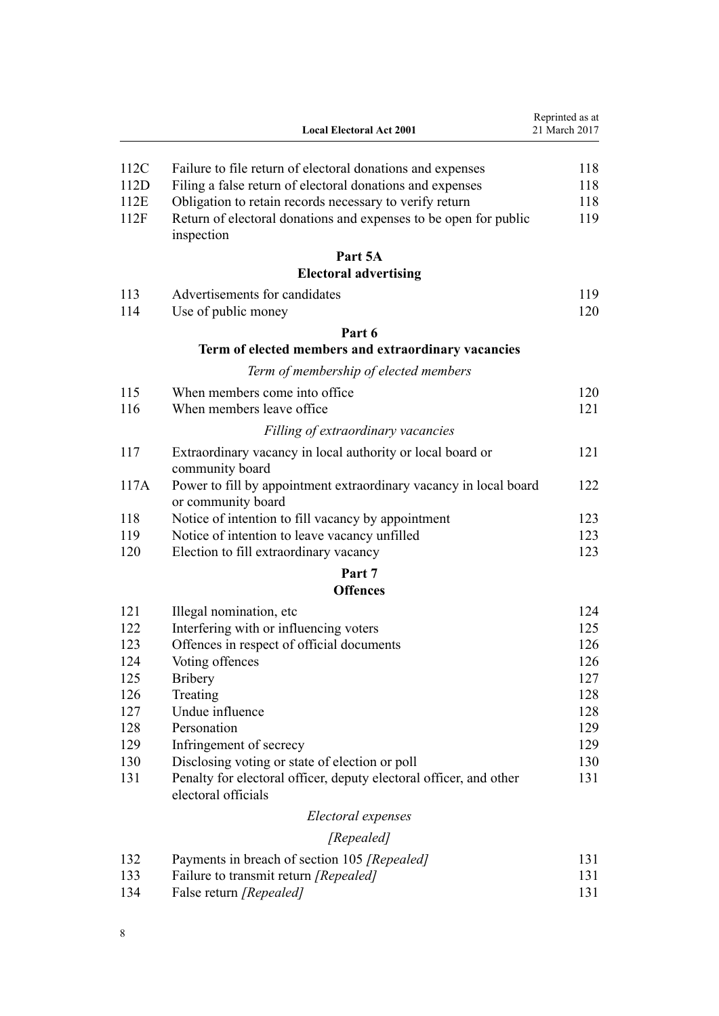|      | <b>Local Electoral Act 2001</b>                                                           | Reprinted as at<br>21 March 2017 |
|------|-------------------------------------------------------------------------------------------|----------------------------------|
| 112C | Failure to file return of electoral donations and expenses                                | 118                              |
| 112D | Filing a false return of electoral donations and expenses                                 | 118                              |
| 112E | Obligation to retain records necessary to verify return                                   | 118                              |
| 112F | Return of electoral donations and expenses to be open for public<br>inspection            | 119                              |
|      | Part 5A                                                                                   |                                  |
|      | <b>Electoral advertising</b>                                                              |                                  |
| 113  | Advertisements for candidates                                                             | 119                              |
| 114  | Use of public money                                                                       | 120                              |
|      | Part 6                                                                                    |                                  |
|      | Term of elected members and extraordinary vacancies                                       |                                  |
|      | Term of membership of elected members                                                     |                                  |
| 115  | When members come into office.                                                            | 120                              |
| 116  | When members leave office                                                                 | 121                              |
|      | Filling of extraordinary vacancies                                                        |                                  |
| 117  | Extraordinary vacancy in local authority or local board or                                | 121                              |
|      | community board                                                                           |                                  |
| 117A | Power to fill by appointment extraordinary vacancy in local board<br>or community board   | 122                              |
| 118  | Notice of intention to fill vacancy by appointment                                        | 123                              |
| 119  | Notice of intention to leave vacancy unfilled                                             | 123                              |
| 120  | Election to fill extraordinary vacancy                                                    | 123                              |
|      | Part 7                                                                                    |                                  |
|      | <b>Offences</b>                                                                           |                                  |
| 121  | Illegal nomination, etc                                                                   | 124                              |
| 122  | Interfering with or influencing voters                                                    | 125                              |
| 123  | Offences in respect of official documents                                                 | 126                              |
| 124  | Voting offences                                                                           | 126                              |
| 125  | <b>Bribery</b>                                                                            | 127                              |
| 126  | Treating                                                                                  | 128                              |
| 127  | Undue influence                                                                           | 128                              |
| 128  | Personation                                                                               | 129                              |
| 129  | Infringement of secrecy                                                                   | 129                              |
| 130  | Disclosing voting or state of election or poll                                            | 130                              |
| 131  | Penalty for electoral officer, deputy electoral officer, and other<br>electoral officials | 131                              |
|      | Electoral expenses                                                                        |                                  |
|      | [Repealed]                                                                                |                                  |
| 132  | Payments in breach of section 105 [Repealed]                                              | 131                              |
| 133  | Failure to transmit return [Repealed]                                                     | 131                              |
|      |                                                                                           |                                  |

[134](#page-130-0) [False return](#page-130-0) *[Repealed]* [131](#page-130-0)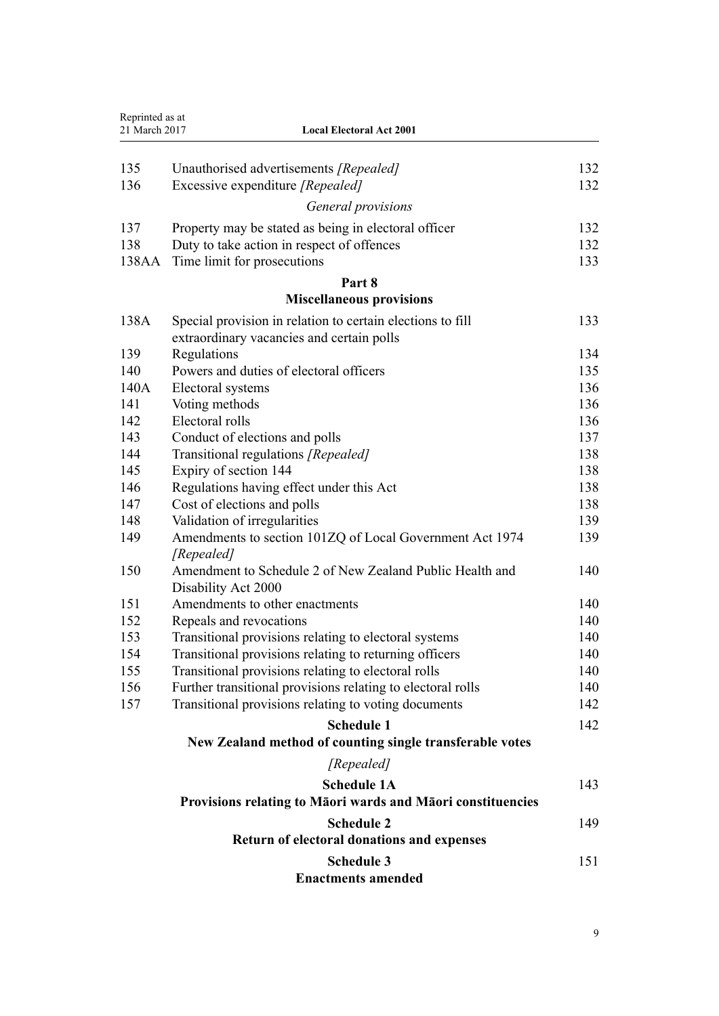| Reprinted as at<br>21 March 2017<br><b>Local Electoral Act 2001</b> |                                                                        |     |
|---------------------------------------------------------------------|------------------------------------------------------------------------|-----|
|                                                                     |                                                                        |     |
| 135                                                                 | Unauthorised advertisements [Repealed]                                 | 132 |
| 136                                                                 | Excessive expenditure [Repealed]                                       | 132 |
|                                                                     | General provisions                                                     |     |
| 137                                                                 | Property may be stated as being in electoral officer                   | 132 |
| 138                                                                 | Duty to take action in respect of offences                             | 132 |
| 138AA                                                               | Time limit for prosecutions                                            | 133 |
|                                                                     | Part 8                                                                 |     |
|                                                                     | <b>Miscellaneous provisions</b>                                        |     |
| 138A                                                                | Special provision in relation to certain elections to fill             | 133 |
|                                                                     | extraordinary vacancies and certain polls                              |     |
| 139                                                                 | Regulations                                                            | 134 |
| 140                                                                 | Powers and duties of electoral officers                                | 135 |
| 140A                                                                | Electoral systems                                                      | 136 |
| 141                                                                 | Voting methods                                                         | 136 |
| 142                                                                 | Electoral rolls                                                        | 136 |
| 143                                                                 | Conduct of elections and polls                                         | 137 |
| 144                                                                 | Transitional regulations [Repealed]                                    | 138 |
| 145                                                                 | Expiry of section 144                                                  | 138 |
| 146                                                                 | Regulations having effect under this Act                               | 138 |
| 147                                                                 | Cost of elections and polls                                            | 138 |
| 148                                                                 | Validation of irregularities                                           | 139 |
| 149                                                                 | Amendments to section 101ZQ of Local Government Act 1974<br>[Repealed] | 139 |
| 150                                                                 | Amendment to Schedule 2 of New Zealand Public Health and               | 140 |
|                                                                     | Disability Act 2000                                                    |     |
| 151                                                                 | Amendments to other enactments                                         | 140 |
| 152                                                                 | Repeals and revocations                                                | 140 |
| 153                                                                 | Transitional provisions relating to electoral systems                  | 140 |
| 154                                                                 | Transitional provisions relating to returning officers                 | 140 |
| 155                                                                 | Transitional provisions relating to electoral rolls                    | 140 |
| 156                                                                 | Further transitional provisions relating to electoral rolls            | 140 |
| 157                                                                 | Transitional provisions relating to voting documents                   | 142 |
|                                                                     | <b>Schedule 1</b>                                                      | 142 |
|                                                                     | New Zealand method of counting single transferable votes               |     |
|                                                                     | [Repealed]                                                             |     |
|                                                                     | <b>Schedule 1A</b>                                                     | 143 |
|                                                                     | Provisions relating to Māori wards and Māori constituencies            |     |
|                                                                     | <b>Schedule 2</b>                                                      | 149 |
|                                                                     | Return of electoral donations and expenses                             |     |
|                                                                     | <b>Schedule 3</b>                                                      | 151 |
|                                                                     | <b>Enactments amended</b>                                              |     |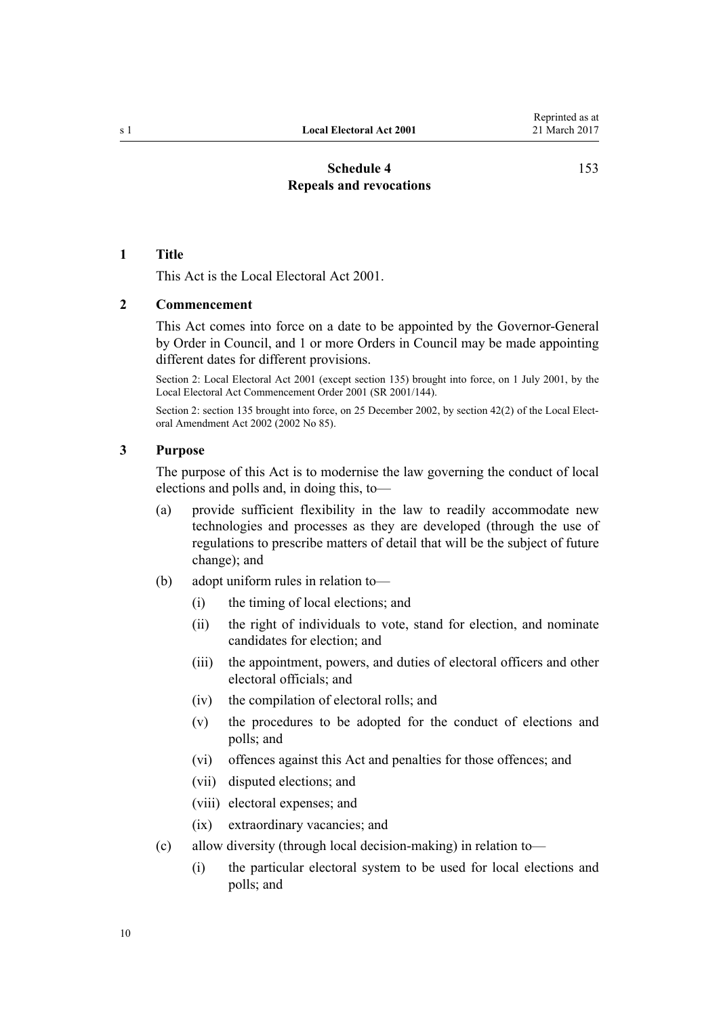## **[Schedule 4](#page-152-0) [Repeals and revocations](#page-152-0)**

[153](#page-152-0)

#### <span id="page-9-0"></span>**1 Title**

This Act is the Local Electoral Act 2001.

### **2 Commencement**

This Act comes into force on a date to be appointed by the Governor-General by Order in Council, and 1 or more Orders in Council may be made appointing different dates for different provisions.

Section 2: Local Electoral Act 2001 (except section 135) brought into force, on 1 July 2001, by the [Local Electoral Act Commencement Order 2001](http://prd-lgnz-nlb.prd.pco.net.nz/pdflink.aspx?id=DLM49285) (SR 2001/144).

Section 2: section 135 brought into force, on 25 December 2002, by [section 42\(2\)](http://prd-lgnz-nlb.prd.pco.net.nz/pdflink.aspx?id=DLM181920) of the Local Electoral Amendment Act 2002 (2002 No 85).

## **3 Purpose**

The purpose of this Act is to modernise the law governing the conduct of local elections and polls and, in doing this, to—

- (a) provide sufficient flexibility in the law to readily accommodate new technologies and processes as they are developed (through the use of regulations to prescribe matters of detail that will be the subject of future change); and
- (b) adopt uniform rules in relation to—
	- (i) the timing of local elections; and
	- (ii) the right of individuals to vote, stand for election, and nominate candidates for election; and
	- (iii) the appointment, powers, and duties of electoral officers and other electoral officials; and
	- (iv) the compilation of electoral rolls; and
	- (v) the procedures to be adopted for the conduct of elections and polls; and
	- (vi) offences against this Act and penalties for those offences; and
	- (vii) disputed elections; and
	- (viii) electoral expenses; and
	- (ix) extraordinary vacancies; and
- (c) allow diversity (through local decision-making) in relation to—
	- (i) the particular electoral system to be used for local elections and polls; and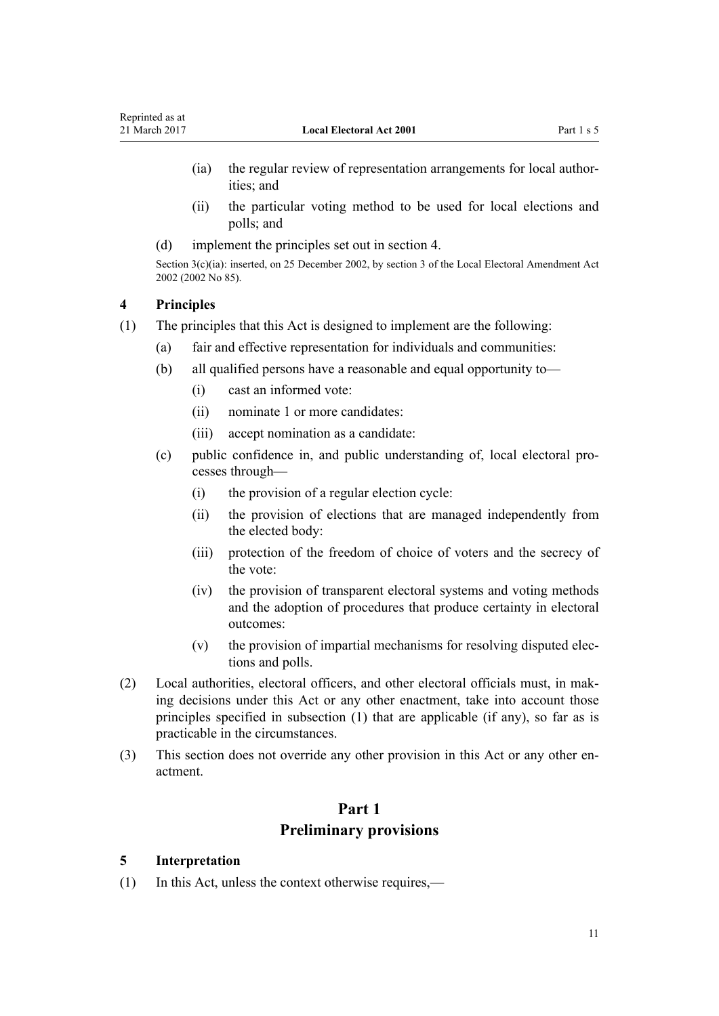- <span id="page-10-0"></span>(ia) the regular review of representation arrangements for local authorities; and
- (ii) the particular voting method to be used for local elections and polls; and
- (d) implement the principles set out in section 4.

Section  $3(c)(ia)$ : inserted, on 25 December 2002, by [section 3](http://prd-lgnz-nlb.prd.pco.net.nz/pdflink.aspx?id=DLM179989) of the Local Electoral Amendment Act 2002 (2002 No 85).

## **4 Principles**

- (1) The principles that this Act is designed to implement are the following:
	- (a) fair and effective representation for individuals and communities:
	- (b) all qualified persons have a reasonable and equal opportunity to—
		- (i) cast an informed vote:
		- (ii) nominate 1 or more candidates:
		- (iii) accept nomination as a candidate:
	- (c) public confidence in, and public understanding of, local electoral processes through—
		- (i) the provision of a regular election cycle:
		- (ii) the provision of elections that are managed independently from the elected body:
		- (iii) protection of the freedom of choice of voters and the secrecy of the vote:
		- (iv) the provision of transparent electoral systems and voting methods and the adoption of procedures that produce certainty in electoral outcomes:
		- (v) the provision of impartial mechanisms for resolving disputed elections and polls.
- (2) Local authorities, electoral officers, and other electoral officials must, in making decisions under this Act or any other enactment, take into account those principles specified in subsection (1) that are applicable (if any), so far as is practicable in the circumstances.
- (3) This section does not override any other provision in this Act or any other enactment.

## **Part 1**

## **Preliminary provisions**

#### **5 Interpretation**

(1) In this Act, unless the context otherwise requires,—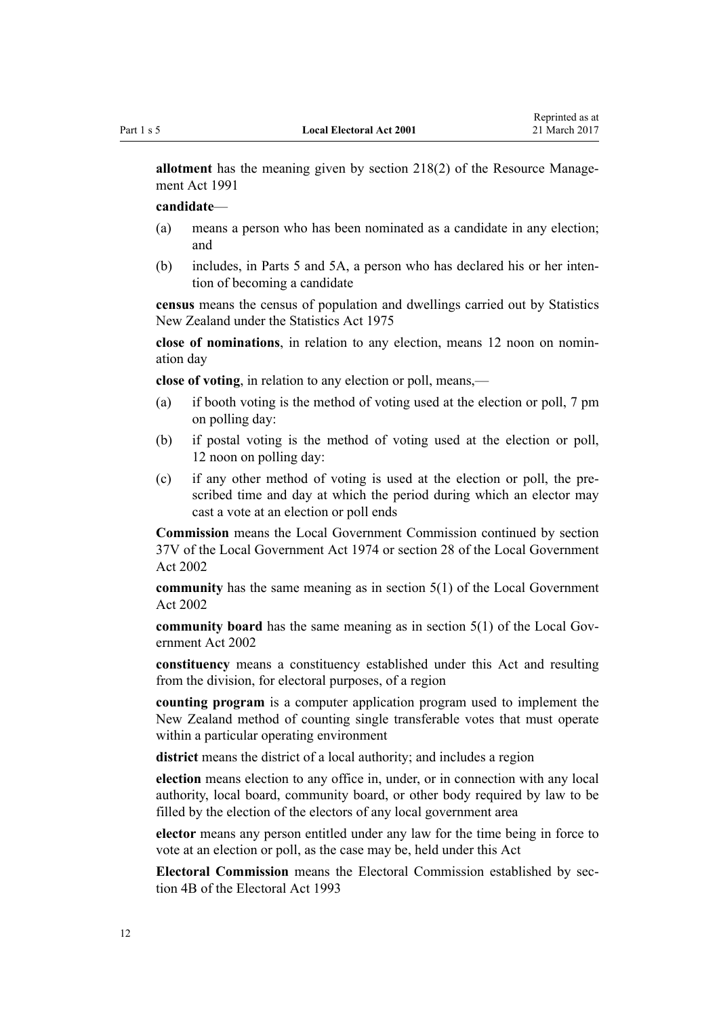**allotment** has the meaning given by [section 218\(2\)](http://prd-lgnz-nlb.prd.pco.net.nz/pdflink.aspx?id=DLM236787) of the Resource Management Act 1991

**candidate**—

- (a) means a person who has been nominated as a candidate in any election; and
- (b) includes, in [Parts 5](#page-105-0) and [5A,](#page-118-0) a person who has declared his or her intention of becoming a candidate

**census** means the census of population and dwellings carried out by Statistics New Zealand under the [Statistics Act 1975](http://prd-lgnz-nlb.prd.pco.net.nz/pdflink.aspx?id=DLM430704)

**close of nominations**, in relation to any election, means 12 noon on nomination day

**close of voting**, in relation to any election or poll, means,—

- (a) if booth voting is the method of voting used at the election or poll, 7 pm on polling day:
- (b) if postal voting is the method of voting used at the election or poll, 12 noon on polling day:
- (c) if any other method of voting is used at the election or poll, the prescribed time and day at which the period during which an elector may cast a vote at an election or poll ends

**Commission** means the Local Government Commission continued by [section](http://prd-lgnz-nlb.prd.pco.net.nz/pdflink.aspx?id=DLM416631) [37V](http://prd-lgnz-nlb.prd.pco.net.nz/pdflink.aspx?id=DLM416631) of the Local Government Act 1974 or [section 28](http://prd-lgnz-nlb.prd.pco.net.nz/pdflink.aspx?id=DLM171839) of the Local Government Act 2002

**community** has the same meaning as in [section 5\(1\)](http://prd-lgnz-nlb.prd.pco.net.nz/pdflink.aspx?id=DLM170881) of the Local Government Act 2002

**community board** has the same meaning as in [section 5\(1\)](http://prd-lgnz-nlb.prd.pco.net.nz/pdflink.aspx?id=DLM170881) of the Local Government Act 2002

**constituency** means a constituency established under this Act and resulting from the division, for electoral purposes, of a region

**counting program** is a computer application program used to implement the New Zealand method of counting single transferable votes that must operate within a particular operating environment

**district** means the district of a local authority; and includes a region

**election** means election to any office in, under, or in connection with any local authority, local board, community board, or other body required by law to be filled by the election of the electors of any local government area

**elector** means any person entitled under any law for the time being in force to vote at an election or poll, as the case may be, held under this Act

**Electoral Commission** means the Electoral Commission established by [sec](http://prd-lgnz-nlb.prd.pco.net.nz/pdflink.aspx?id=DLM2997501)[tion 4B](http://prd-lgnz-nlb.prd.pco.net.nz/pdflink.aspx?id=DLM2997501) of the Electoral Act 1993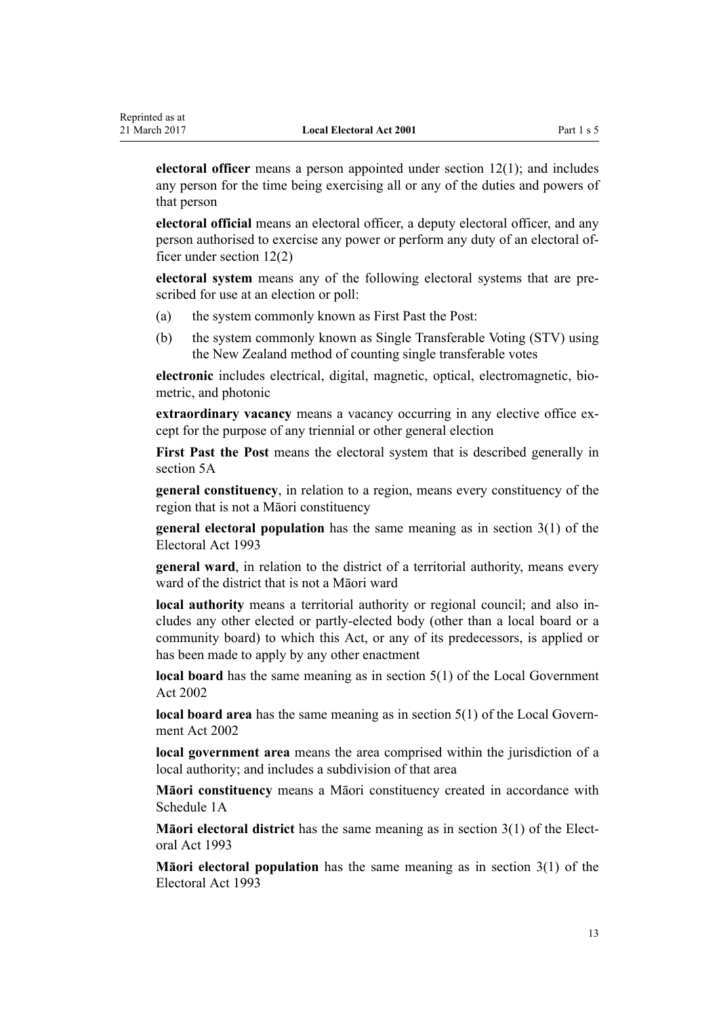**electoral officer** means a person appointed under [section 12\(1\);](#page-20-0) and includes any person for the time being exercising all or any of the duties and powers of that person

**electoral official** means an electoral officer, a deputy electoral officer, and any person authorised to exercise any power or perform any duty of an electoral officer under [section 12\(2\)](#page-20-0)

**electoral system** means any of the following electoral systems that are prescribed for use at an election or poll:

- (a) the system commonly known as First Past the Post:
- (b) the system commonly known as Single Transferable Voting (STV) using the New Zealand method of counting single transferable votes

**electronic** includes electrical, digital, magnetic, optical, electromagnetic, biometric, and photonic

**extraordinary vacancy** means a vacancy occurring in any elective office except for the purpose of any triennial or other general election

**First Past the Post** means the electoral system that is described generally in [section 5A](#page-16-0)

**general constituency**, in relation to a region, means every constituency of the region that is not a Māori constituency

**general electoral population** has the same meaning as in [section 3\(1\)](http://prd-lgnz-nlb.prd.pco.net.nz/pdflink.aspx?id=DLM307525) of the Electoral Act 1993

**general ward**, in relation to the district of a territorial authority, means every ward of the district that is not a Māori ward

**local authority** means a territorial authority or regional council; and also includes any other elected or partly-elected body (other than a local board or a community board) to which this Act, or any of its predecessors, is applied or has been made to apply by any other enactment

**local board** has the same meaning as in [section 5\(1\)](http://prd-lgnz-nlb.prd.pco.net.nz/pdflink.aspx?id=DLM170881) of the Local Government Act 2002

**local board area** has the same meaning as in [section 5\(1\)](http://prd-lgnz-nlb.prd.pco.net.nz/pdflink.aspx?id=DLM170881) of the Local Government Act 2002

**local government area** means the area comprised within the jurisdiction of a local authority; and includes a subdivision of that area

**Māori constituency** means a Māori constituency created in accordance with [Schedule 1A](#page-142-0)

**Māori electoral district** has the same meaning as in [section 3\(1\)](http://prd-lgnz-nlb.prd.pco.net.nz/pdflink.aspx?id=DLM307525) of the Electoral Act 1993

**Māori electoral population** has the same meaning as in [section 3\(1\)](http://prd-lgnz-nlb.prd.pco.net.nz/pdflink.aspx?id=DLM307525) of the Electoral Act 1993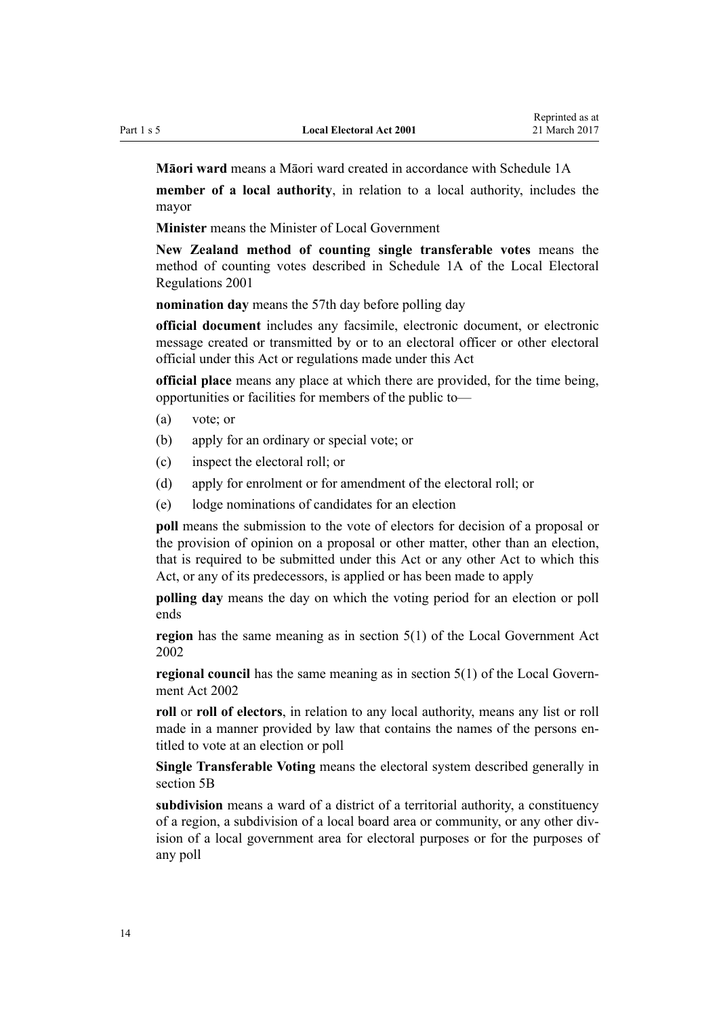**Māori ward** means a Māori ward created in accordance with [Schedule 1A](#page-142-0)

**member of a local authority**, in relation to a local authority, includes the mayor

**Minister** means the Minister of Local Government

**New Zealand method of counting single transferable votes** means the method of counting votes described in [Schedule 1A](http://prd-lgnz-nlb.prd.pco.net.nz/pdflink.aspx?id=DLM57125) of the Local Electoral Regulations 2001

**nomination day** means the 57th day before polling day

**official document** includes any facsimile, electronic document, or electronic message created or transmitted by or to an electoral officer or other electoral official under this Act or regulations made under this Act

**official place** means any place at which there are provided, for the time being, opportunities or facilities for members of the public to—

- (a) vote; or
- (b) apply for an ordinary or special vote; or
- (c) inspect the electoral roll; or
- (d) apply for enrolment or for amendment of the electoral roll; or
- (e) lodge nominations of candidates for an election

**poll** means the submission to the vote of electors for decision of a proposal or the provision of opinion on a proposal or other matter, other than an election, that is required to be submitted under this Act or any other Act to which this Act, or any of its predecessors, is applied or has been made to apply

**polling day** means the day on which the voting period for an election or poll ends

**region** has the same meaning as in [section 5\(1\)](http://prd-lgnz-nlb.prd.pco.net.nz/pdflink.aspx?id=DLM170881) of the Local Government Act 2002

**regional council** has the same meaning as in [section 5\(1\)](http://prd-lgnz-nlb.prd.pco.net.nz/pdflink.aspx?id=DLM170881) of the Local Government Act 2002

**roll** or **roll of electors**, in relation to any local authority, means any list or roll made in a manner provided by law that contains the names of the persons entitled to vote at an election or poll

**Single Transferable Voting** means the electoral system described generally in [section 5B](#page-16-0)

**subdivision** means a ward of a district of a territorial authority, a constituency of a region, a subdivision of a local board area or community, or any other division of a local government area for electoral purposes or for the purposes of any poll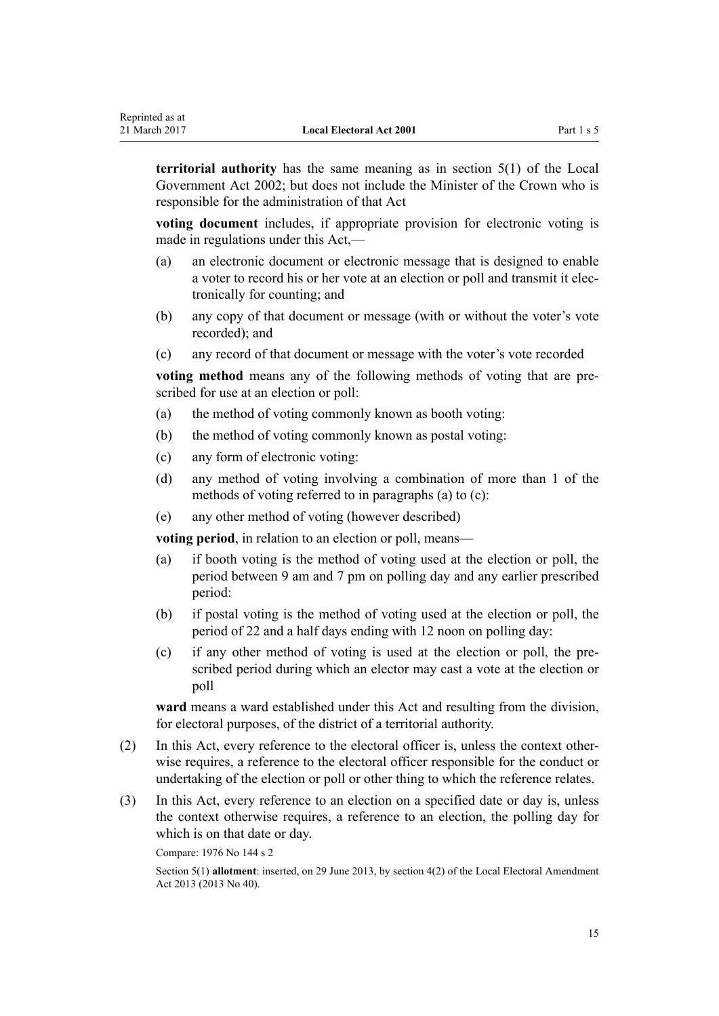**territorial authority** has the same meaning as in [section 5\(1\)](http://prd-lgnz-nlb.prd.pco.net.nz/pdflink.aspx?id=DLM170881) of the Local Government Act 2002; but does not include the Minister of the Crown who is responsible for the administration of that Act

**voting document** includes, if appropriate provision for electronic voting is made in regulations under this Act,—

- (a) an electronic document or electronic message that is designed to enable a voter to record his or her vote at an election or poll and transmit it electronically for counting; and
- (b) any copy of that document or message (with or without the voter's vote recorded); and
- (c) any record of that document or message with the voter's vote recorded

**voting method** means any of the following methods of voting that are prescribed for use at an election or poll:

- (a) the method of voting commonly known as booth voting:
- (b) the method of voting commonly known as postal voting:
- (c) any form of electronic voting:
- (d) any method of voting involving a combination of more than 1 of the methods of voting referred to in paragraphs (a) to (c):
- (e) any other method of voting (however described)

**voting period**, in relation to an election or poll, means—

- (a) if booth voting is the method of voting used at the election or poll, the period between 9 am and 7 pm on polling day and any earlier prescribed period:
- (b) if postal voting is the method of voting used at the election or poll, the period of 22 and a half days ending with 12 noon on polling day:
- (c) if any other method of voting is used at the election or poll, the prescribed period during which an elector may cast a vote at the election or poll

**ward** means a ward established under this Act and resulting from the division, for electoral purposes, of the district of a territorial authority.

- (2) In this Act, every reference to the electoral officer is, unless the context otherwise requires, a reference to the electoral officer responsible for the conduct or undertaking of the election or poll or other thing to which the reference relates.
- (3) In this Act, every reference to an election on a specified date or day is, unless the context otherwise requires, a reference to an election, the polling day for which is on that date or day.

Compare: 1976 No 144 s 2

Section 5(1) **allotment**: inserted, on 29 June 2013, by [section 4\(2\)](http://prd-lgnz-nlb.prd.pco.net.nz/pdflink.aspx?id=DLM4803514) of the Local Electoral Amendment Act 2013 (2013 No 40).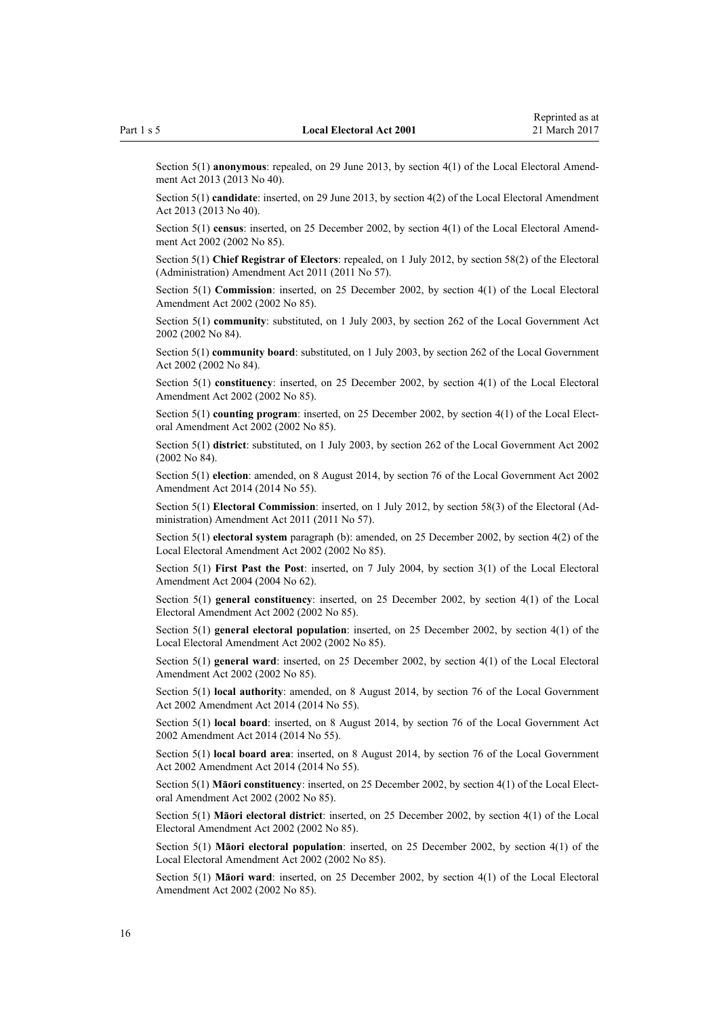Section 5(1) **anonymous**: repealed, on 29 June 2013, by [section 4\(1\)](http://prd-lgnz-nlb.prd.pco.net.nz/pdflink.aspx?id=DLM4803514) of the Local Electoral Amendment Act 2013 (2013 No 40).

Section 5(1) **candidate**: inserted, on 29 June 2013, by [section 4\(2\)](http://prd-lgnz-nlb.prd.pco.net.nz/pdflink.aspx?id=DLM4803514) of the Local Electoral Amendment Act 2013 (2013 No 40).

Section 5(1) **census**: inserted, on 25 December 2002, by [section 4\(1\)](http://prd-lgnz-nlb.prd.pco.net.nz/pdflink.aspx?id=DLM179990) of the Local Electoral Amendment Act 2002 (2002 No 85).

Section 5(1) **Chief Registrar of Electors**: repealed, on 1 July 2012, by [section 58\(2\)](http://prd-lgnz-nlb.prd.pco.net.nz/pdflink.aspx?id=DLM3367693) of the Electoral (Administration) Amendment Act 2011 (2011 No 57).

Section 5(1) **Commission**: inserted, on 25 December 2002, by [section 4\(1\)](http://prd-lgnz-nlb.prd.pco.net.nz/pdflink.aspx?id=DLM179990) of the Local Electoral Amendment Act 2002 (2002 No 85).

Section 5(1) **community**: substituted, on 1 July 2003, by [section 262](http://prd-lgnz-nlb.prd.pco.net.nz/pdflink.aspx?id=DLM174088) of the Local Government Act 2002 (2002 No 84).

Section 5(1) **community board**: substituted, on 1 July 2003, by [section 262](http://prd-lgnz-nlb.prd.pco.net.nz/pdflink.aspx?id=DLM174088) of the Local Government Act 2002 (2002 No 84).

Section 5(1) **constituency**: inserted, on 25 December 2002, by [section 4\(1\)](http://prd-lgnz-nlb.prd.pco.net.nz/pdflink.aspx?id=DLM179990) of the Local Electoral Amendment Act 2002 (2002 No 85).

Section 5(1) **counting program**: inserted, on 25 December 2002, by [section 4\(1\)](http://prd-lgnz-nlb.prd.pco.net.nz/pdflink.aspx?id=DLM179990) of the Local Electoral Amendment Act 2002 (2002 No 85).

Section 5(1) **district**: substituted, on 1 July 2003, by [section 262](http://prd-lgnz-nlb.prd.pco.net.nz/pdflink.aspx?id=DLM174088) of the Local Government Act 2002 (2002 No 84).

Section 5(1) **election**: amended, on 8 August 2014, by [section 76](http://prd-lgnz-nlb.prd.pco.net.nz/pdflink.aspx?id=DLM5707313) of the Local Government Act 2002 Amendment Act 2014 (2014 No 55).

Section 5(1) **Electoral Commission**: inserted, on 1 July 2012, by [section 58\(3\)](http://prd-lgnz-nlb.prd.pco.net.nz/pdflink.aspx?id=DLM3367693) of the Electoral (Administration) Amendment Act 2011 (2011 No 57).

Section 5(1) **electoral system** paragraph (b): amended, on 25 December 2002, by [section 4\(2\)](http://prd-lgnz-nlb.prd.pco.net.nz/pdflink.aspx?id=DLM179990) of the Local Electoral Amendment Act 2002 (2002 No 85).

Section 5(1) **First Past the Post**: inserted, on 7 July 2004, by [section 3\(1\)](http://prd-lgnz-nlb.prd.pco.net.nz/pdflink.aspx?id=DLM303160) of the Local Electoral Amendment Act 2004 (2004 No 62).

Section 5(1) **general constituency**: inserted, on 25 December 2002, by [section 4\(1\)](http://prd-lgnz-nlb.prd.pco.net.nz/pdflink.aspx?id=DLM179990) of the Local Electoral Amendment Act 2002 (2002 No 85).

Section 5(1) **general electoral population**: inserted, on 25 December 2002, by [section 4\(1\)](http://prd-lgnz-nlb.prd.pco.net.nz/pdflink.aspx?id=DLM179990) of the Local Electoral Amendment Act 2002 (2002 No 85).

Section 5(1) **general ward**: inserted, on 25 December 2002, by [section 4\(1\)](http://prd-lgnz-nlb.prd.pco.net.nz/pdflink.aspx?id=DLM179990) of the Local Electoral Amendment Act 2002 (2002 No 85).

Section 5(1) **local authority**: amended, on 8 August 2014, by [section 76](http://prd-lgnz-nlb.prd.pco.net.nz/pdflink.aspx?id=DLM5707313) of the Local Government Act 2002 Amendment Act 2014 (2014 No 55).

Section 5(1) **local board**: inserted, on 8 August 2014, by [section 76](http://prd-lgnz-nlb.prd.pco.net.nz/pdflink.aspx?id=DLM5707313) of the Local Government Act 2002 Amendment Act 2014 (2014 No 55).

Section 5(1) **local board area**: inserted, on 8 August 2014, by [section 76](http://prd-lgnz-nlb.prd.pco.net.nz/pdflink.aspx?id=DLM5707313) of the Local Government Act 2002 Amendment Act 2014 (2014 No 55).

Section 5(1) **Māori constituency**: inserted, on 25 December 2002, by [section 4\(1\)](http://prd-lgnz-nlb.prd.pco.net.nz/pdflink.aspx?id=DLM179990) of the Local Electoral Amendment Act 2002 (2002 No 85).

Section 5(1) **Māori electoral district**: inserted, on 25 December 2002, by [section 4\(1\)](http://prd-lgnz-nlb.prd.pco.net.nz/pdflink.aspx?id=DLM179990) of the Local Electoral Amendment Act 2002 (2002 No 85).

Section 5(1) **Māori electoral population**: inserted, on 25 December 2002, by [section 4\(1\)](http://prd-lgnz-nlb.prd.pco.net.nz/pdflink.aspx?id=DLM179990) of the Local Electoral Amendment Act 2002 (2002 No 85).

Section 5(1) **Māori ward**: inserted, on 25 December 2002, by [section 4\(1\)](http://prd-lgnz-nlb.prd.pco.net.nz/pdflink.aspx?id=DLM179990) of the Local Electoral Amendment Act 2002 (2002 No 85).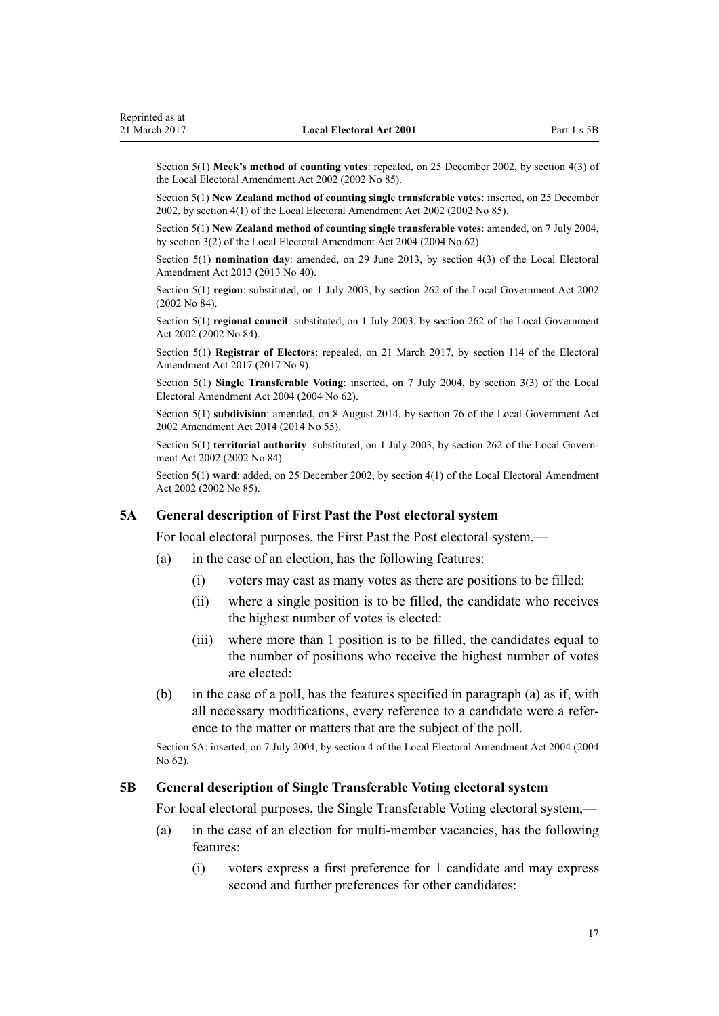<span id="page-16-0"></span>Section 5(1) **Meek's method of counting votes**: repealed, on 25 December 2002, by [section 4\(3\)](http://prd-lgnz-nlb.prd.pco.net.nz/pdflink.aspx?id=DLM179990) of the Local Electoral Amendment Act 2002 (2002 No 85).

Section 5(1) **New Zealand method of counting single transferable votes**: inserted, on 25 December 2002, by [section 4\(1\)](http://prd-lgnz-nlb.prd.pco.net.nz/pdflink.aspx?id=DLM179990) of the Local Electoral Amendment Act 2002 (2002 No 85).

Section 5(1) **New Zealand method of counting single transferable votes**: amended, on 7 July 2004, by [section 3\(2\)](http://prd-lgnz-nlb.prd.pco.net.nz/pdflink.aspx?id=DLM303160) of the Local Electoral Amendment Act 2004 (2004 No 62).

Section 5(1) **nomination day**: amended, on 29 June 2013, by [section 4\(3\)](http://prd-lgnz-nlb.prd.pco.net.nz/pdflink.aspx?id=DLM4803514) of the Local Electoral Amendment Act 2013 (2013 No 40).

Section 5(1) **region**: substituted, on 1 July 2003, by [section 262](http://prd-lgnz-nlb.prd.pco.net.nz/pdflink.aspx?id=DLM174088) of the Local Government Act 2002 (2002 No 84).

Section 5(1) **regional council**: substituted, on 1 July 2003, by [section 262](http://prd-lgnz-nlb.prd.pco.net.nz/pdflink.aspx?id=DLM174088) of the Local Government Act 2002 (2002 No 84).

Section 5(1) **Registrar of Electors**: repealed, on 21 March 2017, by [section 114](http://prd-lgnz-nlb.prd.pco.net.nz/pdflink.aspx?id=DLM6963887) of the Electoral Amendment Act 2017 (2017 No 9).

Section 5(1) **Single Transferable Voting**: inserted, on 7 July 2004, by [section 3\(3\)](http://prd-lgnz-nlb.prd.pco.net.nz/pdflink.aspx?id=DLM303160) of the Local Electoral Amendment Act 2004 (2004 No 62).

Section 5(1) **subdivision**: amended, on 8 August 2014, by [section 76](http://prd-lgnz-nlb.prd.pco.net.nz/pdflink.aspx?id=DLM5707313) of the Local Government Act 2002 Amendment Act 2014 (2014 No 55).

Section 5(1) **territorial authority**: substituted, on 1 July 2003, by [section 262](http://prd-lgnz-nlb.prd.pco.net.nz/pdflink.aspx?id=DLM174088) of the Local Government Act 2002 (2002 No 84).

Section 5(1) **ward**: added, on 25 December 2002, by [section 4\(1\)](http://prd-lgnz-nlb.prd.pco.net.nz/pdflink.aspx?id=DLM179990) of the Local Electoral Amendment Act 2002 (2002 No 85).

#### **5A General description of First Past the Post electoral system**

For local electoral purposes, the First Past the Post electoral system,—

- (a) in the case of an election, has the following features:
	- (i) voters may cast as many votes as there are positions to be filled:
	- (ii) where a single position is to be filled, the candidate who receives the highest number of votes is elected:
	- (iii) where more than 1 position is to be filled, the candidates equal to the number of positions who receive the highest number of votes are elected:
- (b) in the case of a poll, has the features specified in paragraph (a) as if, with all necessary modifications, every reference to a candidate were a reference to the matter or matters that are the subject of the poll.

Section 5A: inserted, on 7 July 2004, by [section 4](http://prd-lgnz-nlb.prd.pco.net.nz/pdflink.aspx?id=DLM303165) of the Local Electoral Amendment Act 2004 (2004 No 62).

#### **5B General description of Single Transferable Voting electoral system**

For local electoral purposes, the Single Transferable Voting electoral system,—

- (a) in the case of an election for multi-member vacancies, has the following features:
	- (i) voters express a first preference for 1 candidate and may express second and further preferences for other candidates: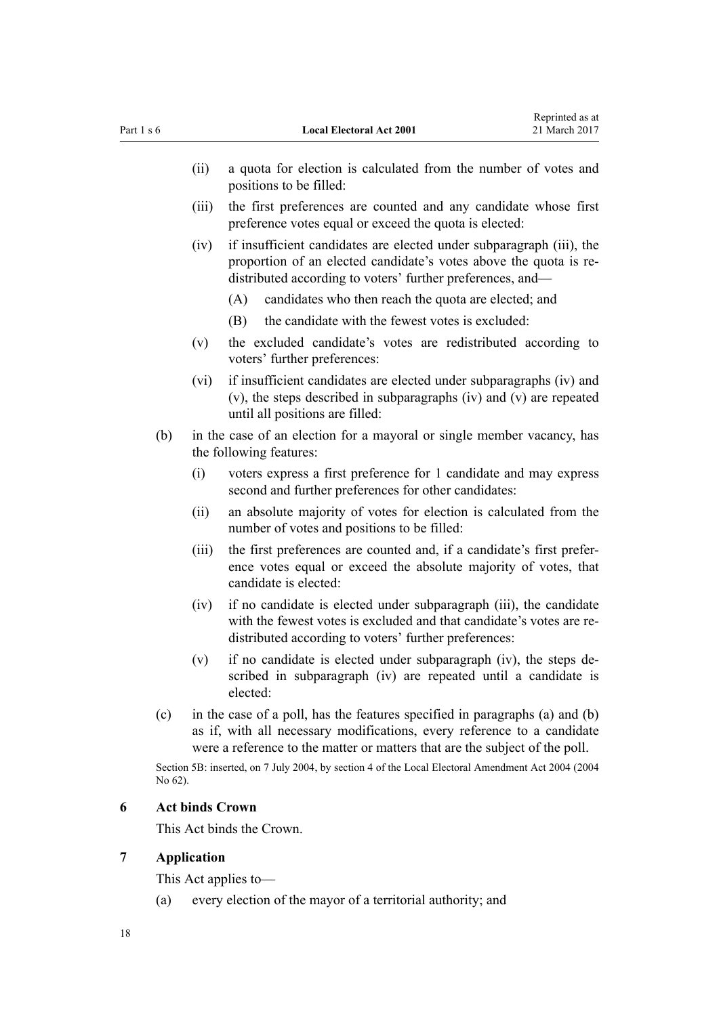<span id="page-17-0"></span>

| Part 1 s 6 |                                                                                                          |                                                                                                                                                                                                                                       | <b>Local Electoral Act 2001</b>                                                                                                                                                                         | 21 March 2017 |  |
|------------|----------------------------------------------------------------------------------------------------------|---------------------------------------------------------------------------------------------------------------------------------------------------------------------------------------------------------------------------------------|---------------------------------------------------------------------------------------------------------------------------------------------------------------------------------------------------------|---------------|--|
|            |                                                                                                          | (ii)                                                                                                                                                                                                                                  | a quota for election is calculated from the number of votes and<br>positions to be filled:                                                                                                              |               |  |
|            |                                                                                                          | (iii)                                                                                                                                                                                                                                 | the first preferences are counted and any candidate whose first<br>preference votes equal or exceed the quota is elected:                                                                               |               |  |
|            |                                                                                                          | (iv)                                                                                                                                                                                                                                  | if insufficient candidates are elected under subparagraph (iii), the<br>proportion of an elected candidate's votes above the quota is re-<br>distributed according to voters' further preferences, and— |               |  |
|            |                                                                                                          |                                                                                                                                                                                                                                       | (A)<br>candidates who then reach the quota are elected; and                                                                                                                                             |               |  |
|            |                                                                                                          |                                                                                                                                                                                                                                       | the candidate with the fewest votes is excluded:<br>(B)                                                                                                                                                 |               |  |
|            |                                                                                                          | (v)                                                                                                                                                                                                                                   | the excluded candidate's votes are redistributed according to<br>voters' further preferences:                                                                                                           |               |  |
|            |                                                                                                          | (vi)                                                                                                                                                                                                                                  | if insufficient candidates are elected under subparagraphs (iv) and<br>(v), the steps described in subparagraphs (iv) and (v) are repeated<br>until all positions are filled:                           |               |  |
|            | (b)<br>in the case of an election for a mayoral or single member vacancy, has<br>the following features: |                                                                                                                                                                                                                                       |                                                                                                                                                                                                         |               |  |
|            |                                                                                                          | (i)                                                                                                                                                                                                                                   | voters express a first preference for 1 candidate and may express<br>second and further preferences for other candidates:                                                                               |               |  |
|            |                                                                                                          | (i)                                                                                                                                                                                                                                   | an absolute majority of votes for election is calculated from the<br>number of votes and positions to be filled:                                                                                        |               |  |
|            |                                                                                                          | (iii)                                                                                                                                                                                                                                 | the first preferences are counted and, if a candidate's first prefer-<br>ence votes equal or exceed the absolute majority of votes, that<br>candidate is elected:                                       |               |  |
|            |                                                                                                          | (iv)                                                                                                                                                                                                                                  | if no candidate is elected under subparagraph (iii), the candidate<br>with the fewest votes is excluded and that candidate's votes are re-<br>distributed according to voters' further preferences:     |               |  |
|            |                                                                                                          | (v)                                                                                                                                                                                                                                   | if no candidate is elected under subparagraph (iv), the steps de-<br>scribed in subparagraph (iv) are repeated until a candidate is<br>elected:                                                         |               |  |
| (c)        |                                                                                                          | in the case of a poll, has the features specified in paragraphs (a) and (b)<br>as if, with all necessary modifications, every reference to a candidate<br>were a reference to the matter or matters that are the subject of the poll. |                                                                                                                                                                                                         |               |  |
|            | No 62).                                                                                                  |                                                                                                                                                                                                                                       | Section 5B: inserted, on 7 July 2004, by section 4 of the Local Electoral Amendment Act 2004 (2004                                                                                                      |               |  |
| 6          |                                                                                                          | <b>Act binds Crown</b>                                                                                                                                                                                                                |                                                                                                                                                                                                         |               |  |
|            | This Act binds the Crown.                                                                                |                                                                                                                                                                                                                                       |                                                                                                                                                                                                         |               |  |
| 7          |                                                                                                          | <b>Application</b>                                                                                                                                                                                                                    |                                                                                                                                                                                                         |               |  |
|            | This Act applies to-                                                                                     |                                                                                                                                                                                                                                       |                                                                                                                                                                                                         |               |  |
|            | (a)                                                                                                      |                                                                                                                                                                                                                                       | every election of the mayor of a territorial authority; and                                                                                                                                             |               |  |

Reprinted as at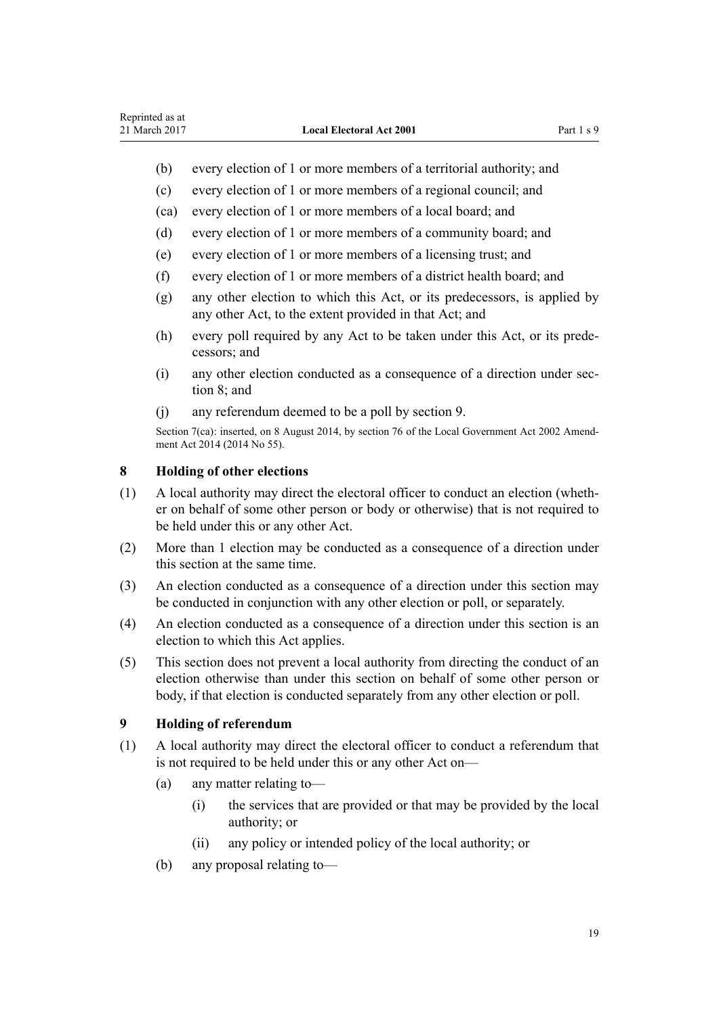- <span id="page-18-0"></span>(b) every election of 1 or more members of a territorial authority; and
- (c) every election of 1 or more members of a regional council; and
- (ca) every election of 1 or more members of a local board; and
- (d) every election of 1 or more members of a community board; and
- (e) every election of 1 or more members of a licensing trust; and
- (f) every election of 1 or more members of a district health board; and
- (g) any other election to which this Act, or its predecessors, is applied by any other Act, to the extent provided in that Act; and
- (h) every poll required by any Act to be taken under this Act, or its predecessors; and
- (i) any other election conducted as a consequence of a direction under section 8; and
- (j) any referendum deemed to be a poll by section 9.

Section 7(ca): inserted, on 8 August 2014, by [section 76](http://prd-lgnz-nlb.prd.pco.net.nz/pdflink.aspx?id=DLM5707313) of the Local Government Act 2002 Amendment Act 2014 (2014 No 55).

## **8 Holding of other elections**

- (1) A local authority may direct the electoral officer to conduct an election (whether on behalf of some other person or body or otherwise) that is not required to be held under this or any other Act.
- (2) More than 1 election may be conducted as a consequence of a direction under this section at the same time.
- (3) An election conducted as a consequence of a direction under this section may be conducted in conjunction with any other election or poll, or separately.
- (4) An election conducted as a consequence of a direction under this section is an election to which this Act applies.
- (5) This section does not prevent a local authority from directing the conduct of an election otherwise than under this section on behalf of some other person or body, if that election is conducted separately from any other election or poll.

## **9 Holding of referendum**

- (1) A local authority may direct the electoral officer to conduct a referendum that is not required to be held under this or any other Act on—
	- (a) any matter relating to—
		- (i) the services that are provided or that may be provided by the local authority; or
		- (ii) any policy or intended policy of the local authority; or
	- (b) any proposal relating to—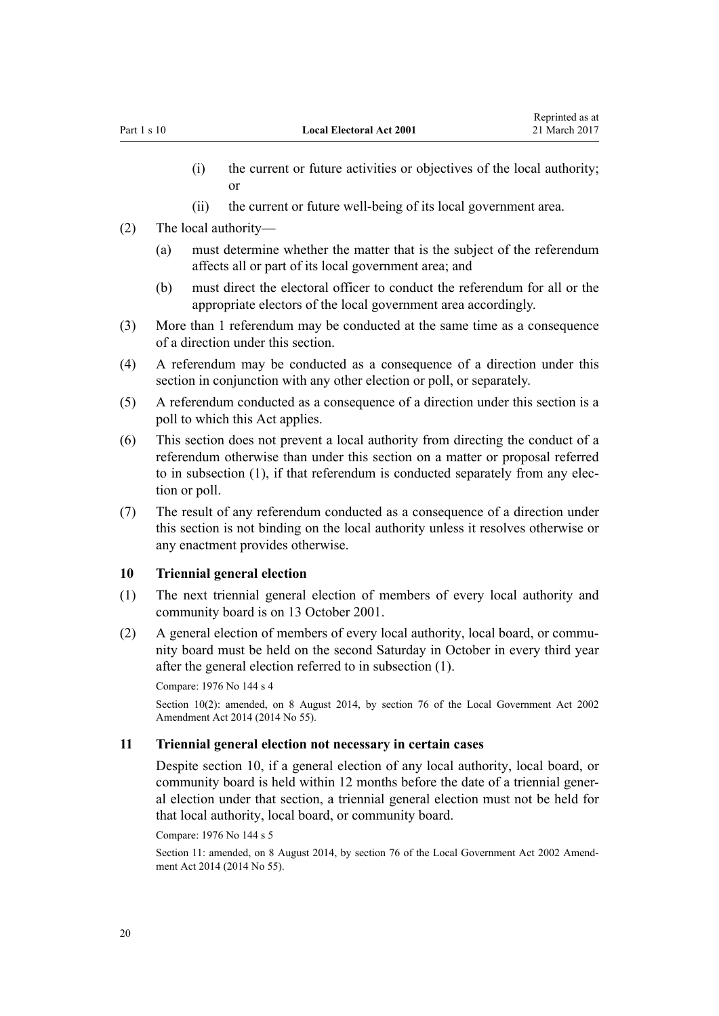- <span id="page-19-0"></span>(i) the current or future activities or objectives of the local authority; or
- (ii) the current or future well-being of its local government area.
- (2) The local authority—
	- (a) must determine whether the matter that is the subject of the referendum affects all or part of its local government area; and
	- (b) must direct the electoral officer to conduct the referendum for all or the appropriate electors of the local government area accordingly.
- (3) More than 1 referendum may be conducted at the same time as a consequence of a direction under this section.
- (4) A referendum may be conducted as a consequence of a direction under this section in conjunction with any other election or poll, or separately.
- (5) A referendum conducted as a consequence of a direction under this section is a poll to which this Act applies.
- (6) This section does not prevent a local authority from directing the conduct of a referendum otherwise than under this section on a matter or proposal referred to in subsection (1), if that referendum is conducted separately from any election or poll.
- (7) The result of any referendum conducted as a consequence of a direction under this section is not binding on the local authority unless it resolves otherwise or any enactment provides otherwise.

#### **10 Triennial general election**

- (1) The next triennial general election of members of every local authority and community board is on 13 October 2001.
- (2) A general election of members of every local authority, local board, or community board must be held on the second Saturday in October in every third year after the general election referred to in subsection (1).

```
Compare: 1976 No 144 s 4
Section 10(2): amended, on 8 August 2014, by section 76 of the Local Government Act 2002
Amendment Act 2014 (2014 No 55).
```
#### **11 Triennial general election not necessary in certain cases**

Despite section 10, if a general election of any local authority, local board, or community board is held within 12 months before the date of a triennial general election under that section, a triennial general election must not be held for that local authority, local board, or community board.

Compare: 1976 No 144 s 5

Section 11: amended, on 8 August 2014, by [section 76](http://prd-lgnz-nlb.prd.pco.net.nz/pdflink.aspx?id=DLM5707313) of the Local Government Act 2002 Amendment Act 2014 (2014 No 55).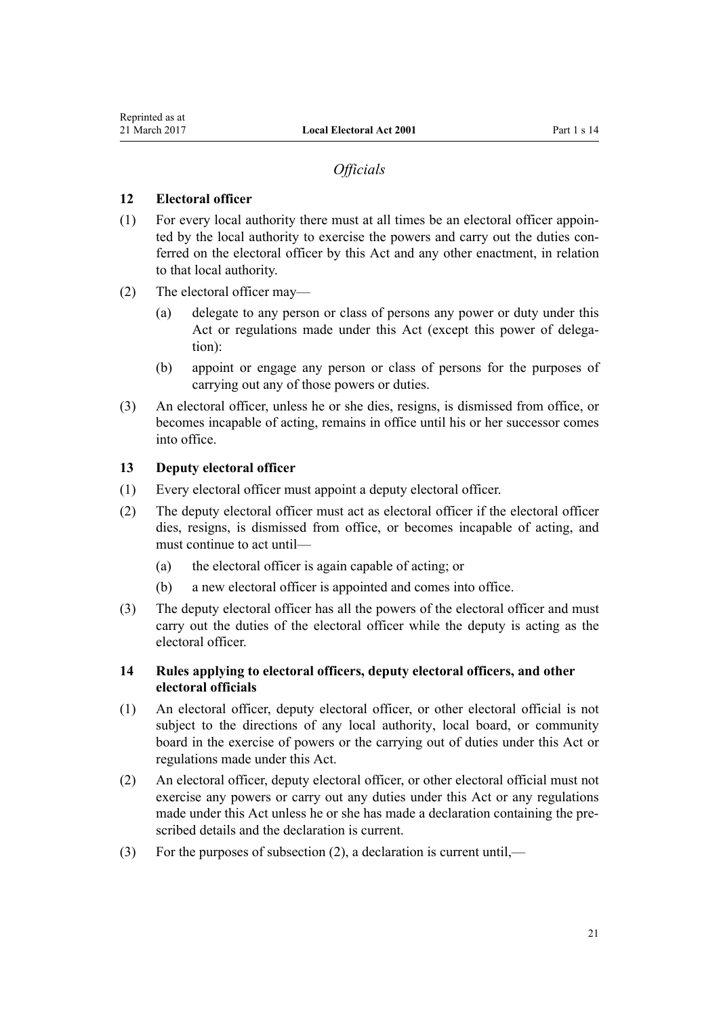## *Officials*

## <span id="page-20-0"></span>**12 Electoral officer**

- (1) For every local authority there must at all times be an electoral officer appointed by the local authority to exercise the powers and carry out the duties conferred on the electoral officer by this Act and any other enactment, in relation to that local authority.
- (2) The electoral officer may—
	- (a) delegate to any person or class of persons any power or duty under this Act or regulations made under this Act (except this power of delegation):
	- (b) appoint or engage any person or class of persons for the purposes of carrying out any of those powers or duties.
- (3) An electoral officer, unless he or she dies, resigns, is dismissed from office, or becomes incapable of acting, remains in office until his or her successor comes into office.

## **13 Deputy electoral officer**

- (1) Every electoral officer must appoint a deputy electoral officer.
- (2) The deputy electoral officer must act as electoral officer if the electoral officer dies, resigns, is dismissed from office, or becomes incapable of acting, and must continue to act until—
	- (a) the electoral officer is again capable of acting; or
	- (b) a new electoral officer is appointed and comes into office.
- (3) The deputy electoral officer has all the powers of the electoral officer and must carry out the duties of the electoral officer while the deputy is acting as the electoral officer.

## **14 Rules applying to electoral officers, deputy electoral officers, and other electoral officials**

- (1) An electoral officer, deputy electoral officer, or other electoral official is not subject to the directions of any local authority, local board, or community board in the exercise of powers or the carrying out of duties under this Act or regulations made under this Act.
- (2) An electoral officer, deputy electoral officer, or other electoral official must not exercise any powers or carry out any duties under this Act or any regulations made under this Act unless he or she has made a declaration containing the prescribed details and the declaration is current.
- (3) For the purposes of subsection (2), a declaration is current until,—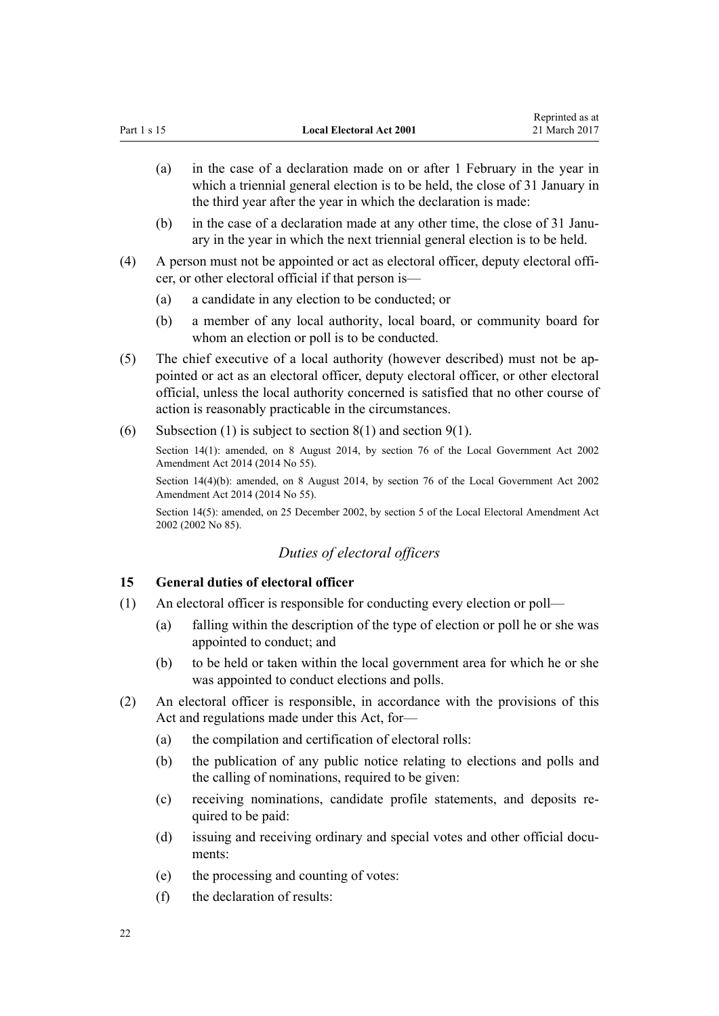- <span id="page-21-0"></span>(a) in the case of a declaration made on or after 1 February in the year in which a triennial general election is to be held, the close of 31 January in the third year after the year in which the declaration is made:
- (b) in the case of a declaration made at any other time, the close of 31 January in the year in which the next triennial general election is to be held.
- (4) A person must not be appointed or act as electoral officer, deputy electoral officer, or other electoral official if that person is—
	- (a) a candidate in any election to be conducted; or
	- (b) a member of any local authority, local board, or community board for whom an election or poll is to be conducted.
- (5) The chief executive of a local authority (however described) must not be appointed or act as an electoral officer, deputy electoral officer, or other electoral official, unless the local authority concerned is satisfied that no other course of action is reasonably practicable in the circumstances.
- (6) Subsection (1) is subject to [section 8\(1\)](#page-18-0) and [section 9\(1\)](#page-18-0).

Section 14(1): amended, on 8 August 2014, by [section 76](http://prd-lgnz-nlb.prd.pco.net.nz/pdflink.aspx?id=DLM5707313) of the Local Government Act 2002 Amendment Act 2014 (2014 No 55).

Section 14(4)(b): amended, on 8 August 2014, by [section 76](http://prd-lgnz-nlb.prd.pco.net.nz/pdflink.aspx?id=DLM5707313) of the Local Government Act 2002 Amendment Act 2014 (2014 No 55).

Section 14(5): amended, on 25 December 2002, by [section 5](http://prd-lgnz-nlb.prd.pco.net.nz/pdflink.aspx?id=DLM181419) of the Local Electoral Amendment Act 2002 (2002 No 85).

## *Duties of electoral officers*

## **15 General duties of electoral officer**

- (1) An electoral officer is responsible for conducting every election or poll—
	- (a) falling within the description of the type of election or poll he or she was appointed to conduct; and
	- (b) to be held or taken within the local government area for which he or she was appointed to conduct elections and polls.
- (2) An electoral officer is responsible, in accordance with the provisions of this Act and regulations made under this Act, for—
	- (a) the compilation and certification of electoral rolls:
	- (b) the publication of any public notice relating to elections and polls and the calling of nominations, required to be given:
	- (c) receiving nominations, candidate profile statements, and deposits required to be paid:
	- (d) issuing and receiving ordinary and special votes and other official documents:
	- (e) the processing and counting of votes:
	- (f) the declaration of results: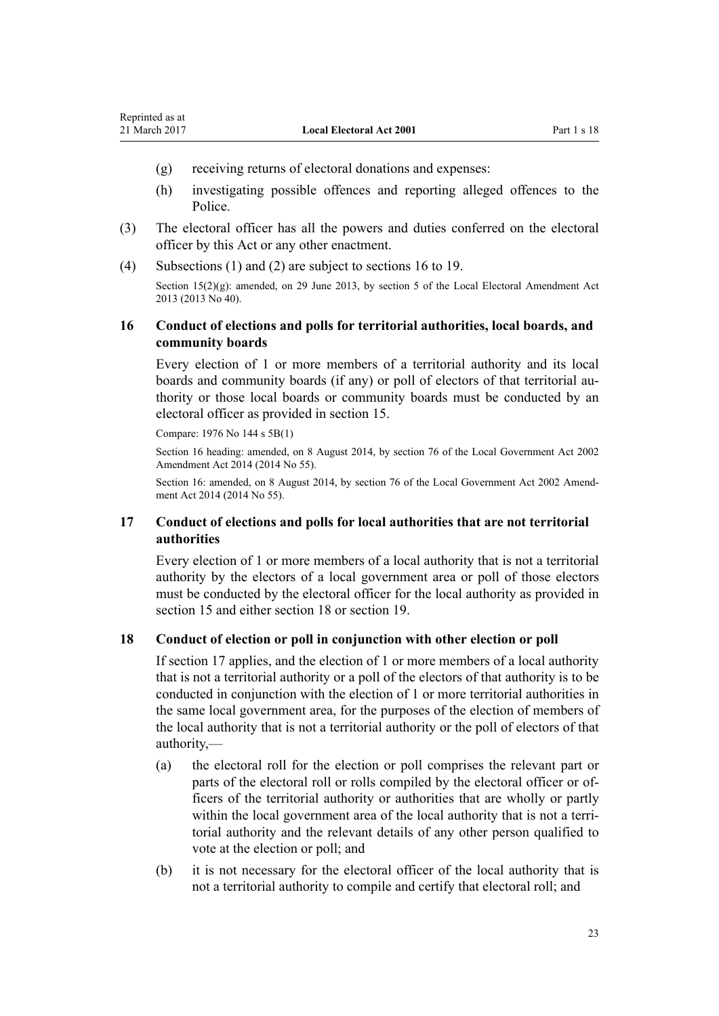- <span id="page-22-0"></span>(g) receiving returns of electoral donations and expenses:
- (h) investigating possible offences and reporting alleged offences to the Police.
- (3) The electoral officer has all the powers and duties conferred on the electoral officer by this Act or any other enactment.
- (4) Subsections (1) and (2) are subject to sections 16 to 19.

Section  $15(2)(g)$ : amended, on 29 June 2013, by [section 5](http://prd-lgnz-nlb.prd.pco.net.nz/pdflink.aspx?id=DLM5066601) of the Local Electoral Amendment Act 2013 (2013 No 40).

## **16 Conduct of elections and polls for territorial authorities, local boards, and community boards**

Every election of 1 or more members of a territorial authority and its local boards and community boards (if any) or poll of electors of that territorial authority or those local boards or community boards must be conducted by an electoral officer as provided in [section 15.](#page-21-0)

Compare: 1976 No 144 s 5B(1)

Section 16 heading: amended, on 8 August 2014, by [section 76](http://prd-lgnz-nlb.prd.pco.net.nz/pdflink.aspx?id=DLM5707313) of the Local Government Act 2002 Amendment Act 2014 (2014 No 55).

Section 16: amended, on 8 August 2014, by [section 76](http://prd-lgnz-nlb.prd.pco.net.nz/pdflink.aspx?id=DLM5707313) of the Local Government Act 2002 Amendment Act 2014 (2014 No 55).

## **17 Conduct of elections and polls for local authorities that are not territorial authorities**

Every election of 1 or more members of a local authority that is not a territorial authority by the electors of a local government area or poll of those electors must be conducted by the electoral officer for the local authority as provided in [section 15](#page-21-0) and either section 18 or [section 19.](#page-23-0)

#### **18 Conduct of election or poll in conjunction with other election or poll**

If section 17 applies, and the election of 1 or more members of a local authority that is not a territorial authority or a poll of the electors of that authority is to be conducted in conjunction with the election of 1 or more territorial authorities in the same local government area, for the purposes of the election of members of the local authority that is not a territorial authority or the poll of electors of that authority,—

- (a) the electoral roll for the election or poll comprises the relevant part or parts of the electoral roll or rolls compiled by the electoral officer or officers of the territorial authority or authorities that are wholly or partly within the local government area of the local authority that is not a territorial authority and the relevant details of any other person qualified to vote at the election or poll; and
- (b) it is not necessary for the electoral officer of the local authority that is not a territorial authority to compile and certify that electoral roll; and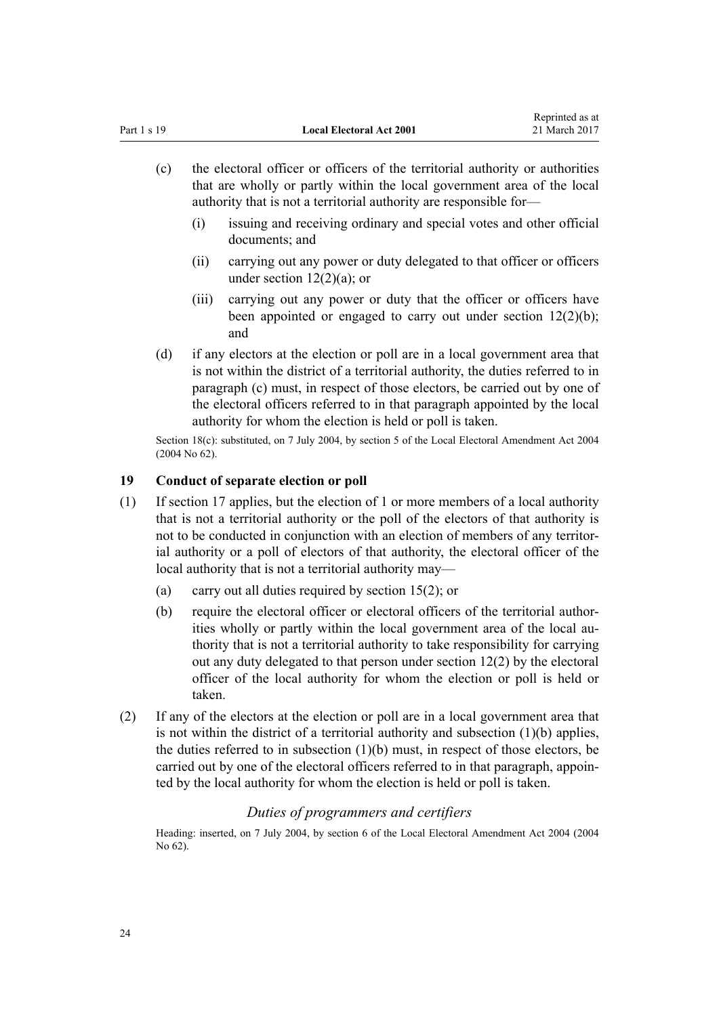- <span id="page-23-0"></span>(c) the electoral officer or officers of the territorial authority or authorities that are wholly or partly within the local government area of the local authority that is not a territorial authority are responsible for—
	- (i) issuing and receiving ordinary and special votes and other official documents; and
	- (ii) carrying out any power or duty delegated to that officer or officers under section  $12(2)(a)$ ; or
	- (iii) carrying out any power or duty that the officer or officers have been appointed or engaged to carry out under [section 12\(2\)\(b\);](#page-20-0) and
- (d) if any electors at the election or poll are in a local government area that is not within the district of a territorial authority, the duties referred to in paragraph (c) must, in respect of those electors, be carried out by one of the electoral officers referred to in that paragraph appointed by the local authority for whom the election is held or poll is taken.

Section 18(c): substituted, on 7 July 2004, by [section 5](http://prd-lgnz-nlb.prd.pco.net.nz/pdflink.aspx?id=DLM303168) of the Local Electoral Amendment Act 2004 (2004 No 62).

## **19 Conduct of separate election or poll**

- (1) If [section 17](#page-22-0) applies, but the election of 1 or more members of a local authority that is not a territorial authority or the poll of the electors of that authority is not to be conducted in conjunction with an election of members of any territorial authority or a poll of electors of that authority, the electoral officer of the local authority that is not a territorial authority may—
	- (a) carry out all duties required by [section 15\(2\);](#page-21-0) or
	- (b) require the electoral officer or electoral officers of the territorial authorities wholly or partly within the local government area of the local authority that is not a territorial authority to take responsibility for carrying out any duty delegated to that person under [section 12\(2\)](#page-20-0) by the electoral officer of the local authority for whom the election or poll is held or taken.
- (2) If any of the electors at the election or poll are in a local government area that is not within the district of a territorial authority and subsection (1)(b) applies, the duties referred to in subsection  $(1)(b)$  must, in respect of those electors, be carried out by one of the electoral officers referred to in that paragraph, appointed by the local authority for whom the election is held or poll is taken.

#### *Duties of programmers and certifiers*

Heading: inserted, on 7 July 2004, by [section 6](http://prd-lgnz-nlb.prd.pco.net.nz/pdflink.aspx?id=DLM303169) of the Local Electoral Amendment Act 2004 (2004 No 62).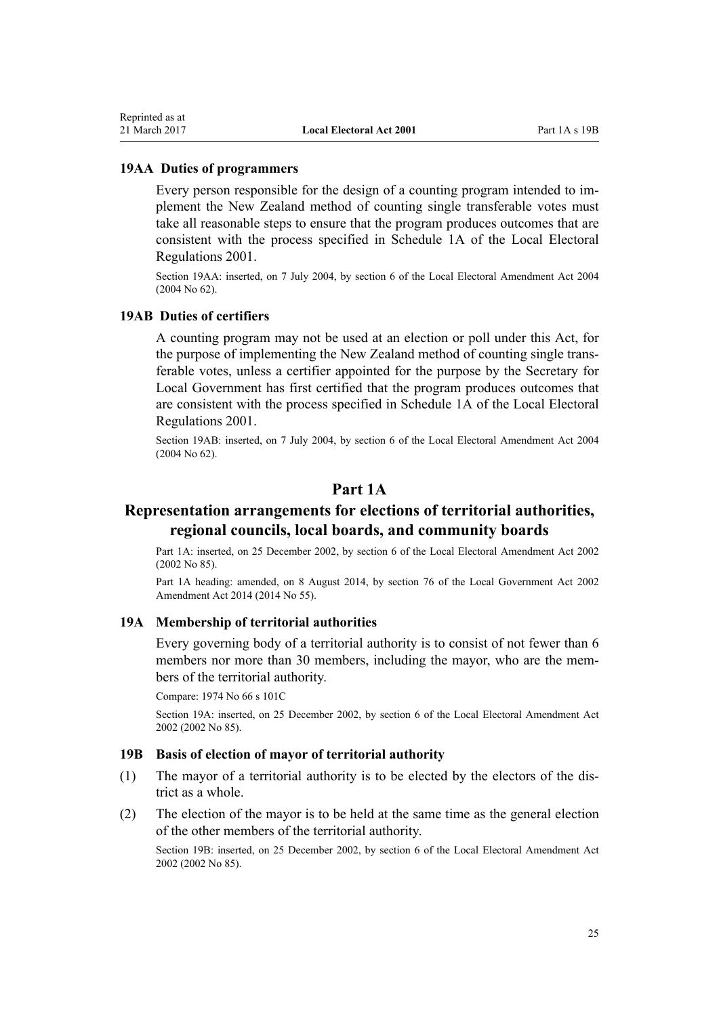#### <span id="page-24-0"></span>**19AA Duties of programmers**

Every person responsible for the design of a counting program intended to implement the New Zealand method of counting single transferable votes must take all reasonable steps to ensure that the program produces outcomes that are consistent with the process specified in [Schedule 1A](http://prd-lgnz-nlb.prd.pco.net.nz/pdflink.aspx?id=DLM57125) of the Local Electoral Regulations 2001.

Section 19AA: inserted, on 7 July 2004, by [section 6](http://prd-lgnz-nlb.prd.pco.net.nz/pdflink.aspx?id=DLM303169) of the Local Electoral Amendment Act 2004 (2004 No 62).

#### **19AB Duties of certifiers**

A counting program may not be used at an election or poll under this Act, for the purpose of implementing the New Zealand method of counting single transferable votes, unless a certifier appointed for the purpose by the Secretary for Local Government has first certified that the program produces outcomes that are consistent with the process specified in [Schedule 1A](http://prd-lgnz-nlb.prd.pco.net.nz/pdflink.aspx?id=DLM57125) of the Local Electoral Regulations 2001.

Section 19AB: inserted, on 7 July 2004, by [section 6](http://prd-lgnz-nlb.prd.pco.net.nz/pdflink.aspx?id=DLM303169) of the Local Electoral Amendment Act 2004 (2004 No 62).

## **Part 1A**

## **Representation arrangements for elections of territorial authorities, regional councils, local boards, and community boards**

Part 1A: inserted, on 25 December 2002, by [section 6](http://prd-lgnz-nlb.prd.pco.net.nz/pdflink.aspx?id=DLM181420) of the Local Electoral Amendment Act 2002 (2002 No 85).

Part 1A heading: amended, on 8 August 2014, by [section 76](http://prd-lgnz-nlb.prd.pco.net.nz/pdflink.aspx?id=DLM5707313) of the Local Government Act 2002 Amendment Act 2014 (2014 No 55).

#### **19A Membership of territorial authorities**

Every governing body of a territorial authority is to consist of not fewer than 6 members nor more than 30 members, including the mayor, who are the members of the territorial authority.

Compare: 1974 No 66 [s 101C](http://prd-lgnz-nlb.prd.pco.net.nz/pdflink.aspx?id=DLM417660)

Section 19A: inserted, on 25 December 2002, by [section 6](http://prd-lgnz-nlb.prd.pco.net.nz/pdflink.aspx?id=DLM181420) of the Local Electoral Amendment Act 2002 (2002 No 85).

#### **19B Basis of election of mayor of territorial authority**

- (1) The mayor of a territorial authority is to be elected by the electors of the district as a whole.
- (2) The election of the mayor is to be held at the same time as the general election of the other members of the territorial authority.

Section 19B: inserted, on 25 December 2002, by [section 6](http://prd-lgnz-nlb.prd.pco.net.nz/pdflink.aspx?id=DLM181420) of the Local Electoral Amendment Act 2002 (2002 No 85).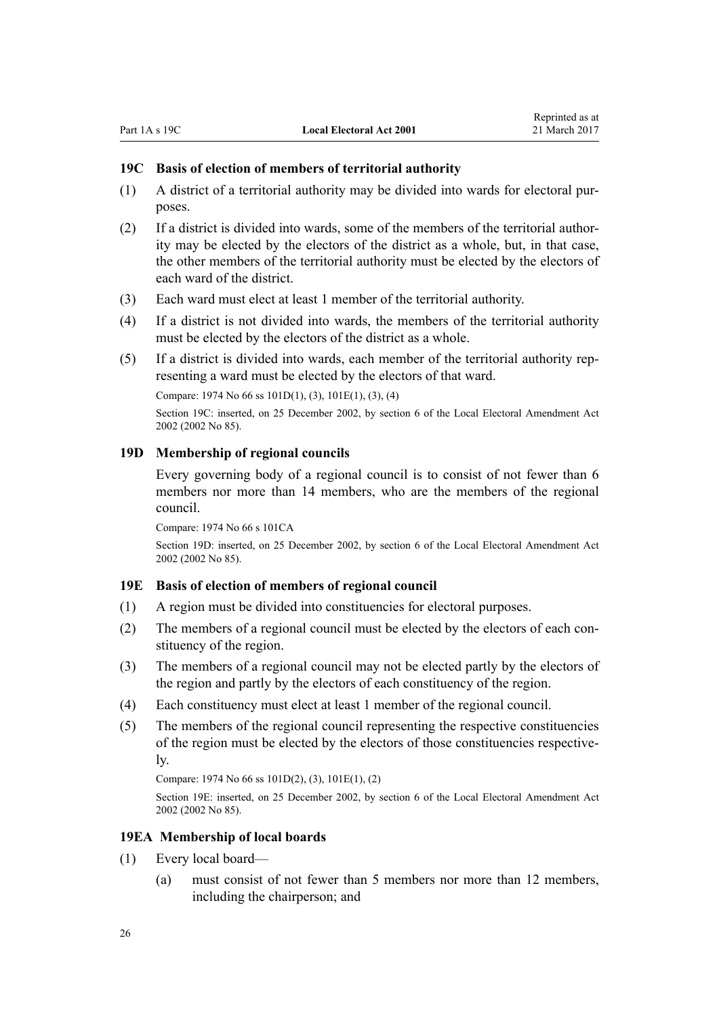#### <span id="page-25-0"></span>**19C Basis of election of members of territorial authority**

- (1) A district of a territorial authority may be divided into wards for electoral purposes.
- (2) If a district is divided into wards, some of the members of the territorial authority may be elected by the electors of the district as a whole, but, in that case, the other members of the territorial authority must be elected by the electors of each ward of the district.
- (3) Each ward must elect at least 1 member of the territorial authority.
- (4) If a district is not divided into wards, the members of the territorial authority must be elected by the electors of the district as a whole.
- (5) If a district is divided into wards, each member of the territorial authority representing a ward must be elected by the electors of that ward.

Compare: 1974 No 66 [ss 101D\(1\), \(3\)](http://prd-lgnz-nlb.prd.pco.net.nz/pdflink.aspx?id=DLM417667), [101E\(1\), \(3\), \(4\)](http://prd-lgnz-nlb.prd.pco.net.nz/pdflink.aspx?id=DLM417671)

Section 19C: inserted, on 25 December 2002, by [section 6](http://prd-lgnz-nlb.prd.pco.net.nz/pdflink.aspx?id=DLM181420) of the Local Electoral Amendment Act 2002 (2002 No 85).

#### **19D Membership of regional councils**

Every governing body of a regional council is to consist of not fewer than 6 members nor more than 14 members, who are the members of the regional council.

Compare: 1974 No 66 [s 101CA](http://prd-lgnz-nlb.prd.pco.net.nz/pdflink.aspx?id=DLM417664)

Section 19D: inserted, on 25 December 2002, by [section 6](http://prd-lgnz-nlb.prd.pco.net.nz/pdflink.aspx?id=DLM181420) of the Local Electoral Amendment Act 2002 (2002 No 85).

#### **19E Basis of election of members of regional council**

- (1) A region must be divided into constituencies for electoral purposes.
- (2) The members of a regional council must be elected by the electors of each constituency of the region.
- (3) The members of a regional council may not be elected partly by the electors of the region and partly by the electors of each constituency of the region.
- (4) Each constituency must elect at least 1 member of the regional council.
- (5) The members of the regional council representing the respective constituencies of the region must be elected by the electors of those constituencies respectively.

Compare: 1974 No 66 [ss 101D\(2\), \(3\)](http://prd-lgnz-nlb.prd.pco.net.nz/pdflink.aspx?id=DLM417667), [101E\(1\), \(2\)](http://prd-lgnz-nlb.prd.pco.net.nz/pdflink.aspx?id=DLM417671)

Section 19E: inserted, on 25 December 2002, by [section 6](http://prd-lgnz-nlb.prd.pco.net.nz/pdflink.aspx?id=DLM181420) of the Local Electoral Amendment Act 2002 (2002 No 85).

#### **19EA Membership of local boards**

- (1) Every local board—
	- (a) must consist of not fewer than 5 members nor more than 12 members, including the chairperson; and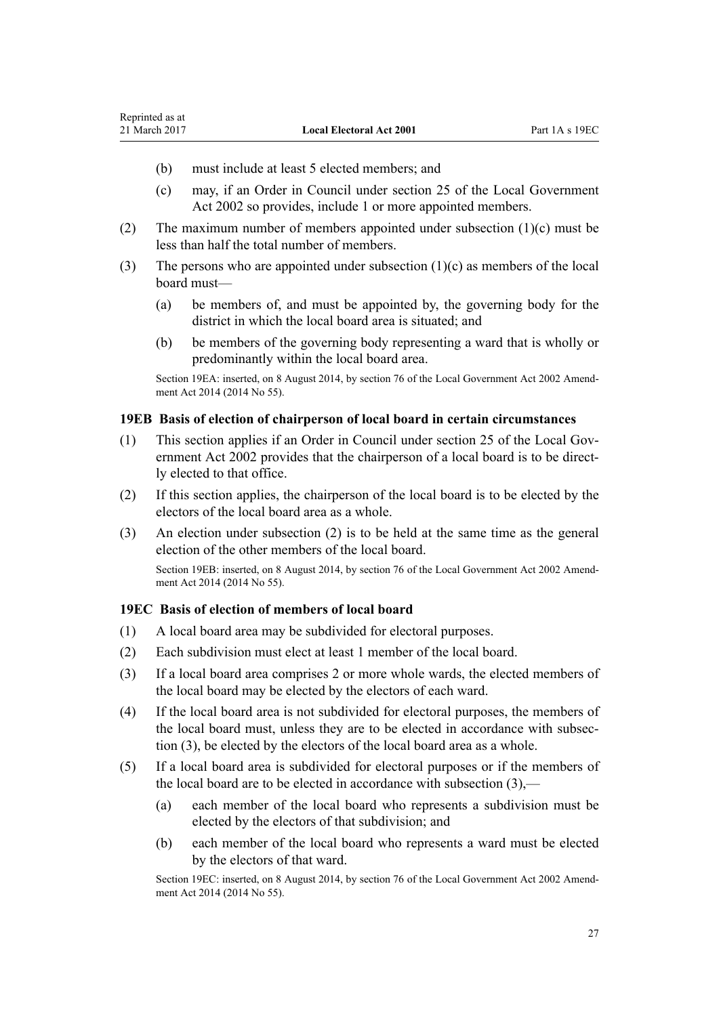(b) must include at least 5 elected members; and

<span id="page-26-0"></span>Reprinted as at

- (c) may, if an Order in Council under [section 25](http://prd-lgnz-nlb.prd.pco.net.nz/pdflink.aspx?id=DLM171834) of the Local Government Act 2002 so provides, include 1 or more appointed members.
- (2) The maximum number of members appointed under subsection  $(1)(c)$  must be less than half the total number of members.
- (3) The persons who are appointed under subsection  $(1)(c)$  as members of the local board must—
	- (a) be members of, and must be appointed by, the governing body for the district in which the local board area is situated; and
	- (b) be members of the governing body representing a ward that is wholly or predominantly within the local board area.

Section 19EA: inserted, on 8 August 2014, by [section 76](http://prd-lgnz-nlb.prd.pco.net.nz/pdflink.aspx?id=DLM5707313) of the Local Government Act 2002 Amendment Act 2014 (2014 No 55).

#### **19EB Basis of election of chairperson of local board in certain circumstances**

- (1) This section applies if an Order in Council under [section 25](http://prd-lgnz-nlb.prd.pco.net.nz/pdflink.aspx?id=DLM171834) of the Local Government Act 2002 provides that the chairperson of a local board is to be directly elected to that office.
- (2) If this section applies, the chairperson of the local board is to be elected by the electors of the local board area as a whole.
- (3) An election under subsection (2) is to be held at the same time as the general election of the other members of the local board.

Section 19EB: inserted, on 8 August 2014, by [section 76](http://prd-lgnz-nlb.prd.pco.net.nz/pdflink.aspx?id=DLM5707313) of the Local Government Act 2002 Amendment Act 2014 (2014 No 55).

#### **19EC Basis of election of members of local board**

- (1) A local board area may be subdivided for electoral purposes.
- (2) Each subdivision must elect at least 1 member of the local board.
- (3) If a local board area comprises 2 or more whole wards, the elected members of the local board may be elected by the electors of each ward.
- (4) If the local board area is not subdivided for electoral purposes, the members of the local board must, unless they are to be elected in accordance with subsection (3), be elected by the electors of the local board area as a whole.
- (5) If a local board area is subdivided for electoral purposes or if the members of the local board are to be elected in accordance with subsection (3),—
	- (a) each member of the local board who represents a subdivision must be elected by the electors of that subdivision; and
	- (b) each member of the local board who represents a ward must be elected by the electors of that ward.

Section 19EC: inserted, on 8 August 2014, by [section 76](http://prd-lgnz-nlb.prd.pco.net.nz/pdflink.aspx?id=DLM5707313) of the Local Government Act 2002 Amendment Act 2014 (2014 No 55).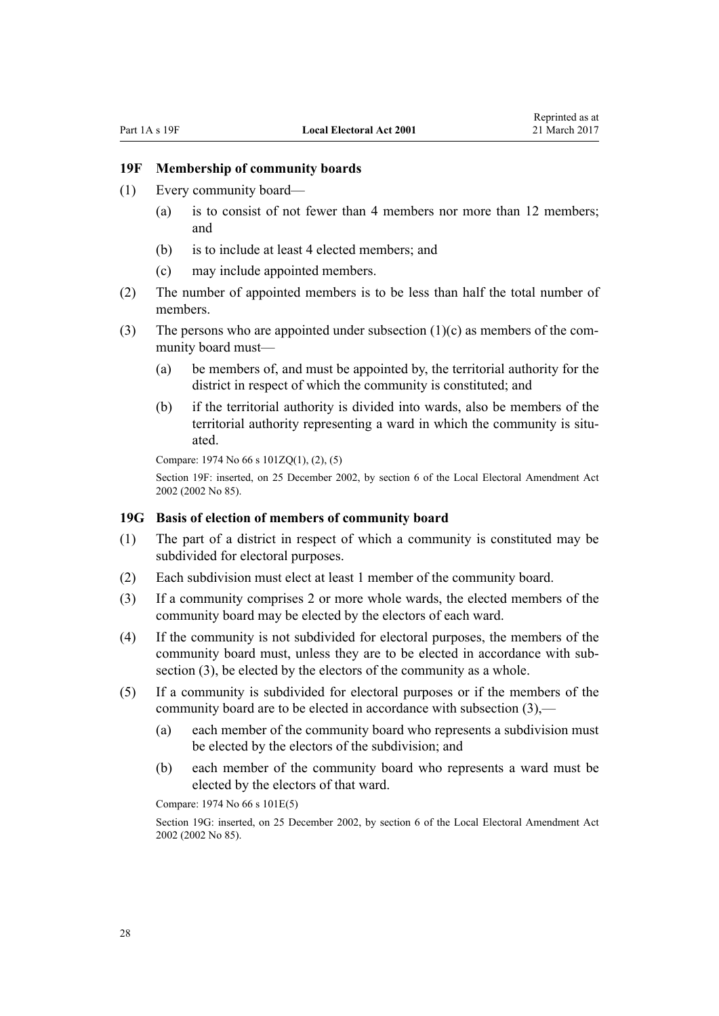### <span id="page-27-0"></span>**19F Membership of community boards**

- (1) Every community board—
	- (a) is to consist of not fewer than 4 members nor more than 12 members; and
	- (b) is to include at least 4 elected members; and
	- (c) may include appointed members.
- (2) The number of appointed members is to be less than half the total number of members.
- (3) The persons who are appointed under subsection  $(1)(c)$  as members of the community board must—
	- (a) be members of, and must be appointed by, the territorial authority for the district in respect of which the community is constituted; and
	- (b) if the territorial authority is divided into wards, also be members of the territorial authority representing a ward in which the community is situated.

Compare: 1974 No 66 s [101ZQ\(1\), \(2\), \(5\)](http://prd-lgnz-nlb.prd.pco.net.nz/pdflink.aspx?id=DLM417913)

Section 19F: inserted, on 25 December 2002, by [section 6](http://prd-lgnz-nlb.prd.pco.net.nz/pdflink.aspx?id=DLM181420) of the Local Electoral Amendment Act 2002 (2002 No 85).

#### **19G Basis of election of members of community board**

- (1) The part of a district in respect of which a community is constituted may be subdivided for electoral purposes.
- (2) Each subdivision must elect at least 1 member of the community board.
- (3) If a community comprises 2 or more whole wards, the elected members of the community board may be elected by the electors of each ward.
- (4) If the community is not subdivided for electoral purposes, the members of the community board must, unless they are to be elected in accordance with subsection (3), be elected by the electors of the community as a whole.
- (5) If a community is subdivided for electoral purposes or if the members of the community board are to be elected in accordance with subsection (3),—
	- (a) each member of the community board who represents a subdivision must be elected by the electors of the subdivision; and
	- (b) each member of the community board who represents a ward must be elected by the electors of that ward.

Compare: 1974 No 66 [s 101E\(5\)](http://prd-lgnz-nlb.prd.pco.net.nz/pdflink.aspx?id=DLM417671)

Section 19G: inserted, on 25 December 2002, by [section 6](http://prd-lgnz-nlb.prd.pco.net.nz/pdflink.aspx?id=DLM181420) of the Local Electoral Amendment Act 2002 (2002 No 85).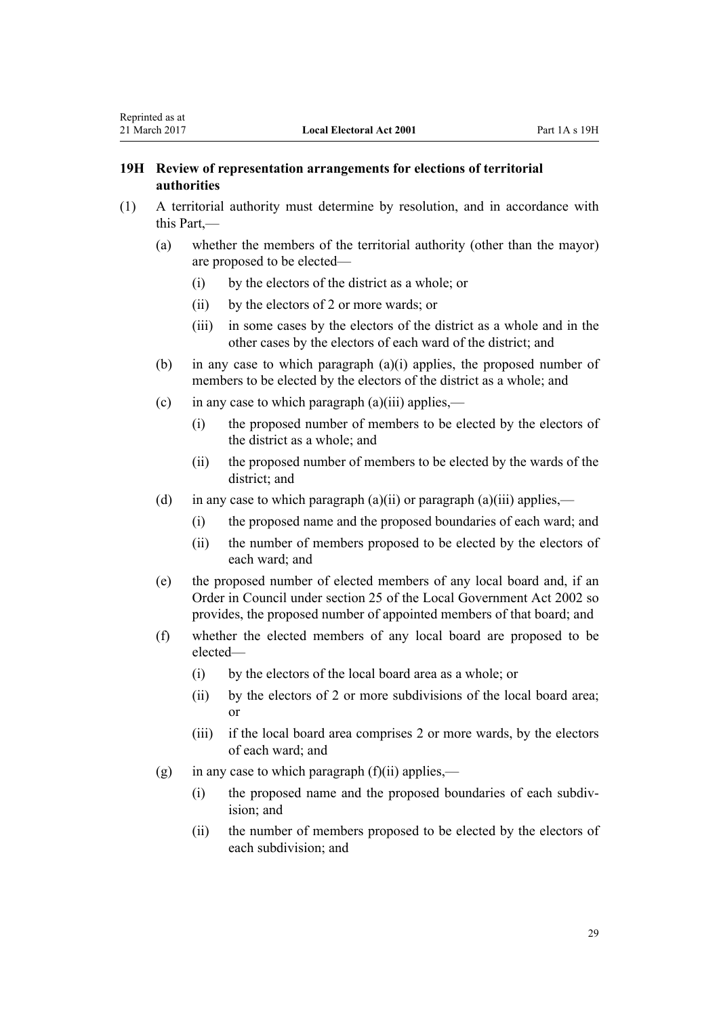## <span id="page-28-0"></span>**19H Review of representation arrangements for elections of territorial authorities**

- (1) A territorial authority must determine by resolution, and in accordance with this Part,—
	- (a) whether the members of the territorial authority (other than the mayor) are proposed to be elected—
		- (i) by the electors of the district as a whole; or
		- (ii) by the electors of 2 or more wards; or
		- (iii) in some cases by the electors of the district as a whole and in the other cases by the electors of each ward of the district; and
	- (b) in any case to which paragraph (a)(i) applies, the proposed number of members to be elected by the electors of the district as a whole; and
	- (c) in any case to which paragraph  $(a)(iii)$  applies,—
		- (i) the proposed number of members to be elected by the electors of the district as a whole; and
		- (ii) the proposed number of members to be elected by the wards of the district; and
	- (d) in any case to which paragraph  $(a)(ii)$  or paragraph  $(a)(iii)$  applies,—
		- (i) the proposed name and the proposed boundaries of each ward; and
		- (ii) the number of members proposed to be elected by the electors of each ward; and
	- (e) the proposed number of elected members of any local board and, if an Order in Council under [section 25](http://prd-lgnz-nlb.prd.pco.net.nz/pdflink.aspx?id=DLM171834) of the Local Government Act 2002 so provides, the proposed number of appointed members of that board; and
	- (f) whether the elected members of any local board are proposed to be elected—
		- (i) by the electors of the local board area as a whole; or
		- (ii) by the electors of 2 or more subdivisions of the local board area; or
		- (iii) if the local board area comprises 2 or more wards, by the electors of each ward; and
	- (g) in any case to which paragraph  $(f)(ii)$  applies,—
		- (i) the proposed name and the proposed boundaries of each subdivision; and
		- (ii) the number of members proposed to be elected by the electors of each subdivision; and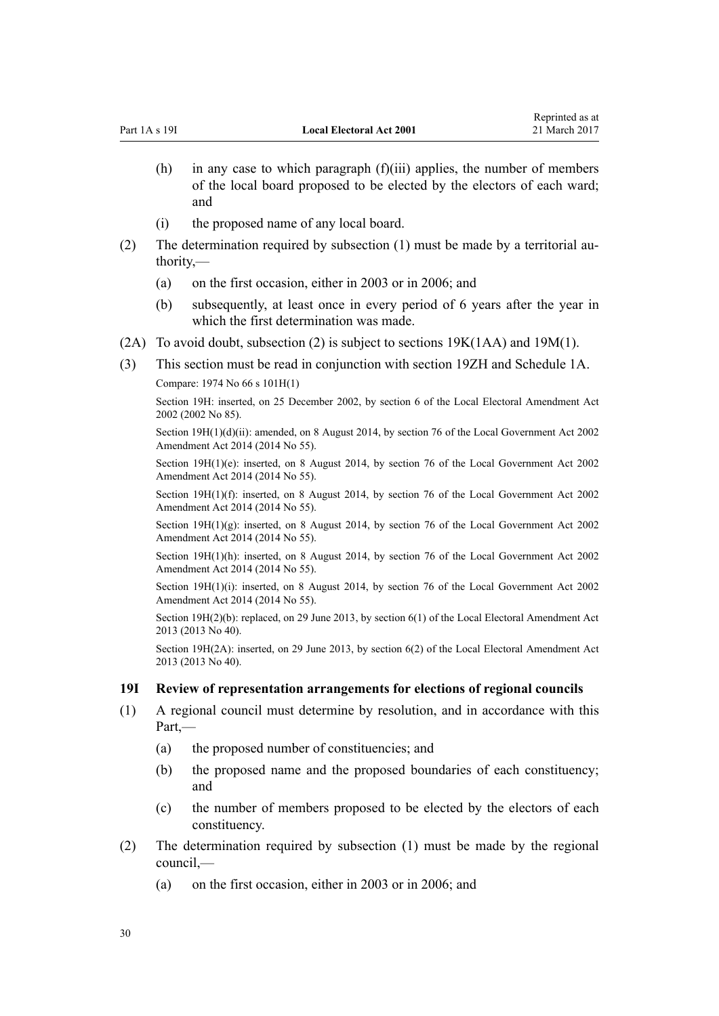|     |     | of the local board proposed to be elected by the electors of each ward;<br>and                                      |  |
|-----|-----|---------------------------------------------------------------------------------------------------------------------|--|
|     | (1) | the proposed name of any local board.                                                                               |  |
| (2) |     | The determination required by subsection (1) must be made by a territorial au-<br>thority,—                         |  |
|     | (a) | on the first occasion, either in 2003 or in 2006; and                                                               |  |
|     | (b) | subsequently, at least once in every period of 6 years after the year in<br>which the first determination was made. |  |
|     |     | $(2\Lambda)$ To evoid doubt, subsection (2) is subject to soctions 10V(1 $\Lambda$ $\Lambda$ ) and 10M(1)           |  |

<span id="page-29-0"></span>Part 1A s 19I **Local Electoral Act 2001**

(2A) To avoid doubt, subsection (2) is subject to [sections 19K\(1AA\)](#page-34-0) and [19M\(1\)](#page-35-0).

(3) This section must be read in conjunction with [section 19ZH](#page-52-0) and [Schedule 1A.](#page-142-0)

Compare: 1974 No 66 [s 101H\(1\)](http://prd-lgnz-nlb.prd.pco.net.nz/pdflink.aspx?id=DLM417687)

Section 19H: inserted, on 25 December 2002, by [section 6](http://prd-lgnz-nlb.prd.pco.net.nz/pdflink.aspx?id=DLM181420) of the Local Electoral Amendment Act 2002 (2002 No 85).

(h) in any case to which paragraph (f)(iii) applies, the number of members

Reprinted as at 21 March 2017

Section 19H(1)(d)(ii): amended, on 8 August 2014, by [section 76](http://prd-lgnz-nlb.prd.pco.net.nz/pdflink.aspx?id=DLM5707313) of the Local Government Act 2002 Amendment Act 2014 (2014 No 55).

Section 19H(1)(e): inserted, on 8 August 2014, by [section 76](http://prd-lgnz-nlb.prd.pco.net.nz/pdflink.aspx?id=DLM5707313) of the Local Government Act 2002 Amendment Act 2014 (2014 No 55).

Section 19H(1)(f): inserted, on 8 August 2014, by [section 76](http://prd-lgnz-nlb.prd.pco.net.nz/pdflink.aspx?id=DLM5707313) of the Local Government Act 2002 Amendment Act 2014 (2014 No 55).

Section  $19H(1)(g)$ : inserted, on 8 August 2014, by [section 76](http://prd-lgnz-nlb.prd.pco.net.nz/pdflink.aspx?id=DLM5707313) of the Local Government Act 2002 Amendment Act 2014 (2014 No 55).

Section 19H(1)(h): inserted, on 8 August 2014, by [section 76](http://prd-lgnz-nlb.prd.pco.net.nz/pdflink.aspx?id=DLM5707313) of the Local Government Act 2002 Amendment Act 2014 (2014 No 55).

Section 19H(1)(i): inserted, on 8 August 2014, by [section 76](http://prd-lgnz-nlb.prd.pco.net.nz/pdflink.aspx?id=DLM5707313) of the Local Government Act 2002 Amendment Act 2014 (2014 No 55).

Section 19H(2)(b): replaced, on 29 June 2013, by [section 6\(1\)](http://prd-lgnz-nlb.prd.pco.net.nz/pdflink.aspx?id=DLM5066602) of the Local Electoral Amendment Act 2013 (2013 No 40).

Section 19H(2A): inserted, on 29 June 2013, by [section 6\(2\)](http://prd-lgnz-nlb.prd.pco.net.nz/pdflink.aspx?id=DLM5066602) of the Local Electoral Amendment Act 2013 (2013 No 40).

## **19I Review of representation arrangements for elections of regional councils**

- (1) A regional council must determine by resolution, and in accordance with this Part,—
	- (a) the proposed number of constituencies; and
	- (b) the proposed name and the proposed boundaries of each constituency; and
	- (c) the number of members proposed to be elected by the electors of each constituency.
- (2) The determination required by subsection (1) must be made by the regional council,—
	- (a) on the first occasion, either in 2003 or in 2006; and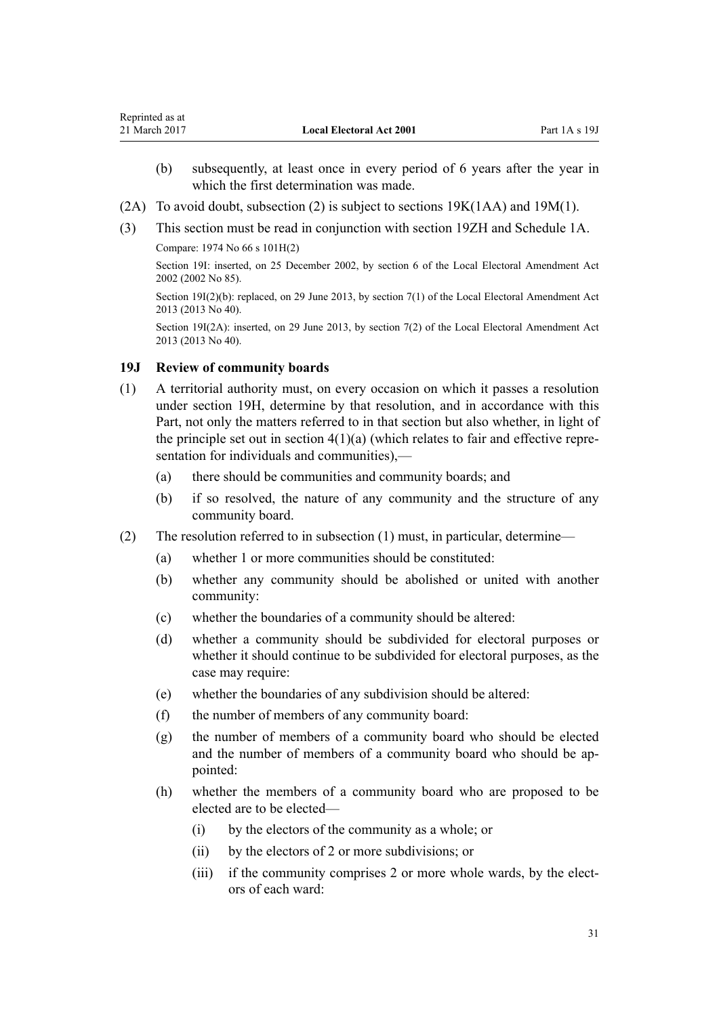- <span id="page-30-0"></span>(b) subsequently, at least once in every period of 6 years after the year in which the first determination was made.
- (2A) To avoid doubt, subsection (2) is subject to sections  $19K(1AA)$  and  $19M(1)$ .
- (3) This section must be read in conjunction with [section 19ZH](#page-52-0) and [Schedule 1A.](#page-142-0) Compare: 1974 No 66 [s 101H\(2\)](http://prd-lgnz-nlb.prd.pco.net.nz/pdflink.aspx?id=DLM417687)

Section 19I: inserted, on 25 December 2002, by [section 6](http://prd-lgnz-nlb.prd.pco.net.nz/pdflink.aspx?id=DLM181420) of the Local Electoral Amendment Act 2002 (2002 No 85).

Section 19I(2)(b): replaced, on 29 June 2013, by [section 7\(1\)](http://prd-lgnz-nlb.prd.pco.net.nz/pdflink.aspx?id=DLM5066603) of the Local Electoral Amendment Act 2013 (2013 No 40).

Section 19I(2A): inserted, on 29 June 2013, by [section 7\(2\)](http://prd-lgnz-nlb.prd.pco.net.nz/pdflink.aspx?id=DLM5066603) of the Local Electoral Amendment Act 2013 (2013 No 40).

#### **19J Review of community boards**

- (1) A territorial authority must, on every occasion on which it passes a resolution under [section 19H](#page-28-0), determine by that resolution, and in accordance with this Part, not only the matters referred to in that section but also whether, in light of the principle set out in section  $4(1)(a)$  (which relates to fair and effective representation for individuals and communities),—
	- (a) there should be communities and community boards; and
	- (b) if so resolved, the nature of any community and the structure of any community board.
- (2) The resolution referred to in subsection (1) must, in particular, determine—
	- (a) whether 1 or more communities should be constituted:
	- (b) whether any community should be abolished or united with another community:
	- (c) whether the boundaries of a community should be altered:
	- (d) whether a community should be subdivided for electoral purposes or whether it should continue to be subdivided for electoral purposes, as the case may require:
	- (e) whether the boundaries of any subdivision should be altered:
	- (f) the number of members of any community board:
	- (g) the number of members of a community board who should be elected and the number of members of a community board who should be appointed:
	- (h) whether the members of a community board who are proposed to be elected are to be elected—
		- (i) by the electors of the community as a whole; or
		- (ii) by the electors of 2 or more subdivisions; or
		- (iii) if the community comprises 2 or more whole wards, by the electors of each ward: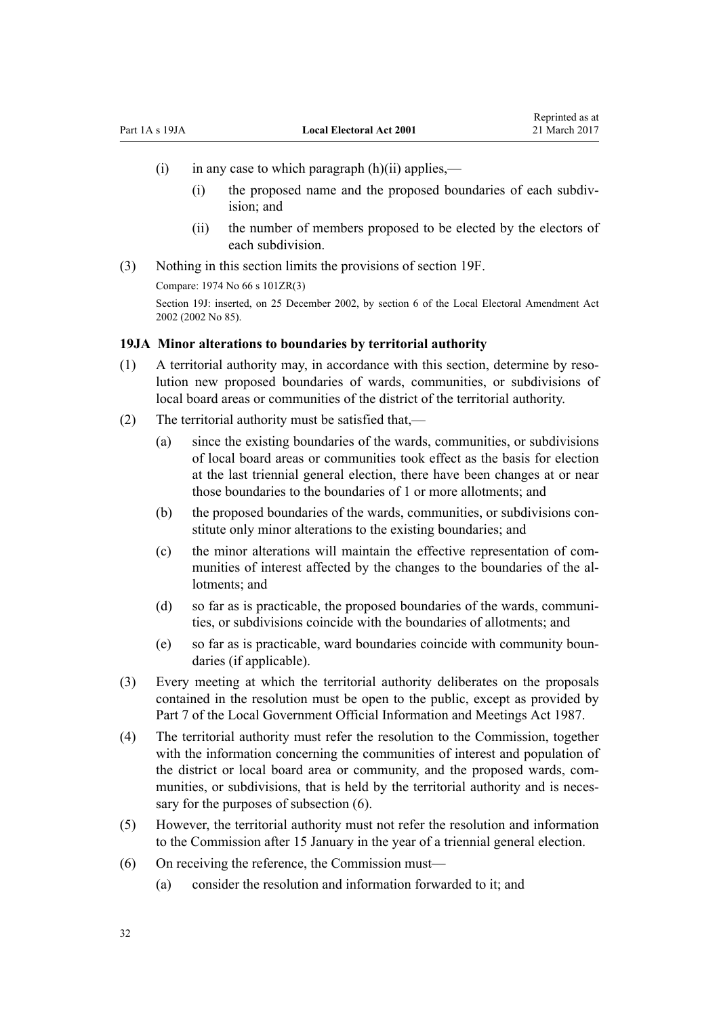- <span id="page-31-0"></span> $(i)$  in any case to which paragraph  $(h)(ii)$  applies,—
	- (i) the proposed name and the proposed boundaries of each subdivision; and
	- (ii) the number of members proposed to be elected by the electors of each subdivision.
- (3) Nothing in this section limits the provisions of [section 19F](#page-27-0).

Compare: 1974 No 66 [s 101ZR\(3\)](http://prd-lgnz-nlb.prd.pco.net.nz/pdflink.aspx?id=DLM417919)

Section 19J: inserted, on 25 December 2002, by [section 6](http://prd-lgnz-nlb.prd.pco.net.nz/pdflink.aspx?id=DLM181420) of the Local Electoral Amendment Act 2002 (2002 No 85).

## **19JA Minor alterations to boundaries by territorial authority**

- (1) A territorial authority may, in accordance with this section, determine by resolution new proposed boundaries of wards, communities, or subdivisions of local board areas or communities of the district of the territorial authority.
- (2) The territorial authority must be satisfied that,—
	- (a) since the existing boundaries of the wards, communities, or subdivisions of local board areas or communities took effect as the basis for election at the last triennial general election, there have been changes at or near those boundaries to the boundaries of 1 or more allotments; and
	- (b) the proposed boundaries of the wards, communities, or subdivisions constitute only minor alterations to the existing boundaries; and
	- (c) the minor alterations will maintain the effective representation of communities of interest affected by the changes to the boundaries of the allotments; and
	- (d) so far as is practicable, the proposed boundaries of the wards, communities, or subdivisions coincide with the boundaries of allotments; and
	- (e) so far as is practicable, ward boundaries coincide with community boundaries (if applicable).
- (3) Every meeting at which the territorial authority deliberates on the proposals contained in the resolution must be open to the public, except as provided by [Part 7](http://prd-lgnz-nlb.prd.pco.net.nz/pdflink.aspx?id=DLM123071) of the Local Government Official Information and Meetings Act 1987.
- (4) The territorial authority must refer the resolution to the Commission, together with the information concerning the communities of interest and population of the district or local board area or community, and the proposed wards, communities, or subdivisions, that is held by the territorial authority and is necessary for the purposes of subsection (6).
- (5) However, the territorial authority must not refer the resolution and information to the Commission after 15 January in the year of a triennial general election.
- (6) On receiving the reference, the Commission must—
	- (a) consider the resolution and information forwarded to it; and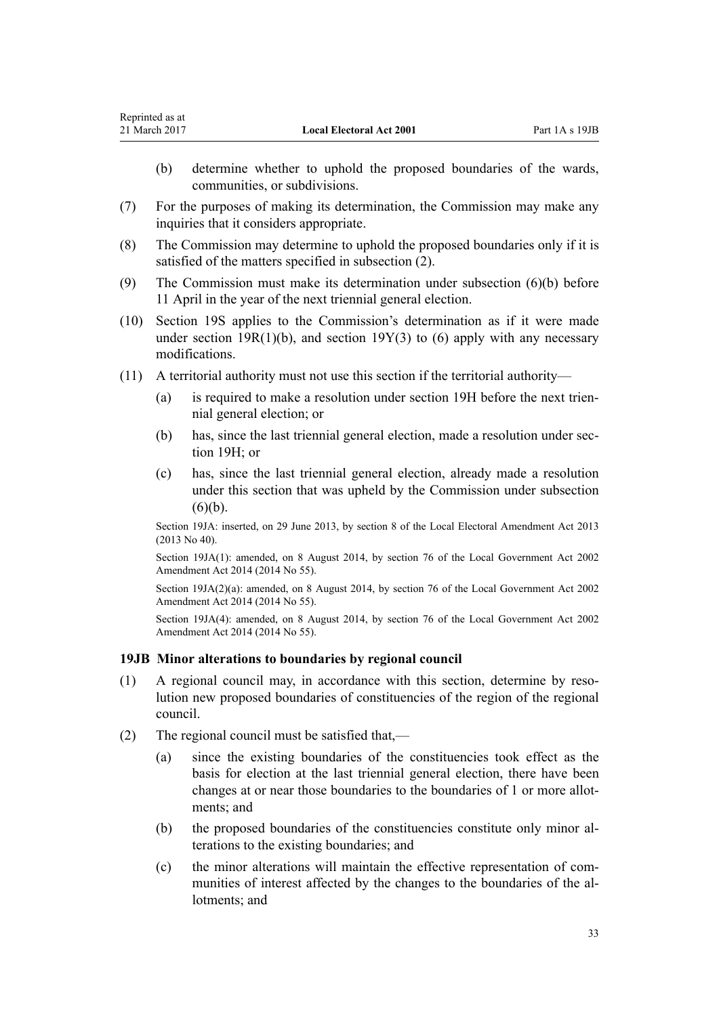- <span id="page-32-0"></span>(b) determine whether to uphold the proposed boundaries of the wards, communities, or subdivisions.
- (7) For the purposes of making its determination, the Commission may make any inquiries that it considers appropriate.
- (8) The Commission may determine to uphold the proposed boundaries only if it is satisfied of the matters specified in subsection (2).
- (9) The Commission must make its determination under subsection (6)(b) before 11 April in the year of the next triennial general election.
- (10) [Section 19S](#page-39-0) applies to the Commission's determination as if it were made under [section 19R\(1\)\(b\),](#page-39-0) and [section 19Y\(3\) to \(6\)](#page-44-0) apply with any necessary modifications.
- (11) A territorial authority must not use this section if the territorial authority—
	- (a) is required to make a resolution under [section 19H](#page-28-0) before the next triennial general election; or
	- (b) has, since the last triennial general election, made a resolution under [sec](#page-28-0)[tion 19H;](#page-28-0) or
	- (c) has, since the last triennial general election, already made a resolution under this section that was upheld by the Commission under subsection  $(6)(b)$ .

Section 19JA: inserted, on 29 June 2013, by [section 8](http://prd-lgnz-nlb.prd.pco.net.nz/pdflink.aspx?id=DLM4803521) of the Local Electoral Amendment Act 2013 (2013 No 40).

Section 19JA(1): amended, on 8 August 2014, by [section 76](http://prd-lgnz-nlb.prd.pco.net.nz/pdflink.aspx?id=DLM5707313) of the Local Government Act 2002 Amendment Act 2014 (2014 No 55).

Section 19JA(2)(a): amended, on 8 August 2014, by [section 76](http://prd-lgnz-nlb.prd.pco.net.nz/pdflink.aspx?id=DLM5707313) of the Local Government Act 2002 Amendment Act 2014 (2014 No 55).

Section 19JA(4): amended, on 8 August 2014, by [section 76](http://prd-lgnz-nlb.prd.pco.net.nz/pdflink.aspx?id=DLM5707313) of the Local Government Act 2002 Amendment Act 2014 (2014 No 55).

#### **19JB Minor alterations to boundaries by regional council**

- (1) A regional council may, in accordance with this section, determine by resolution new proposed boundaries of constituencies of the region of the regional council.
- (2) The regional council must be satisfied that,—
	- (a) since the existing boundaries of the constituencies took effect as the basis for election at the last triennial general election, there have been changes at or near those boundaries to the boundaries of 1 or more allotments; and
	- (b) the proposed boundaries of the constituencies constitute only minor alterations to the existing boundaries; and
	- (c) the minor alterations will maintain the effective representation of communities of interest affected by the changes to the boundaries of the allotments; and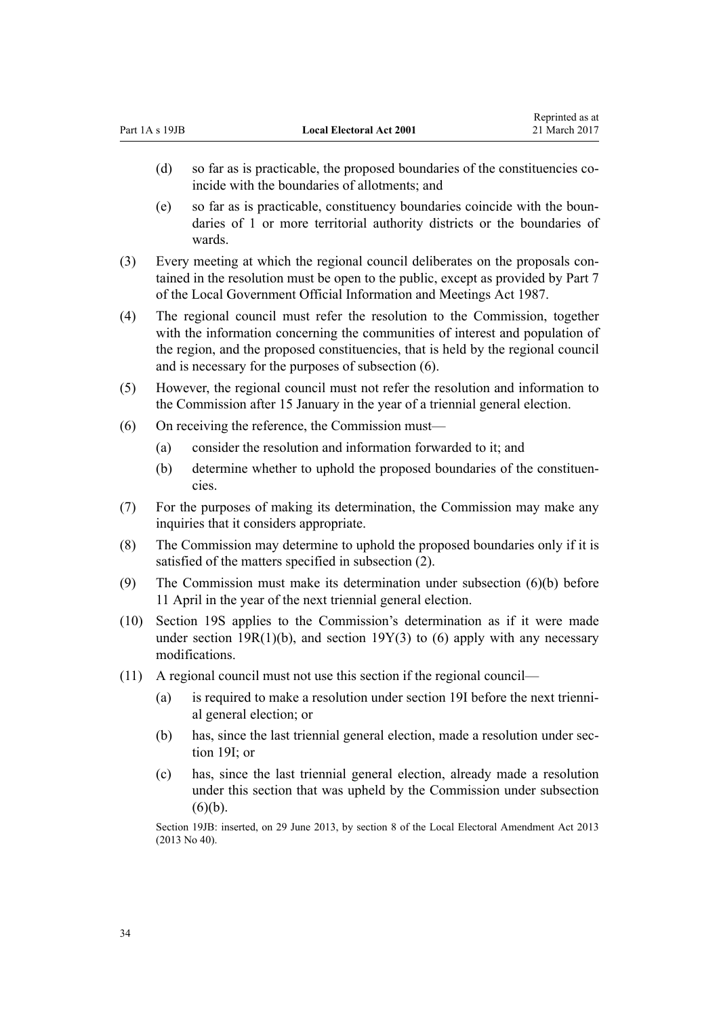| Part 1A s 19JB |                                                                                                                                                                                                                                           | <b>Local Electoral Act 2001</b>                                                                                                                                                                                                                                                                             | Reprinted as at<br>21 March 2017 |
|----------------|-------------------------------------------------------------------------------------------------------------------------------------------------------------------------------------------------------------------------------------------|-------------------------------------------------------------------------------------------------------------------------------------------------------------------------------------------------------------------------------------------------------------------------------------------------------------|----------------------------------|
|                | (d)                                                                                                                                                                                                                                       | so far as is practicable, the proposed boundaries of the constituencies co-<br>incide with the boundaries of allotments; and                                                                                                                                                                                |                                  |
|                | (e)                                                                                                                                                                                                                                       | so far as is practicable, constituency boundaries coincide with the boun-<br>daries of 1 or more territorial authority districts or the boundaries of<br>wards.                                                                                                                                             |                                  |
| (3)            | Every meeting at which the regional council deliberates on the proposals con-<br>tained in the resolution must be open to the public, except as provided by Part 7<br>of the Local Government Official Information and Meetings Act 1987. |                                                                                                                                                                                                                                                                                                             |                                  |
| (4)            |                                                                                                                                                                                                                                           | The regional council must refer the resolution to the Commission, together<br>with the information concerning the communities of interest and population of<br>the region, and the proposed constituencies, that is held by the regional council<br>and is necessary for the purposes of subsection $(6)$ . |                                  |
| (5)            |                                                                                                                                                                                                                                           | However, the regional council must not refer the resolution and information to<br>the Commission after 15 January in the year of a triennial general election.                                                                                                                                              |                                  |
| (6)            |                                                                                                                                                                                                                                           | On receiving the reference, the Commission must—                                                                                                                                                                                                                                                            |                                  |
|                | (a)                                                                                                                                                                                                                                       | consider the resolution and information forwarded to it; and                                                                                                                                                                                                                                                |                                  |
|                | (b)                                                                                                                                                                                                                                       | determine whether to uphold the proposed boundaries of the constituen-<br>cies.                                                                                                                                                                                                                             |                                  |

Representative as a series of

- (7) For the purposes of making its determination, the Commission may make any inquiries that it considers appropriate.
- (8) The Commission may determine to uphold the proposed boundaries only if it is satisfied of the matters specified in subsection (2).
- (9) The Commission must make its determination under subsection (6)(b) before 11 April in the year of the next triennial general election.
- (10) [Section 19S](#page-39-0) applies to the Commission's determination as if it were made under section 19 $R(1)(b)$ , and section 19 $Y(3)$  to (6) apply with any necessary modifications.
- (11) A regional council must not use this section if the regional council—
	- (a) is required to make a resolution under [section 19I](#page-29-0) before the next triennial general election; or
	- (b) has, since the last triennial general election, made a resolution under [sec](#page-29-0)[tion 19I](#page-29-0); or
	- (c) has, since the last triennial general election, already made a resolution under this section that was upheld by the Commission under subsection  $(6)(b)$ .

Section 19JB: inserted, on 29 June 2013, by [section 8](http://prd-lgnz-nlb.prd.pco.net.nz/pdflink.aspx?id=DLM4803521) of the Local Electoral Amendment Act 2013 (2013 No 40).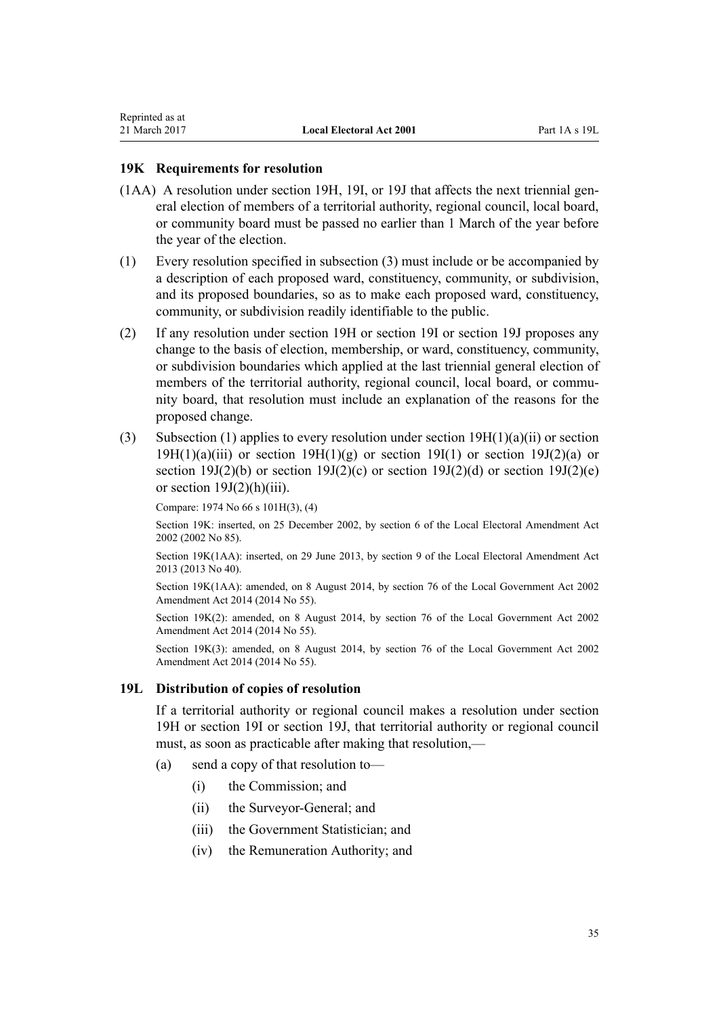#### <span id="page-34-0"></span>**19K Requirements for resolution**

- (1AA) A resolution under [section 19H,](#page-28-0) [19I,](#page-29-0) or [19J](#page-30-0) that affects the next triennial general election of members of a territorial authority, regional council, local board, or community board must be passed no earlier than 1 March of the year before the year of the election.
- (1) Every resolution specified in subsection (3) must include or be accompanied by a description of each proposed ward, constituency, community, or subdivision, and its proposed boundaries, so as to make each proposed ward, constituency, community, or subdivision readily identifiable to the public.
- (2) If any resolution under [section 19H](#page-28-0) or [section 19I](#page-29-0) or [section 19J](#page-30-0) proposes any change to the basis of election, membership, or ward, constituency, community, or subdivision boundaries which applied at the last triennial general election of members of the territorial authority, regional council, local board, or community board, that resolution must include an explanation of the reasons for the proposed change.
- (3) Subsection (1) applies to every resolution under section  $19H(1)(a)(ii)$  or section  $19H(1)(a)(iii)$  or section  $19H(1)(g)$  or section  $19I(1)$  or section  $19J(2)(a)$  or section 19J(2)(b) or section 19J(2)(c) or section 19J(2)(d) or section 19J(2)(e) or section  $19J(2)(h)(iii)$ .

Compare: 1974 No 66 [s 101H\(3\), \(4\)](http://prd-lgnz-nlb.prd.pco.net.nz/pdflink.aspx?id=DLM417687)

Section 19K: inserted, on 25 December 2002, by [section 6](http://prd-lgnz-nlb.prd.pco.net.nz/pdflink.aspx?id=DLM181420) of the Local Electoral Amendment Act 2002 (2002 No 85).

Section 19K(1AA): inserted, on 29 June 2013, by [section 9](http://prd-lgnz-nlb.prd.pco.net.nz/pdflink.aspx?id=DLM4803524) of the Local Electoral Amendment Act 2013 (2013 No 40).

Section 19K(1AA): amended, on 8 August 2014, by [section 76](http://prd-lgnz-nlb.prd.pco.net.nz/pdflink.aspx?id=DLM5707313) of the Local Government Act 2002 Amendment Act 2014 (2014 No 55).

Section 19K(2): amended, on 8 August 2014, by [section 76](http://prd-lgnz-nlb.prd.pco.net.nz/pdflink.aspx?id=DLM5707313) of the Local Government Act 2002 Amendment Act 2014 (2014 No 55).

Section 19K(3): amended, on 8 August 2014, by [section 76](http://prd-lgnz-nlb.prd.pco.net.nz/pdflink.aspx?id=DLM5707313) of the Local Government Act 2002 Amendment Act 2014 (2014 No 55).

#### **19L Distribution of copies of resolution**

If a territorial authority or regional council makes a resolution under [section](#page-28-0) [19H](#page-28-0) or [section 19I](#page-29-0) or [section 19J](#page-30-0), that territorial authority or regional council must, as soon as practicable after making that resolution,—

- (a) send a copy of that resolution to—
	- (i) the Commission; and
	- (ii) the Surveyor-General; and
	- (iii) the Government Statistician; and
	- (iv) the Remuneration Authority; and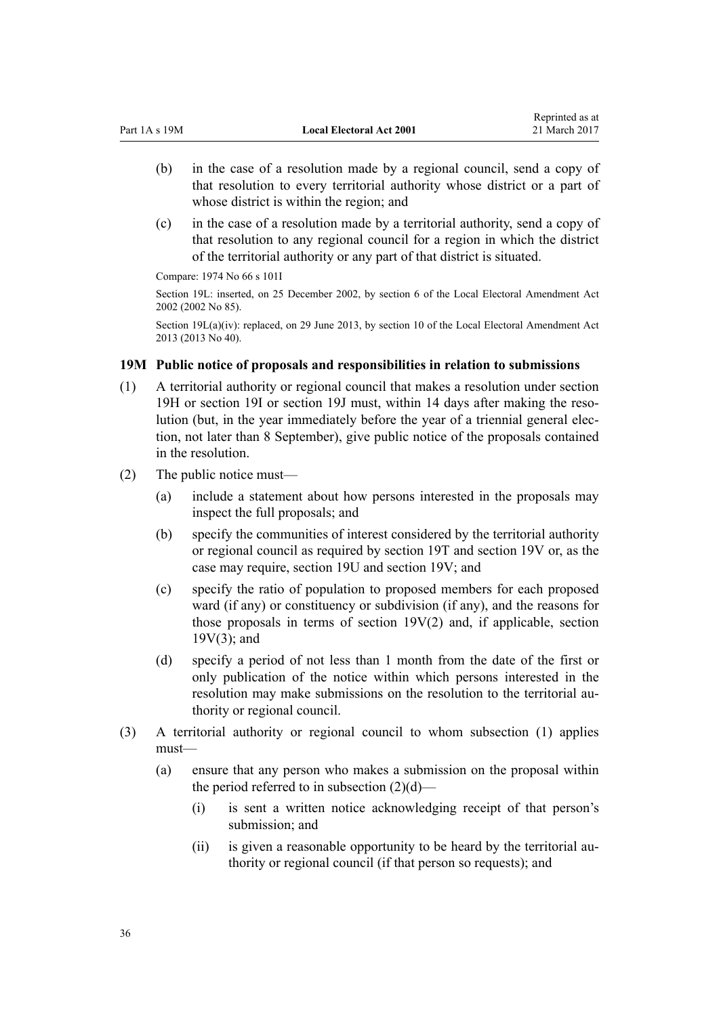- <span id="page-35-0"></span>(b) in the case of a resolution made by a regional council, send a copy of that resolution to every territorial authority whose district or a part of whose district is within the region; and
- (c) in the case of a resolution made by a territorial authority, send a copy of that resolution to any regional council for a region in which the district of the territorial authority or any part of that district is situated.

Compare: 1974 No 66 [s 101I](http://prd-lgnz-nlb.prd.pco.net.nz/pdflink.aspx?id=DLM417691)

Section 19L: inserted, on 25 December 2002, by [section 6](http://prd-lgnz-nlb.prd.pco.net.nz/pdflink.aspx?id=DLM181420) of the Local Electoral Amendment Act 2002 (2002 No 85).

Section 19L(a)(iv): replaced, on 29 June 2013, by [section 10](http://prd-lgnz-nlb.prd.pco.net.nz/pdflink.aspx?id=DLM4803525) of the Local Electoral Amendment Act 2013 (2013 No 40).

## **19M Public notice of proposals and responsibilities in relation to submissions**

- (1) A territorial authority or regional council that makes a resolution under [section](#page-28-0) [19H](#page-28-0) or [section 19I](#page-29-0) or [section 19J](#page-30-0) must, within 14 days after making the resolution (but, in the year immediately before the year of a triennial general election, not later than 8 September), give public notice of the proposals contained in the resolution.
- (2) The public notice must—
	- (a) include a statement about how persons interested in the proposals may inspect the full proposals; and
	- (b) specify the communities of interest considered by the territorial authority or regional council as required by [section 19T](#page-40-0) and [section 19V](#page-41-0) or, as the case may require, [section 19U](#page-41-0) and section 19V; and
	- (c) specify the ratio of population to proposed members for each proposed ward (if any) or constituency or subdivision (if any), and the reasons for those proposals in terms of [section 19V\(2\)](#page-41-0) and, if applicable, section 19V(3); and
	- (d) specify a period of not less than 1 month from the date of the first or only publication of the notice within which persons interested in the resolution may make submissions on the resolution to the territorial authority or regional council.
- (3) A territorial authority or regional council to whom subsection (1) applies must—
	- (a) ensure that any person who makes a submission on the proposal within the period referred to in subsection (2)(d)—
		- (i) is sent a written notice acknowledging receipt of that person's submission; and
		- (ii) is given a reasonable opportunity to be heard by the territorial authority or regional council (if that person so requests); and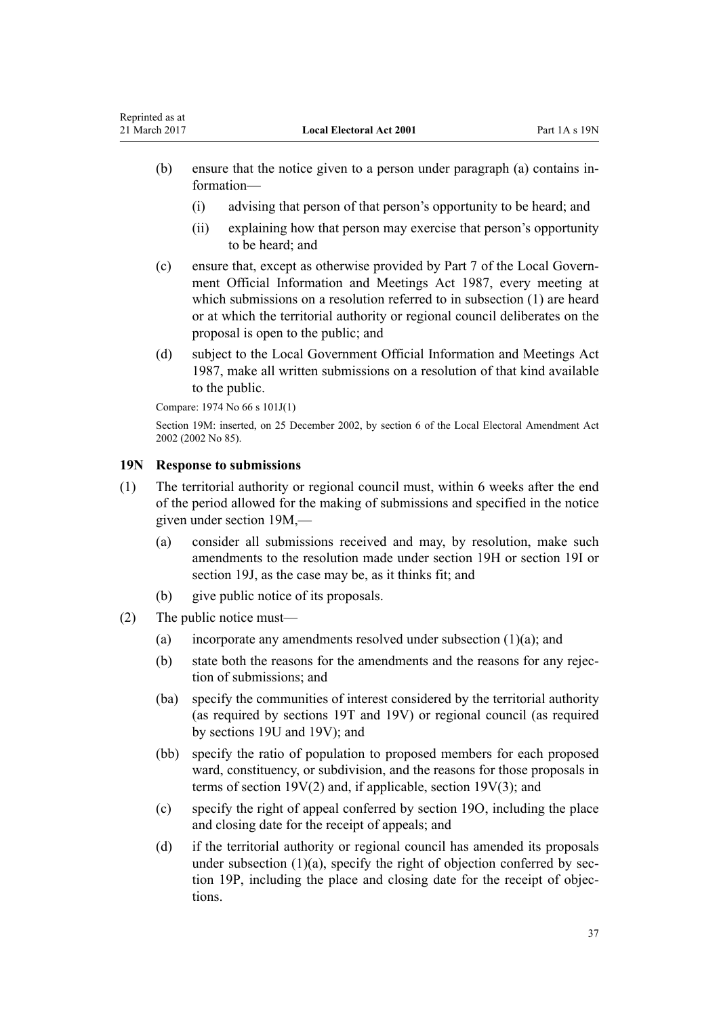- <span id="page-36-0"></span>(b) ensure that the notice given to a person under paragraph (a) contains information—
	- (i) advising that person of that person's opportunity to be heard; and
	- (ii) explaining how that person may exercise that person's opportunity to be heard; and
- (c) ensure that, except as otherwise provided by [Part 7](http://prd-lgnz-nlb.prd.pco.net.nz/pdflink.aspx?id=DLM123071) of the Local Government Official Information and Meetings Act 1987, every meeting at which submissions on a resolution referred to in subsection (1) are heard or at which the territorial authority or regional council deliberates on the proposal is open to the public; and
- (d) subject to the [Local Government Official Information and Meetings Act](http://prd-lgnz-nlb.prd.pco.net.nz/pdflink.aspx?id=DLM122241) [1987](http://prd-lgnz-nlb.prd.pco.net.nz/pdflink.aspx?id=DLM122241), make all written submissions on a resolution of that kind available to the public.

Compare: 1974 No 66 [s 101J\(1\)](http://prd-lgnz-nlb.prd.pco.net.nz/pdflink.aspx?id=DLM417694)

Section 19M: inserted, on 25 December 2002, by [section 6](http://prd-lgnz-nlb.prd.pco.net.nz/pdflink.aspx?id=DLM181420) of the Local Electoral Amendment Act 2002 (2002 No 85).

## **19N Response to submissions**

- (1) The territorial authority or regional council must, within 6 weeks after the end of the period allowed for the making of submissions and specified in the notice given under [section 19M,](#page-35-0)—
	- (a) consider all submissions received and may, by resolution, make such amendments to the resolution made under [section 19H](#page-28-0) or [section 19I](#page-29-0) or [section 19J,](#page-30-0) as the case may be, as it thinks fit; and
	- (b) give public notice of its proposals.
- (2) The public notice must—
	- (a) incorporate any amendments resolved under subsection (1)(a); and
	- (b) state both the reasons for the amendments and the reasons for any rejection of submissions; and
	- (ba) specify the communities of interest considered by the territorial authority (as required by [sections 19T](#page-40-0) and [19V\)](#page-41-0) or regional council (as required by [sections 19U](#page-41-0) and 19V); and
	- (bb) specify the ratio of population to proposed members for each proposed ward, constituency, or subdivision, and the reasons for those proposals in terms of [section 19V\(2\)](#page-41-0) and, if applicable, section 19V(3); and
	- (c) specify the right of appeal conferred by [section 19O,](#page-37-0) including the place and closing date for the receipt of appeals; and
	- (d) if the territorial authority or regional council has amended its proposals under subsection  $(1)(a)$ , specify the right of objection conferred by [sec](#page-38-0)[tion 19P](#page-38-0), including the place and closing date for the receipt of objections.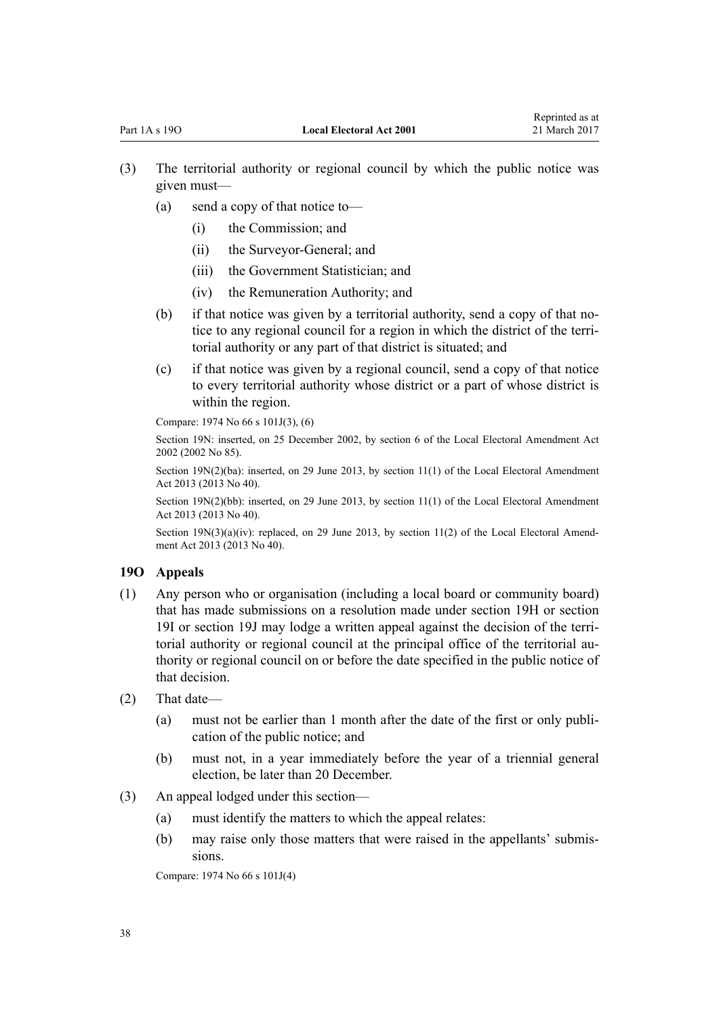- <span id="page-37-0"></span>(3) The territorial authority or regional council by which the public notice was given must—
	- (a) send a copy of that notice to—
		- (i) the Commission; and
		- (ii) the Surveyor-General; and
		- (iii) the Government Statistician; and
		- (iv) the Remuneration Authority; and
	- (b) if that notice was given by a territorial authority, send a copy of that notice to any regional council for a region in which the district of the territorial authority or any part of that district is situated; and
	- (c) if that notice was given by a regional council, send a copy of that notice to every territorial authority whose district or a part of whose district is within the region.

Compare: 1974 No 66 [s 101J\(3\), \(6\)](http://prd-lgnz-nlb.prd.pco.net.nz/pdflink.aspx?id=DLM417694)

Section 19N: inserted, on 25 December 2002, by [section 6](http://prd-lgnz-nlb.prd.pco.net.nz/pdflink.aspx?id=DLM181420) of the Local Electoral Amendment Act 2002 (2002 No 85).

Section 19N(2)(ba): inserted, on 29 June 2013, by [section 11\(1\)](http://prd-lgnz-nlb.prd.pco.net.nz/pdflink.aspx?id=DLM4803526) of the Local Electoral Amendment Act 2013 (2013 No 40).

Section 19N(2)(bb): inserted, on 29 June 2013, by [section 11\(1\)](http://prd-lgnz-nlb.prd.pco.net.nz/pdflink.aspx?id=DLM4803526) of the Local Electoral Amendment Act 2013 (2013 No 40).

Section 19N(3)(a)(iv): replaced, on 29 June 2013, by [section 11\(2\)](http://prd-lgnz-nlb.prd.pco.net.nz/pdflink.aspx?id=DLM4803526) of the Local Electoral Amendment Act 2013 (2013 No 40).

#### **19O Appeals**

- (1) Any person who or organisation (including a local board or community board) that has made submissions on a resolution made under [section 19H](#page-28-0) or [section](#page-29-0) [19I](#page-29-0) or [section 19J](#page-30-0) may lodge a written appeal against the decision of the territorial authority or regional council at the principal office of the territorial authority or regional council on or before the date specified in the public notice of that decision.
- (2) That date—
	- (a) must not be earlier than 1 month after the date of the first or only publication of the public notice; and
	- (b) must not, in a year immediately before the year of a triennial general election, be later than 20 December.
- (3) An appeal lodged under this section—
	- (a) must identify the matters to which the appeal relates:
	- (b) may raise only those matters that were raised in the appellants' submissions.

Compare: 1974 No 66 [s 101J\(4\)](http://prd-lgnz-nlb.prd.pco.net.nz/pdflink.aspx?id=DLM417694)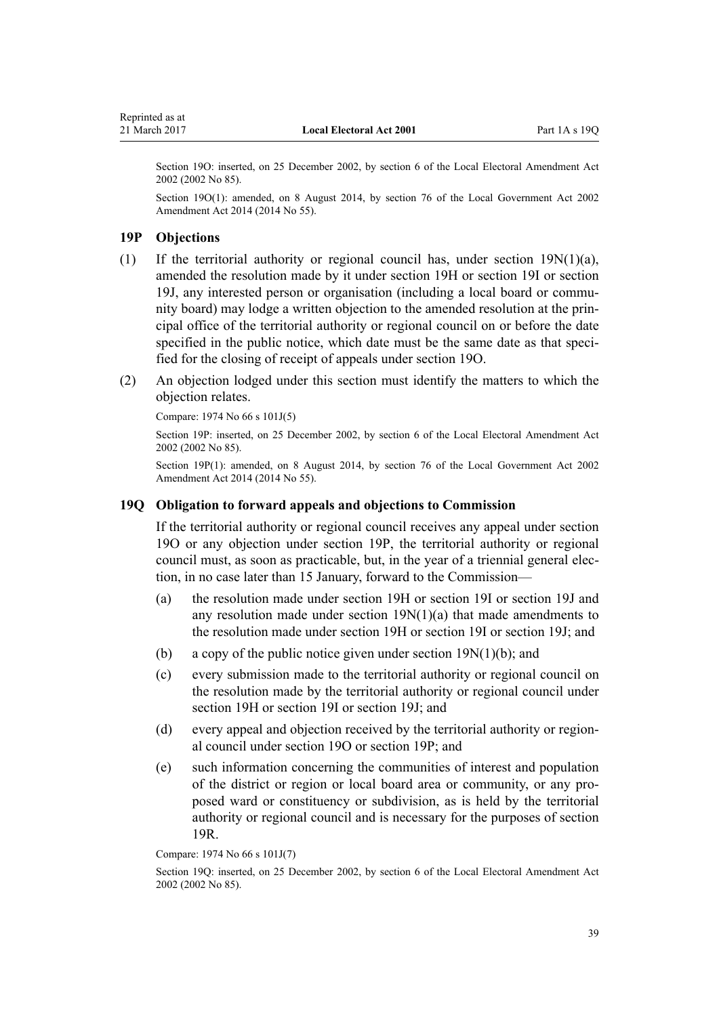<span id="page-38-0"></span>Section 19O: inserted, on 25 December 2002, by [section 6](http://prd-lgnz-nlb.prd.pco.net.nz/pdflink.aspx?id=DLM181420) of the Local Electoral Amendment Act 2002 (2002 No 85).

Section 19O(1): amended, on 8 August 2014, by [section 76](http://prd-lgnz-nlb.prd.pco.net.nz/pdflink.aspx?id=DLM5707313) of the Local Government Act 2002 Amendment Act 2014 (2014 No 55).

### **19P Objections**

- (1) If the territorial authority or regional council has, under section  $19N(1)(a)$ , amended the resolution made by it under [section 19H](#page-28-0) or [section 19I](#page-29-0) or [section](#page-30-0) [19J](#page-30-0), any interested person or organisation (including a local board or community board) may lodge a written objection to the amended resolution at the principal office of the territorial authority or regional council on or before the date specified in the public notice, which date must be the same date as that specified for the closing of receipt of appeals under [section 19O](#page-37-0).
- (2) An objection lodged under this section must identify the matters to which the objection relates.

Compare: 1974 No 66 [s 101J\(5\)](http://prd-lgnz-nlb.prd.pco.net.nz/pdflink.aspx?id=DLM417694)

Section 19P: inserted, on 25 December 2002, by [section 6](http://prd-lgnz-nlb.prd.pco.net.nz/pdflink.aspx?id=DLM181420) of the Local Electoral Amendment Act 2002 (2002 No 85).

Section 19P(1): amended, on 8 August 2014, by [section 76](http://prd-lgnz-nlb.prd.pco.net.nz/pdflink.aspx?id=DLM5707313) of the Local Government Act 2002 Amendment Act 2014 (2014 No 55).

### **19Q Obligation to forward appeals and objections to Commission**

If the territorial authority or regional council receives any appeal under [section](#page-37-0) [19O](#page-37-0) or any objection under section 19P, the territorial authority or regional council must, as soon as practicable, but, in the year of a triennial general election, in no case later than 15 January, forward to the Commission—

- (a) the resolution made under [section 19H](#page-28-0) or [section 19I](#page-29-0) or [section 19J](#page-30-0) and any resolution made under [section 19N\(1\)\(a\)](#page-36-0) that made amendments to the resolution made under section 19H or section 19I or section 19J; and
- (b) a copy of the public notice given under section  $19N(1)(b)$ ; and
- (c) every submission made to the territorial authority or regional council on the resolution made by the territorial authority or regional council under [section 19H](#page-28-0) or [section 19I](#page-29-0) or [section 19J](#page-30-0); and
- (d) every appeal and objection received by the territorial authority or regional council under [section 19O](#page-37-0) or section 19P; and
- (e) such information concerning the communities of interest and population of the district or region or local board area or community, or any proposed ward or constituency or subdivision, as is held by the territorial authority or regional council and is necessary for the purposes of [section](#page-39-0) [19R](#page-39-0).

Compare: 1974 No 66 [s 101J\(7\)](http://prd-lgnz-nlb.prd.pco.net.nz/pdflink.aspx?id=DLM417694)

Section 19Q: inserted, on 25 December 2002, by [section 6](http://prd-lgnz-nlb.prd.pco.net.nz/pdflink.aspx?id=DLM181420) of the Local Electoral Amendment Act 2002 (2002 No 85).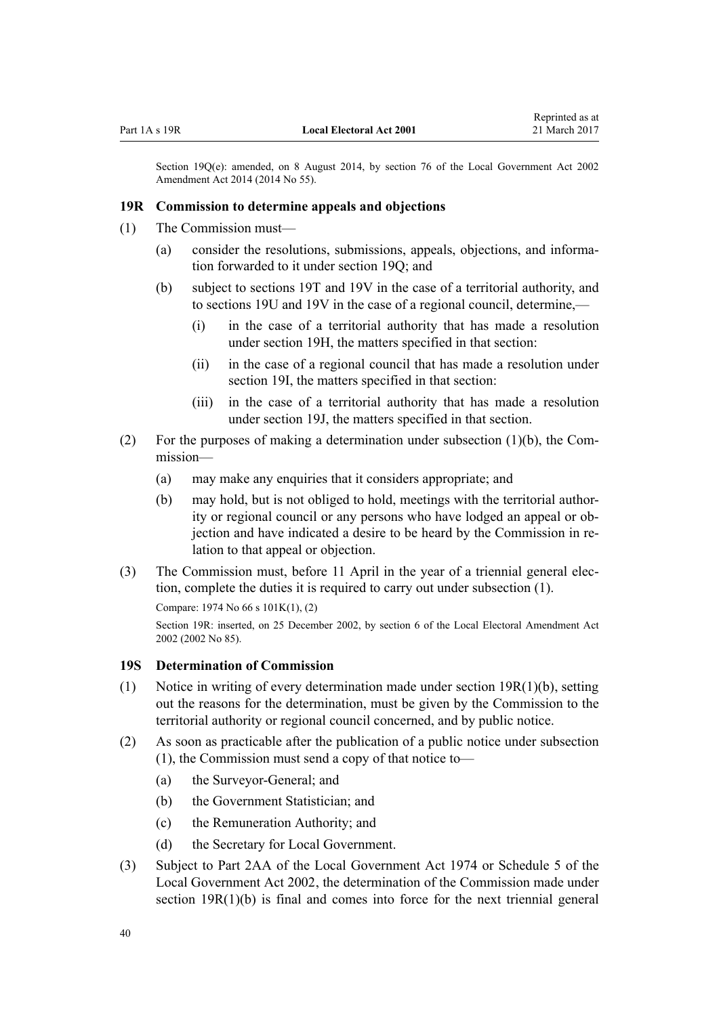<span id="page-39-0"></span>Section 19Q(e): amended, on 8 August 2014, by [section 76](http://prd-lgnz-nlb.prd.pco.net.nz/pdflink.aspx?id=DLM5707313) of the Local Government Act 2002 Amendment Act 2014 (2014 No 55).

### **19R Commission to determine appeals and objections**

- (1) The Commission must—
	- (a) consider the resolutions, submissions, appeals, objections, and information forwarded to it under [section 19Q;](#page-38-0) and
	- (b) subject to [sections 19T](#page-40-0) and [19V](#page-41-0) in the case of a territorial authority, and to [sections 19U](#page-41-0) and 19V in the case of a regional council, determine,—
		- (i) in the case of a territorial authority that has made a resolution under [section 19H,](#page-28-0) the matters specified in that section:
		- (ii) in the case of a regional council that has made a resolution under [section 19I,](#page-29-0) the matters specified in that section:
		- (iii) in the case of a territorial authority that has made a resolution under [section 19J,](#page-30-0) the matters specified in that section.
- (2) For the purposes of making a determination under subsection  $(1)(b)$ , the Commission—
	- (a) may make any enquiries that it considers appropriate; and
	- (b) may hold, but is not obliged to hold, meetings with the territorial authority or regional council or any persons who have lodged an appeal or objection and have indicated a desire to be heard by the Commission in relation to that appeal or objection.
- (3) The Commission must, before 11 April in the year of a triennial general election, complete the duties it is required to carry out under subsection (1).

```
Compare: 1974 No 66 s 101K(1), (2)
```
Section 19R: inserted, on 25 December 2002, by [section 6](http://prd-lgnz-nlb.prd.pco.net.nz/pdflink.aspx?id=DLM181420) of the Local Electoral Amendment Act 2002 (2002 No 85).

## **19S Determination of Commission**

- (1) Notice in writing of every determination made under section 19R(1)(b), setting out the reasons for the determination, must be given by the Commission to the territorial authority or regional council concerned, and by public notice.
- (2) As soon as practicable after the publication of a public notice under subsection (1), the Commission must send a copy of that notice to—
	- (a) the Surveyor-General; and
	- (b) the Government Statistician; and
	- (c) the Remuneration Authority; and
	- (d) the Secretary for Local Government.
- (3) Subject to [Part 2AA](http://prd-lgnz-nlb.prd.pco.net.nz/pdflink.aspx?id=DLM416656) of the Local Government Act 1974 or [Schedule 5](http://prd-lgnz-nlb.prd.pco.net.nz/pdflink.aspx?id=DLM175622) of the Local Government Act 2002, the determination of the Commission made under section 19R(1)(b) is final and comes into force for the next triennial general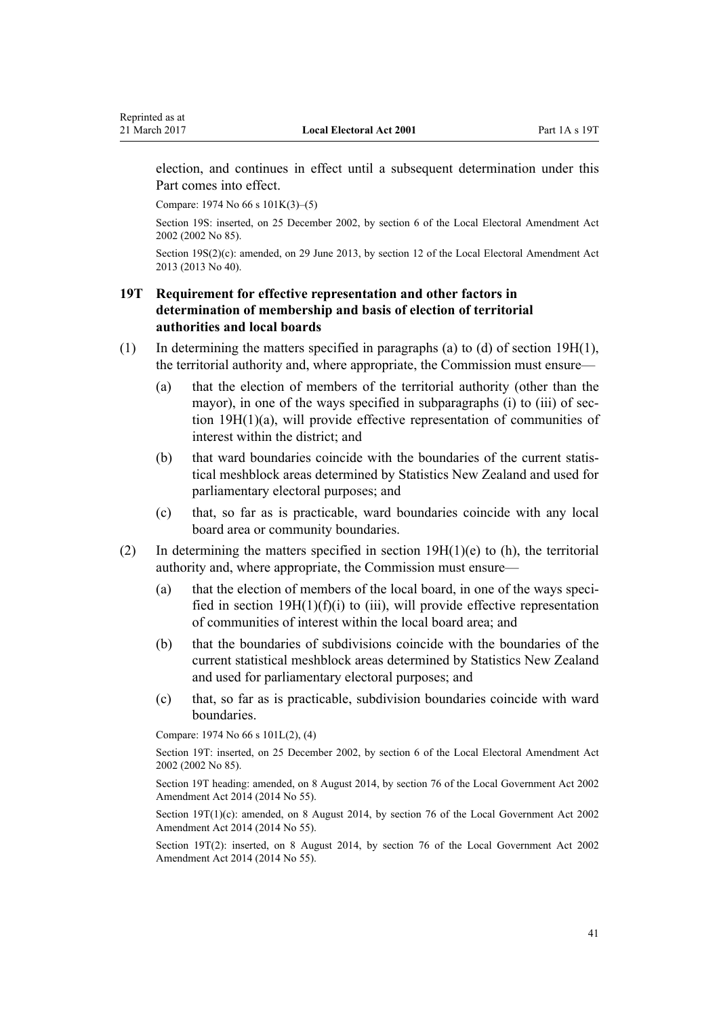<span id="page-40-0"></span>election, and continues in effect until a subsequent determination under this Part comes into effect.

Compare: 1974 No 66 [s 101K\(3\)–\(5\)](http://prd-lgnz-nlb.prd.pco.net.nz/pdflink.aspx?id=DLM417698)

Section 19S: inserted, on 25 December 2002, by [section 6](http://prd-lgnz-nlb.prd.pco.net.nz/pdflink.aspx?id=DLM181420) of the Local Electoral Amendment Act 2002 (2002 No 85).

Section 19S(2)(c): amended, on 29 June 2013, by [section 12](http://prd-lgnz-nlb.prd.pco.net.nz/pdflink.aspx?id=DLM4803527) of the Local Electoral Amendment Act 2013 (2013 No 40).

## **19T Requirement for effective representation and other factors in determination of membership and basis of election of territorial authorities and local boards**

- (1) In determining the matters specified in paragraphs (a) to (d) of [section 19H\(1\)](#page-28-0), the territorial authority and, where appropriate, the Commission must ensure—
	- (a) that the election of members of the territorial authority (other than the mayor), in one of the ways specified in subparagraphs (i) to (iii) of section 19H(1)(a), will provide effective representation of communities of interest within the district; and
	- (b) that ward boundaries coincide with the boundaries of the current statistical meshblock areas determined by Statistics New Zealand and used for parliamentary electoral purposes; and
	- (c) that, so far as is practicable, ward boundaries coincide with any local board area or community boundaries.
- (2) In determining the matters specified in section  $19H(1)(e)$  to (h), the territorial authority and, where appropriate, the Commission must ensure—
	- (a) that the election of members of the local board, in one of the ways specified in section  $19H(1)(f)(i)$  to (iii), will provide effective representation of communities of interest within the local board area; and
	- (b) that the boundaries of subdivisions coincide with the boundaries of the current statistical meshblock areas determined by Statistics New Zealand and used for parliamentary electoral purposes; and
	- (c) that, so far as is practicable, subdivision boundaries coincide with ward boundaries.

Compare: 1974 No 66 [s 101L\(2\), \(4\)](http://prd-lgnz-nlb.prd.pco.net.nz/pdflink.aspx?id=DLM417802)

Section 19T: inserted, on 25 December 2002, by [section 6](http://prd-lgnz-nlb.prd.pco.net.nz/pdflink.aspx?id=DLM181420) of the Local Electoral Amendment Act 2002 (2002 No 85).

Section 19T heading: amended, on 8 August 2014, by [section 76](http://prd-lgnz-nlb.prd.pco.net.nz/pdflink.aspx?id=DLM5707313) of the Local Government Act 2002 Amendment Act 2014 (2014 No 55).

Section 19T(1)(c): amended, on 8 August 2014, by [section 76](http://prd-lgnz-nlb.prd.pco.net.nz/pdflink.aspx?id=DLM5707313) of the Local Government Act 2002 Amendment Act 2014 (2014 No 55).

Section 19T(2): inserted, on 8 August 2014, by [section 76](http://prd-lgnz-nlb.prd.pco.net.nz/pdflink.aspx?id=DLM5707313) of the Local Government Act 2002 Amendment Act 2014 (2014 No 55).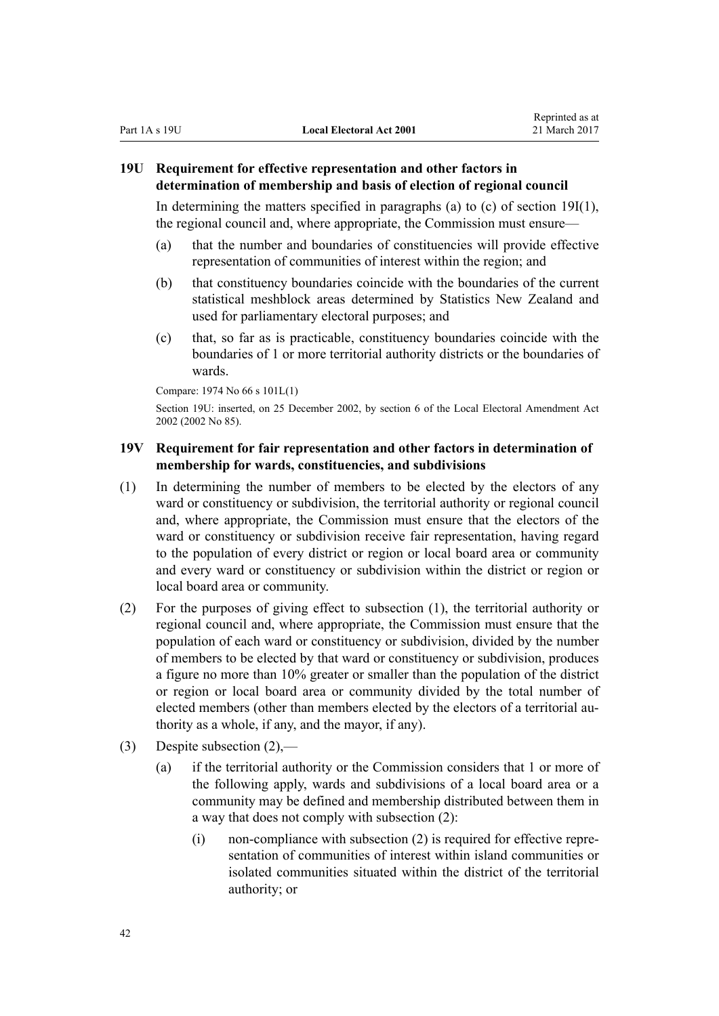## <span id="page-41-0"></span>**19U Requirement for effective representation and other factors in determination of membership and basis of election of regional council**

In determining the matters specified in paragraphs (a) to (c) of section  $19I(1)$ , the regional council and, where appropriate, the Commission must ensure—

- (a) that the number and boundaries of constituencies will provide effective representation of communities of interest within the region; and
- (b) that constituency boundaries coincide with the boundaries of the current statistical meshblock areas determined by Statistics New Zealand and used for parliamentary electoral purposes; and
- (c) that, so far as is practicable, constituency boundaries coincide with the boundaries of 1 or more territorial authority districts or the boundaries of wards.

Compare: 1974 No 66 [s 101L\(1\)](http://prd-lgnz-nlb.prd.pco.net.nz/pdflink.aspx?id=DLM417802)

Section 19U: inserted, on 25 December 2002, by [section 6](http://prd-lgnz-nlb.prd.pco.net.nz/pdflink.aspx?id=DLM181420) of the Local Electoral Amendment Act 2002 (2002 No 85).

## **19V Requirement for fair representation and other factors in determination of membership for wards, constituencies, and subdivisions**

- (1) In determining the number of members to be elected by the electors of any ward or constituency or subdivision, the territorial authority or regional council and, where appropriate, the Commission must ensure that the electors of the ward or constituency or subdivision receive fair representation, having regard to the population of every district or region or local board area or community and every ward or constituency or subdivision within the district or region or local board area or community.
- (2) For the purposes of giving effect to subsection (1), the territorial authority or regional council and, where appropriate, the Commission must ensure that the population of each ward or constituency or subdivision, divided by the number of members to be elected by that ward or constituency or subdivision, produces a figure no more than 10% greater or smaller than the population of the district or region or local board area or community divided by the total number of elected members (other than members elected by the electors of a territorial authority as a whole, if any, and the mayor, if any).
- (3) Despite subsection (2),—
	- (a) if the territorial authority or the Commission considers that 1 or more of the following apply, wards and subdivisions of a local board area or a community may be defined and membership distributed between them in a way that does not comply with subsection (2):
		- $(i)$  non-compliance with subsection  $(2)$  is required for effective representation of communities of interest within island communities or isolated communities situated within the district of the territorial authority; or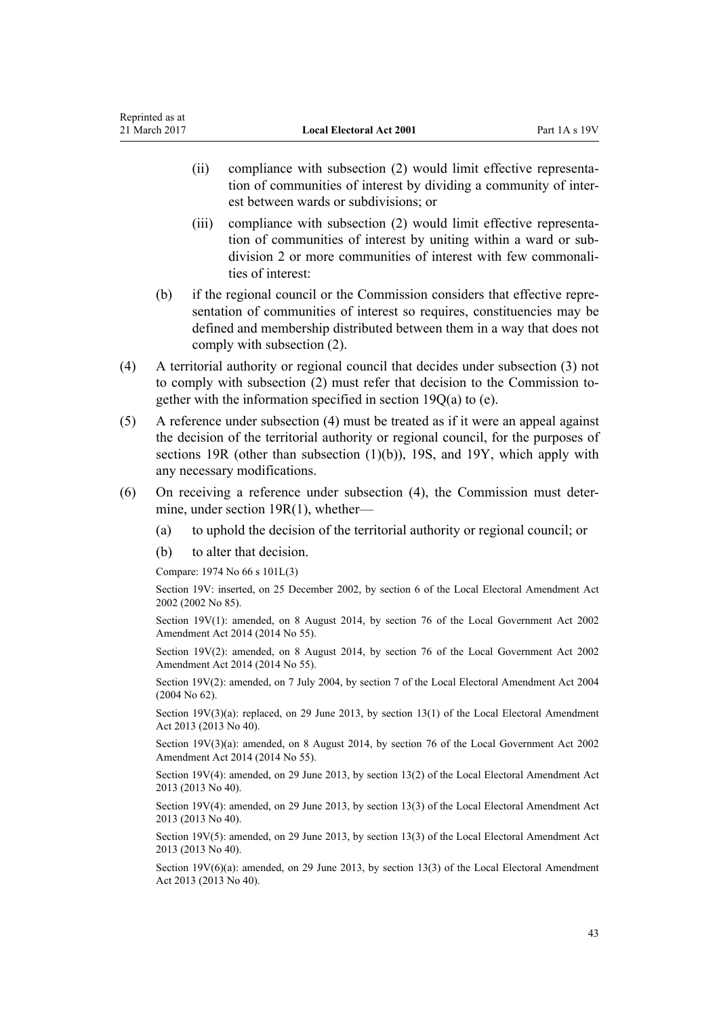- (ii) compliance with subsection (2) would limit effective representation of communities of interest by dividing a community of interest between wards or subdivisions; or
- (iii) compliance with subsection (2) would limit effective representation of communities of interest by uniting within a ward or subdivision 2 or more communities of interest with few commonalities of interest:
- (b) if the regional council or the Commission considers that effective representation of communities of interest so requires, constituencies may be defined and membership distributed between them in a way that does not comply with subsection (2).
- (4) A territorial authority or regional council that decides under subsection (3) not to comply with subsection (2) must refer that decision to the Commission together with the information specified in [section 19Q\(a\) to \(e\).](#page-38-0)
- (5) A reference under subsection (4) must be treated as if it were an appeal against the decision of the territorial authority or regional council, for the purposes of [sections 19R](#page-39-0) (other than subsection (1)(b)), [19S](#page-39-0), and [19Y](#page-44-0), which apply with any necessary modifications.
- (6) On receiving a reference under subsection (4), the Commission must determine, under [section 19R\(1\)](#page-39-0), whether—
	- (a) to uphold the decision of the territorial authority or regional council; or
	- (b) to alter that decision.

Compare: 1974 No 66 [s 101L\(3\)](http://prd-lgnz-nlb.prd.pco.net.nz/pdflink.aspx?id=DLM417802)

Section 19V: inserted, on 25 December 2002, by [section 6](http://prd-lgnz-nlb.prd.pco.net.nz/pdflink.aspx?id=DLM181420) of the Local Electoral Amendment Act 2002 (2002 No 85).

Section 19V(1): amended, on 8 August 2014, by [section 76](http://prd-lgnz-nlb.prd.pco.net.nz/pdflink.aspx?id=DLM5707313) of the Local Government Act 2002 Amendment Act 2014 (2014 No 55).

Section 19V(2): amended, on 8 August 2014, by [section 76](http://prd-lgnz-nlb.prd.pco.net.nz/pdflink.aspx?id=DLM5707313) of the Local Government Act 2002 Amendment Act 2014 (2014 No 55).

Section 19V(2): amended, on 7 July 2004, by [section 7](http://prd-lgnz-nlb.prd.pco.net.nz/pdflink.aspx?id=DLM303173) of the Local Electoral Amendment Act 2004 (2004 No 62).

Section 19V(3)(a): replaced, on 29 June 2013, by [section 13\(1\)](http://prd-lgnz-nlb.prd.pco.net.nz/pdflink.aspx?id=DLM4803528) of the Local Electoral Amendment Act 2013 (2013 No 40).

Section 19V(3)(a): amended, on 8 August 2014, by [section 76](http://prd-lgnz-nlb.prd.pco.net.nz/pdflink.aspx?id=DLM5707313) of the Local Government Act 2002 Amendment Act 2014 (2014 No 55).

Section 19V(4): amended, on 29 June 2013, by [section 13\(2\)](http://prd-lgnz-nlb.prd.pco.net.nz/pdflink.aspx?id=DLM4803528) of the Local Electoral Amendment Act 2013 (2013 No 40).

Section 19V(4): amended, on 29 June 2013, by [section 13\(3\)](http://prd-lgnz-nlb.prd.pco.net.nz/pdflink.aspx?id=DLM4803528) of the Local Electoral Amendment Act 2013 (2013 No 40).

Section 19V(5): amended, on 29 June 2013, by [section 13\(3\)](http://prd-lgnz-nlb.prd.pco.net.nz/pdflink.aspx?id=DLM4803528) of the Local Electoral Amendment Act 2013 (2013 No 40).

Section 19V(6)(a): amended, on 29 June 2013, by [section 13\(3\)](http://prd-lgnz-nlb.prd.pco.net.nz/pdflink.aspx?id=DLM4803528) of the Local Electoral Amendment Act 2013 (2013 No 40).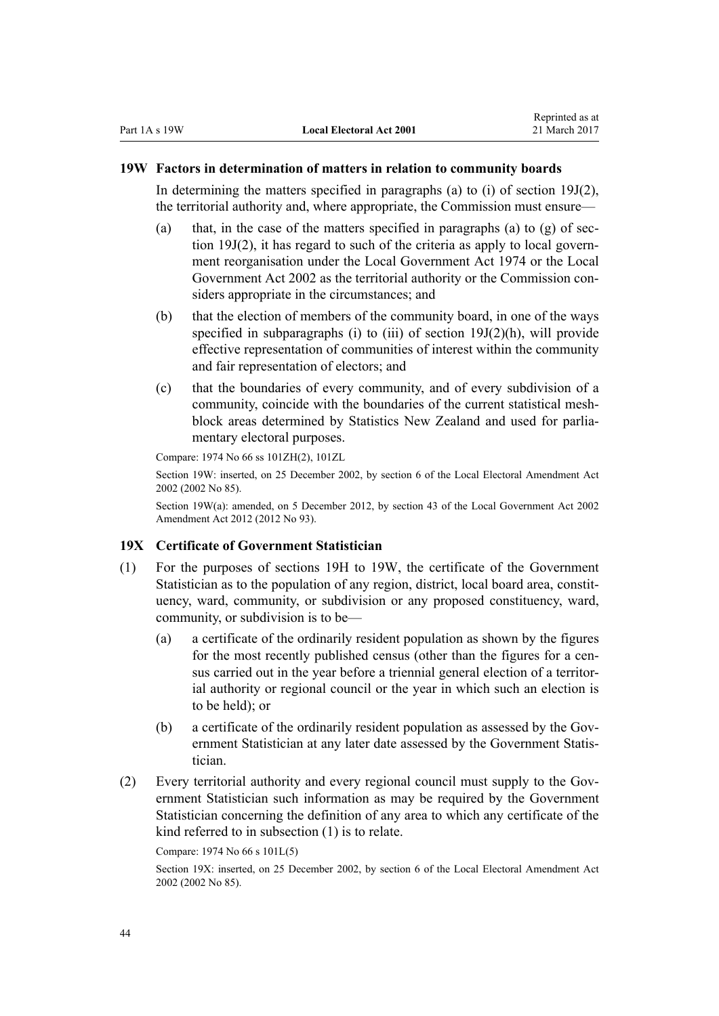#### **19W Factors in determination of matters in relation to community boards**

In determining the matters specified in paragraphs (a) to (i) of section  $19J(2)$ , the territorial authority and, where appropriate, the Commission must ensure—

- (a) that, in the case of the matters specified in paragraphs (a) to (g) of [sec](#page-30-0)[tion 19J\(2\),](#page-30-0) it has regard to such of the criteria as apply to local government reorganisation under the [Local Government Act 1974](http://prd-lgnz-nlb.prd.pco.net.nz/pdflink.aspx?id=DLM415531) or the [Local](http://prd-lgnz-nlb.prd.pco.net.nz/pdflink.aspx?id=DLM170872) [Government Act 2002](http://prd-lgnz-nlb.prd.pco.net.nz/pdflink.aspx?id=DLM170872) as the territorial authority or the Commission considers appropriate in the circumstances; and
- (b) that the election of members of the community board, in one of the ways specified in subparagraphs (i) to (iii) of [section 19J\(2\)\(h\),](#page-30-0) will provide effective representation of communities of interest within the community and fair representation of electors; and
- (c) that the boundaries of every community, and of every subdivision of a community, coincide with the boundaries of the current statistical meshblock areas determined by Statistics New Zealand and used for parliamentary electoral purposes.

Compare: 1974 No 66 [ss 101ZH\(2\),](http://prd-lgnz-nlb.prd.pco.net.nz/pdflink.aspx?id=DLM417883) [101ZL](http://prd-lgnz-nlb.prd.pco.net.nz/pdflink.aspx?id=DLM417896)

Section 19W: inserted, on 25 December 2002, by [section 6](http://prd-lgnz-nlb.prd.pco.net.nz/pdflink.aspx?id=DLM181420) of the Local Electoral Amendment Act 2002 (2002 No 85).

Section 19W(a): amended, on 5 December 2012, by [section 43](http://prd-lgnz-nlb.prd.pco.net.nz/pdflink.aspx?id=DLM4499305) of the Local Government Act 2002 Amendment Act 2012 (2012 No 93).

## **19X Certificate of Government Statistician**

- (1) For the purposes of [sections 19H to 19W](#page-28-0), the certificate of the Government Statistician as to the population of any region, district, local board area, constituency, ward, community, or subdivision or any proposed constituency, ward, community, or subdivision is to be—
	- (a) a certificate of the ordinarily resident population as shown by the figures for the most recently published census (other than the figures for a census carried out in the year before a triennial general election of a territorial authority or regional council or the year in which such an election is to be held); or
	- (b) a certificate of the ordinarily resident population as assessed by the Government Statistician at any later date assessed by the Government Statistician.
- (2) Every territorial authority and every regional council must supply to the Government Statistician such information as may be required by the Government Statistician concerning the definition of any area to which any certificate of the kind referred to in subsection (1) is to relate.

```
Compare: 1974 No 66 s 101L(5)
```
Section 19X: inserted, on 25 December 2002, by [section 6](http://prd-lgnz-nlb.prd.pco.net.nz/pdflink.aspx?id=DLM181420) of the Local Electoral Amendment Act 2002 (2002 No 85).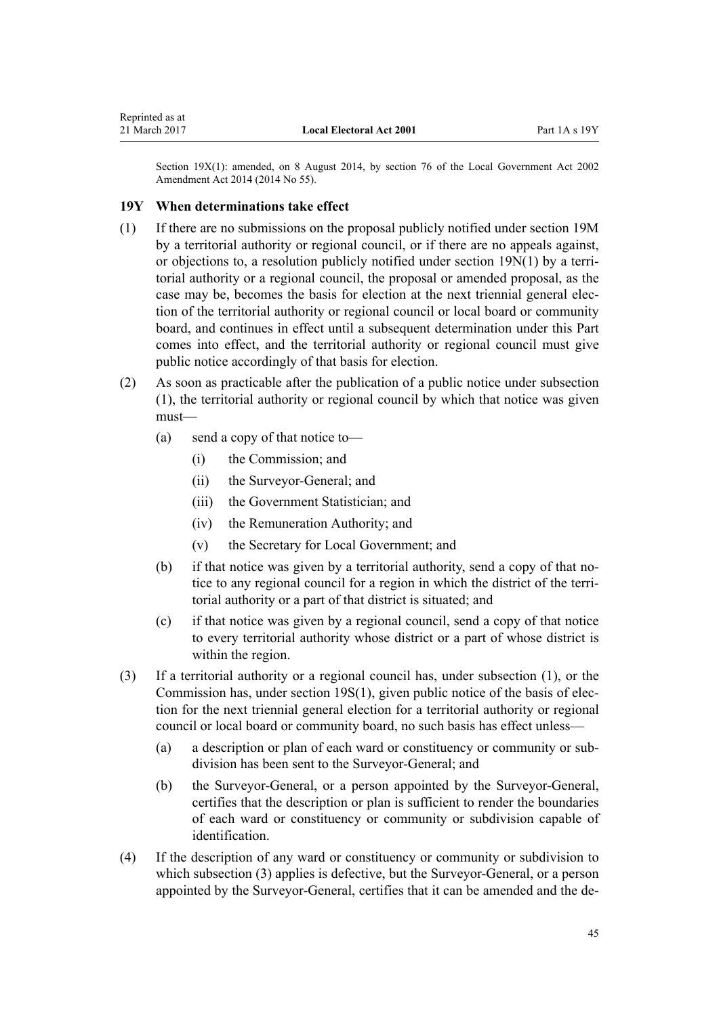<span id="page-44-0"></span>Section 19X(1): amended, on 8 August 2014, by [section 76](http://prd-lgnz-nlb.prd.pco.net.nz/pdflink.aspx?id=DLM5707313) of the Local Government Act 2002 Amendment Act 2014 (2014 No 55).

## **19Y When determinations take effect**

- (1) If there are no submissions on the proposal publicly notified under [section 19M](#page-35-0) by a territorial authority or regional council, or if there are no appeals against, or objections to, a resolution publicly notified under [section 19N\(1\)](#page-36-0) by a territorial authority or a regional council, the proposal or amended proposal, as the case may be, becomes the basis for election at the next triennial general election of the territorial authority or regional council or local board or community board, and continues in effect until a subsequent determination under this Part comes into effect, and the territorial authority or regional council must give public notice accordingly of that basis for election.
- (2) As soon as practicable after the publication of a public notice under subsection (1), the territorial authority or regional council by which that notice was given must—
	- (a) send a copy of that notice to—
		- (i) the Commission; and
		- (ii) the Surveyor-General; and
		- (iii) the Government Statistician; and
		- (iv) the Remuneration Authority; and
		- (v) the Secretary for Local Government; and
	- (b) if that notice was given by a territorial authority, send a copy of that notice to any regional council for a region in which the district of the territorial authority or a part of that district is situated; and
	- (c) if that notice was given by a regional council, send a copy of that notice to every territorial authority whose district or a part of whose district is within the region.
- (3) If a territorial authority or a regional council has, under subsection (1), or the Commission has, under [section 19S\(1\),](#page-39-0) given public notice of the basis of election for the next triennial general election for a territorial authority or regional council or local board or community board, no such basis has effect unless—
	- (a) a description or plan of each ward or constituency or community or subdivision has been sent to the Surveyor-General; and
	- (b) the Surveyor-General, or a person appointed by the Surveyor-General, certifies that the description or plan is sufficient to render the boundaries of each ward or constituency or community or subdivision capable of identification.
- (4) If the description of any ward or constituency or community or subdivision to which subsection (3) applies is defective, but the Surveyor-General, or a person appointed by the Surveyor-General, certifies that it can be amended and the de-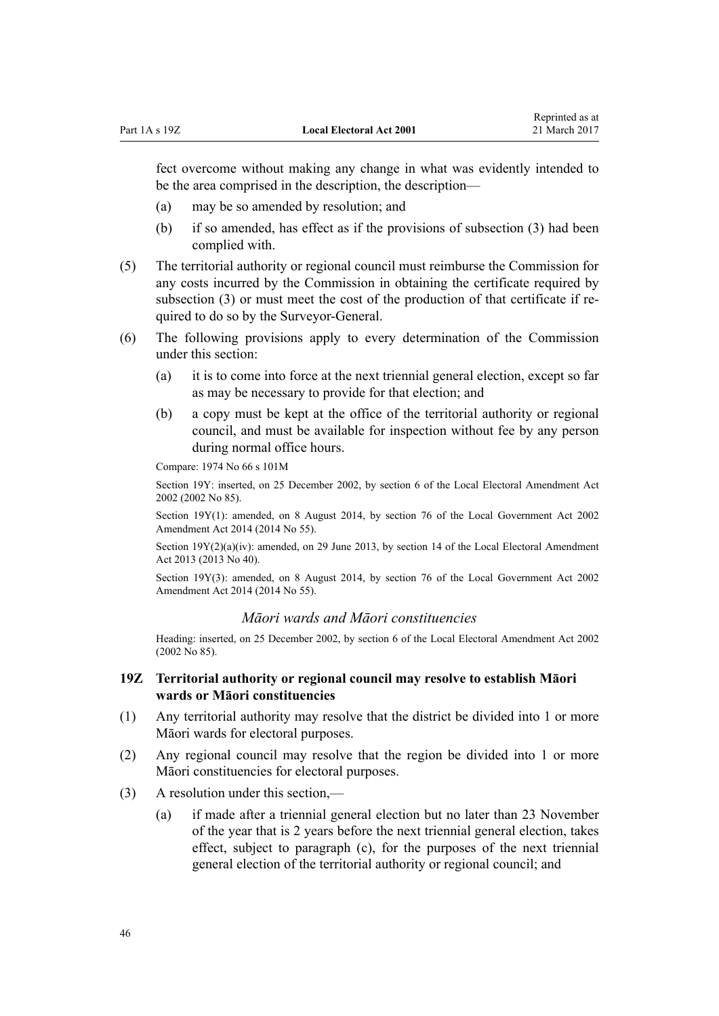<span id="page-45-0"></span>fect overcome without making any change in what was evidently intended to be the area comprised in the description, the description—

- (a) may be so amended by resolution; and
- (b) if so amended, has effect as if the provisions of subsection (3) had been complied with.
- (5) The territorial authority or regional council must reimburse the Commission for any costs incurred by the Commission in obtaining the certificate required by subsection (3) or must meet the cost of the production of that certificate if required to do so by the Surveyor-General.
- (6) The following provisions apply to every determination of the Commission under this section:
	- (a) it is to come into force at the next triennial general election, except so far as may be necessary to provide for that election; and
	- (b) a copy must be kept at the office of the territorial authority or regional council, and must be available for inspection without fee by any person during normal office hours.

Compare: 1974 No 66 [s 101M](http://prd-lgnz-nlb.prd.pco.net.nz/pdflink.aspx?id=DLM417806)

Section 19Y: inserted, on 25 December 2002, by [section 6](http://prd-lgnz-nlb.prd.pco.net.nz/pdflink.aspx?id=DLM181420) of the Local Electoral Amendment Act 2002 (2002 No 85).

Section 19Y(1): amended, on 8 August 2014, by [section 76](http://prd-lgnz-nlb.prd.pco.net.nz/pdflink.aspx?id=DLM5707313) of the Local Government Act 2002 Amendment Act 2014 (2014 No 55).

Section 19Y(2)(a)(iv): amended, on 29 June 2013, by [section 14](http://prd-lgnz-nlb.prd.pco.net.nz/pdflink.aspx?id=DLM4803529) of the Local Electoral Amendment Act 2013 (2013 No 40).

Section 19Y(3): amended, on 8 August 2014, by [section 76](http://prd-lgnz-nlb.prd.pco.net.nz/pdflink.aspx?id=DLM5707313) of the Local Government Act 2002 Amendment Act 2014 (2014 No 55).

#### *Māori wards and Māori constituencies*

Heading: inserted, on 25 December 2002, by [section 6](http://prd-lgnz-nlb.prd.pco.net.nz/pdflink.aspx?id=DLM181420) of the Local Electoral Amendment Act 2002 (2002 No 85).

## **19Z Territorial authority or regional council may resolve to establish Māori wards or Māori constituencies**

- (1) Any territorial authority may resolve that the district be divided into 1 or more Māori wards for electoral purposes.
- (2) Any regional council may resolve that the region be divided into 1 or more Māori constituencies for electoral purposes.
- (3) A resolution under this section,—
	- (a) if made after a triennial general election but no later than 23 November of the year that is 2 years before the next triennial general election, takes effect, subject to paragraph (c), for the purposes of the next triennial general election of the territorial authority or regional council; and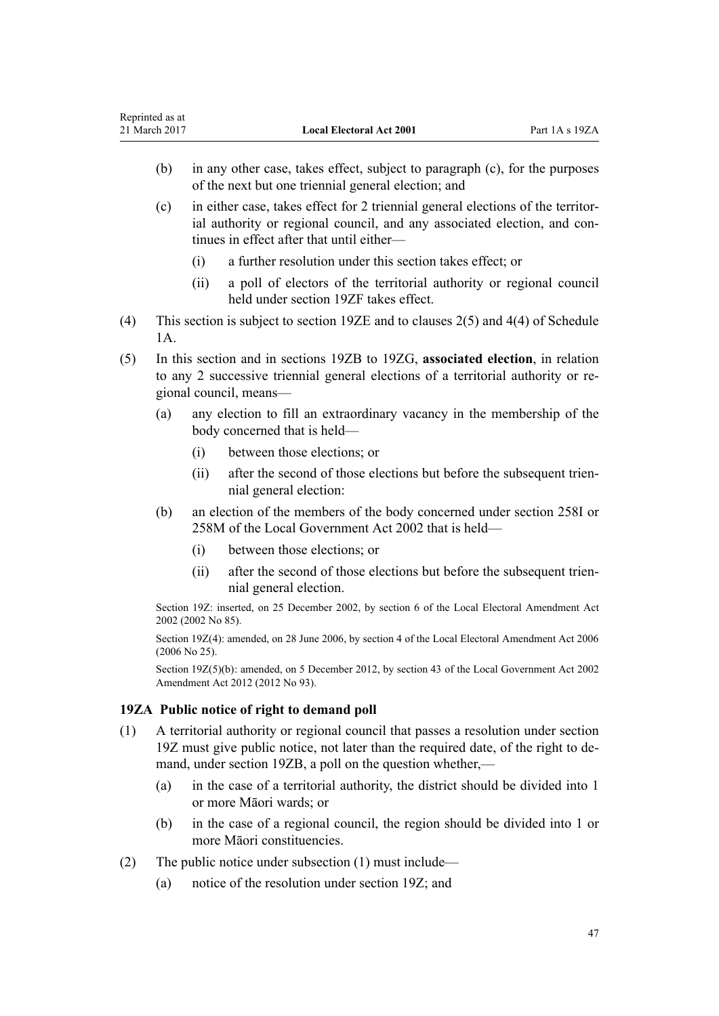- (b) in any other case, takes effect, subject to paragraph (c), for the purposes of the next but one triennial general election; and
- (c) in either case, takes effect for 2 triennial general elections of the territorial authority or regional council, and any associated election, and continues in effect after that until either—
	- (i) a further resolution under this section takes effect; or
	- (ii) a poll of electors of the territorial authority or regional council held under [section 19ZF](#page-50-0) takes effect.
- (4) This section is subject to [section 19ZE](#page-49-0) and to [clauses 2\(5\)](#page-143-0) and [4\(4\)](#page-144-0) of Schedule 1A.
- (5) In this section and in [sections 19ZB to 19ZG](#page-47-0), **associated election**, in relation to any 2 successive triennial general elections of a territorial authority or regional council, means—
	- (a) any election to fill an extraordinary vacancy in the membership of the body concerned that is held—
		- (i) between those elections; or
		- (ii) after the second of those elections but before the subsequent triennial general election:
	- (b) an election of the members of the body concerned under [section 258I](http://prd-lgnz-nlb.prd.pco.net.nz/pdflink.aspx?id=DLM4925979) or [258M](http://prd-lgnz-nlb.prd.pco.net.nz/pdflink.aspx?id=DLM4925985) of the Local Government Act 2002 that is held—
		- (i) between those elections; or
		- (ii) after the second of those elections but before the subsequent triennial general election.

Section 19Z: inserted, on 25 December 2002, by [section 6](http://prd-lgnz-nlb.prd.pco.net.nz/pdflink.aspx?id=DLM181420) of the Local Electoral Amendment Act 2002 (2002 No 85).

Section 19Z(4): amended, on 28 June 2006, by [section 4](http://prd-lgnz-nlb.prd.pco.net.nz/pdflink.aspx?id=DLM373905) of the Local Electoral Amendment Act 2006 (2006 No 25).

Section 19Z(5)(b): amended, on 5 December 2012, by [section 43](http://prd-lgnz-nlb.prd.pco.net.nz/pdflink.aspx?id=DLM4499305) of the Local Government Act 2002 Amendment Act 2012 (2012 No 93).

## **19ZA Public notice of right to demand poll**

- (1) A territorial authority or regional council that passes a resolution under [section](#page-45-0) [19Z](#page-45-0) must give public notice, not later than the required date, of the right to demand, under [section 19ZB](#page-47-0), a poll on the question whether,—
	- (a) in the case of a territorial authority, the district should be divided into 1 or more Māori wards; or
	- (b) in the case of a regional council, the region should be divided into 1 or more Māori constituencies.
- (2) The public notice under subsection (1) must include—
	- (a) notice of the resolution under [section 19Z](#page-45-0); and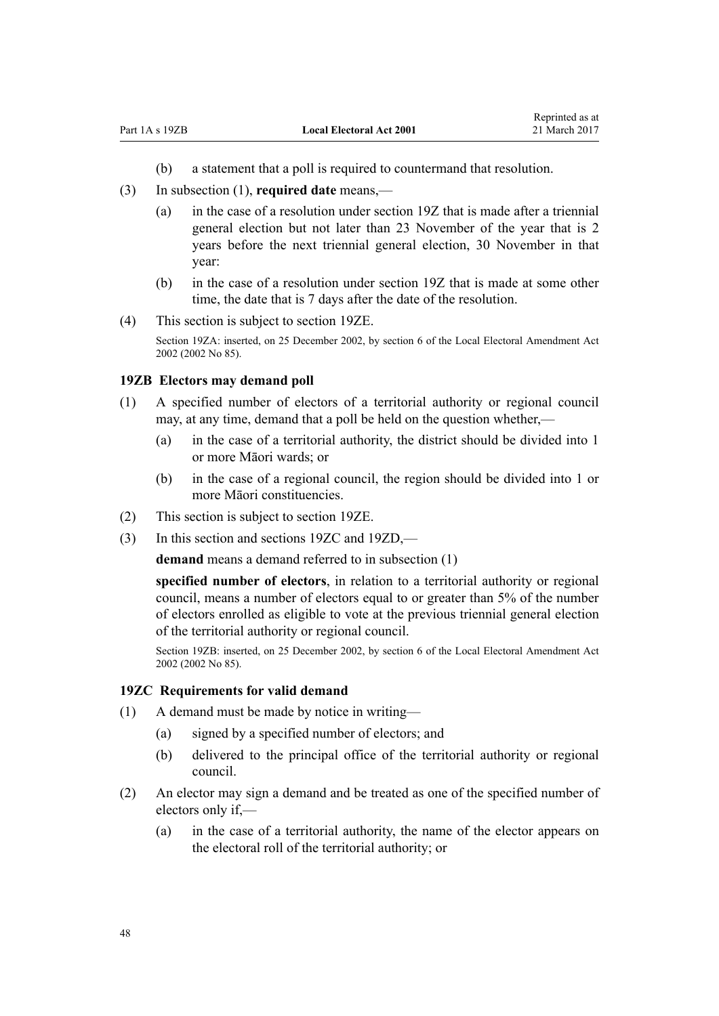- (b) a statement that a poll is required to countermand that resolution.
- <span id="page-47-0"></span>(3) In subsection (1), **required date** means,—
	- (a) in the case of a resolution under [section 19Z](#page-45-0) that is made after a triennial general election but not later than 23 November of the year that is 2 years before the next triennial general election, 30 November in that year:
	- (b) in the case of a resolution under section 19Z that is made at some other time, the date that is 7 days after the date of the resolution.
- (4) This section is subject to [section 19ZE.](#page-49-0)

Section 19ZA: inserted, on 25 December 2002, by [section 6](http://prd-lgnz-nlb.prd.pco.net.nz/pdflink.aspx?id=DLM181420) of the Local Electoral Amendment Act 2002 (2002 No 85).

#### **19ZB Electors may demand poll**

- (1) A specified number of electors of a territorial authority or regional council may, at any time, demand that a poll be held on the question whether,-
	- (a) in the case of a territorial authority, the district should be divided into 1 or more Māori wards; or
	- (b) in the case of a regional council, the region should be divided into 1 or more Māori constituencies.
- (2) This section is subject to [section 19ZE.](#page-49-0)
- (3) In this section and sections 19ZC and [19ZD](#page-49-0),—

demand means a demand referred to in subsection (1)

**specified number of electors**, in relation to a territorial authority or regional council, means a number of electors equal to or greater than 5% of the number of electors enrolled as eligible to vote at the previous triennial general election of the territorial authority or regional council.

Section 19ZB: inserted, on 25 December 2002, by [section 6](http://prd-lgnz-nlb.prd.pco.net.nz/pdflink.aspx?id=DLM181420) of the Local Electoral Amendment Act 2002 (2002 No 85).

#### **19ZC Requirements for valid demand**

- (1) A demand must be made by notice in writing—
	- (a) signed by a specified number of electors; and
	- (b) delivered to the principal office of the territorial authority or regional council.
- (2) An elector may sign a demand and be treated as one of the specified number of electors only if,—
	- (a) in the case of a territorial authority, the name of the elector appears on the electoral roll of the territorial authority; or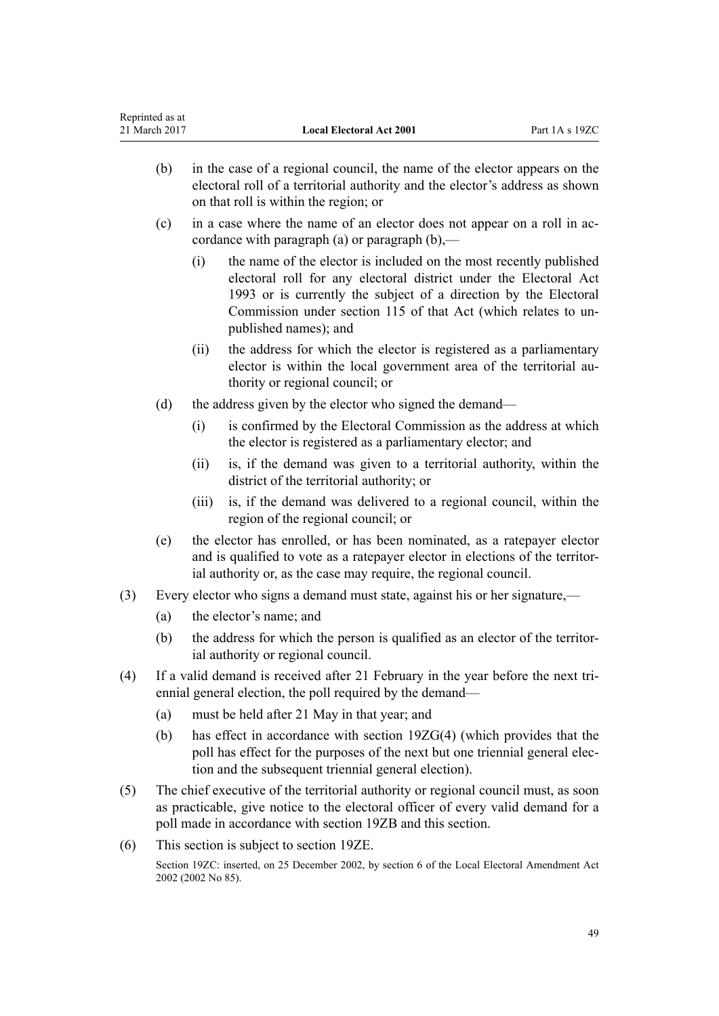| Reprinted as at<br>21 March 2017 |                                                                                                                                                                                                                                       | <b>Local Electoral Act 2001</b>                                                                                                                                                                                                                                                                        | Part 1A s 19ZC |  |
|----------------------------------|---------------------------------------------------------------------------------------------------------------------------------------------------------------------------------------------------------------------------------------|--------------------------------------------------------------------------------------------------------------------------------------------------------------------------------------------------------------------------------------------------------------------------------------------------------|----------------|--|
| (b)                              | in the case of a regional council, the name of the elector appears on the<br>electoral roll of a territorial authority and the elector's address as shown<br>on that roll is within the region; or                                    |                                                                                                                                                                                                                                                                                                        |                |  |
| (c)                              | in a case where the name of an elector does not appear on a roll in ac-<br>cordance with paragraph (a) or paragraph $(b)$ ,—                                                                                                          |                                                                                                                                                                                                                                                                                                        |                |  |
|                                  | (i)                                                                                                                                                                                                                                   | the name of the elector is included on the most recently published<br>electoral roll for any electoral district under the Electoral Act<br>1993 or is currently the subject of a direction by the Electoral<br>Commission under section 115 of that Act (which relates to un-<br>published names); and |                |  |
|                                  | (ii)                                                                                                                                                                                                                                  | the address for which the elector is registered as a parliamentary<br>elector is within the local government area of the territorial au-<br>thority or regional council; or                                                                                                                            |                |  |
| (d)                              | the address given by the elector who signed the demand—                                                                                                                                                                               |                                                                                                                                                                                                                                                                                                        |                |  |
|                                  | (i)                                                                                                                                                                                                                                   | is confirmed by the Electoral Commission as the address at which<br>the elector is registered as a parliamentary elector; and                                                                                                                                                                          |                |  |
|                                  | (ii)                                                                                                                                                                                                                                  | is, if the demand was given to a territorial authority, within the<br>district of the territorial authority; or                                                                                                                                                                                        |                |  |
|                                  | (iii)                                                                                                                                                                                                                                 | is, if the demand was delivered to a regional council, within the<br>region of the regional council; or                                                                                                                                                                                                |                |  |
| (e)                              | the elector has enrolled, or has been nominated, as a ratepayer elector<br>and is qualified to vote as a ratepayer elector in elections of the territor-<br>ial authority or, as the case may require, the regional council.          |                                                                                                                                                                                                                                                                                                        |                |  |
| (3)                              |                                                                                                                                                                                                                                       | Every elector who signs a demand must state, against his or her signature,—                                                                                                                                                                                                                            |                |  |
| (a)                              | the elector's name; and                                                                                                                                                                                                               |                                                                                                                                                                                                                                                                                                        |                |  |
| (b)                              | the address for which the person is qualified as an elector of the territor-<br>ial authority or regional council.                                                                                                                    |                                                                                                                                                                                                                                                                                                        |                |  |
| (4)                              | If a valid demand is received after 21 February in the year before the next tri-<br>ennial general election, the poll required by the demand—                                                                                         |                                                                                                                                                                                                                                                                                                        |                |  |
| (a)                              |                                                                                                                                                                                                                                       | must be held after 21 May in that year; and                                                                                                                                                                                                                                                            |                |  |
| (b)                              |                                                                                                                                                                                                                                       | has effect in accordance with section 19ZG(4) (which provides that the<br>poll has effect for the purposes of the next but one triennial general elec-<br>tion and the subsequent triennial general election).                                                                                         |                |  |
| (5)                              | The chief executive of the territorial authority or regional council must, as soon<br>as practicable, give notice to the electoral officer of every valid demand for a<br>poll made in accordance with section 19ZB and this section. |                                                                                                                                                                                                                                                                                                        |                |  |
| (6)                              | This section is subject to section 19ZE.                                                                                                                                                                                              |                                                                                                                                                                                                                                                                                                        |                |  |
| 2002 (2002 No 85).               |                                                                                                                                                                                                                                       | Section 19ZC: inserted, on 25 December 2002, by section 6 of the Local Electoral Amendment Act                                                                                                                                                                                                         |                |  |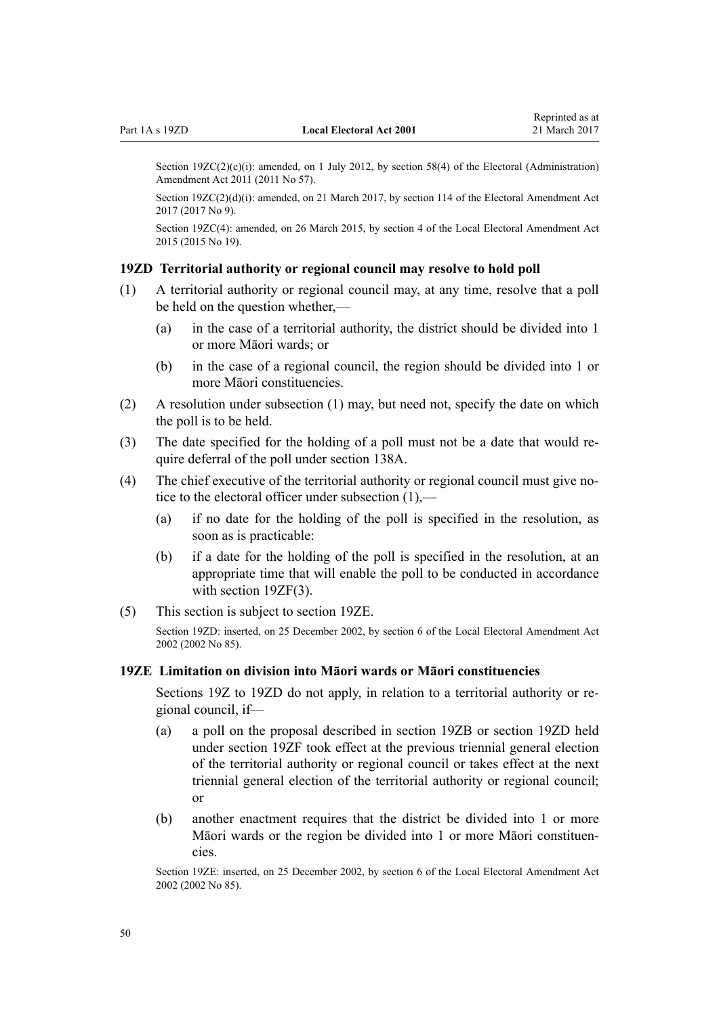<span id="page-49-0"></span>Section  $19ZC(2)(c)(i)$ : amended, on 1 July 2012, by [section 58\(4\)](http://prd-lgnz-nlb.prd.pco.net.nz/pdflink.aspx?id=DLM3367693) of the Electoral (Administration) Amendment Act 2011 (2011 No 57).

Section 19ZC(2)(d)(i): amended, on 21 March 2017, by [section 114](http://prd-lgnz-nlb.prd.pco.net.nz/pdflink.aspx?id=DLM6963887) of the Electoral Amendment Act 2017 (2017 No 9).

Section 19ZC(4): amended, on 26 March 2015, by [section 4](http://prd-lgnz-nlb.prd.pco.net.nz/pdflink.aspx?id=DLM6403308) of the Local Electoral Amendment Act 2015 (2015 No 19).

#### **19ZD Territorial authority or regional council may resolve to hold poll**

- (1) A territorial authority or regional council may, at any time, resolve that a poll be held on the question whether,—
	- (a) in the case of a territorial authority, the district should be divided into 1 or more Māori wards; or
	- (b) in the case of a regional council, the region should be divided into 1 or more Māori constituencies.
- (2) A resolution under subsection (1) may, but need not, specify the date on which the poll is to be held.
- (3) The date specified for the holding of a poll must not be a date that would require deferral of the poll under [section 138A.](#page-132-0)
- (4) The chief executive of the territorial authority or regional council must give notice to the electoral officer under subsection (1),—
	- (a) if no date for the holding of the poll is specified in the resolution, as soon as is practicable:
	- (b) if a date for the holding of the poll is specified in the resolution, at an appropriate time that will enable the poll to be conducted in accordance with [section 19ZF\(3\)](#page-50-0).
- (5) This section is subject to section 19ZE.

Section 19ZD: inserted, on 25 December 2002, by [section 6](http://prd-lgnz-nlb.prd.pco.net.nz/pdflink.aspx?id=DLM181420) of the Local Electoral Amendment Act 2002 (2002 No 85).

## **19ZE Limitation on division into Māori wards or Māori constituencies**

[Sections 19Z to 19ZD](#page-45-0) do not apply, in relation to a territorial authority or regional council, if—

- (a) a poll on the proposal described in [section 19ZB](#page-47-0) or section 19ZD held under [section 19ZF](#page-50-0) took effect at the previous triennial general election of the territorial authority or regional council or takes effect at the next triennial general election of the territorial authority or regional council; or
- (b) another enactment requires that the district be divided into 1 or more Māori wards or the region be divided into 1 or more Māori constituencies.

Section 19ZE: inserted, on 25 December 2002, by [section 6](http://prd-lgnz-nlb.prd.pco.net.nz/pdflink.aspx?id=DLM181420) of the Local Electoral Amendment Act 2002 (2002 No 85).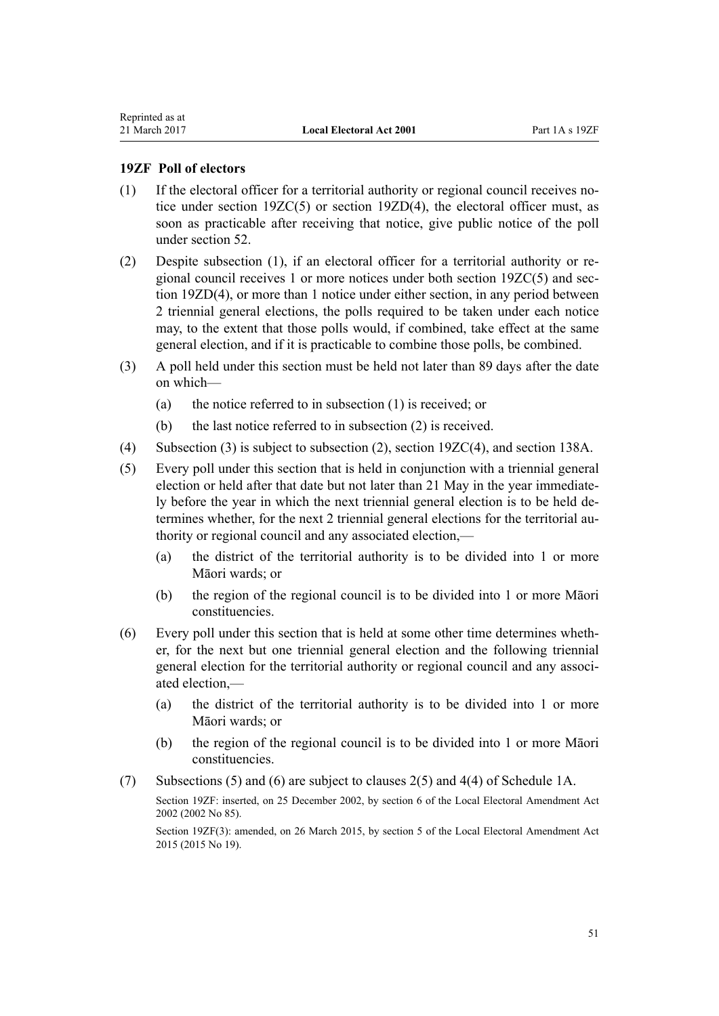### <span id="page-50-0"></span>**19ZF Poll of electors**

- (1) If the electoral officer for a territorial authority or regional council receives notice under [section 19ZC\(5\)](#page-47-0) or [section 19ZD\(4\),](#page-49-0) the electoral officer must, as soon as practicable after receiving that notice, give public notice of the poll under [section 52](#page-73-0).
- (2) Despite subsection (1), if an electoral officer for a territorial authority or regional council receives 1 or more notices under both [section 19ZC\(5\)](#page-47-0) and [sec](#page-49-0)[tion 19ZD\(4\)](#page-49-0), or more than 1 notice under either section, in any period between 2 triennial general elections, the polls required to be taken under each notice may, to the extent that those polls would, if combined, take effect at the same general election, and if it is practicable to combine those polls, be combined.
- (3) A poll held under this section must be held not later than 89 days after the date on which—
	- (a) the notice referred to in subsection (1) is received; or
	- (b) the last notice referred to in subsection (2) is received.
- (4) Subsection (3) is subject to subsection (2), [section 19ZC\(4\)](#page-47-0), and [section 138A.](#page-132-0)
- (5) Every poll under this section that is held in conjunction with a triennial general election or held after that date but not later than 21 May in the year immediately before the year in which the next triennial general election is to be held determines whether, for the next 2 triennial general elections for the territorial authority or regional council and any associated election,—
	- (a) the district of the territorial authority is to be divided into 1 or more Māori wards; or
	- (b) the region of the regional council is to be divided into 1 or more Māori constituencies.
- (6) Every poll under this section that is held at some other time determines whether, for the next but one triennial general election and the following triennial general election for the territorial authority or regional council and any associated election,—
	- (a) the district of the territorial authority is to be divided into 1 or more Māori wards; or
	- (b) the region of the regional council is to be divided into 1 or more Māori constituencies.
- (7) Subsections (5) and (6) are subject to [clauses 2\(5\)](#page-143-0) and [4\(4\)](#page-144-0) of Schedule 1A.

Section 19ZF: inserted, on 25 December 2002, by [section 6](http://prd-lgnz-nlb.prd.pco.net.nz/pdflink.aspx?id=DLM181420) of the Local Electoral Amendment Act 2002 (2002 No 85).

Section 19ZF(3): amended, on 26 March 2015, by [section 5](http://prd-lgnz-nlb.prd.pco.net.nz/pdflink.aspx?id=DLM6403309) of the Local Electoral Amendment Act 2015 (2015 No 19).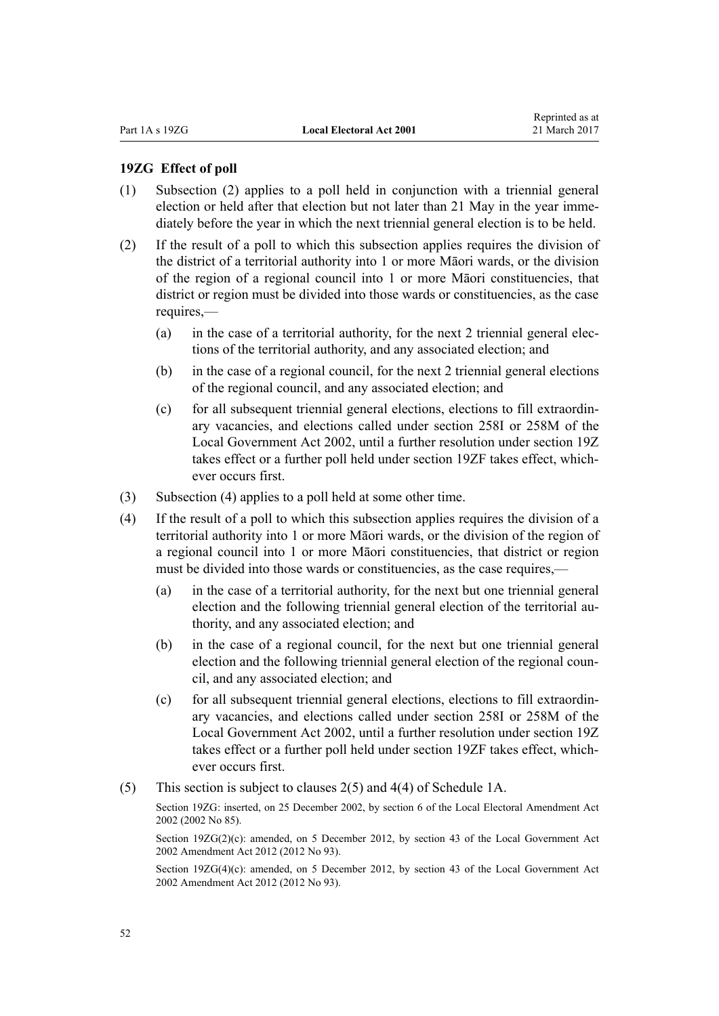#### <span id="page-51-0"></span>**19ZG Effect of poll**

- (1) Subsection (2) applies to a poll held in conjunction with a triennial general election or held after that election but not later than 21 May in the year immediately before the year in which the next triennial general election is to be held.
- (2) If the result of a poll to which this subsection applies requires the division of the district of a territorial authority into 1 or more Māori wards, or the division of the region of a regional council into 1 or more Māori constituencies, that district or region must be divided into those wards or constituencies, as the case requires,—
	- (a) in the case of a territorial authority, for the next 2 triennial general elections of the territorial authority, and any associated election; and
	- (b) in the case of a regional council, for the next 2 triennial general elections of the regional council, and any associated election; and
	- (c) for all subsequent triennial general elections, elections to fill extraordinary vacancies, and elections called under [section 258I](http://prd-lgnz-nlb.prd.pco.net.nz/pdflink.aspx?id=DLM4925979) or [258M](http://prd-lgnz-nlb.prd.pco.net.nz/pdflink.aspx?id=DLM4925985) of the Local Government Act 2002, until a further resolution under [section 19Z](#page-45-0) takes effect or a further poll held under [section 19ZF](#page-50-0) takes effect, whichever occurs first.
- (3) Subsection (4) applies to a poll held at some other time.
- (4) If the result of a poll to which this subsection applies requires the division of a territorial authority into 1 or more Māori wards, or the division of the region of a regional council into 1 or more Māori constituencies, that district or region must be divided into those wards or constituencies, as the case requires,—
	- (a) in the case of a territorial authority, for the next but one triennial general election and the following triennial general election of the territorial authority, and any associated election; and
	- (b) in the case of a regional council, for the next but one triennial general election and the following triennial general election of the regional council, and any associated election; and
	- (c) for all subsequent triennial general elections, elections to fill extraordinary vacancies, and elections called under [section 258I](http://prd-lgnz-nlb.prd.pco.net.nz/pdflink.aspx?id=DLM4925979) or [258M](http://prd-lgnz-nlb.prd.pco.net.nz/pdflink.aspx?id=DLM4925985) of the Local Government Act 2002, until a further resolution under [section 19Z](#page-45-0) takes effect or a further poll held under [section 19ZF](#page-50-0) takes effect, whichever occurs first.
- (5) This section is subject to [clauses 2\(5\)](#page-143-0) and [4\(4\)](#page-144-0) of Schedule 1A.

Section 19ZG: inserted, on 25 December 2002, by [section 6](http://prd-lgnz-nlb.prd.pco.net.nz/pdflink.aspx?id=DLM181420) of the Local Electoral Amendment Act 2002 (2002 No 85).

Section 19ZG(2)(c): amended, on 5 December 2012, by [section 43](http://prd-lgnz-nlb.prd.pco.net.nz/pdflink.aspx?id=DLM4499305) of the Local Government Act 2002 Amendment Act 2012 (2012 No 93).

Section 19ZG(4)(c): amended, on 5 December 2012, by [section 43](http://prd-lgnz-nlb.prd.pco.net.nz/pdflink.aspx?id=DLM4499305) of the Local Government Act 2002 Amendment Act 2012 (2012 No 93).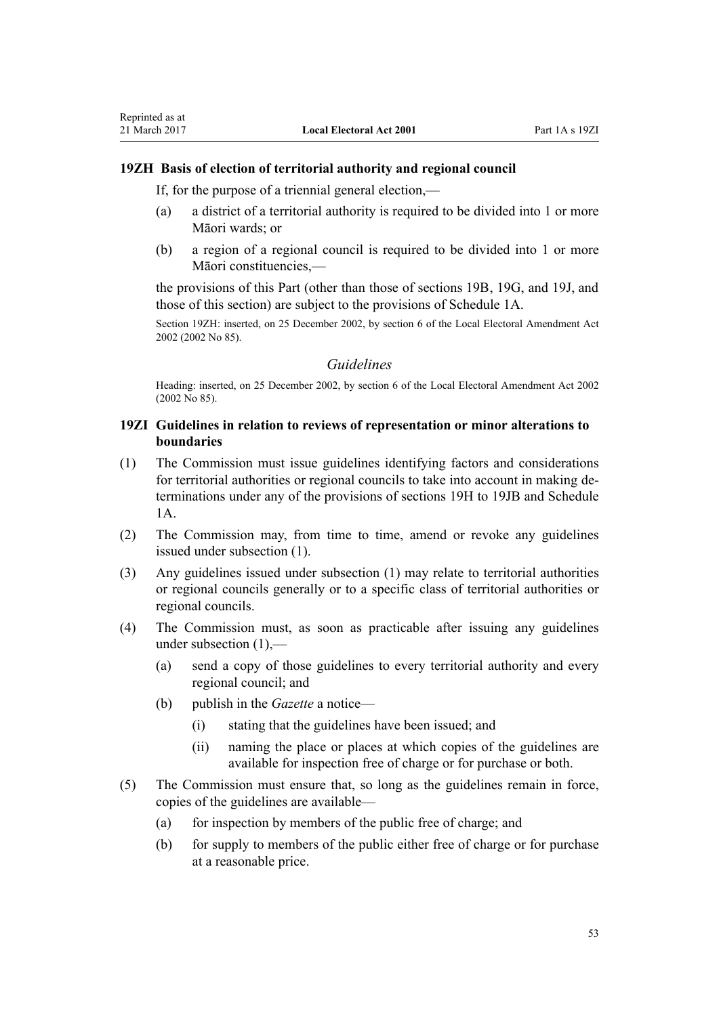Reprinted as at

If, for the purpose of a triennial general election,—

- (a) a district of a territorial authority is required to be divided into 1 or more Māori wards; or
- (b) a region of a regional council is required to be divided into 1 or more Māori constituencies,—

the provisions of this Part (other than those of [sections 19B,](#page-24-0) [19G](#page-27-0), and [19J](#page-30-0), and those of this section) are subject to the provisions of [Schedule 1A](#page-142-0).

Section 19ZH: inserted, on 25 December 2002, by [section 6](http://prd-lgnz-nlb.prd.pco.net.nz/pdflink.aspx?id=DLM181420) of the Local Electoral Amendment Act 2002 (2002 No 85).

## *Guidelines*

Heading: inserted, on 25 December 2002, by [section 6](http://prd-lgnz-nlb.prd.pco.net.nz/pdflink.aspx?id=DLM181420) of the Local Electoral Amendment Act 2002 (2002 No 85).

## **19ZI Guidelines in relation to reviews of representation or minor alterations to boundaries**

- (1) The Commission must issue guidelines identifying factors and considerations for territorial authorities or regional councils to take into account in making determinations under any of the provisions of [sections 19H to 19JB](#page-28-0) and [Schedule](#page-142-0) [1A](#page-142-0).
- (2) The Commission may, from time to time, amend or revoke any guidelines issued under subsection (1).
- (3) Any guidelines issued under subsection (1) may relate to territorial authorities or regional councils generally or to a specific class of territorial authorities or regional councils.
- (4) The Commission must, as soon as practicable after issuing any guidelines under subsection (1),—
	- (a) send a copy of those guidelines to every territorial authority and every regional council; and
	- (b) publish in the *Gazette* a notice—
		- (i) stating that the guidelines have been issued; and
		- (ii) naming the place or places at which copies of the guidelines are available for inspection free of charge or for purchase or both.
- (5) The Commission must ensure that, so long as the guidelines remain in force, copies of the guidelines are available—
	- (a) for inspection by members of the public free of charge; and
	- (b) for supply to members of the public either free of charge or for purchase at a reasonable price.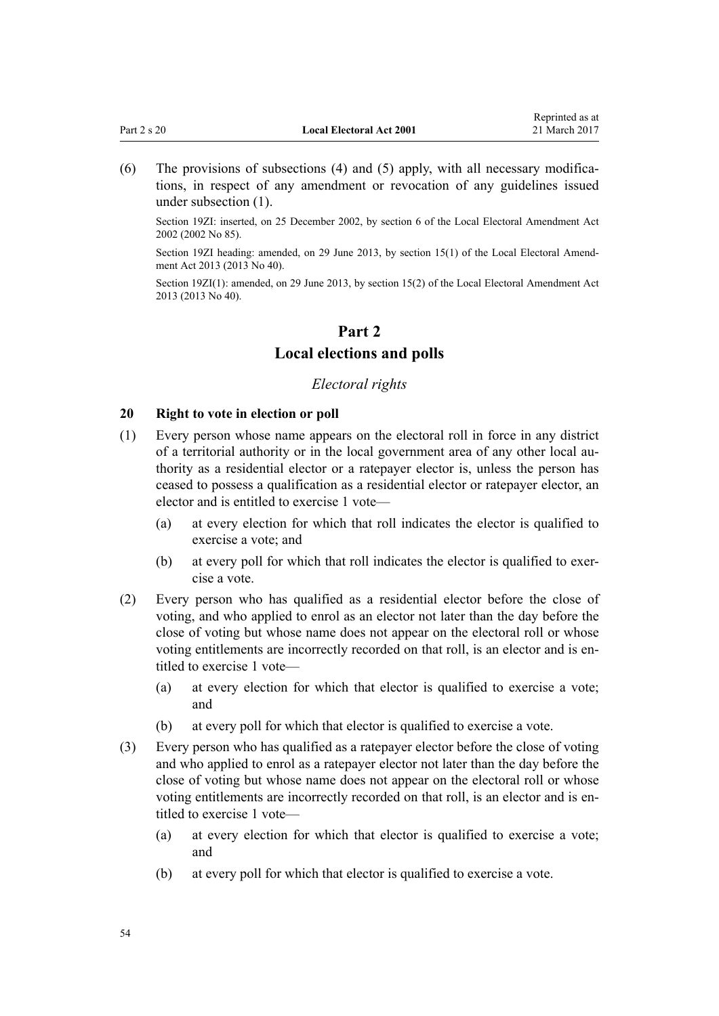<span id="page-53-0"></span>

| Part 2 s 20 | <b>Local Electoral Act 2001</b> | 21 March 2017 |
|-------------|---------------------------------|---------------|
|             |                                 |               |

Reprinted as at

(6) The provisions of subsections (4) and (5) apply, with all necessary modifications, in respect of any amendment or revocation of any guidelines issued under subsection (1).

Section 19ZI: inserted, on 25 December 2002, by [section 6](http://prd-lgnz-nlb.prd.pco.net.nz/pdflink.aspx?id=DLM181420) of the Local Electoral Amendment Act 2002 (2002 No 85).

Section 19ZI heading: amended, on 29 June 2013, by [section 15\(1\)](http://prd-lgnz-nlb.prd.pco.net.nz/pdflink.aspx?id=DLM4803530) of the Local Electoral Amendment Act 2013 (2013 No 40).

Section 19ZI(1): amended, on 29 June 2013, by [section 15\(2\)](http://prd-lgnz-nlb.prd.pco.net.nz/pdflink.aspx?id=DLM4803530) of the Local Electoral Amendment Act 2013 (2013 No 40).

# **Part 2 Local elections and polls**

## *Electoral rights*

## **20 Right to vote in election or poll**

- (1) Every person whose name appears on the electoral roll in force in any district of a territorial authority or in the local government area of any other local authority as a residential elector or a ratepayer elector is, unless the person has ceased to possess a qualification as a residential elector or ratepayer elector, an elector and is entitled to exercise 1 vote—
	- (a) at every election for which that roll indicates the elector is qualified to exercise a vote; and
	- (b) at every poll for which that roll indicates the elector is qualified to exercise a vote.
- (2) Every person who has qualified as a residential elector before the close of voting, and who applied to enrol as an elector not later than the day before the close of voting but whose name does not appear on the electoral roll or whose voting entitlements are incorrectly recorded on that roll, is an elector and is entitled to exercise 1 vote—
	- (a) at every election for which that elector is qualified to exercise a vote; and
	- (b) at every poll for which that elector is qualified to exercise a vote.
- (3) Every person who has qualified as a ratepayer elector before the close of voting and who applied to enrol as a ratepayer elector not later than the day before the close of voting but whose name does not appear on the electoral roll or whose voting entitlements are incorrectly recorded on that roll, is an elector and is entitled to exercise 1 vote—
	- (a) at every election for which that elector is qualified to exercise a vote; and
	- (b) at every poll for which that elector is qualified to exercise a vote.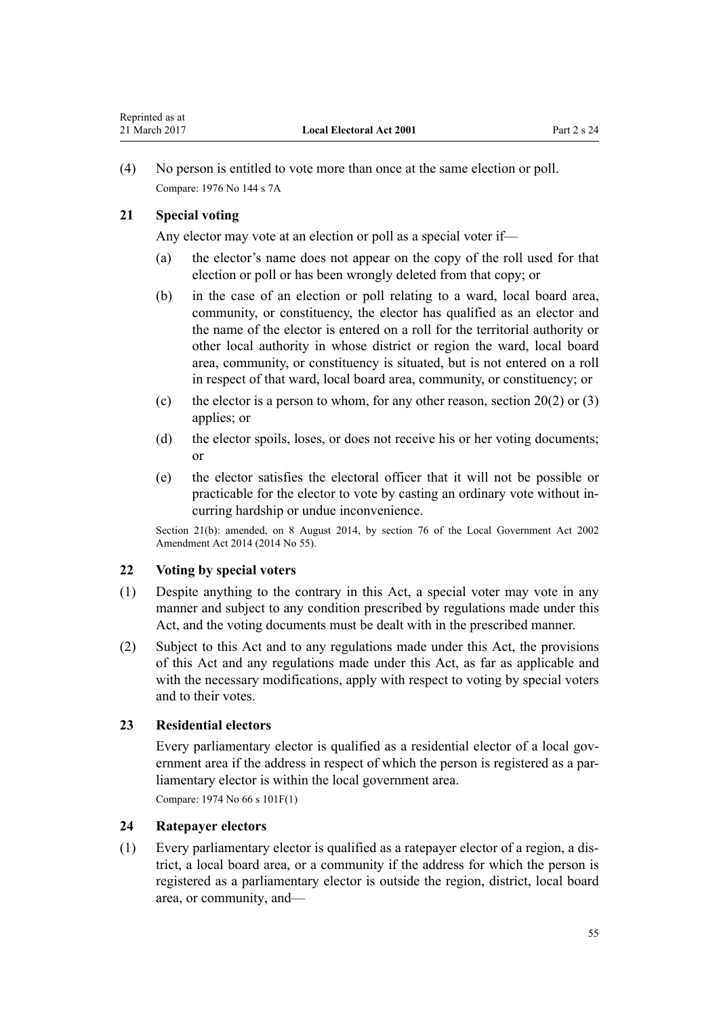<span id="page-54-0"></span>(4) No person is entitled to vote more than once at the same election or poll. Compare: 1976 No 144 s 7A

## **21 Special voting**

Any elector may vote at an election or poll as a special voter if—

- (a) the elector's name does not appear on the copy of the roll used for that election or poll or has been wrongly deleted from that copy; or
- (b) in the case of an election or poll relating to a ward, local board area, community, or constituency, the elector has qualified as an elector and the name of the elector is entered on a roll for the territorial authority or other local authority in whose district or region the ward, local board area, community, or constituency is situated, but is not entered on a roll in respect of that ward, local board area, community, or constituency; or
- (c) the elector is a person to whom, for any other reason, section  $20(2)$  or  $(3)$ applies; or
- (d) the elector spoils, loses, or does not receive his or her voting documents; or
- (e) the elector satisfies the electoral officer that it will not be possible or practicable for the elector to vote by casting an ordinary vote without incurring hardship or undue inconvenience.

Section 21(b): amended, on 8 August 2014, by [section 76](http://prd-lgnz-nlb.prd.pco.net.nz/pdflink.aspx?id=DLM5707313) of the Local Government Act 2002 Amendment Act 2014 (2014 No 55).

## **22 Voting by special voters**

- (1) Despite anything to the contrary in this Act, a special voter may vote in any manner and subject to any condition prescribed by regulations made under this Act, and the voting documents must be dealt with in the prescribed manner.
- (2) Subject to this Act and to any regulations made under this Act, the provisions of this Act and any regulations made under this Act, as far as applicable and with the necessary modifications, apply with respect to voting by special voters and to their votes.

## **23 Residential electors**

Every parliamentary elector is qualified as a residential elector of a local government area if the address in respect of which the person is registered as a parliamentary elector is within the local government area.

Compare: 1974 No 66 [s 101F\(1\)](http://prd-lgnz-nlb.prd.pco.net.nz/pdflink.aspx?id=DLM417675)

## **24 Ratepayer electors**

(1) Every parliamentary elector is qualified as a ratepayer elector of a region, a district, a local board area, or a community if the address for which the person is registered as a parliamentary elector is outside the region, district, local board area, or community, and—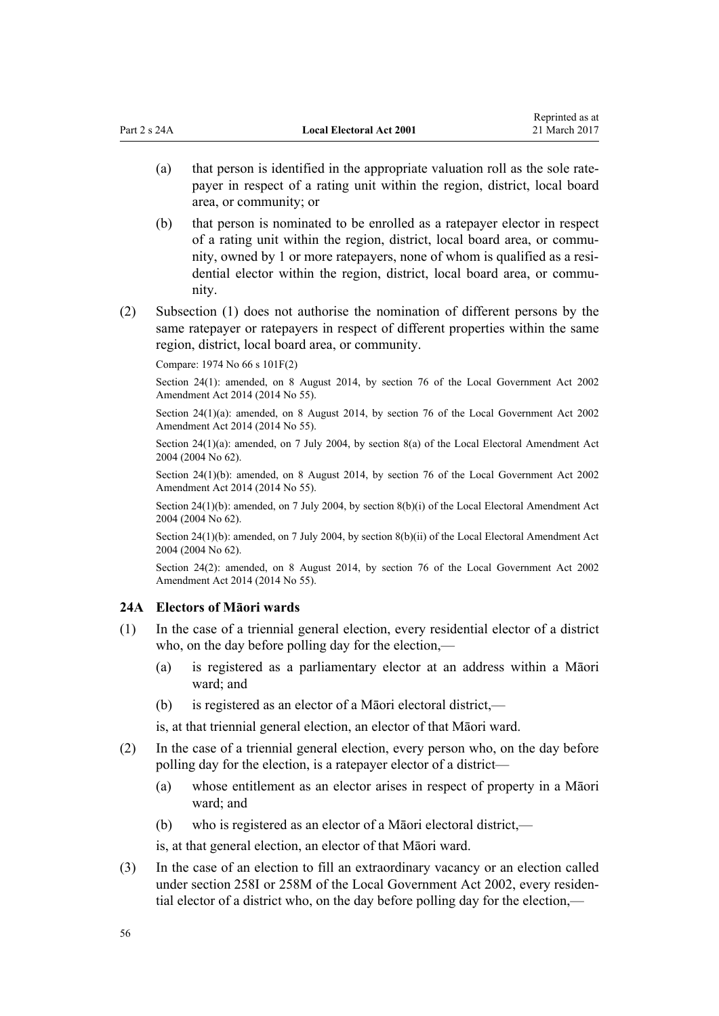- <span id="page-55-0"></span>(a) that person is identified in the appropriate valuation roll as the sole ratepayer in respect of a rating unit within the region, district, local board area, or community; or
- (b) that person is nominated to be enrolled as a ratepayer elector in respect of a rating unit within the region, district, local board area, or community, owned by 1 or more ratepayers, none of whom is qualified as a residential elector within the region, district, local board area, or community.
- (2) Subsection (1) does not authorise the nomination of different persons by the same ratepayer or ratepayers in respect of different properties within the same region, district, local board area, or community.

Compare: 1974 No 66 [s 101F\(2\)](http://prd-lgnz-nlb.prd.pco.net.nz/pdflink.aspx?id=DLM417675)

Section 24(1): amended, on 8 August 2014, by [section 76](http://prd-lgnz-nlb.prd.pco.net.nz/pdflink.aspx?id=DLM5707313) of the Local Government Act 2002 Amendment Act 2014 (2014 No 55).

Section 24(1)(a): amended, on 8 August 2014, by [section 76](http://prd-lgnz-nlb.prd.pco.net.nz/pdflink.aspx?id=DLM5707313) of the Local Government Act 2002 Amendment Act 2014 (2014 No 55).

Section 24(1)(a): amended, on 7 July 2004, by [section 8\(a\)](http://prd-lgnz-nlb.prd.pco.net.nz/pdflink.aspx?id=DLM303174) of the Local Electoral Amendment Act 2004 (2004 No 62).

Section 24(1)(b): amended, on 8 August 2014, by [section 76](http://prd-lgnz-nlb.prd.pco.net.nz/pdflink.aspx?id=DLM5707313) of the Local Government Act 2002 Amendment Act 2014 (2014 No 55).

Section 24(1)(b): amended, on 7 July 2004, by [section 8\(b\)\(i\)](http://prd-lgnz-nlb.prd.pco.net.nz/pdflink.aspx?id=DLM303174) of the Local Electoral Amendment Act 2004 (2004 No 62).

Section 24(1)(b): amended, on 7 July 2004, by [section 8\(b\)\(ii\)](http://prd-lgnz-nlb.prd.pco.net.nz/pdflink.aspx?id=DLM303174) of the Local Electoral Amendment Act 2004 (2004 No 62).

Section 24(2): amended, on 8 August 2014, by [section 76](http://prd-lgnz-nlb.prd.pco.net.nz/pdflink.aspx?id=DLM5707313) of the Local Government Act 2002 Amendment Act 2014 (2014 No 55).

## **24A Electors of Māori wards**

- (1) In the case of a triennial general election, every residential elector of a district who, on the day before polling day for the election,—
	- (a) is registered as a parliamentary elector at an address within a Māori ward; and
	- (b) is registered as an elector of a Māori electoral district,—

is, at that triennial general election, an elector of that Māori ward.

- (2) In the case of a triennial general election, every person who, on the day before polling day for the election, is a ratepayer elector of a district—
	- (a) whose entitlement as an elector arises in respect of property in a Māori ward; and
	- (b) who is registered as an elector of a Māori electoral district,—

is, at that general election, an elector of that Māori ward.

(3) In the case of an election to fill an extraordinary vacancy or an election called under [section 258I](http://prd-lgnz-nlb.prd.pco.net.nz/pdflink.aspx?id=DLM4925979) or [258M](http://prd-lgnz-nlb.prd.pco.net.nz/pdflink.aspx?id=DLM4925985) of the Local Government Act 2002, every residential elector of a district who, on the day before polling day for the election,—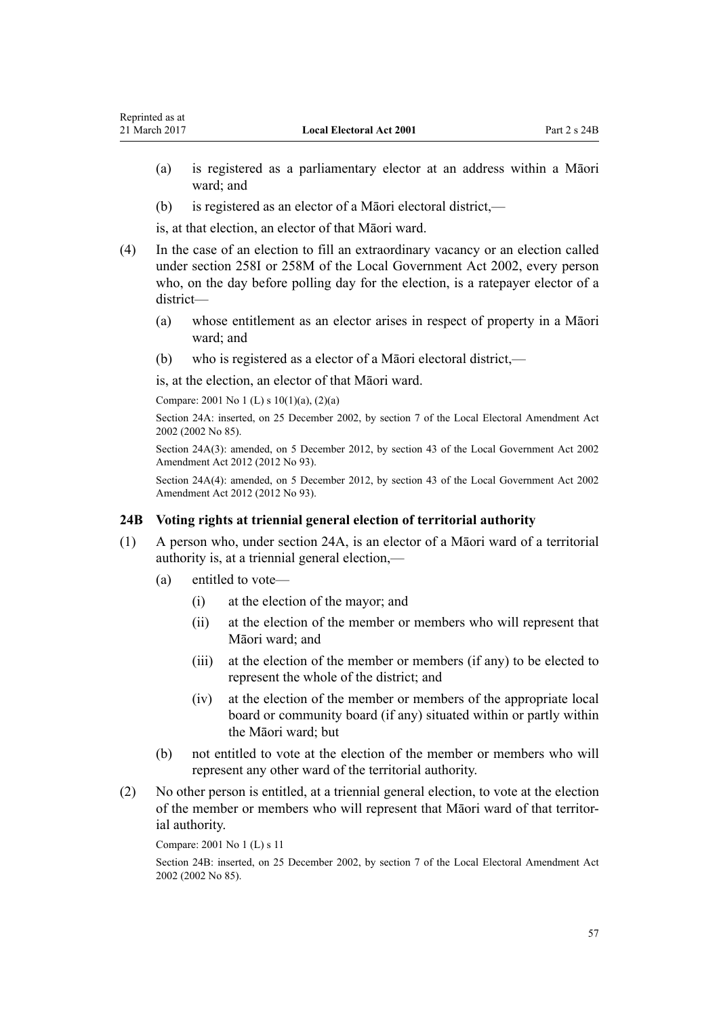- (a) is registered as a parliamentary elector at an address within a Māori ward; and
- (b) is registered as an elector of a Māori electoral district,—

is, at that election, an elector of that Māori ward.

- (4) In the case of an election to fill an extraordinary vacancy or an election called under [section 258I](http://prd-lgnz-nlb.prd.pco.net.nz/pdflink.aspx?id=DLM4925979) or [258M](http://prd-lgnz-nlb.prd.pco.net.nz/pdflink.aspx?id=DLM4925985) of the Local Government Act 2002, every person who, on the day before polling day for the election, is a ratepayer elector of a district—
	- (a) whose entitlement as an elector arises in respect of property in a Māori ward; and
	- (b) who is registered as a elector of a Māori electoral district,—

is, at the election, an elector of that Māori ward.

Compare: 2001 No 1 (L) [s 10\(1\)\(a\), \(2\)\(a\)](http://prd-lgnz-nlb.prd.pco.net.nz/pdflink.aspx?id=DLM85702)

Reprinted as at

Section 24A: inserted, on 25 December 2002, by [section 7](http://prd-lgnz-nlb.prd.pco.net.nz/pdflink.aspx?id=DLM181465) of the Local Electoral Amendment Act 2002 (2002 No 85).

Section 24A(3): amended, on 5 December 2012, by [section 43](http://prd-lgnz-nlb.prd.pco.net.nz/pdflink.aspx?id=DLM4499305) of the Local Government Act 2002 Amendment Act 2012 (2012 No 93).

Section 24A(4): amended, on 5 December 2012, by [section 43](http://prd-lgnz-nlb.prd.pco.net.nz/pdflink.aspx?id=DLM4499305) of the Local Government Act 2002 Amendment Act 2012 (2012 No 93).

## **24B Voting rights at triennial general election of territorial authority**

- (1) A person who, under [section 24A](#page-55-0), is an elector of a Māori ward of a territorial authority is, at a triennial general election,—
	- (a) entitled to vote—
		- (i) at the election of the mayor; and
		- (ii) at the election of the member or members who will represent that Māori ward; and
		- (iii) at the election of the member or members (if any) to be elected to represent the whole of the district; and
		- (iv) at the election of the member or members of the appropriate local board or community board (if any) situated within or partly within the Māori ward; but
	- (b) not entitled to vote at the election of the member or members who will represent any other ward of the territorial authority.
- (2) No other person is entitled, at a triennial general election, to vote at the election of the member or members who will represent that Māori ward of that territorial authority.

Compare: 2001 No 1 (L) [s 11](http://prd-lgnz-nlb.prd.pco.net.nz/pdflink.aspx?id=DLM85703)

Section 24B: inserted, on 25 December 2002, by [section 7](http://prd-lgnz-nlb.prd.pco.net.nz/pdflink.aspx?id=DLM181465) of the Local Electoral Amendment Act 2002 (2002 No 85).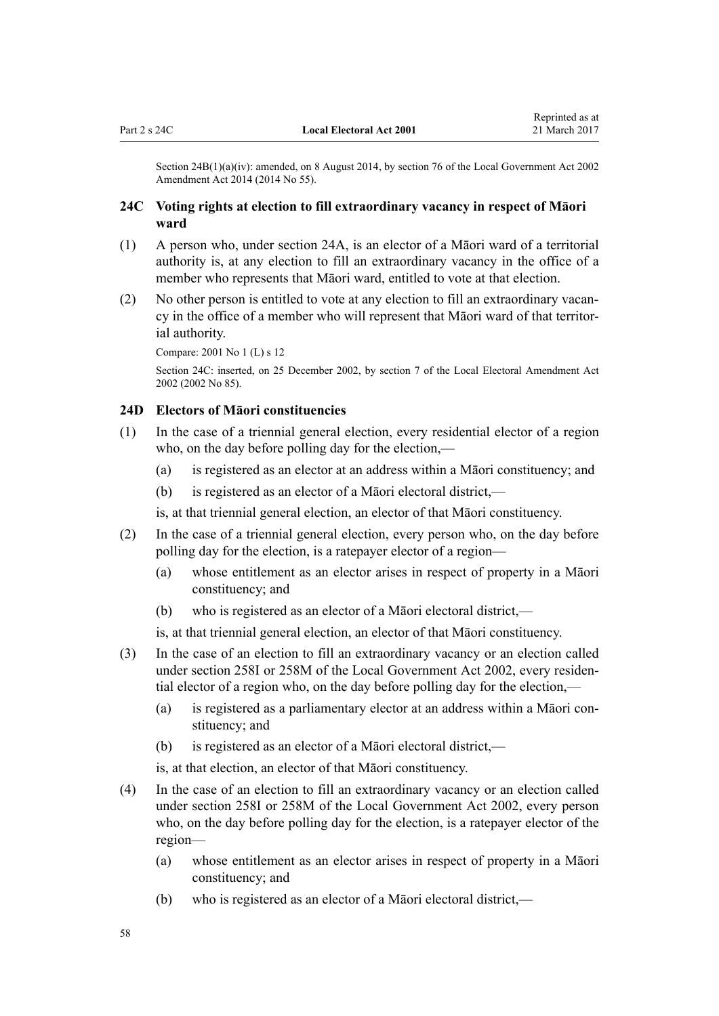<span id="page-57-0"></span>Section 24B(1)(a)(iv): amended, on 8 August 2014, by [section 76](http://prd-lgnz-nlb.prd.pco.net.nz/pdflink.aspx?id=DLM5707313) of the Local Government Act 2002 Amendment Act 2014 (2014 No 55).

## **24C Voting rights at election to fill extraordinary vacancy in respect of Māori ward**

- (1) A person who, under [section 24A](#page-55-0), is an elector of a Māori ward of a territorial authority is, at any election to fill an extraordinary vacancy in the office of a member who represents that Māori ward, entitled to vote at that election.
- (2) No other person is entitled to vote at any election to fill an extraordinary vacancy in the office of a member who will represent that Māori ward of that territorial authority.

Compare: 2001 No 1 (L) [s 12](http://prd-lgnz-nlb.prd.pco.net.nz/pdflink.aspx?id=DLM85704)

Section 24C: inserted, on 25 December 2002, by [section 7](http://prd-lgnz-nlb.prd.pco.net.nz/pdflink.aspx?id=DLM181465) of the Local Electoral Amendment Act 2002 (2002 No 85).

## **24D Electors of Māori constituencies**

- (1) In the case of a triennial general election, every residential elector of a region who, on the day before polling day for the election,—
	- (a) is registered as an elector at an address within a Māori constituency; and
	- (b) is registered as an elector of a Māori electoral district,—

is, at that triennial general election, an elector of that Māori constituency.

- (2) In the case of a triennial general election, every person who, on the day before polling day for the election, is a ratepayer elector of a region—
	- (a) whose entitlement as an elector arises in respect of property in a Māori constituency; and
	- (b) who is registered as an elector of a Māori electoral district,—
	- is, at that triennial general election, an elector of that Māori constituency.
- (3) In the case of an election to fill an extraordinary vacancy or an election called under [section 258I](http://prd-lgnz-nlb.prd.pco.net.nz/pdflink.aspx?id=DLM4925979) or [258M](http://prd-lgnz-nlb.prd.pco.net.nz/pdflink.aspx?id=DLM4925985) of the Local Government Act 2002, every residential elector of a region who, on the day before polling day for the election,—
	- (a) is registered as a parliamentary elector at an address within a Māori constituency; and
	- (b) is registered as an elector of a Māori electoral district,—

is, at that election, an elector of that Māori constituency.

- (4) In the case of an election to fill an extraordinary vacancy or an election called under [section 258I](http://prd-lgnz-nlb.prd.pco.net.nz/pdflink.aspx?id=DLM4925979) or [258M](http://prd-lgnz-nlb.prd.pco.net.nz/pdflink.aspx?id=DLM4925985) of the Local Government Act 2002, every person who, on the day before polling day for the election, is a ratepayer elector of the region—
	- (a) whose entitlement as an elector arises in respect of property in a Māori constituency; and
	- (b) who is registered as an elector of a Māori electoral district,—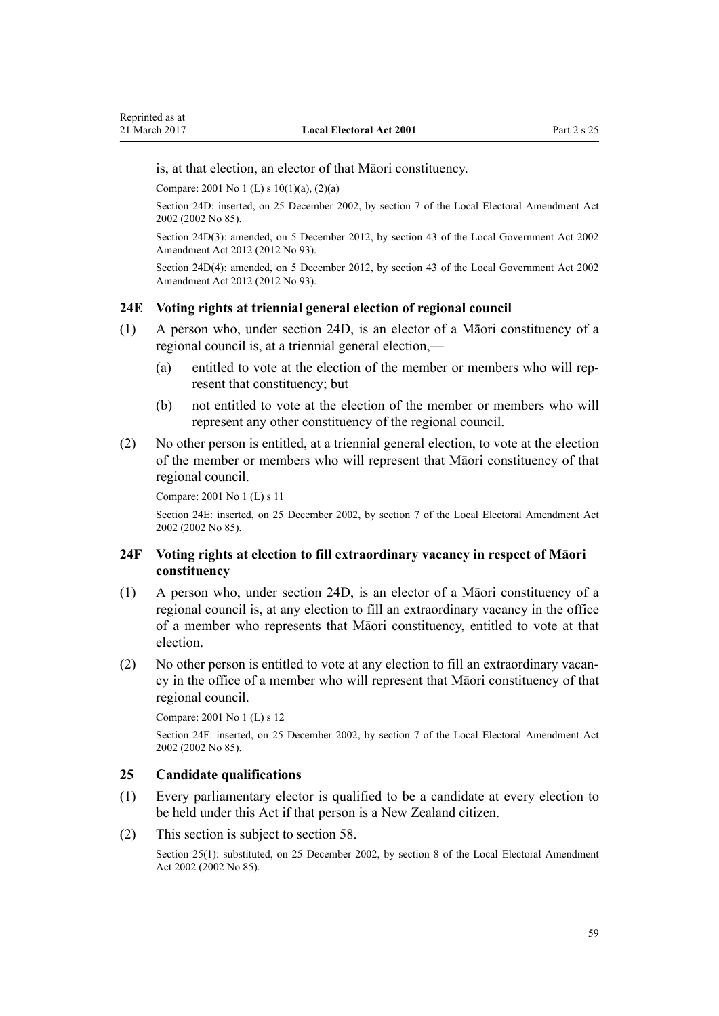is, at that election, an elector of that Māori constituency.

Compare: 2001 No 1 (L) [s 10\(1\)\(a\), \(2\)\(a\)](http://prd-lgnz-nlb.prd.pco.net.nz/pdflink.aspx?id=DLM85702)

Section 24D: inserted, on 25 December 2002, by [section 7](http://prd-lgnz-nlb.prd.pco.net.nz/pdflink.aspx?id=DLM181465) of the Local Electoral Amendment Act 2002 (2002 No 85).

Section 24D(3): amended, on 5 December 2012, by [section 43](http://prd-lgnz-nlb.prd.pco.net.nz/pdflink.aspx?id=DLM4499305) of the Local Government Act 2002 Amendment Act 2012 (2012 No 93).

Section 24D(4): amended, on 5 December 2012, by [section 43](http://prd-lgnz-nlb.prd.pco.net.nz/pdflink.aspx?id=DLM4499305) of the Local Government Act 2002 Amendment Act 2012 (2012 No 93).

## **24E Voting rights at triennial general election of regional council**

- (1) A person who, under [section 24D](#page-57-0), is an elector of a Māori constituency of a regional council is, at a triennial general election,—
	- (a) entitled to vote at the election of the member or members who will represent that constituency; but
	- (b) not entitled to vote at the election of the member or members who will represent any other constituency of the regional council.
- (2) No other person is entitled, at a triennial general election, to vote at the election of the member or members who will represent that Māori constituency of that regional council.

```
Compare: 2001 No 1 (L) s 11
```
Section 24E: inserted, on 25 December 2002, by [section 7](http://prd-lgnz-nlb.prd.pco.net.nz/pdflink.aspx?id=DLM181465) of the Local Electoral Amendment Act 2002 (2002 No 85).

## **24F Voting rights at election to fill extraordinary vacancy in respect of Māori constituency**

- (1) A person who, under [section 24D](#page-57-0), is an elector of a Māori constituency of a regional council is, at any election to fill an extraordinary vacancy in the office of a member who represents that Māori constituency, entitled to vote at that election.
- (2) No other person is entitled to vote at any election to fill an extraordinary vacancy in the office of a member who will represent that Māori constituency of that regional council.

Compare: 2001 No 1 (L) [s 12](http://prd-lgnz-nlb.prd.pco.net.nz/pdflink.aspx?id=DLM85704)

Section 24F: inserted, on 25 December 2002, by [section 7](http://prd-lgnz-nlb.prd.pco.net.nz/pdflink.aspx?id=DLM181465) of the Local Electoral Amendment Act 2002 (2002 No 85).

## **25 Candidate qualifications**

- (1) Every parliamentary elector is qualified to be a candidate at every election to be held under this Act if that person is a New Zealand citizen.
- (2) This section is subject to [section 58.](#page-76-0)

Section 25(1): substituted, on 25 December 2002, by [section 8](http://prd-lgnz-nlb.prd.pco.net.nz/pdflink.aspx?id=DLM181472) of the Local Electoral Amendment Act 2002 (2002 No 85).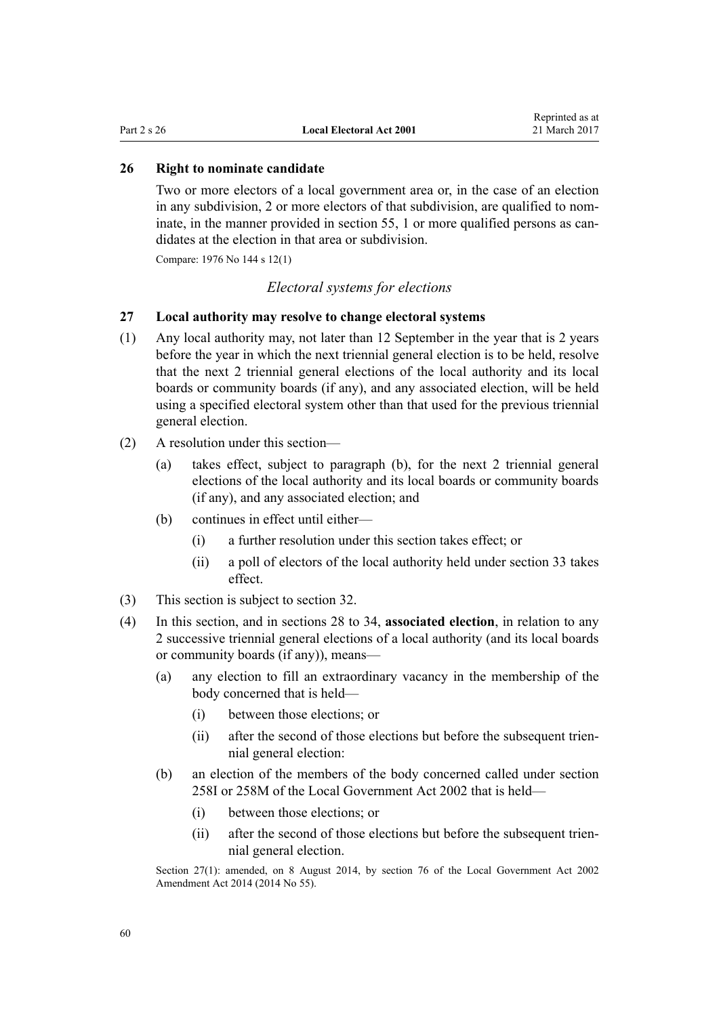### <span id="page-59-0"></span>**26 Right to nominate candidate**

Two or more electors of a local government area or, in the case of an election in any subdivision, 2 or more electors of that subdivision, are qualified to nominate, in the manner provided in [section 55](#page-74-0), 1 or more qualified persons as candidates at the election in that area or subdivision.

Compare: 1976 No 144 s 12(1)

### *Electoral systems for elections*

## **27 Local authority may resolve to change electoral systems**

- (1) Any local authority may, not later than 12 September in the year that is 2 years before the year in which the next triennial general election is to be held, resolve that the next 2 triennial general elections of the local authority and its local boards or community boards (if any), and any associated election, will be held using a specified electoral system other than that used for the previous triennial general election.
- (2) A resolution under this section—
	- (a) takes effect, subject to paragraph (b), for the next 2 triennial general elections of the local authority and its local boards or community boards (if any), and any associated election; and
	- (b) continues in effect until either—
		- (i) a further resolution under this section takes effect; or
		- (ii) a poll of electors of the local authority held under [section 33](#page-63-0) takes effect.
- (3) This section is subject to [section 32.](#page-63-0)
- (4) In this section, and in [sections 28 to 34,](#page-60-0) **associated election**, in relation to any 2 successive triennial general elections of a local authority (and its local boards or community boards (if any)), means—
	- (a) any election to fill an extraordinary vacancy in the membership of the body concerned that is held—
		- (i) between those elections; or
		- (ii) after the second of those elections but before the subsequent triennial general election:
	- (b) an election of the members of the body concerned called under [section](http://prd-lgnz-nlb.prd.pco.net.nz/pdflink.aspx?id=DLM4925979) [258I](http://prd-lgnz-nlb.prd.pco.net.nz/pdflink.aspx?id=DLM4925979) or [258M](http://prd-lgnz-nlb.prd.pco.net.nz/pdflink.aspx?id=DLM4925985) of the Local Government Act 2002 that is held—
		- (i) between those elections; or
		- (ii) after the second of those elections but before the subsequent triennial general election.

Section 27(1): amended, on 8 August 2014, by [section 76](http://prd-lgnz-nlb.prd.pco.net.nz/pdflink.aspx?id=DLM5707313) of the Local Government Act 2002 Amendment Act 2014 (2014 No 55).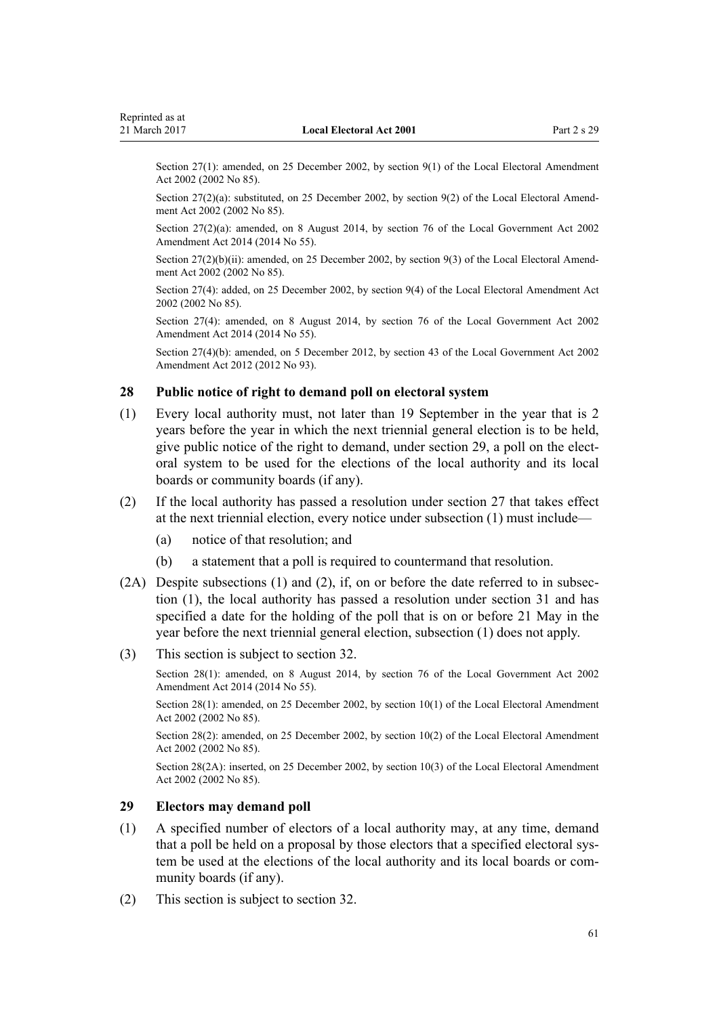<span id="page-60-0"></span>Section 27(1): amended, on 25 December 2002, by [section 9\(1\)](http://prd-lgnz-nlb.prd.pco.net.nz/pdflink.aspx?id=DLM181473) of the Local Electoral Amendment Act 2002 (2002 No 85).

Section 27(2)(a): substituted, on 25 December 2002, by [section 9\(2\)](http://prd-lgnz-nlb.prd.pco.net.nz/pdflink.aspx?id=DLM181473) of the Local Electoral Amendment Act 2002 (2002 No 85).

Section 27(2)(a): amended, on 8 August 2014, by [section 76](http://prd-lgnz-nlb.prd.pco.net.nz/pdflink.aspx?id=DLM5707313) of the Local Government Act 2002 Amendment Act 2014 (2014 No 55).

Section 27(2)(b)(ii): amended, on 25 December 2002, by [section 9\(3\)](http://prd-lgnz-nlb.prd.pco.net.nz/pdflink.aspx?id=DLM181473) of the Local Electoral Amendment Act 2002 (2002 No 85).

Section 27(4): added, on 25 December 2002, by [section 9\(4\)](http://prd-lgnz-nlb.prd.pco.net.nz/pdflink.aspx?id=DLM181473) of the Local Electoral Amendment Act 2002 (2002 No 85).

Section 27(4): amended, on 8 August 2014, by [section 76](http://prd-lgnz-nlb.prd.pco.net.nz/pdflink.aspx?id=DLM5707313) of the Local Government Act 2002 Amendment Act 2014 (2014 No 55).

Section 27(4)(b): amended, on 5 December 2012, by [section 43](http://prd-lgnz-nlb.prd.pco.net.nz/pdflink.aspx?id=DLM4499305) of the Local Government Act 2002 Amendment Act 2012 (2012 No 93).

## **28 Public notice of right to demand poll on electoral system**

- (1) Every local authority must, not later than 19 September in the year that is 2 years before the year in which the next triennial general election is to be held, give public notice of the right to demand, under section 29, a poll on the electoral system to be used for the elections of the local authority and its local boards or community boards (if any).
- (2) If the local authority has passed a resolution under [section 27](#page-59-0) that takes effect at the next triennial election, every notice under subsection (1) must include—
	- (a) notice of that resolution; and
	- (b) a statement that a poll is required to countermand that resolution.
- (2A) Despite subsections (1) and (2), if, on or before the date referred to in subsection (1), the local authority has passed a resolution under [section 31](#page-62-0) and has specified a date for the holding of the poll that is on or before 21 May in the year before the next triennial general election, subsection (1) does not apply.
- (3) This section is subject to [section 32.](#page-63-0)

Section 28(1): amended, on 8 August 2014, by [section 76](http://prd-lgnz-nlb.prd.pco.net.nz/pdflink.aspx?id=DLM5707313) of the Local Government Act 2002 Amendment Act 2014 (2014 No 55).

Section 28(1): amended, on 25 December 2002, by [section 10\(1\)](http://prd-lgnz-nlb.prd.pco.net.nz/pdflink.aspx?id=DLM181475) of the Local Electoral Amendment Act 2002 (2002 No 85).

Section 28(2): amended, on 25 December 2002, by [section 10\(2\)](http://prd-lgnz-nlb.prd.pco.net.nz/pdflink.aspx?id=DLM181475) of the Local Electoral Amendment Act 2002 (2002 No 85).

Section 28(2A): inserted, on 25 December 2002, by [section 10\(3\)](http://prd-lgnz-nlb.prd.pco.net.nz/pdflink.aspx?id=DLM181475) of the Local Electoral Amendment Act 2002 (2002 No 85).

#### **29 Electors may demand poll**

- (1) A specified number of electors of a local authority may, at any time, demand that a poll be held on a proposal by those electors that a specified electoral system be used at the elections of the local authority and its local boards or community boards (if any).
- (2) This section is subject to [section 32.](#page-63-0)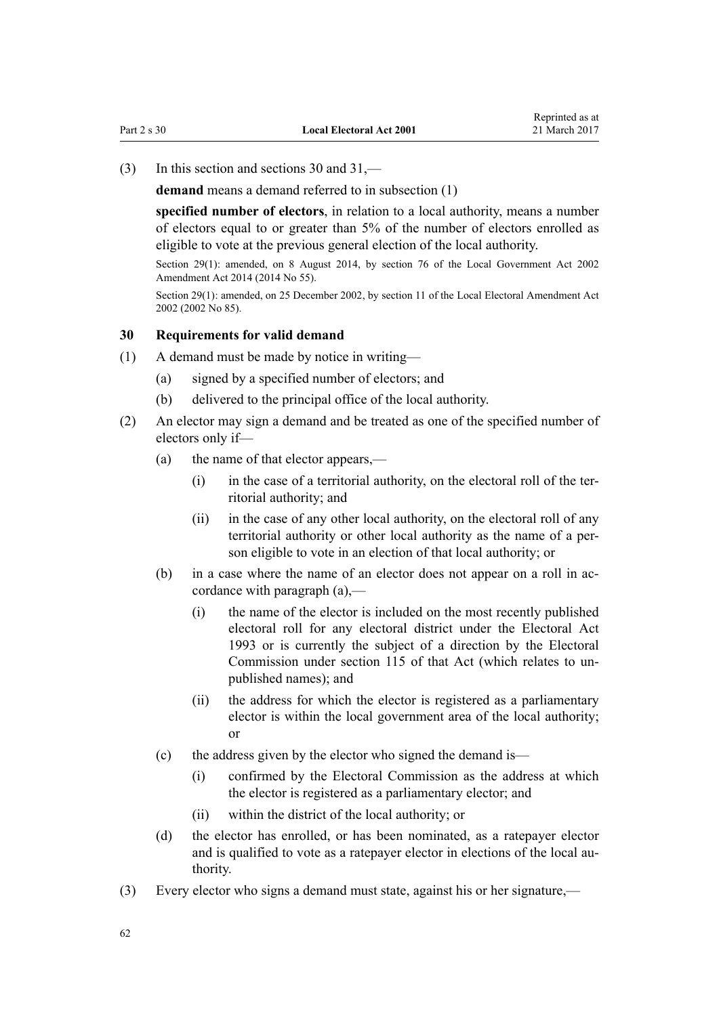<span id="page-61-0"></span>(3) In this section and sections 30 and [31](#page-62-0),—

**demand** means a demand referred to in subsection (1)

**specified number of electors**, in relation to a local authority, means a number of electors equal to or greater than 5% of the number of electors enrolled as eligible to vote at the previous general election of the local authority.

Section 29(1): amended, on 8 August 2014, by [section 76](http://prd-lgnz-nlb.prd.pco.net.nz/pdflink.aspx?id=DLM5707313) of the Local Government Act 2002 Amendment Act 2014 (2014 No 55).

Section 29(1): amended, on 25 December 2002, by [section 11](http://prd-lgnz-nlb.prd.pco.net.nz/pdflink.aspx?id=DLM181476) of the Local Electoral Amendment Act 2002 (2002 No 85).

### **30 Requirements for valid demand**

- (1) A demand must be made by notice in writing—
	- (a) signed by a specified number of electors; and
	- (b) delivered to the principal office of the local authority.
- (2) An elector may sign a demand and be treated as one of the specified number of electors only if—
	- (a) the name of that elector appears,—
		- (i) in the case of a territorial authority, on the electoral roll of the territorial authority; and
		- (ii) in the case of any other local authority, on the electoral roll of any territorial authority or other local authority as the name of a person eligible to vote in an election of that local authority; or
	- (b) in a case where the name of an elector does not appear on a roll in accordance with paragraph (a),—
		- (i) the name of the elector is included on the most recently published electoral roll for any electoral district under the [Electoral Act](http://prd-lgnz-nlb.prd.pco.net.nz/pdflink.aspx?id=DLM307518) [1993](http://prd-lgnz-nlb.prd.pco.net.nz/pdflink.aspx?id=DLM307518) or is currently the subject of a direction by the Electoral Commission under [section 115](http://prd-lgnz-nlb.prd.pco.net.nz/pdflink.aspx?id=DLM309404) of that Act (which relates to unpublished names); and
		- (ii) the address for which the elector is registered as a parliamentary elector is within the local government area of the local authority; or
	- (c) the address given by the elector who signed the demand is—
		- (i) confirmed by the Electoral Commission as the address at which the elector is registered as a parliamentary elector; and
		- (ii) within the district of the local authority; or
	- (d) the elector has enrolled, or has been nominated, as a ratepayer elector and is qualified to vote as a ratepayer elector in elections of the local authority.
- (3) Every elector who signs a demand must state, against his or her signature,—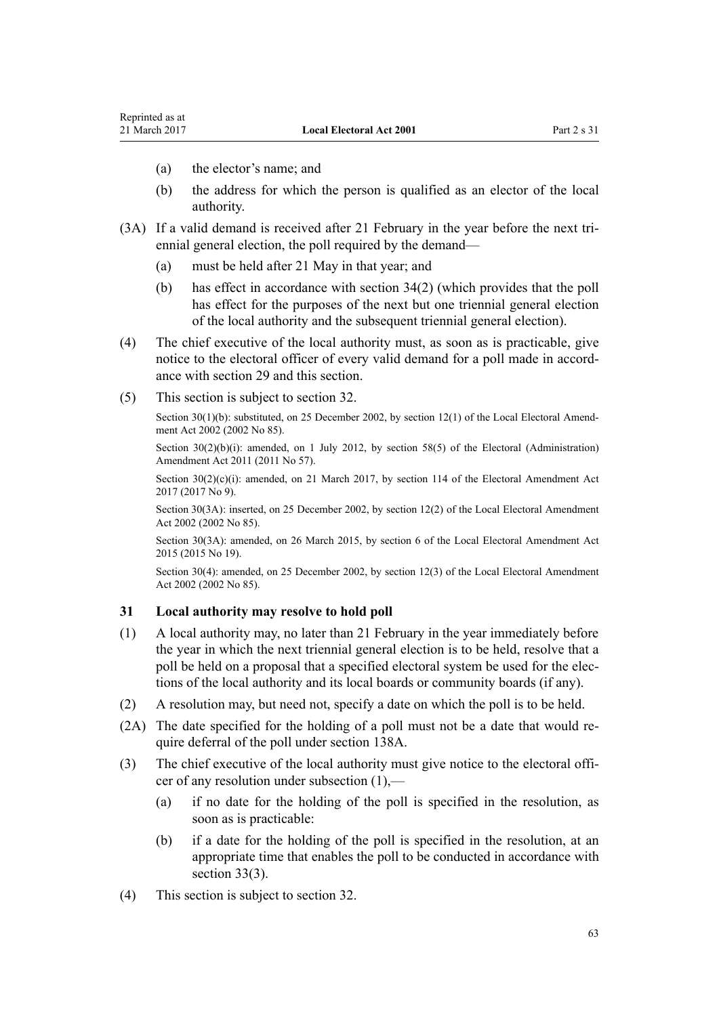- <span id="page-62-0"></span>(a) the elector's name; and
- (b) the address for which the person is qualified as an elector of the local authority.
- (3A) If a valid demand is received after 21 February in the year before the next triennial general election, the poll required by the demand—
	- (a) must be held after 21 May in that year; and
	- (b) has effect in accordance with [section 34\(2\)](#page-65-0) (which provides that the poll has effect for the purposes of the next but one triennial general election of the local authority and the subsequent triennial general election).
- (4) The chief executive of the local authority must, as soon as is practicable, give notice to the electoral officer of every valid demand for a poll made in accordance with [section 29](#page-60-0) and this section.
- (5) This section is subject to [section 32.](#page-63-0)

Section 30(1)(b): substituted, on 25 December 2002, by [section 12\(1\)](http://prd-lgnz-nlb.prd.pco.net.nz/pdflink.aspx?id=DLM181477) of the Local Electoral Amendment Act 2002 (2002 No 85).

Section 30(2)(b)(i): amended, on 1 July 2012, by [section 58\(5\)](http://prd-lgnz-nlb.prd.pco.net.nz/pdflink.aspx?id=DLM3367693) of the Electoral (Administration) Amendment Act 2011 (2011 No 57).

Section  $30(2)(c)(i)$ : amended, on 21 March 2017, by [section 114](http://prd-lgnz-nlb.prd.pco.net.nz/pdflink.aspx?id=DLM6963887) of the Electoral Amendment Act 2017 (2017 No 9).

Section 30(3A): inserted, on 25 December 2002, by [section 12\(2\)](http://prd-lgnz-nlb.prd.pco.net.nz/pdflink.aspx?id=DLM181477) of the Local Electoral Amendment Act 2002 (2002 No 85).

Section 30(3A): amended, on 26 March 2015, by [section 6](http://prd-lgnz-nlb.prd.pco.net.nz/pdflink.aspx?id=DLM6403310) of the Local Electoral Amendment Act 2015 (2015 No 19).

Section 30(4): amended, on 25 December 2002, by [section 12\(3\)](http://prd-lgnz-nlb.prd.pco.net.nz/pdflink.aspx?id=DLM181477) of the Local Electoral Amendment Act 2002 (2002 No 85).

#### **31 Local authority may resolve to hold poll**

- (1) A local authority may, no later than 21 February in the year immediately before the year in which the next triennial general election is to be held, resolve that a poll be held on a proposal that a specified electoral system be used for the elections of the local authority and its local boards or community boards (if any).
- (2) A resolution may, but need not, specify a date on which the poll is to be held.
- (2A) The date specified for the holding of a poll must not be a date that would require deferral of the poll under [section 138A.](#page-132-0)
- (3) The chief executive of the local authority must give notice to the electoral officer of any resolution under subsection (1),—
	- (a) if no date for the holding of the poll is specified in the resolution, as soon as is practicable:
	- (b) if a date for the holding of the poll is specified in the resolution, at an appropriate time that enables the poll to be conducted in accordance with [section 33\(3\).](#page-63-0)
- (4) This section is subject to [section 32.](#page-63-0)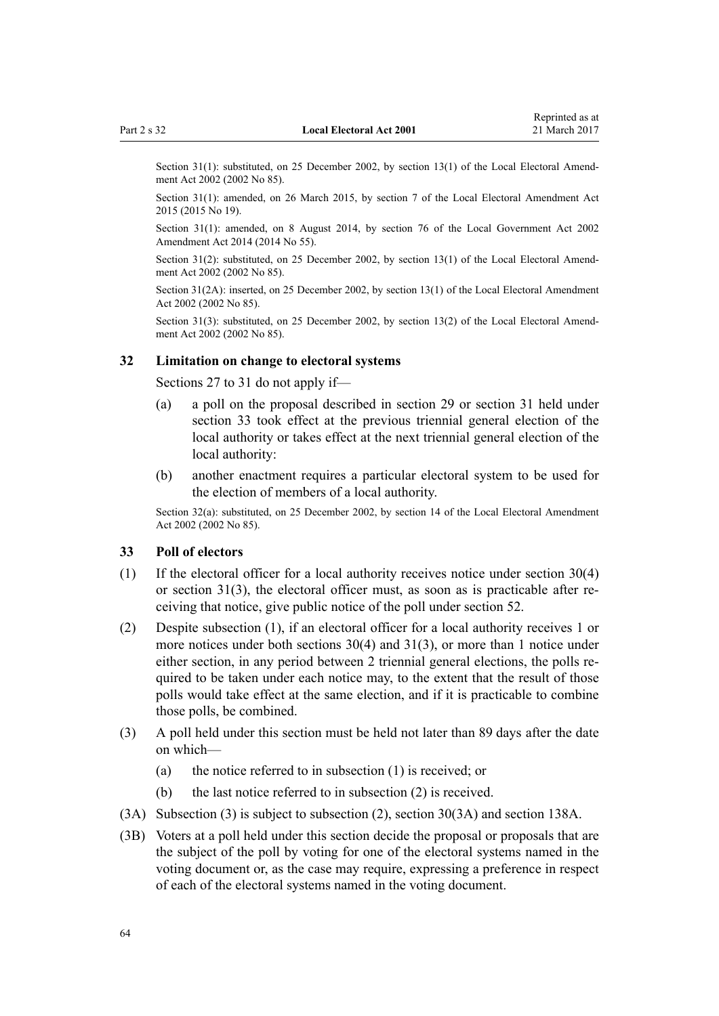<span id="page-63-0"></span>Section 31(1): substituted, on 25 December 2002, by [section 13\(1\)](http://prd-lgnz-nlb.prd.pco.net.nz/pdflink.aspx?id=DLM181478) of the Local Electoral Amendment Act 2002 (2002 No 85).

Section 31(1): amended, on 26 March 2015, by [section 7](http://prd-lgnz-nlb.prd.pco.net.nz/pdflink.aspx?id=DLM6403311) of the Local Electoral Amendment Act 2015 (2015 No 19).

Section 31(1): amended, on 8 August 2014, by [section 76](http://prd-lgnz-nlb.prd.pco.net.nz/pdflink.aspx?id=DLM5707313) of the Local Government Act 2002 Amendment Act 2014 (2014 No 55).

Section 31(2): substituted, on 25 December 2002, by [section 13\(1\)](http://prd-lgnz-nlb.prd.pco.net.nz/pdflink.aspx?id=DLM181478) of the Local Electoral Amendment Act 2002 (2002 No 85).

Section 31(2A): inserted, on 25 December 2002, by [section 13\(1\)](http://prd-lgnz-nlb.prd.pco.net.nz/pdflink.aspx?id=DLM181478) of the Local Electoral Amendment Act 2002 (2002 No 85).

Section 31(3): substituted, on 25 December 2002, by [section 13\(2\)](http://prd-lgnz-nlb.prd.pco.net.nz/pdflink.aspx?id=DLM181478) of the Local Electoral Amendment Act 2002 (2002 No 85).

#### **32 Limitation on change to electoral systems**

[Sections 27 to 31](#page-59-0) do not apply if—

- (a) a poll on the proposal described in [section 29](#page-60-0) or [section 31](#page-62-0) held under section 33 took effect at the previous triennial general election of the local authority or takes effect at the next triennial general election of the local authority:
- (b) another enactment requires a particular electoral system to be used for the election of members of a local authority.

Section 32(a): substituted, on 25 December 2002, by [section 14](http://prd-lgnz-nlb.prd.pco.net.nz/pdflink.aspx?id=DLM181479) of the Local Electoral Amendment Act 2002 (2002 No 85).

#### **33 Poll of electors**

- (1) If the electoral officer for a local authority receives notice under [section 30\(4\)](#page-61-0) or [section 31\(3\),](#page-62-0) the electoral officer must, as soon as is practicable after receiving that notice, give public notice of the poll under [section 52](#page-73-0).
- (2) Despite subsection (1), if an electoral officer for a local authority receives 1 or more notices under both [sections 30\(4\)](#page-61-0) and [31\(3\),](#page-62-0) or more than 1 notice under either section, in any period between 2 triennial general elections, the polls required to be taken under each notice may, to the extent that the result of those polls would take effect at the same election, and if it is practicable to combine those polls, be combined.
- (3) A poll held under this section must be held not later than 89 days after the date on which—
	- (a) the notice referred to in subsection (1) is received; or
	- (b) the last notice referred to in subsection (2) is received.
- (3A) Subsection (3) is subject to subsection (2), [section 30\(3A\)](#page-61-0) and [section 138A](#page-132-0).
- (3B) Voters at a poll held under this section decide the proposal or proposals that are the subject of the poll by voting for one of the electoral systems named in the voting document or, as the case may require, expressing a preference in respect of each of the electoral systems named in the voting document.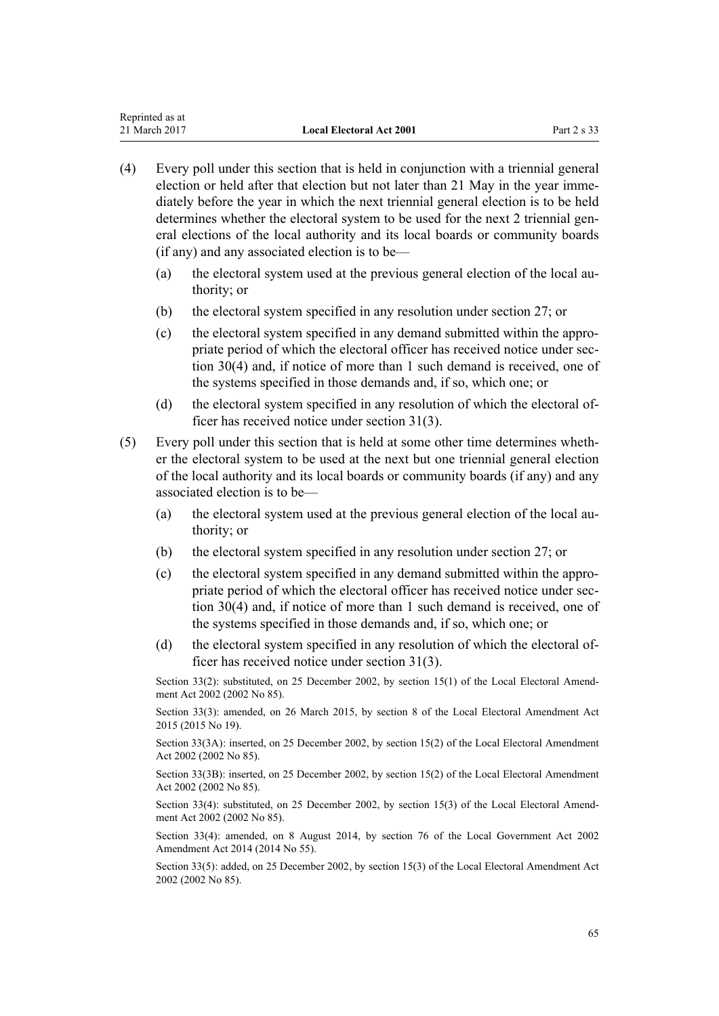Reprinted as at

- (4) Every poll under this section that is held in conjunction with a triennial general election or held after that election but not later than 21 May in the year immediately before the year in which the next triennial general election is to be held determines whether the electoral system to be used for the next 2 triennial general elections of the local authority and its local boards or community boards (if any) and any associated election is to be—
	- (a) the electoral system used at the previous general election of the local authority; or
	- (b) the electoral system specified in any resolution under [section 27;](#page-59-0) or
	- (c) the electoral system specified in any demand submitted within the appropriate period of which the electoral officer has received notice under [sec](#page-61-0)[tion 30\(4\)](#page-61-0) and, if notice of more than 1 such demand is received, one of the systems specified in those demands and, if so, which one; or
	- (d) the electoral system specified in any resolution of which the electoral officer has received notice under [section 31\(3\).](#page-62-0)
- (5) Every poll under this section that is held at some other time determines whether the electoral system to be used at the next but one triennial general election of the local authority and its local boards or community boards (if any) and any associated election is to be—
	- (a) the electoral system used at the previous general election of the local authority; or
	- (b) the electoral system specified in any resolution under [section 27;](#page-59-0) or
	- (c) the electoral system specified in any demand submitted within the appropriate period of which the electoral officer has received notice under [sec](#page-61-0)[tion 30\(4\)](#page-61-0) and, if notice of more than 1 such demand is received, one of the systems specified in those demands and, if so, which one; or
	- (d) the electoral system specified in any resolution of which the electoral officer has received notice under [section 31\(3\).](#page-62-0)

Section 33(2): substituted, on 25 December 2002, by [section 15\(1\)](http://prd-lgnz-nlb.prd.pco.net.nz/pdflink.aspx?id=DLM181480) of the Local Electoral Amendment Act 2002 (2002 No 85).

Section 33(3): amended, on 26 March 2015, by [section 8](http://prd-lgnz-nlb.prd.pco.net.nz/pdflink.aspx?id=DLM6403312) of the Local Electoral Amendment Act 2015 (2015 No 19).

Section 33(3A): inserted, on 25 December 2002, by [section 15\(2\)](http://prd-lgnz-nlb.prd.pco.net.nz/pdflink.aspx?id=DLM181480) of the Local Electoral Amendment Act 2002 (2002 No 85).

Section 33(3B): inserted, on 25 December 2002, by [section 15\(2\)](http://prd-lgnz-nlb.prd.pco.net.nz/pdflink.aspx?id=DLM181480) of the Local Electoral Amendment Act 2002 (2002 No 85).

Section 33(4): substituted, on 25 December 2002, by [section 15\(3\)](http://prd-lgnz-nlb.prd.pco.net.nz/pdflink.aspx?id=DLM181480) of the Local Electoral Amendment Act 2002 (2002 No 85).

Section 33(4): amended, on 8 August 2014, by [section 76](http://prd-lgnz-nlb.prd.pco.net.nz/pdflink.aspx?id=DLM5707313) of the Local Government Act 2002 Amendment Act 2014 (2014 No 55).

Section 33(5): added, on 25 December 2002, by [section 15\(3\)](http://prd-lgnz-nlb.prd.pco.net.nz/pdflink.aspx?id=DLM181480) of the Local Electoral Amendment Act 2002 (2002 No 85).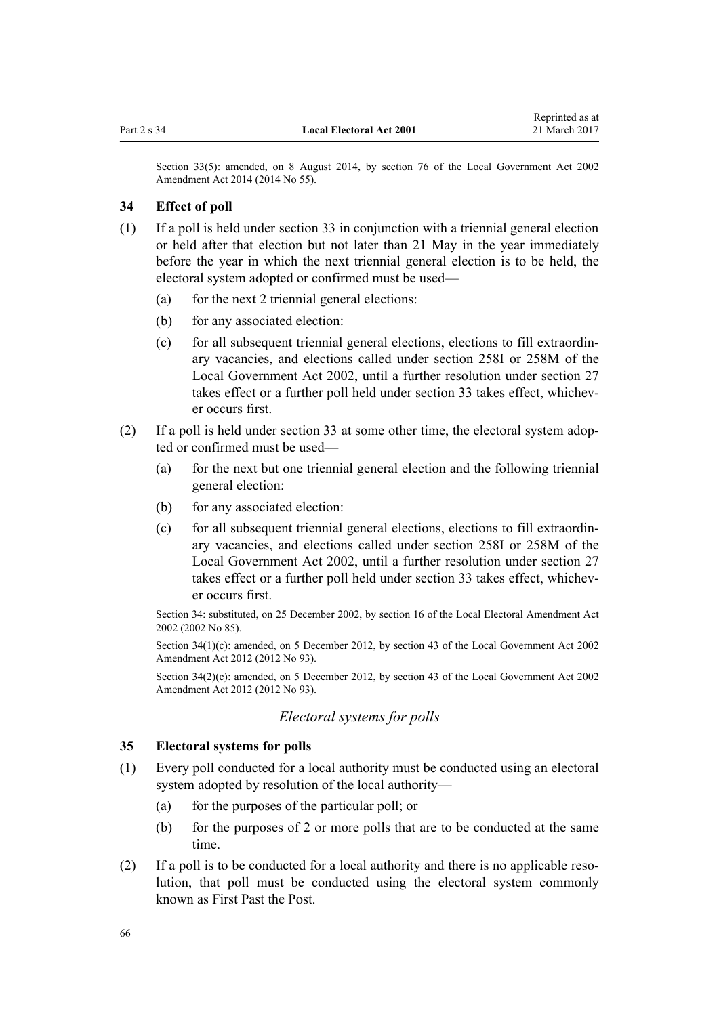<span id="page-65-0"></span>Section 33(5): amended, on 8 August 2014, by [section 76](http://prd-lgnz-nlb.prd.pco.net.nz/pdflink.aspx?id=DLM5707313) of the Local Government Act 2002 Amendment Act 2014 (2014 No 55).

## **34 Effect of poll**

- (1) If a poll is held under [section 33](#page-63-0) in conjunction with a triennial general election or held after that election but not later than 21 May in the year immediately before the year in which the next triennial general election is to be held, the electoral system adopted or confirmed must be used—
	- (a) for the next 2 triennial general elections:
	- (b) for any associated election:
	- (c) for all subsequent triennial general elections, elections to fill extraordinary vacancies, and elections called under section 258I or 258M of the Local Government Act 2002, until a further resolution under [section 27](#page-59-0) takes effect or a further poll held under section 33 takes effect, whichever occurs first.
- (2) If a poll is held under [section 33](#page-63-0) at some other time, the electoral system adopted or confirmed must be used—
	- (a) for the next but one triennial general election and the following triennial general election:
	- (b) for any associated election:
	- (c) for all subsequent triennial general elections, elections to fill extraordinary vacancies, and elections called under section 258I or 258M of the Local Government Act 2002, until a further resolution under [section 27](#page-59-0) takes effect or a further poll held under section 33 takes effect, whichever occurs first.

Section 34: substituted, on 25 December 2002, by [section 16](http://prd-lgnz-nlb.prd.pco.net.nz/pdflink.aspx?id=DLM181481) of the Local Electoral Amendment Act 2002 (2002 No 85).

Section 34(1)(c): amended, on 5 December 2012, by [section 43](http://prd-lgnz-nlb.prd.pco.net.nz/pdflink.aspx?id=DLM4499305) of the Local Government Act 2002 Amendment Act 2012 (2012 No 93).

Section 34(2)(c): amended, on 5 December 2012, by [section 43](http://prd-lgnz-nlb.prd.pco.net.nz/pdflink.aspx?id=DLM4499305) of the Local Government Act 2002 Amendment Act 2012 (2012 No 93).

## *Electoral systems for polls*

## **35 Electoral systems for polls**

- (1) Every poll conducted for a local authority must be conducted using an electoral system adopted by resolution of the local authority—
	- (a) for the purposes of the particular poll; or
	- (b) for the purposes of 2 or more polls that are to be conducted at the same time.
- (2) If a poll is to be conducted for a local authority and there is no applicable resolution, that poll must be conducted using the electoral system commonly known as First Past the Post.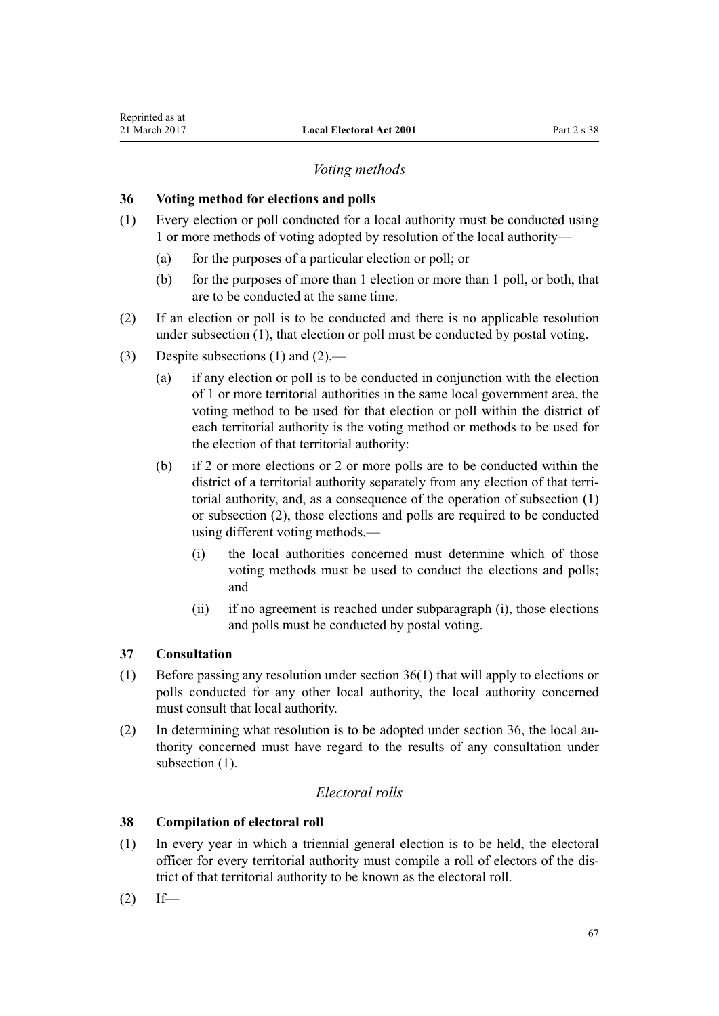## *Voting methods*

## **36 Voting method for elections and polls**

- (1) Every election or poll conducted for a local authority must be conducted using 1 or more methods of voting adopted by resolution of the local authority—
	- (a) for the purposes of a particular election or poll; or
	- (b) for the purposes of more than 1 election or more than 1 poll, or both, that are to be conducted at the same time.
- (2) If an election or poll is to be conducted and there is no applicable resolution under subsection (1), that election or poll must be conducted by postal voting.
- (3) Despite subsections (1) and  $(2)$ ,—
	- (a) if any election or poll is to be conducted in conjunction with the election of 1 or more territorial authorities in the same local government area, the voting method to be used for that election or poll within the district of each territorial authority is the voting method or methods to be used for the election of that territorial authority:
	- (b) if 2 or more elections or 2 or more polls are to be conducted within the district of a territorial authority separately from any election of that territorial authority, and, as a consequence of the operation of subsection (1) or subsection (2), those elections and polls are required to be conducted using different voting methods,—
		- (i) the local authorities concerned must determine which of those voting methods must be used to conduct the elections and polls; and
		- (ii) if no agreement is reached under subparagraph (i), those elections and polls must be conducted by postal voting.

## **37 Consultation**

- (1) Before passing any resolution under section 36(1) that will apply to elections or polls conducted for any other local authority, the local authority concerned must consult that local authority.
- (2) In determining what resolution is to be adopted under section 36, the local authority concerned must have regard to the results of any consultation under subsection  $(1)$ .

## *Electoral rolls*

## **38 Compilation of electoral roll**

- (1) In every year in which a triennial general election is to be held, the electoral officer for every territorial authority must compile a roll of electors of the district of that territorial authority to be known as the electoral roll.
- $(2)$  If—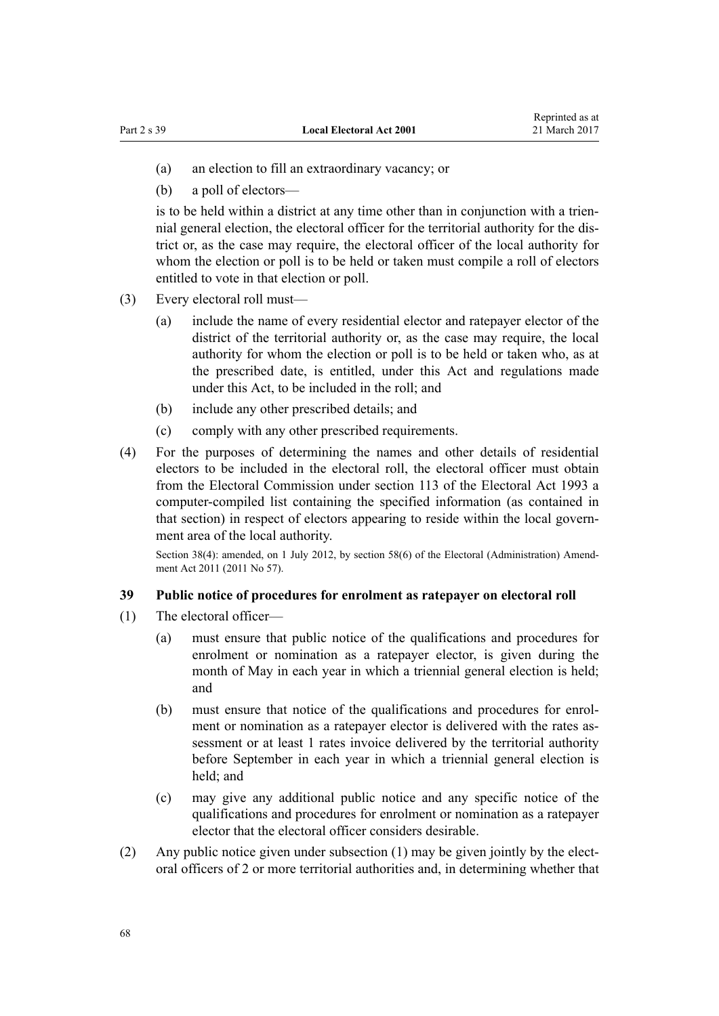- (a) an election to fill an extraordinary vacancy; or
- (b) a poll of electors—

is to be held within a district at any time other than in conjunction with a triennial general election, the electoral officer for the territorial authority for the district or, as the case may require, the electoral officer of the local authority for whom the election or poll is to be held or taken must compile a roll of electors entitled to vote in that election or poll.

- (3) Every electoral roll must—
	- (a) include the name of every residential elector and ratepayer elector of the district of the territorial authority or, as the case may require, the local authority for whom the election or poll is to be held or taken who, as at the prescribed date, is entitled, under this Act and regulations made under this Act, to be included in the roll; and
	- (b) include any other prescribed details; and
	- (c) comply with any other prescribed requirements.
- (4) For the purposes of determining the names and other details of residential electors to be included in the electoral roll, the electoral officer must obtain from the Electoral Commission under [section 113](http://prd-lgnz-nlb.prd.pco.net.nz/pdflink.aspx?id=DLM309174) of the Electoral Act 1993 a computer-compiled list containing the specified information (as contained in that section) in respect of electors appearing to reside within the local government area of the local authority.

Section 38(4): amended, on 1 July 2012, by [section 58\(6\)](http://prd-lgnz-nlb.prd.pco.net.nz/pdflink.aspx?id=DLM3367693) of the Electoral (Administration) Amendment Act 2011 (2011 No 57).

### **39 Public notice of procedures for enrolment as ratepayer on electoral roll**

- (1) The electoral officer—
	- (a) must ensure that public notice of the qualifications and procedures for enrolment or nomination as a ratepayer elector, is given during the month of May in each year in which a triennial general election is held; and
	- (b) must ensure that notice of the qualifications and procedures for enrolment or nomination as a ratepayer elector is delivered with the rates assessment or at least 1 rates invoice delivered by the territorial authority before September in each year in which a triennial general election is held; and
	- (c) may give any additional public notice and any specific notice of the qualifications and procedures for enrolment or nomination as a ratepayer elector that the electoral officer considers desirable.
- (2) Any public notice given under subsection (1) may be given jointly by the electoral officers of 2 or more territorial authorities and, in determining whether that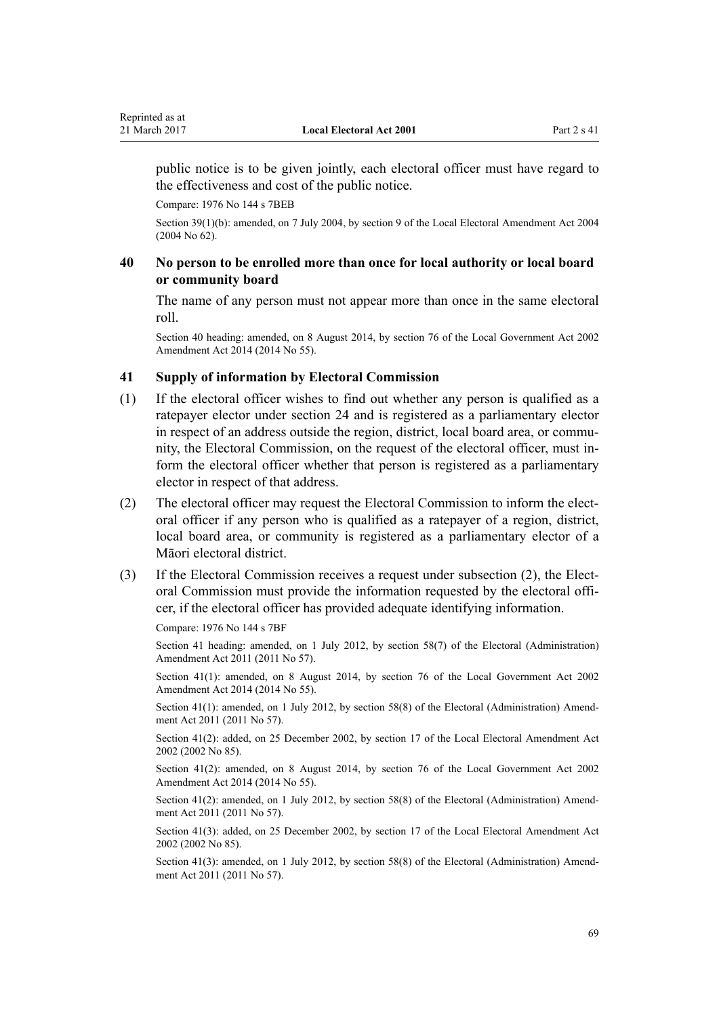public notice is to be given jointly, each electoral officer must have regard to the effectiveness and cost of the public notice.

Compare: 1976 No 144 s 7BEB

Section 39(1)(b): amended, on 7 July 2004, by [section 9](http://prd-lgnz-nlb.prd.pco.net.nz/pdflink.aspx?id=DLM303175) of the Local Electoral Amendment Act 2004 (2004 No 62).

## **40 No person to be enrolled more than once for local authority or local board or community board**

The name of any person must not appear more than once in the same electoral roll.

Section 40 heading: amended, on 8 August 2014, by [section 76](http://prd-lgnz-nlb.prd.pco.net.nz/pdflink.aspx?id=DLM5707313) of the Local Government Act 2002 Amendment Act 2014 (2014 No 55).

## **41 Supply of information by Electoral Commission**

- (1) If the electoral officer wishes to find out whether any person is qualified as a ratepayer elector under [section 24](#page-54-0) and is registered as a parliamentary elector in respect of an address outside the region, district, local board area, or community, the Electoral Commission, on the request of the electoral officer, must inform the electoral officer whether that person is registered as a parliamentary elector in respect of that address.
- (2) The electoral officer may request the Electoral Commission to inform the electoral officer if any person who is qualified as a ratepayer of a region, district, local board area, or community is registered as a parliamentary elector of a Māori electoral district.
- (3) If the Electoral Commission receives a request under subsection (2), the Electoral Commission must provide the information requested by the electoral officer, if the electoral officer has provided adequate identifying information.

Compare: 1976 No 144 s 7BF

Section 41 heading: amended, on 1 July 2012, by [section 58\(7\)](http://prd-lgnz-nlb.prd.pco.net.nz/pdflink.aspx?id=DLM3367693) of the Electoral (Administration) Amendment Act 2011 (2011 No 57).

Section 41(1): amended, on 8 August 2014, by [section 76](http://prd-lgnz-nlb.prd.pco.net.nz/pdflink.aspx?id=DLM5707313) of the Local Government Act 2002 Amendment Act 2014 (2014 No 55).

Section 41(1): amended, on 1 July 2012, by [section 58\(8\)](http://prd-lgnz-nlb.prd.pco.net.nz/pdflink.aspx?id=DLM3367693) of the Electoral (Administration) Amendment Act 2011 (2011 No 57).

Section 41(2): added, on 25 December 2002, by [section 17](http://prd-lgnz-nlb.prd.pco.net.nz/pdflink.aspx?id=DLM181483) of the Local Electoral Amendment Act 2002 (2002 No 85).

Section 41(2): amended, on 8 August 2014, by [section 76](http://prd-lgnz-nlb.prd.pco.net.nz/pdflink.aspx?id=DLM5707313) of the Local Government Act 2002 Amendment Act 2014 (2014 No 55).

Section 41(2): amended, on 1 July 2012, by [section 58\(8\)](http://prd-lgnz-nlb.prd.pco.net.nz/pdflink.aspx?id=DLM3367693) of the Electoral (Administration) Amendment Act 2011 (2011 No 57).

Section 41(3): added, on 25 December 2002, by [section 17](http://prd-lgnz-nlb.prd.pco.net.nz/pdflink.aspx?id=DLM181483) of the Local Electoral Amendment Act 2002 (2002 No 85).

Section 41(3): amended, on 1 July 2012, by [section 58\(8\)](http://prd-lgnz-nlb.prd.pco.net.nz/pdflink.aspx?id=DLM3367693) of the Electoral (Administration) Amendment Act 2011 (2011 No 57).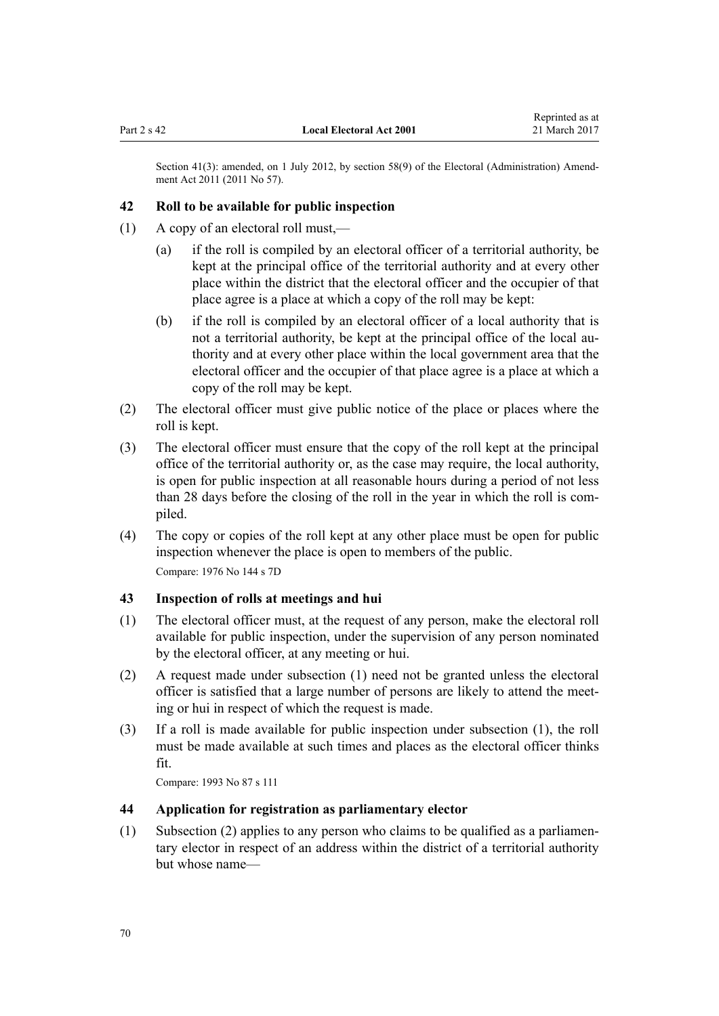Section 41(3): amended, on 1 July 2012, by [section 58\(9\)](http://prd-lgnz-nlb.prd.pco.net.nz/pdflink.aspx?id=DLM3367693) of the Electoral (Administration) Amendment Act 2011 (2011 No 57).

### **42 Roll to be available for public inspection**

- (1) A copy of an electoral roll must,—
	- (a) if the roll is compiled by an electoral officer of a territorial authority, be kept at the principal office of the territorial authority and at every other place within the district that the electoral officer and the occupier of that place agree is a place at which a copy of the roll may be kept:
	- (b) if the roll is compiled by an electoral officer of a local authority that is not a territorial authority, be kept at the principal office of the local authority and at every other place within the local government area that the electoral officer and the occupier of that place agree is a place at which a copy of the roll may be kept.
- (2) The electoral officer must give public notice of the place or places where the roll is kept.
- (3) The electoral officer must ensure that the copy of the roll kept at the principal office of the territorial authority or, as the case may require, the local authority, is open for public inspection at all reasonable hours during a period of not less than 28 days before the closing of the roll in the year in which the roll is compiled.
- (4) The copy or copies of the roll kept at any other place must be open for public inspection whenever the place is open to members of the public. Compare: 1976 No 144 s 7D

#### **43 Inspection of rolls at meetings and hui**

- (1) The electoral officer must, at the request of any person, make the electoral roll available for public inspection, under the supervision of any person nominated by the electoral officer, at any meeting or hui.
- (2) A request made under subsection (1) need not be granted unless the electoral officer is satisfied that a large number of persons are likely to attend the meeting or hui in respect of which the request is made.
- (3) If a roll is made available for public inspection under subsection (1), the roll must be made available at such times and places as the electoral officer thinks fit.

Compare: 1993 No 87 [s 111](http://prd-lgnz-nlb.prd.pco.net.nz/pdflink.aspx?id=DLM309151)

#### **44 Application for registration as parliamentary elector**

(1) Subsection (2) applies to any person who claims to be qualified as a parliamentary elector in respect of an address within the district of a territorial authority but whose name—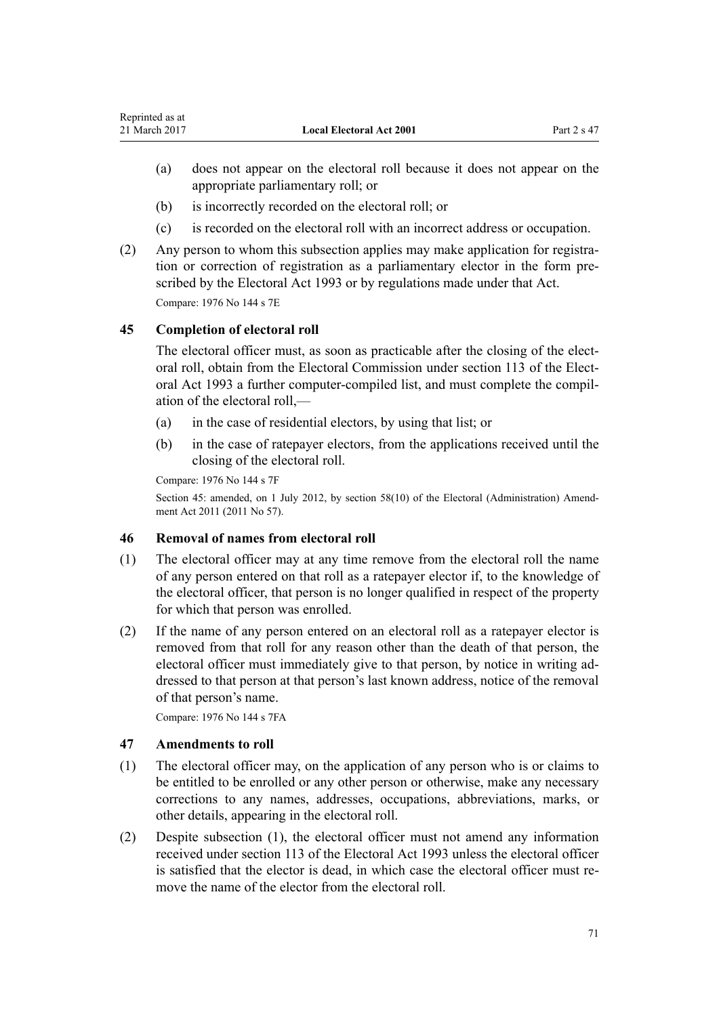- (a) does not appear on the electoral roll because it does not appear on the appropriate parliamentary roll; or
- (b) is incorrectly recorded on the electoral roll; or
- (c) is recorded on the electoral roll with an incorrect address or occupation.
- (2) Any person to whom this subsection applies may make application for registration or correction of registration as a parliamentary elector in the form prescribed by the [Electoral Act 1993](http://prd-lgnz-nlb.prd.pco.net.nz/pdflink.aspx?id=DLM307518) or by regulations made under that Act. Compare: 1976 No 144 s 7E

## **45 Completion of electoral roll**

The electoral officer must, as soon as practicable after the closing of the electoral roll, obtain from the Electoral Commission under [section 113](http://prd-lgnz-nlb.prd.pco.net.nz/pdflink.aspx?id=DLM309174) of the Electoral Act 1993 a further computer-compiled list, and must complete the compilation of the electoral roll,—

- (a) in the case of residential electors, by using that list; or
- (b) in the case of ratepayer electors, from the applications received until the closing of the electoral roll.

Compare: 1976 No 144 s 7F

Section 45: amended, on 1 July 2012, by [section 58\(10\)](http://prd-lgnz-nlb.prd.pco.net.nz/pdflink.aspx?id=DLM3367693) of the Electoral (Administration) Amendment Act 2011 (2011 No 57).

## **46 Removal of names from electoral roll**

- (1) The electoral officer may at any time remove from the electoral roll the name of any person entered on that roll as a ratepayer elector if, to the knowledge of the electoral officer, that person is no longer qualified in respect of the property for which that person was enrolled.
- (2) If the name of any person entered on an electoral roll as a ratepayer elector is removed from that roll for any reason other than the death of that person, the electoral officer must immediately give to that person, by notice in writing addressed to that person at that person's last known address, notice of the removal of that person's name.

Compare: 1976 No 144 s 7FA

#### **47 Amendments to roll**

- (1) The electoral officer may, on the application of any person who is or claims to be entitled to be enrolled or any other person or otherwise, make any necessary corrections to any names, addresses, occupations, abbreviations, marks, or other details, appearing in the electoral roll.
- (2) Despite subsection (1), the electoral officer must not amend any information received under [section 113](http://prd-lgnz-nlb.prd.pco.net.nz/pdflink.aspx?id=DLM309174) of the Electoral Act 1993 unless the electoral officer is satisfied that the elector is dead, in which case the electoral officer must remove the name of the elector from the electoral roll.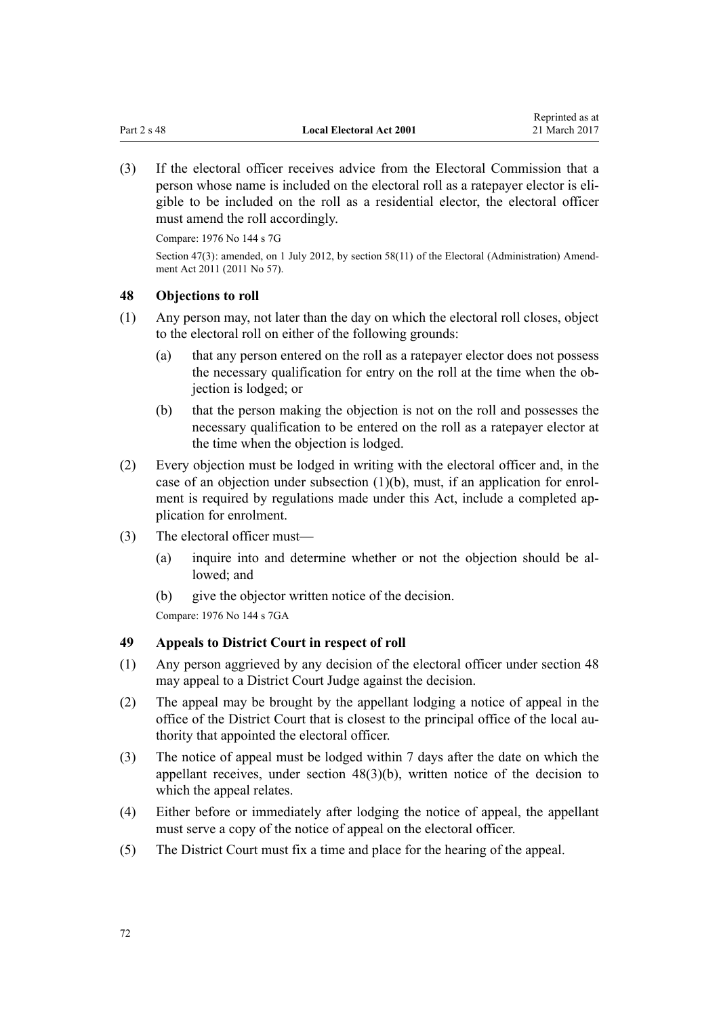(3) If the electoral officer receives advice from the Electoral Commission that a person whose name is included on the electoral roll as a ratepayer elector is eligible to be included on the roll as a residential elector, the electoral officer must amend the roll accordingly.

Compare: 1976 No 144 s 7G

Section 47(3): amended, on 1 July 2012, by [section 58\(11\)](http://prd-lgnz-nlb.prd.pco.net.nz/pdflink.aspx?id=DLM3367693) of the Electoral (Administration) Amendment Act 2011 (2011 No 57).

## **48 Objections to roll**

- (1) Any person may, not later than the day on which the electoral roll closes, object to the electoral roll on either of the following grounds:
	- (a) that any person entered on the roll as a ratepayer elector does not possess the necessary qualification for entry on the roll at the time when the objection is lodged; or
	- (b) that the person making the objection is not on the roll and possesses the necessary qualification to be entered on the roll as a ratepayer elector at the time when the objection is lodged.
- (2) Every objection must be lodged in writing with the electoral officer and, in the case of an objection under subsection  $(1)(b)$ , must, if an application for enrolment is required by regulations made under this Act, include a completed application for enrolment.
- (3) The electoral officer must—
	- (a) inquire into and determine whether or not the objection should be allowed; and
	- (b) give the objector written notice of the decision.

Compare: 1976 No 144 s 7GA

## **49 Appeals to District Court in respect of roll**

- (1) Any person aggrieved by any decision of the electoral officer under section 48 may appeal to a District Court Judge against the decision.
- (2) The appeal may be brought by the appellant lodging a notice of appeal in the office of the District Court that is closest to the principal office of the local authority that appointed the electoral officer.
- (3) The notice of appeal must be lodged within 7 days after the date on which the appellant receives, under section 48(3)(b), written notice of the decision to which the appeal relates.
- (4) Either before or immediately after lodging the notice of appeal, the appellant must serve a copy of the notice of appeal on the electoral officer.
- (5) The District Court must fix a time and place for the hearing of the appeal.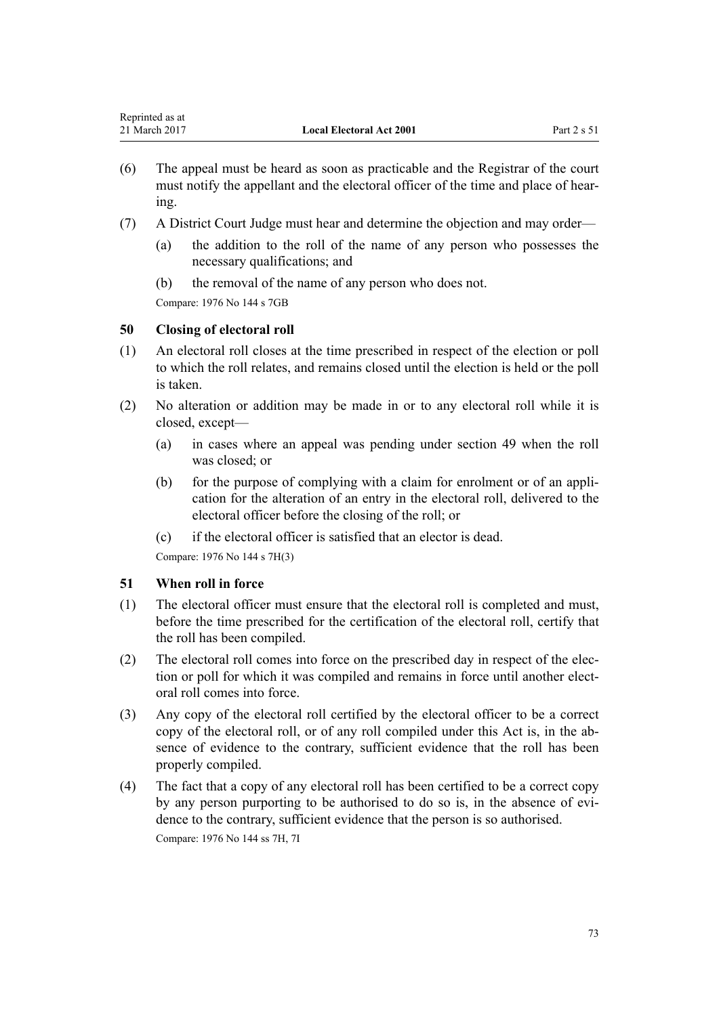- (6) The appeal must be heard as soon as practicable and the Registrar of the court must notify the appellant and the electoral officer of the time and place of hearing.
- (7) A District Court Judge must hear and determine the objection and may order—
	- (a) the addition to the roll of the name of any person who possesses the necessary qualifications; and
	- (b) the removal of the name of any person who does not.

Compare: 1976 No 144 s 7GB

# **50 Closing of electoral roll**

- (1) An electoral roll closes at the time prescribed in respect of the election or poll to which the roll relates, and remains closed until the election is held or the poll is taken.
- (2) No alteration or addition may be made in or to any electoral roll while it is closed, except—
	- (a) in cases where an appeal was pending under [section 49](#page-71-0) when the roll was closed; or
	- (b) for the purpose of complying with a claim for enrolment or of an application for the alteration of an entry in the electoral roll, delivered to the electoral officer before the closing of the roll; or
	- (c) if the electoral officer is satisfied that an elector is dead.

Compare: 1976 No 144 s 7H(3)

# **51 When roll in force**

- (1) The electoral officer must ensure that the electoral roll is completed and must, before the time prescribed for the certification of the electoral roll, certify that the roll has been compiled.
- (2) The electoral roll comes into force on the prescribed day in respect of the election or poll for which it was compiled and remains in force until another electoral roll comes into force.
- (3) Any copy of the electoral roll certified by the electoral officer to be a correct copy of the electoral roll, or of any roll compiled under this Act is, in the absence of evidence to the contrary, sufficient evidence that the roll has been properly compiled.
- (4) The fact that a copy of any electoral roll has been certified to be a correct copy by any person purporting to be authorised to do so is, in the absence of evidence to the contrary, sufficient evidence that the person is so authorised. Compare: 1976 No 144 ss 7H, 7I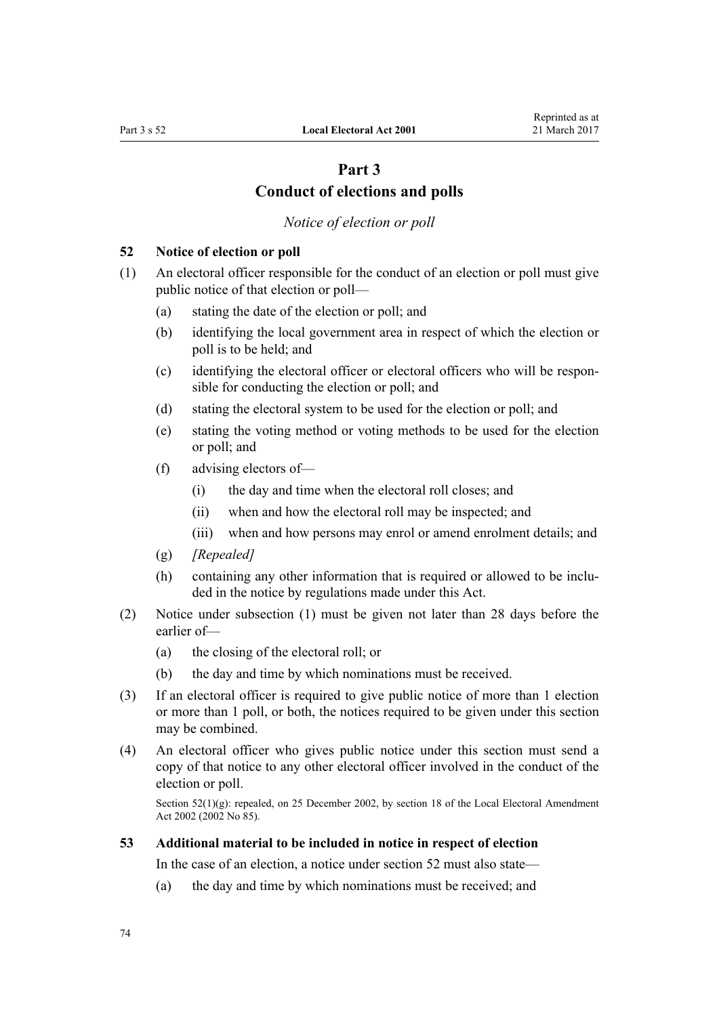# **Part 3 Conduct of elections and polls**

*Notice of election or poll*

#### <span id="page-73-0"></span>**52 Notice of election or poll**

(1) An electoral officer responsible for the conduct of an election or poll must give public notice of that election or poll—

- (a) stating the date of the election or poll; and
- (b) identifying the local government area in respect of which the election or poll is to be held; and
- (c) identifying the electoral officer or electoral officers who will be responsible for conducting the election or poll; and
- (d) stating the electoral system to be used for the election or poll; and
- (e) stating the voting method or voting methods to be used for the election or poll; and
- (f) advising electors of—
	- (i) the day and time when the electoral roll closes; and
	- (ii) when and how the electoral roll may be inspected; and
	- (iii) when and how persons may enrol or amend enrolment details; and
- (g) *[Repealed]*
- (h) containing any other information that is required or allowed to be included in the notice by regulations made under this Act.
- (2) Notice under subsection (1) must be given not later than 28 days before the earlier of—
	- (a) the closing of the electoral roll; or
	- (b) the day and time by which nominations must be received.
- (3) If an electoral officer is required to give public notice of more than 1 election or more than 1 poll, or both, the notices required to be given under this section may be combined.
- (4) An electoral officer who gives public notice under this section must send a copy of that notice to any other electoral officer involved in the conduct of the election or poll.

Section 52(1)(g): repealed, on 25 December 2002, by [section 18](http://prd-lgnz-nlb.prd.pco.net.nz/pdflink.aspx?id=DLM181484) of the Local Electoral Amendment Act 2002 (2002 No 85).

#### **53 Additional material to be included in notice in respect of election**

In the case of an election, a notice under section 52 must also state—

(a) the day and time by which nominations must be received; and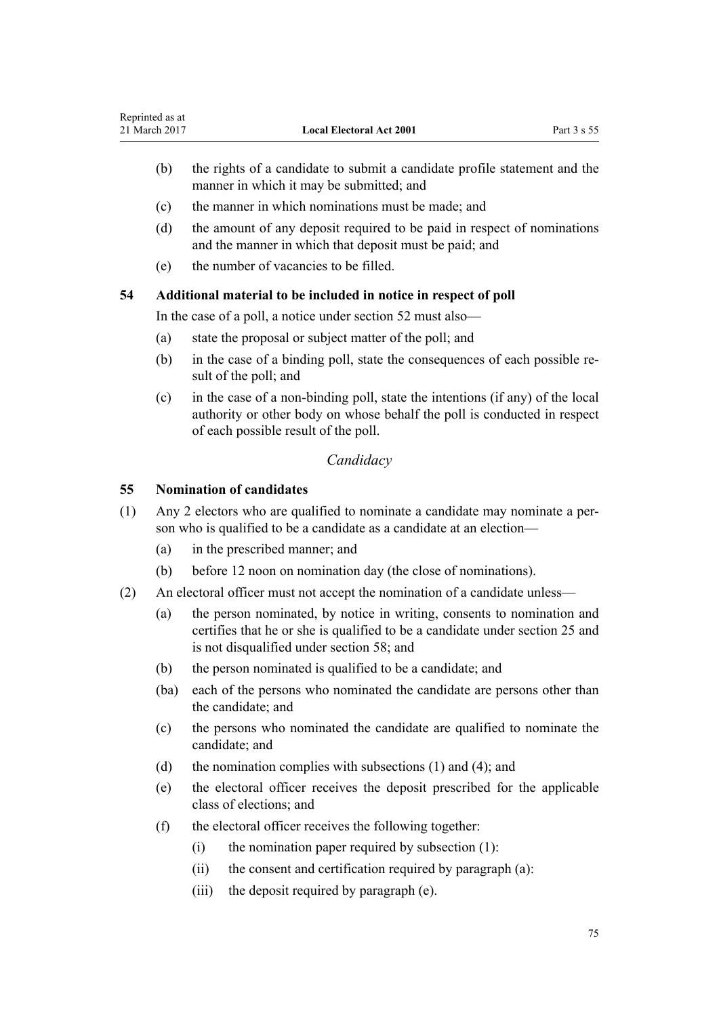- <span id="page-74-0"></span>(b) the rights of a candidate to submit a candidate profile statement and the manner in which it may be submitted; and
- (c) the manner in which nominations must be made; and
- (d) the amount of any deposit required to be paid in respect of nominations and the manner in which that deposit must be paid; and
- (e) the number of vacancies to be filled.

## **54 Additional material to be included in notice in respect of poll**

In the case of a poll, a notice under [section 52](#page-73-0) must also—

- (a) state the proposal or subject matter of the poll; and
- (b) in the case of a binding poll, state the consequences of each possible result of the poll; and
- (c) in the case of a non-binding poll, state the intentions (if any) of the local authority or other body on whose behalf the poll is conducted in respect of each possible result of the poll.

# *Candidacy*

## **55 Nomination of candidates**

- (1) Any 2 electors who are qualified to nominate a candidate may nominate a person who is qualified to be a candidate as a candidate at an election—
	- (a) in the prescribed manner; and
	- (b) before 12 noon on nomination day (the close of nominations).
- (2) An electoral officer must not accept the nomination of a candidate unless—
	- (a) the person nominated, by notice in writing, consents to nomination and certifies that he or she is qualified to be a candidate under [section 25](#page-58-0) and is not disqualified under [section 58;](#page-76-0) and
	- (b) the person nominated is qualified to be a candidate; and
	- (ba) each of the persons who nominated the candidate are persons other than the candidate; and
	- (c) the persons who nominated the candidate are qualified to nominate the candidate; and
	- (d) the nomination complies with subsections (1) and (4); and
	- (e) the electoral officer receives the deposit prescribed for the applicable class of elections; and
	- (f) the electoral officer receives the following together:
		- $(i)$  the nomination paper required by subsection  $(1)$ :
		- (ii) the consent and certification required by paragraph (a):
		- (iii) the deposit required by paragraph (e).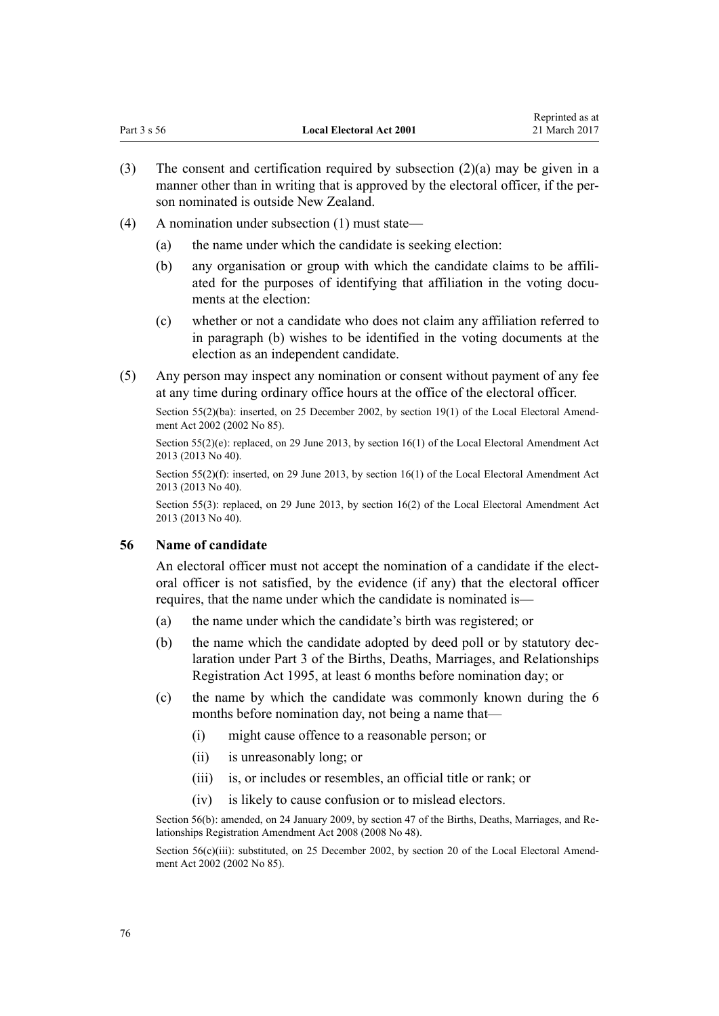- (3) The consent and certification required by subsection  $(2)(a)$  may be given in a manner other than in writing that is approved by the electoral officer, if the person nominated is outside New Zealand.
- (4) A nomination under subsection (1) must state—
	- (a) the name under which the candidate is seeking election:
	- (b) any organisation or group with which the candidate claims to be affiliated for the purposes of identifying that affiliation in the voting documents at the election:
	- (c) whether or not a candidate who does not claim any affiliation referred to in paragraph (b) wishes to be identified in the voting documents at the election as an independent candidate.
- (5) Any person may inspect any nomination or consent without payment of any fee at any time during ordinary office hours at the office of the electoral officer.

Section 55(2)(ba): inserted, on 25 December 2002, by [section 19\(1\)](http://prd-lgnz-nlb.prd.pco.net.nz/pdflink.aspx?id=DLM181485) of the Local Electoral Amendment Act 2002 (2002 No 85).

Section 55(2)(e): replaced, on 29 June 2013, by [section 16\(1\)](http://prd-lgnz-nlb.prd.pco.net.nz/pdflink.aspx?id=DLM4803531) of the Local Electoral Amendment Act 2013 (2013 No 40).

Section 55(2)(f): inserted, on 29 June 2013, by [section 16\(1\)](http://prd-lgnz-nlb.prd.pco.net.nz/pdflink.aspx?id=DLM4803531) of the Local Electoral Amendment Act 2013 (2013 No 40).

Section 55(3): replaced, on 29 June 2013, by [section 16\(2\)](http://prd-lgnz-nlb.prd.pco.net.nz/pdflink.aspx?id=DLM4803531) of the Local Electoral Amendment Act 2013 (2013 No 40).

## **56 Name of candidate**

An electoral officer must not accept the nomination of a candidate if the electoral officer is not satisfied, by the evidence (if any) that the electoral officer requires, that the name under which the candidate is nominated is—

- (a) the name under which the candidate's birth was registered; or
- (b) the name which the candidate adopted by deed poll or by statutory declaration under [Part 3](http://prd-lgnz-nlb.prd.pco.net.nz/pdflink.aspx?id=DLM364128) of the Births, Deaths, Marriages, and Relationships Registration Act 1995, at least 6 months before nomination day; or
- (c) the name by which the candidate was commonly known during the 6 months before nomination day, not being a name that—
	- (i) might cause offence to a reasonable person; or
	- (ii) is unreasonably long; or
	- (iii) is, or includes or resembles, an official title or rank; or
	- (iv) is likely to cause confusion or to mislead electors.

Section 56(b): amended, on 24 January 2009, by [section 47](http://prd-lgnz-nlb.prd.pco.net.nz/pdflink.aspx?id=DLM1048943) of the Births, Deaths, Marriages, and Relationships Registration Amendment Act 2008 (2008 No 48).

Section 56(c)(iii): substituted, on 25 December 2002, by [section 20](http://prd-lgnz-nlb.prd.pco.net.nz/pdflink.aspx?id=DLM181486) of the Local Electoral Amendment Act 2002 (2002 No 85).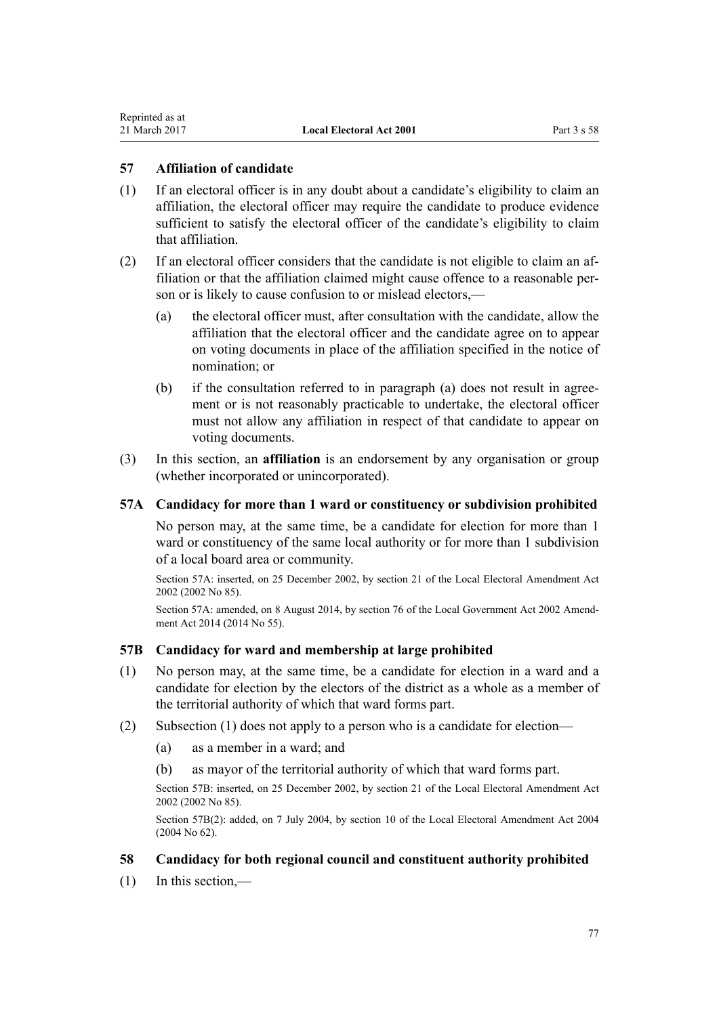## <span id="page-76-0"></span>**57 Affiliation of candidate**

- (1) If an electoral officer is in any doubt about a candidate's eligibility to claim an affiliation, the electoral officer may require the candidate to produce evidence sufficient to satisfy the electoral officer of the candidate's eligibility to claim that affiliation.
- (2) If an electoral officer considers that the candidate is not eligible to claim an affiliation or that the affiliation claimed might cause offence to a reasonable person or is likely to cause confusion to or mislead electors,—
	- (a) the electoral officer must, after consultation with the candidate, allow the affiliation that the electoral officer and the candidate agree on to appear on voting documents in place of the affiliation specified in the notice of nomination; or
	- (b) if the consultation referred to in paragraph (a) does not result in agreement or is not reasonably practicable to undertake, the electoral officer must not allow any affiliation in respect of that candidate to appear on voting documents.
- (3) In this section, an **affiliation** is an endorsement by any organisation or group (whether incorporated or unincorporated).

#### **57A Candidacy for more than 1 ward or constituency or subdivision prohibited**

No person may, at the same time, be a candidate for election for more than 1 ward or constituency of the same local authority or for more than 1 subdivision of a local board area or community.

Section 57A: inserted, on 25 December 2002, by [section 21](http://prd-lgnz-nlb.prd.pco.net.nz/pdflink.aspx?id=DLM181487) of the Local Electoral Amendment Act 2002 (2002 No 85).

Section 57A: amended, on 8 August 2014, by [section 76](http://prd-lgnz-nlb.prd.pco.net.nz/pdflink.aspx?id=DLM5707313) of the Local Government Act 2002 Amendment Act 2014 (2014 No 55).

#### **57B Candidacy for ward and membership at large prohibited**

- (1) No person may, at the same time, be a candidate for election in a ward and a candidate for election by the electors of the district as a whole as a member of the territorial authority of which that ward forms part.
- (2) Subsection (1) does not apply to a person who is a candidate for election—
	- (a) as a member in a ward; and
	- (b) as mayor of the territorial authority of which that ward forms part.

Section 57B: inserted, on 25 December 2002, by [section 21](http://prd-lgnz-nlb.prd.pco.net.nz/pdflink.aspx?id=DLM181487) of the Local Electoral Amendment Act 2002 (2002 No 85).

Section 57B(2): added, on 7 July 2004, by [section 10](http://prd-lgnz-nlb.prd.pco.net.nz/pdflink.aspx?id=DLM303176) of the Local Electoral Amendment Act 2004 (2004 No 62).

#### **58 Candidacy for both regional council and constituent authority prohibited**

(1) In this section,—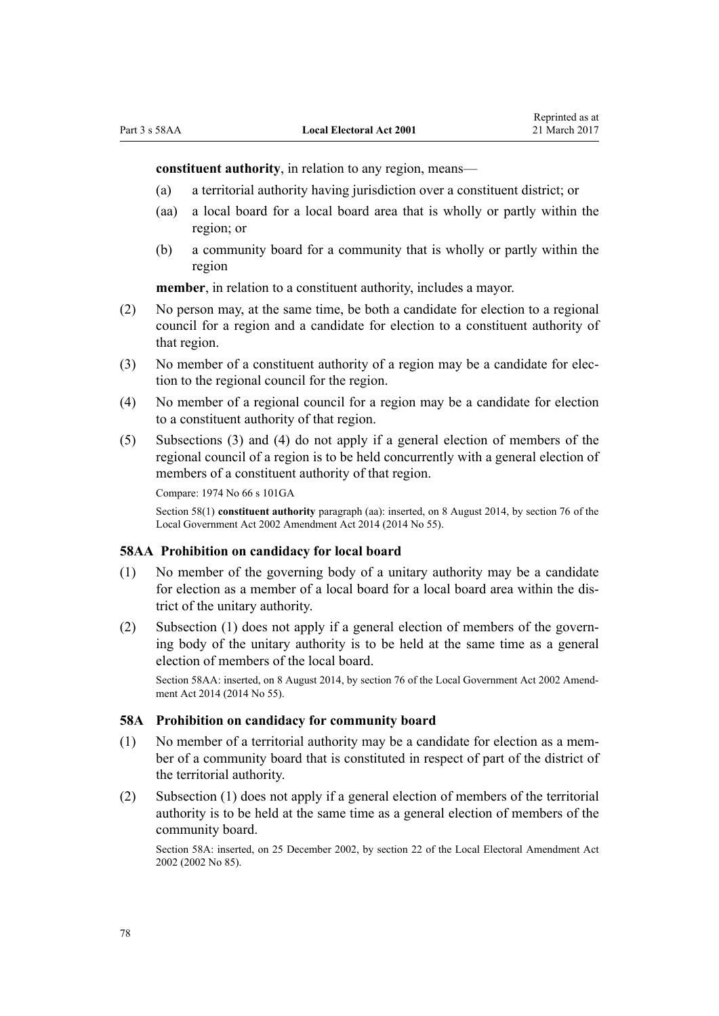**constituent authority**, in relation to any region, means—

- (a) a territorial authority having jurisdiction over a constituent district; or
- (aa) a local board for a local board area that is wholly or partly within the region; or
- (b) a community board for a community that is wholly or partly within the region

**member**, in relation to a constituent authority, includes a mayor.

- (2) No person may, at the same time, be both a candidate for election to a regional council for a region and a candidate for election to a constituent authority of that region.
- (3) No member of a constituent authority of a region may be a candidate for election to the regional council for the region.
- (4) No member of a regional council for a region may be a candidate for election to a constituent authority of that region.
- (5) Subsections (3) and (4) do not apply if a general election of members of the regional council of a region is to be held concurrently with a general election of members of a constituent authority of that region.

```
Compare: 1974 No 66 s 101GA
```
Section 58(1) **constituent authority** paragraph (aa): inserted, on 8 August 2014, by [section 76](http://prd-lgnz-nlb.prd.pco.net.nz/pdflink.aspx?id=DLM5707313) of the Local Government Act 2002 Amendment Act 2014 (2014 No 55).

#### **58AA Prohibition on candidacy for local board**

- (1) No member of the governing body of a unitary authority may be a candidate for election as a member of a local board for a local board area within the district of the unitary authority.
- (2) Subsection (1) does not apply if a general election of members of the governing body of the unitary authority is to be held at the same time as a general election of members of the local board.

Section 58AA: inserted, on 8 August 2014, by [section 76](http://prd-lgnz-nlb.prd.pco.net.nz/pdflink.aspx?id=DLM5707313) of the Local Government Act 2002 Amendment Act 2014 (2014 No 55).

## **58A Prohibition on candidacy for community board**

- (1) No member of a territorial authority may be a candidate for election as a member of a community board that is constituted in respect of part of the district of the territorial authority.
- (2) Subsection (1) does not apply if a general election of members of the territorial authority is to be held at the same time as a general election of members of the community board.

Section 58A: inserted, on 25 December 2002, by [section 22](http://prd-lgnz-nlb.prd.pco.net.nz/pdflink.aspx?id=DLM181490) of the Local Electoral Amendment Act 2002 (2002 No 85).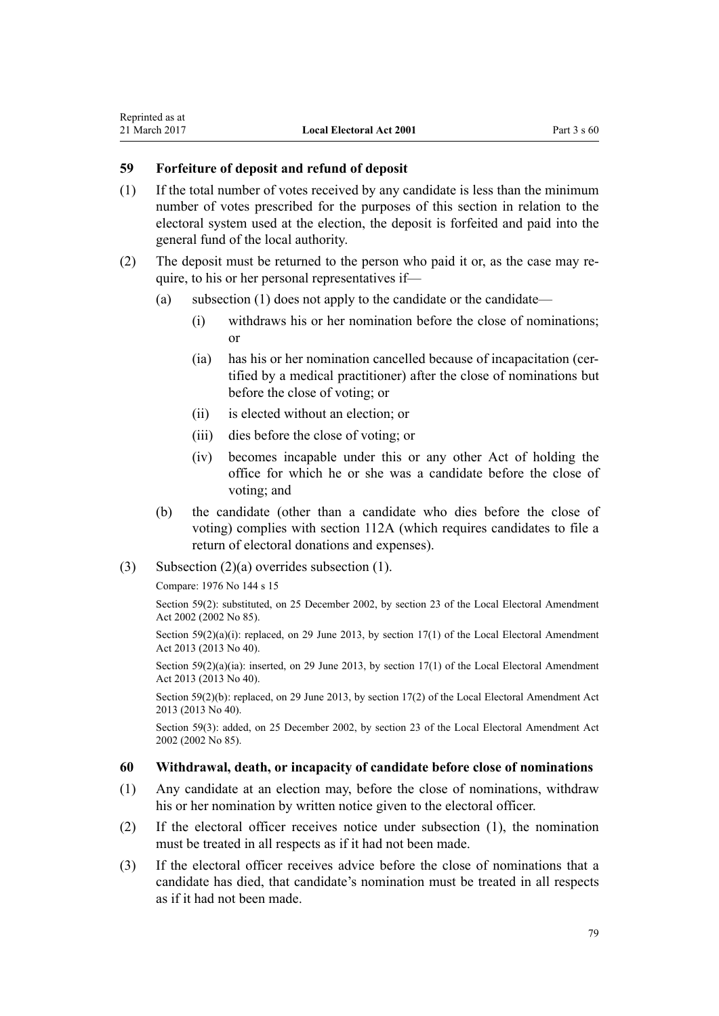# **59 Forfeiture of deposit and refund of deposit**

- (1) If the total number of votes received by any candidate is less than the minimum number of votes prescribed for the purposes of this section in relation to the electoral system used at the election, the deposit is forfeited and paid into the general fund of the local authority.
- (2) The deposit must be returned to the person who paid it or, as the case may require, to his or her personal representatives if—
	- (a) subsection (1) does not apply to the candidate or the candidate—
		- (i) withdraws his or her nomination before the close of nominations; or
		- (ia) has his or her nomination cancelled because of incapacitation (certified by a medical practitioner) after the close of nominations but before the close of voting; or
		- (ii) is elected without an election; or
		- (iii) dies before the close of voting; or
		- (iv) becomes incapable under this or any other Act of holding the office for which he or she was a candidate before the close of voting; and
	- (b) the candidate (other than a candidate who dies before the close of voting) complies with [section 112A](#page-115-0) (which requires candidates to file a return of electoral donations and expenses).
- (3) Subsection (2)(a) overrides subsection (1).

Compare: 1976 No 144 s 15

Section 59(2): substituted, on 25 December 2002, by [section 23](http://prd-lgnz-nlb.prd.pco.net.nz/pdflink.aspx?id=DLM181492) of the Local Electoral Amendment Act 2002 (2002 No 85).

Section  $59(2)(a)(i)$ : replaced, on 29 June 2013, by section  $17(1)$  of the Local Electoral Amendment Act 2013 (2013 No 40).

Section 59(2)(a)(ia): inserted, on 29 June 2013, by [section 17\(1\)](http://prd-lgnz-nlb.prd.pco.net.nz/pdflink.aspx?id=DLM4803532) of the Local Electoral Amendment Act 2013 (2013 No 40).

Section 59(2)(b): replaced, on 29 June 2013, by [section 17\(2\)](http://prd-lgnz-nlb.prd.pco.net.nz/pdflink.aspx?id=DLM4803532) of the Local Electoral Amendment Act 2013 (2013 No 40).

Section 59(3): added, on 25 December 2002, by [section 23](http://prd-lgnz-nlb.prd.pco.net.nz/pdflink.aspx?id=DLM181492) of the Local Electoral Amendment Act 2002 (2002 No 85).

## **60 Withdrawal, death, or incapacity of candidate before close of nominations**

- (1) Any candidate at an election may, before the close of nominations, withdraw his or her nomination by written notice given to the electoral officer.
- (2) If the electoral officer receives notice under subsection (1), the nomination must be treated in all respects as if it had not been made.
- (3) If the electoral officer receives advice before the close of nominations that a candidate has died, that candidate's nomination must be treated in all respects as if it had not been made.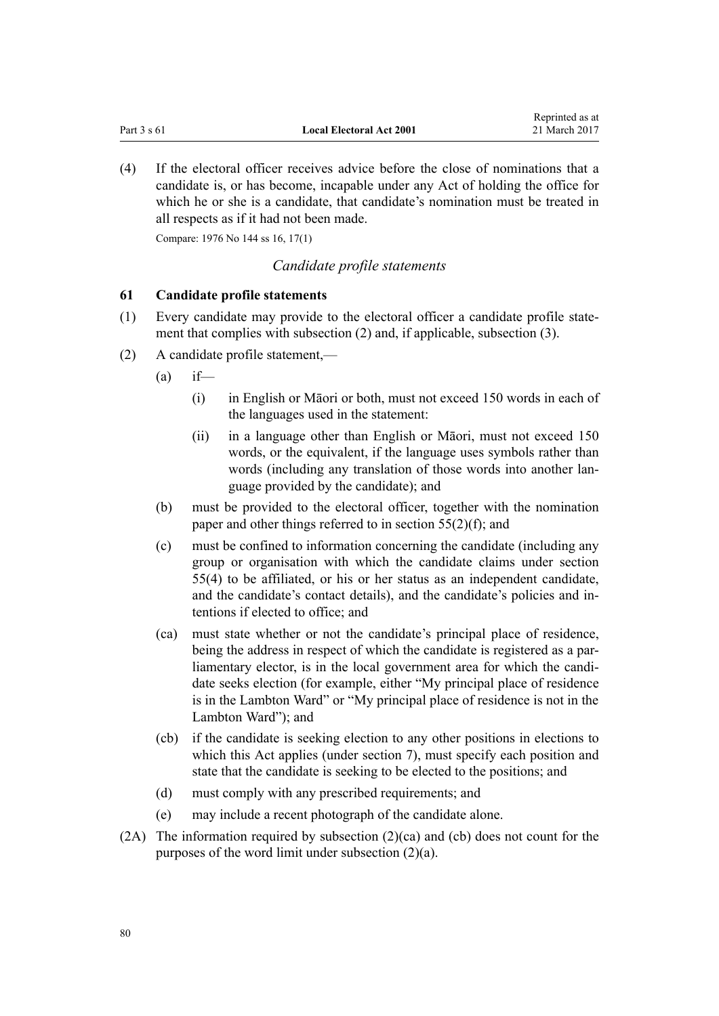<span id="page-79-0"></span>(4) If the electoral officer receives advice before the close of nominations that a candidate is, or has become, incapable under any Act of holding the office for which he or she is a candidate, that candidate's nomination must be treated in all respects as if it had not been made.

Compare: 1976 No 144 ss 16, 17(1)

## *Candidate profile statements*

#### **61 Candidate profile statements**

- (1) Every candidate may provide to the electoral officer a candidate profile statement that complies with subsection (2) and, if applicable, subsection (3).
- (2) A candidate profile statement,—
	- $(a)$  if—
		- (i) in English or Māori or both, must not exceed 150 words in each of the languages used in the statement:
		- (ii) in a language other than English or Māori, must not exceed 150 words, or the equivalent, if the language uses symbols rather than words (including any translation of those words into another language provided by the candidate); and
	- (b) must be provided to the electoral officer, together with the nomination paper and other things referred to in [section 55\(2\)\(f\)](#page-74-0); and
	- (c) must be confined to information concerning the candidate (including any group or organisation with which the candidate claims under [section](#page-74-0) [55\(4\)](#page-74-0) to be affiliated, or his or her status as an independent candidate, and the candidate's contact details), and the candidate's policies and intentions if elected to office; and
	- (ca) must state whether or not the candidate's principal place of residence, being the address in respect of which the candidate is registered as a parliamentary elector, is in the local government area for which the candidate seeks election (for example, either "My principal place of residence is in the Lambton Ward" or "My principal place of residence is not in the Lambton Ward"); and
	- (cb) if the candidate is seeking election to any other positions in elections to which this Act applies (under [section 7\)](#page-17-0), must specify each position and state that the candidate is seeking to be elected to the positions; and
	- (d) must comply with any prescribed requirements; and
	- (e) may include a recent photograph of the candidate alone.
- (2A) The information required by subsection (2)(ca) and (cb) does not count for the purposes of the word limit under subsection (2)(a).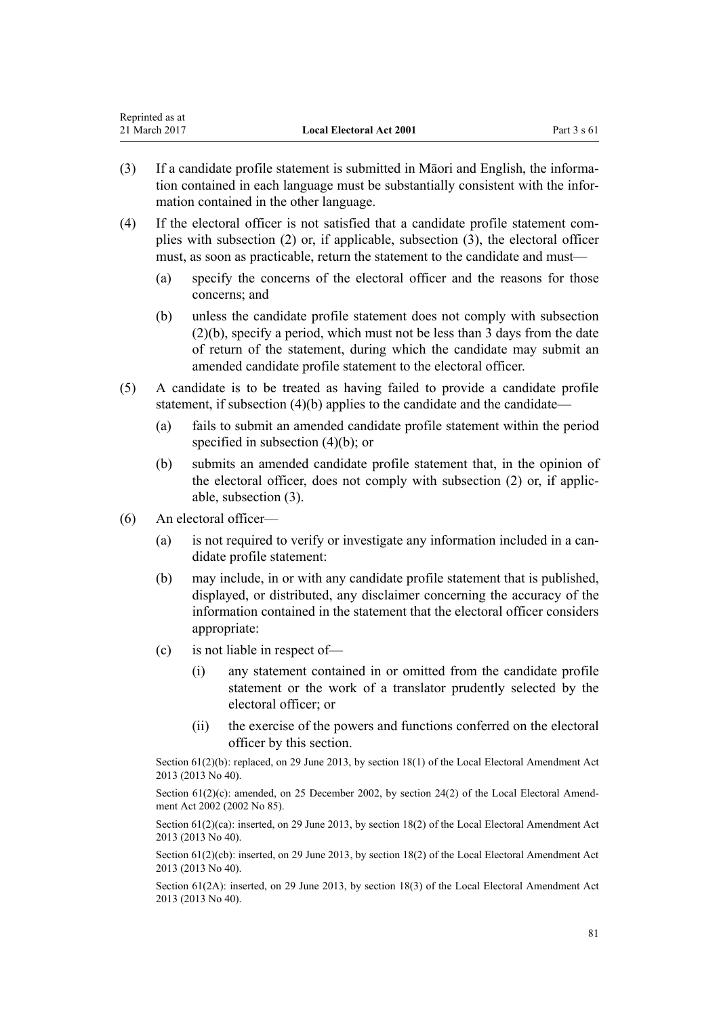| Reprinted as at |                                 |               |
|-----------------|---------------------------------|---------------|
| 21 March 2017   | <b>Local Electoral Act 2001</b> | Part $3 s 61$ |

- (3) If a candidate profile statement is submitted in Māori and English, the information contained in each language must be substantially consistent with the information contained in the other language.
- (4) If the electoral officer is not satisfied that a candidate profile statement complies with subsection (2) or, if applicable, subsection (3), the electoral officer must, as soon as practicable, return the statement to the candidate and must—
	- (a) specify the concerns of the electoral officer and the reasons for those concerns; and
	- (b) unless the candidate profile statement does not comply with subsection (2)(b), specify a period, which must not be less than 3 days from the date of return of the statement, during which the candidate may submit an amended candidate profile statement to the electoral officer.
- (5) A candidate is to be treated as having failed to provide a candidate profile statement, if subsection (4)(b) applies to the candidate and the candidate—
	- (a) fails to submit an amended candidate profile statement within the period specified in subsection (4)(b); or
	- (b) submits an amended candidate profile statement that, in the opinion of the electoral officer, does not comply with subsection (2) or, if applicable, subsection (3).
- (6) An electoral officer—
	- (a) is not required to verify or investigate any information included in a candidate profile statement:
	- (b) may include, in or with any candidate profile statement that is published, displayed, or distributed, any disclaimer concerning the accuracy of the information contained in the statement that the electoral officer considers appropriate:
	- (c) is not liable in respect of—
		- (i) any statement contained in or omitted from the candidate profile statement or the work of a translator prudently selected by the electoral officer; or
		- (ii) the exercise of the powers and functions conferred on the electoral officer by this section.

Section 61(2)(b): replaced, on 29 June 2013, by [section 18\(1\)](http://prd-lgnz-nlb.prd.pco.net.nz/pdflink.aspx?id=DLM4803533) of the Local Electoral Amendment Act 2013 (2013 No 40).

Section  $61(2)(c)$ : amended, on 25 December 2002, by [section 24\(2\)](http://prd-lgnz-nlb.prd.pco.net.nz/pdflink.aspx?id=DLM181493) of the Local Electoral Amendment Act 2002 (2002 No 85).

Section  $61(2)(ca)$ : inserted, on 29 June 2013, by [section 18\(2\)](http://prd-lgnz-nlb.prd.pco.net.nz/pdflink.aspx?id=DLM4803533) of the Local Electoral Amendment Act 2013 (2013 No 40).

Section 61(2)(cb): inserted, on 29 June 2013, by [section 18\(2\)](http://prd-lgnz-nlb.prd.pco.net.nz/pdflink.aspx?id=DLM4803533) of the Local Electoral Amendment Act 2013 (2013 No 40).

Section 61(2A): inserted, on 29 June 2013, by [section 18\(3\)](http://prd-lgnz-nlb.prd.pco.net.nz/pdflink.aspx?id=DLM4803533) of the Local Electoral Amendment Act 2013 (2013 No 40).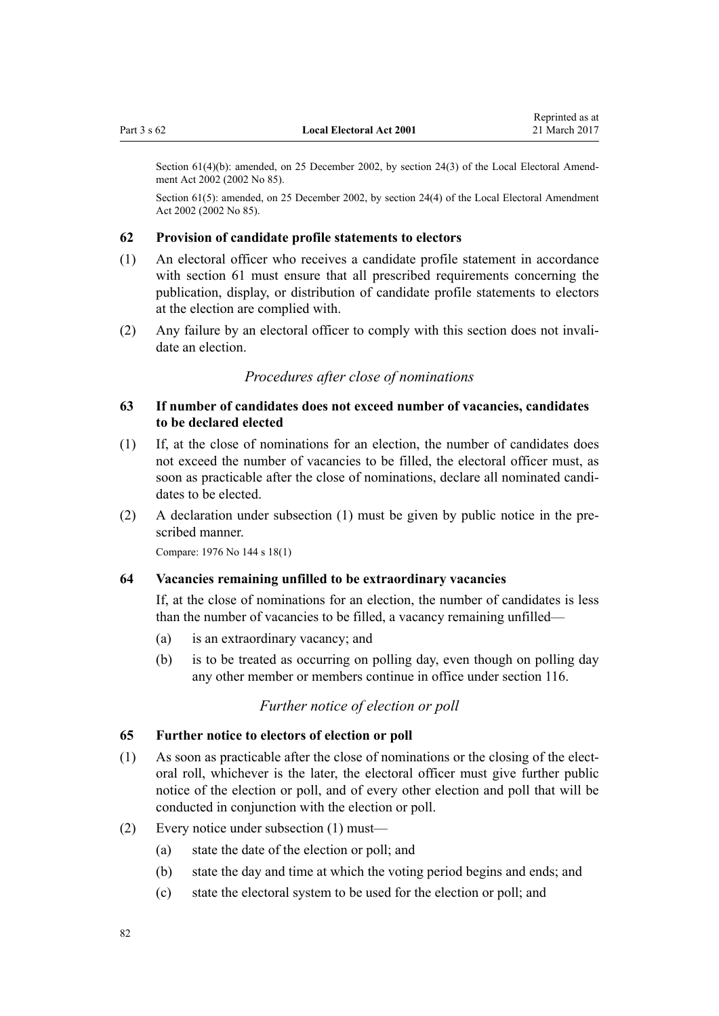<span id="page-81-0"></span>Section 61(4)(b): amended, on 25 December 2002, by [section 24\(3\)](http://prd-lgnz-nlb.prd.pco.net.nz/pdflink.aspx?id=DLM181493) of the Local Electoral Amend-

Section 61(5): amended, on 25 December 2002, by [section 24\(4\)](http://prd-lgnz-nlb.prd.pco.net.nz/pdflink.aspx?id=DLM181493) of the Local Electoral Amendment Act 2002 (2002 No 85).

#### **62 Provision of candidate profile statements to electors**

- (1) An electoral officer who receives a candidate profile statement in accordance with [section 61](#page-79-0) must ensure that all prescribed requirements concerning the publication, display, or distribution of candidate profile statements to electors at the election are complied with.
- (2) Any failure by an electoral officer to comply with this section does not invalidate an election.

# *Procedures after close of nominations*

## **63 If number of candidates does not exceed number of vacancies, candidates to be declared elected**

- (1) If, at the close of nominations for an election, the number of candidates does not exceed the number of vacancies to be filled, the electoral officer must, as soon as practicable after the close of nominations, declare all nominated candidates to be elected.
- (2) A declaration under subsection (1) must be given by public notice in the prescribed manner.

Compare: 1976 No 144 s 18(1)

ment Act 2002 (2002 No 85).

#### **64 Vacancies remaining unfilled to be extraordinary vacancies**

If, at the close of nominations for an election, the number of candidates is less than the number of vacancies to be filled, a vacancy remaining unfilled—

- (a) is an extraordinary vacancy; and
- (b) is to be treated as occurring on polling day, even though on polling day any other member or members continue in office under [section 116](#page-120-0).

# *Further notice of election or poll*

#### **65 Further notice to electors of election or poll**

- (1) As soon as practicable after the close of nominations or the closing of the electoral roll, whichever is the later, the electoral officer must give further public notice of the election or poll, and of every other election and poll that will be conducted in conjunction with the election or poll.
- (2) Every notice under subsection (1) must—
	- (a) state the date of the election or poll; and
	- (b) state the day and time at which the voting period begins and ends; and
	- (c) state the electoral system to be used for the election or poll; and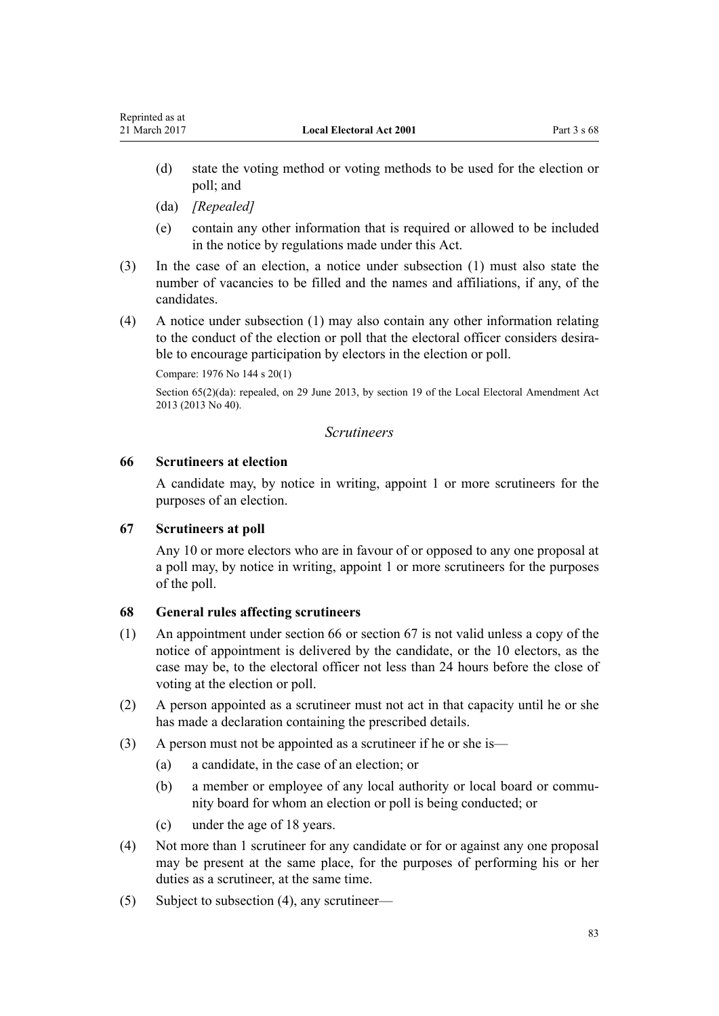- (d) state the voting method or voting methods to be used for the election or poll; and
- (da) *[Repealed]*

<span id="page-82-0"></span>Reprinted as at

- (e) contain any other information that is required or allowed to be included in the notice by regulations made under this Act.
- (3) In the case of an election, a notice under subsection (1) must also state the number of vacancies to be filled and the names and affiliations, if any, of the candidates.
- (4) A notice under subsection (1) may also contain any other information relating to the conduct of the election or poll that the electoral officer considers desirable to encourage participation by electors in the election or poll.

Compare: 1976 No 144 s 20(1)

Section 65(2)(da): repealed, on 29 June 2013, by [section 19](http://prd-lgnz-nlb.prd.pco.net.nz/pdflink.aspx?id=DLM4803534) of the Local Electoral Amendment Act 2013 (2013 No 40).

## *Scrutineers*

# **66 Scrutineers at election**

A candidate may, by notice in writing, appoint 1 or more scrutineers for the purposes of an election.

# **67 Scrutineers at poll**

Any 10 or more electors who are in favour of or opposed to any one proposal at a poll may, by notice in writing, appoint 1 or more scrutineers for the purposes of the poll.

# **68 General rules affecting scrutineers**

- (1) An appointment under section 66 or section 67 is not valid unless a copy of the notice of appointment is delivered by the candidate, or the 10 electors, as the case may be, to the electoral officer not less than 24 hours before the close of voting at the election or poll.
- (2) A person appointed as a scrutineer must not act in that capacity until he or she has made a declaration containing the prescribed details.
- (3) A person must not be appointed as a scrutineer if he or she is—
	- (a) a candidate, in the case of an election; or
	- (b) a member or employee of any local authority or local board or community board for whom an election or poll is being conducted; or
	- (c) under the age of 18 years.
- (4) Not more than 1 scrutineer for any candidate or for or against any one proposal may be present at the same place, for the purposes of performing his or her duties as a scrutineer, at the same time.
- (5) Subject to subsection (4), any scrutineer—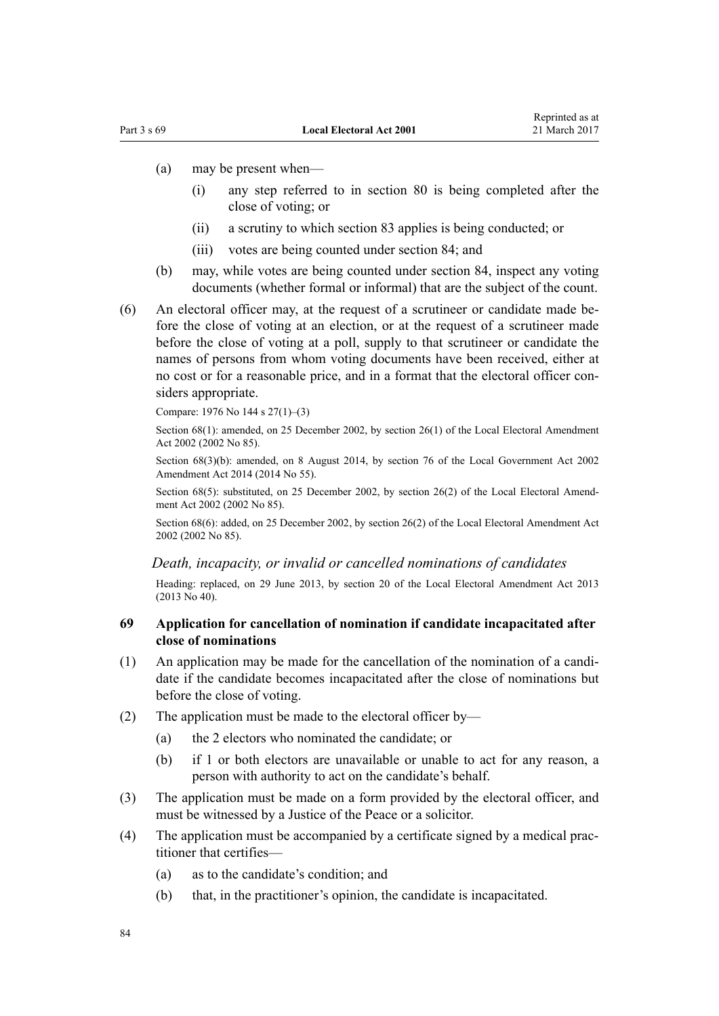- <span id="page-83-0"></span>(a) may be present when—
	- (i) any step referred to in [section 80](#page-91-0) is being completed after the close of voting; or
	- (ii) a scrutiny to which [section 83](#page-92-0) applies is being conducted; or
	- (iii) votes are being counted under [section 84;](#page-92-0) and
- (b) may, while votes are being counted under section 84, inspect any voting documents (whether formal or informal) that are the subject of the count.
- (6) An electoral officer may, at the request of a scrutineer or candidate made before the close of voting at an election, or at the request of a scrutineer made before the close of voting at a poll, supply to that scrutineer or candidate the names of persons from whom voting documents have been received, either at no cost or for a reasonable price, and in a format that the electoral officer considers appropriate.

Compare: 1976 No 144 s 27(1)–(3)

Section 68(1): amended, on 25 December 2002, by [section 26\(1\)](http://prd-lgnz-nlb.prd.pco.net.nz/pdflink.aspx?id=DLM181495) of the Local Electoral Amendment Act 2002 (2002 No 85).

Section 68(3)(b): amended, on 8 August 2014, by [section 76](http://prd-lgnz-nlb.prd.pco.net.nz/pdflink.aspx?id=DLM5707313) of the Local Government Act 2002 Amendment Act 2014 (2014 No 55).

Section 68(5): substituted, on 25 December 2002, by [section 26\(2\)](http://prd-lgnz-nlb.prd.pco.net.nz/pdflink.aspx?id=DLM181495) of the Local Electoral Amendment Act 2002 (2002 No 85).

Section 68(6): added, on 25 December 2002, by [section 26\(2\)](http://prd-lgnz-nlb.prd.pco.net.nz/pdflink.aspx?id=DLM181495) of the Local Electoral Amendment Act 2002 (2002 No 85).

## *Death, incapacity, or invalid or cancelled nominations of candidates*

Heading: replaced, on 29 June 2013, by [section 20](http://prd-lgnz-nlb.prd.pco.net.nz/pdflink.aspx?id=DLM4803535) of the Local Electoral Amendment Act 2013 (2013 No 40).

## **69 Application for cancellation of nomination if candidate incapacitated after close of nominations**

- (1) An application may be made for the cancellation of the nomination of a candidate if the candidate becomes incapacitated after the close of nominations but before the close of voting.
- (2) The application must be made to the electoral officer by—
	- (a) the 2 electors who nominated the candidate; or
	- (b) if 1 or both electors are unavailable or unable to act for any reason, a person with authority to act on the candidate's behalf.
- (3) The application must be made on a form provided by the electoral officer, and must be witnessed by a Justice of the Peace or a solicitor.
- (4) The application must be accompanied by a certificate signed by a medical practitioner that certifies—
	- (a) as to the candidate's condition; and
	- (b) that, in the practitioner's opinion, the candidate is incapacitated.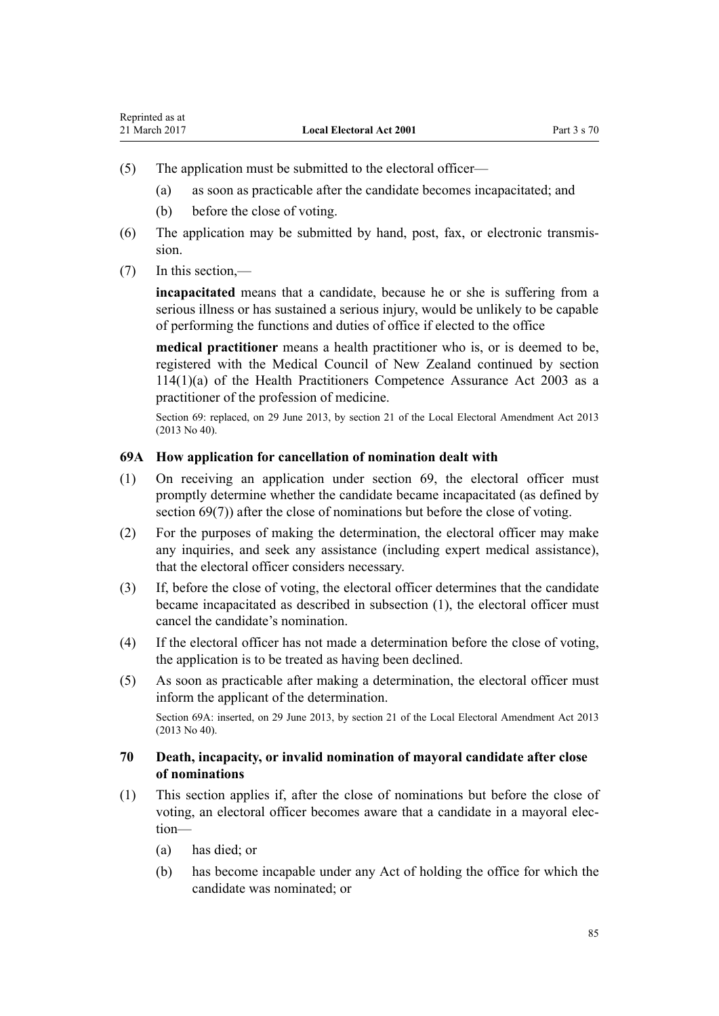- <span id="page-84-0"></span>(5) The application must be submitted to the electoral officer—
	- (a) as soon as practicable after the candidate becomes incapacitated; and
	- (b) before the close of voting.
- (6) The application may be submitted by hand, post, fax, or electronic transmission.
- (7) In this section,—

**incapacitated** means that a candidate, because he or she is suffering from a serious illness or has sustained a serious injury, would be unlikely to be capable of performing the functions and duties of office if elected to the office

**medical practitioner** means a health practitioner who is, or is deemed to be, registered with the Medical Council of New Zealand continued by [section](http://prd-lgnz-nlb.prd.pco.net.nz/pdflink.aspx?id=DLM204329)  $114(1)(a)$  of the Health Practitioners Competence Assurance Act 2003 as a practitioner of the profession of medicine.

Section 69: replaced, on 29 June 2013, by [section 21](http://prd-lgnz-nlb.prd.pco.net.nz/pdflink.aspx?id=DLM4803537) of the Local Electoral Amendment Act 2013 (2013 No 40).

## **69A How application for cancellation of nomination dealt with**

- (1) On receiving an application under [section 69](#page-83-0), the electoral officer must promptly determine whether the candidate became incapacitated (as defined by section 69(7)) after the close of nominations but before the close of voting.
- (2) For the purposes of making the determination, the electoral officer may make any inquiries, and seek any assistance (including expert medical assistance), that the electoral officer considers necessary.
- (3) If, before the close of voting, the electoral officer determines that the candidate became incapacitated as described in subsection (1), the electoral officer must cancel the candidate's nomination.
- (4) If the electoral officer has not made a determination before the close of voting, the application is to be treated as having been declined.
- (5) As soon as practicable after making a determination, the electoral officer must inform the applicant of the determination.

Section 69A: inserted, on 29 June 2013, by [section 21](http://prd-lgnz-nlb.prd.pco.net.nz/pdflink.aspx?id=DLM4803537) of the Local Electoral Amendment Act 2013 (2013 No 40).

## **70 Death, incapacity, or invalid nomination of mayoral candidate after close of nominations**

- (1) This section applies if, after the close of nominations but before the close of voting, an electoral officer becomes aware that a candidate in a mayoral election—
	- (a) has died; or
	- (b) has become incapable under any Act of holding the office for which the candidate was nominated; or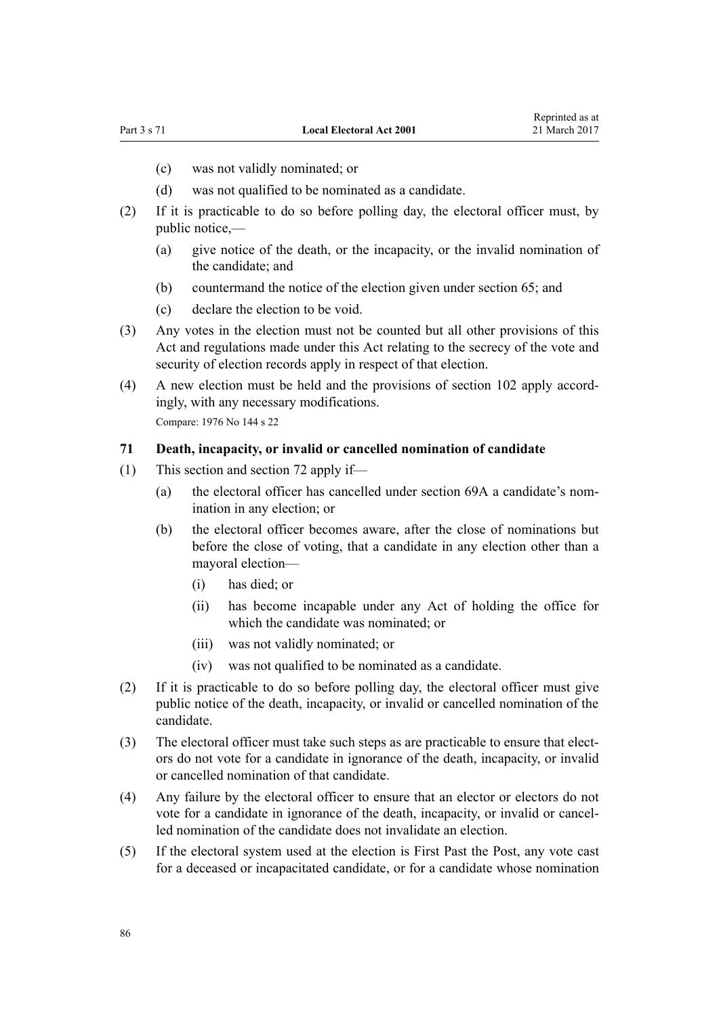- (c) was not validly nominated; or
- (d) was not qualified to be nominated as a candidate.
- (2) If it is practicable to do so before polling day, the electoral officer must, by public notice,—
	- (a) give notice of the death, or the incapacity, or the invalid nomination of the candidate; and
	- (b) countermand the notice of the election given under [section 65](#page-81-0); and
	- (c) declare the election to be void.
- (3) Any votes in the election must not be counted but all other provisions of this Act and regulations made under this Act relating to the secrecy of the vote and security of election records apply in respect of that election.
- (4) A new election must be held and the provisions of [section 102](#page-104-0) apply accordingly, with any necessary modifications. Compare: 1976 No 144 s 22

#### **71 Death, incapacity, or invalid or cancelled nomination of candidate**

- (1) This section and [section 72](#page-86-0) apply if—
	- (a) the electoral officer has cancelled under [section 69A](#page-84-0) a candidate's nomination in any election; or
	- (b) the electoral officer becomes aware, after the close of nominations but before the close of voting, that a candidate in any election other than a mayoral election—
		- (i) has died; or
		- (ii) has become incapable under any Act of holding the office for which the candidate was nominated; or
		- (iii) was not validly nominated; or
		- (iv) was not qualified to be nominated as a candidate.
- (2) If it is practicable to do so before polling day, the electoral officer must give public notice of the death, incapacity, or invalid or cancelled nomination of the candidate.
- (3) The electoral officer must take such steps as are practicable to ensure that electors do not vote for a candidate in ignorance of the death, incapacity, or invalid or cancelled nomination of that candidate.
- (4) Any failure by the electoral officer to ensure that an elector or electors do not vote for a candidate in ignorance of the death, incapacity, or invalid or cancelled nomination of the candidate does not invalidate an election.
- (5) If the electoral system used at the election is First Past the Post, any vote cast for a deceased or incapacitated candidate, or for a candidate whose nomination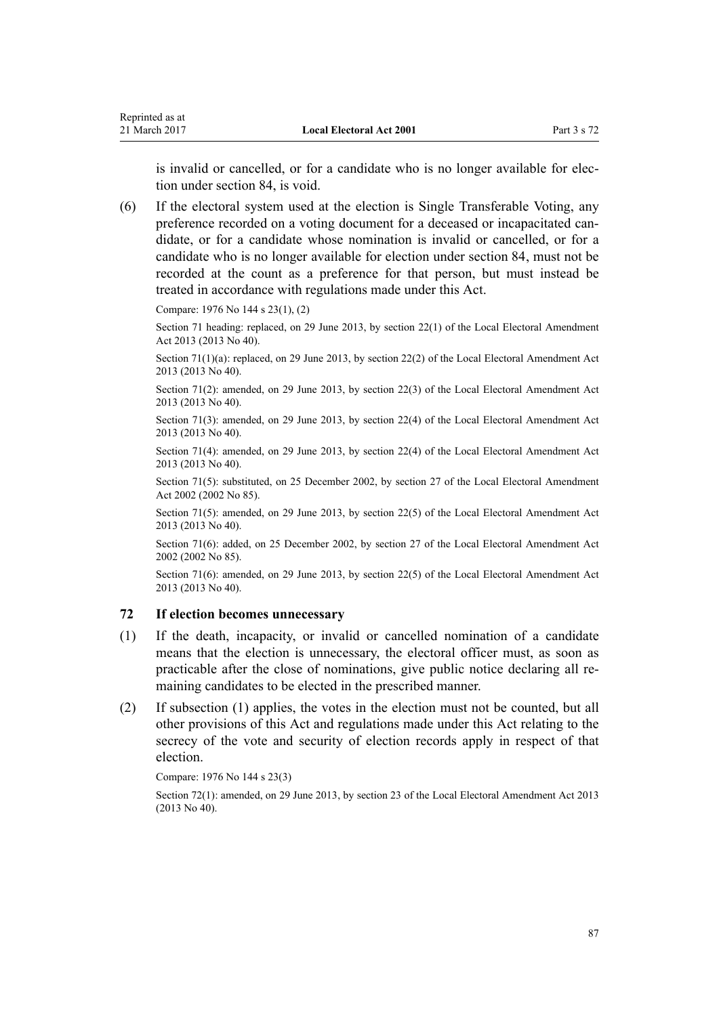<span id="page-86-0"></span>is invalid or cancelled, or for a candidate who is no longer available for election under [section 84,](#page-92-0) is void.

(6) If the electoral system used at the election is Single Transferable Voting, any preference recorded on a voting document for a deceased or incapacitated candidate, or for a candidate whose nomination is invalid or cancelled, or for a candidate who is no longer available for election under [section 84,](#page-92-0) must not be recorded at the count as a preference for that person, but must instead be treated in accordance with regulations made under this Act.

Compare: 1976 No 144 s 23(1), (2)

Section 71 heading: replaced, on 29 June 2013, by [section 22\(1\)](http://prd-lgnz-nlb.prd.pco.net.nz/pdflink.aspx?id=DLM4803544) of the Local Electoral Amendment Act 2013 (2013 No 40).

Section 71(1)(a): replaced, on 29 June 2013, by [section 22\(2\)](http://prd-lgnz-nlb.prd.pco.net.nz/pdflink.aspx?id=DLM4803544) of the Local Electoral Amendment Act 2013 (2013 No 40).

Section 71(2): amended, on 29 June 2013, by [section 22\(3\)](http://prd-lgnz-nlb.prd.pco.net.nz/pdflink.aspx?id=DLM4803544) of the Local Electoral Amendment Act 2013 (2013 No 40).

Section 71(3): amended, on 29 June 2013, by [section 22\(4\)](http://prd-lgnz-nlb.prd.pco.net.nz/pdflink.aspx?id=DLM4803544) of the Local Electoral Amendment Act 2013 (2013 No 40).

Section 71(4): amended, on 29 June 2013, by [section 22\(4\)](http://prd-lgnz-nlb.prd.pco.net.nz/pdflink.aspx?id=DLM4803544) of the Local Electoral Amendment Act 2013 (2013 No 40).

Section 71(5): substituted, on 25 December 2002, by [section 27](http://prd-lgnz-nlb.prd.pco.net.nz/pdflink.aspx?id=DLM181496) of the Local Electoral Amendment Act 2002 (2002 No 85).

Section 71(5): amended, on 29 June 2013, by [section 22\(5\)](http://prd-lgnz-nlb.prd.pco.net.nz/pdflink.aspx?id=DLM4803544) of the Local Electoral Amendment Act 2013 (2013 No 40).

Section 71(6): added, on 25 December 2002, by [section 27](http://prd-lgnz-nlb.prd.pco.net.nz/pdflink.aspx?id=DLM181496) of the Local Electoral Amendment Act 2002 (2002 No 85).

Section 71(6): amended, on 29 June 2013, by [section 22\(5\)](http://prd-lgnz-nlb.prd.pco.net.nz/pdflink.aspx?id=DLM4803544) of the Local Electoral Amendment Act 2013 (2013 No 40).

## **72 If election becomes unnecessary**

- (1) If the death, incapacity, or invalid or cancelled nomination of a candidate means that the election is unnecessary, the electoral officer must, as soon as practicable after the close of nominations, give public notice declaring all remaining candidates to be elected in the prescribed manner.
- (2) If subsection (1) applies, the votes in the election must not be counted, but all other provisions of this Act and regulations made under this Act relating to the secrecy of the vote and security of election records apply in respect of that election.

#### Compare: 1976 No 144 s 23(3)

Section 72(1): amended, on 29 June 2013, by [section 23](http://prd-lgnz-nlb.prd.pco.net.nz/pdflink.aspx?id=DLM4803545) of the Local Electoral Amendment Act 2013 (2013 No 40).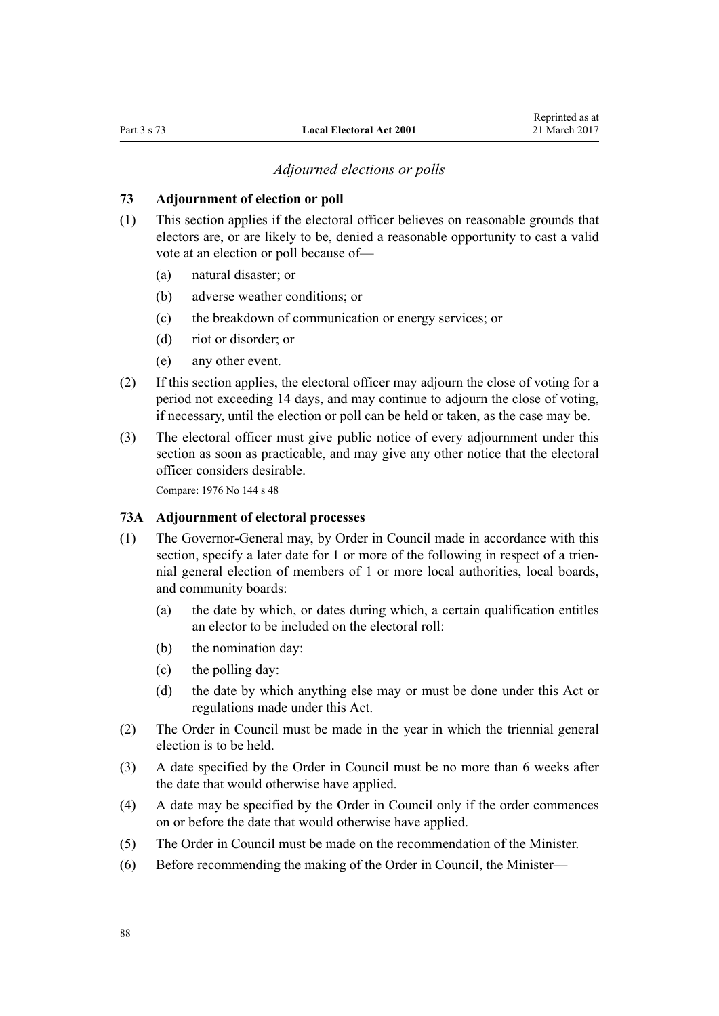#### *Adjourned elections or polls*

## <span id="page-87-0"></span>**73 Adjournment of election or poll**

- (1) This section applies if the electoral officer believes on reasonable grounds that electors are, or are likely to be, denied a reasonable opportunity to cast a valid vote at an election or poll because of—
	- (a) natural disaster; or
	- (b) adverse weather conditions; or
	- (c) the breakdown of communication or energy services; or
	- (d) riot or disorder; or
	- (e) any other event.
- (2) If this section applies, the electoral officer may adjourn the close of voting for a period not exceeding 14 days, and may continue to adjourn the close of voting, if necessary, until the election or poll can be held or taken, as the case may be.
- (3) The electoral officer must give public notice of every adjournment under this section as soon as practicable, and may give any other notice that the electoral officer considers desirable.

Compare: 1976 No 144 s 48

#### **73A Adjournment of electoral processes**

- (1) The Governor-General may, by Order in Council made in accordance with this section, specify a later date for 1 or more of the following in respect of a triennial general election of members of 1 or more local authorities, local boards, and community boards:
	- (a) the date by which, or dates during which, a certain qualification entitles an elector to be included on the electoral roll:
	- (b) the nomination day:
	- (c) the polling day:
	- (d) the date by which anything else may or must be done under this Act or regulations made under this Act.
- (2) The Order in Council must be made in the year in which the triennial general election is to be held.
- (3) A date specified by the Order in Council must be no more than 6 weeks after the date that would otherwise have applied.
- (4) A date may be specified by the Order in Council only if the order commences on or before the date that would otherwise have applied.
- (5) The Order in Council must be made on the recommendation of the Minister.
- (6) Before recommending the making of the Order in Council, the Minister—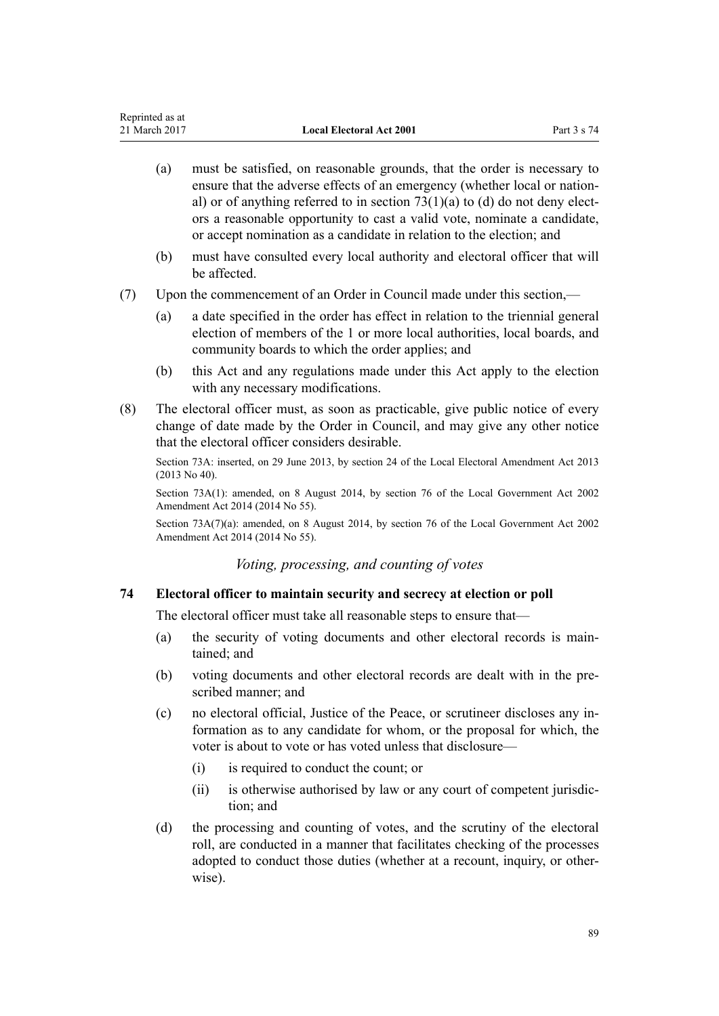- <span id="page-88-0"></span>(a) must be satisfied, on reasonable grounds, that the order is necessary to ensure that the adverse effects of an emergency (whether local or national) or of anything referred to in section  $73(1)(a)$  to (d) do not deny electors a reasonable opportunity to cast a valid vote, nominate a candidate, or accept nomination as a candidate in relation to the election; and
- (b) must have consulted every local authority and electoral officer that will be affected.
- (7) Upon the commencement of an Order in Council made under this section,—
	- (a) a date specified in the order has effect in relation to the triennial general election of members of the 1 or more local authorities, local boards, and community boards to which the order applies; and
	- (b) this Act and any regulations made under this Act apply to the election with any necessary modifications.
- (8) The electoral officer must, as soon as practicable, give public notice of every change of date made by the Order in Council, and may give any other notice that the electoral officer considers desirable.

Section 73A: inserted, on 29 June 2013, by [section 24](http://prd-lgnz-nlb.prd.pco.net.nz/pdflink.aspx?id=DLM4803546) of the Local Electoral Amendment Act 2013 (2013 No 40).

Section 73A(1): amended, on 8 August 2014, by [section 76](http://prd-lgnz-nlb.prd.pco.net.nz/pdflink.aspx?id=DLM5707313) of the Local Government Act 2002 Amendment Act 2014 (2014 No 55).

Section 73A(7)(a): amended, on 8 August 2014, by [section 76](http://prd-lgnz-nlb.prd.pco.net.nz/pdflink.aspx?id=DLM5707313) of the Local Government Act 2002 Amendment Act 2014 (2014 No 55).

# *Voting, processing, and counting of votes*

## **74 Electoral officer to maintain security and secrecy at election or poll**

The electoral officer must take all reasonable steps to ensure that—

- (a) the security of voting documents and other electoral records is maintained; and
- (b) voting documents and other electoral records are dealt with in the prescribed manner; and
- (c) no electoral official, Justice of the Peace, or scrutineer discloses any information as to any candidate for whom, or the proposal for which, the voter is about to vote or has voted unless that disclosure—
	- (i) is required to conduct the count; or
	- (ii) is otherwise authorised by law or any court of competent jurisdiction; and
- (d) the processing and counting of votes, and the scrutiny of the electoral roll, are conducted in a manner that facilitates checking of the processes adopted to conduct those duties (whether at a recount, inquiry, or otherwise).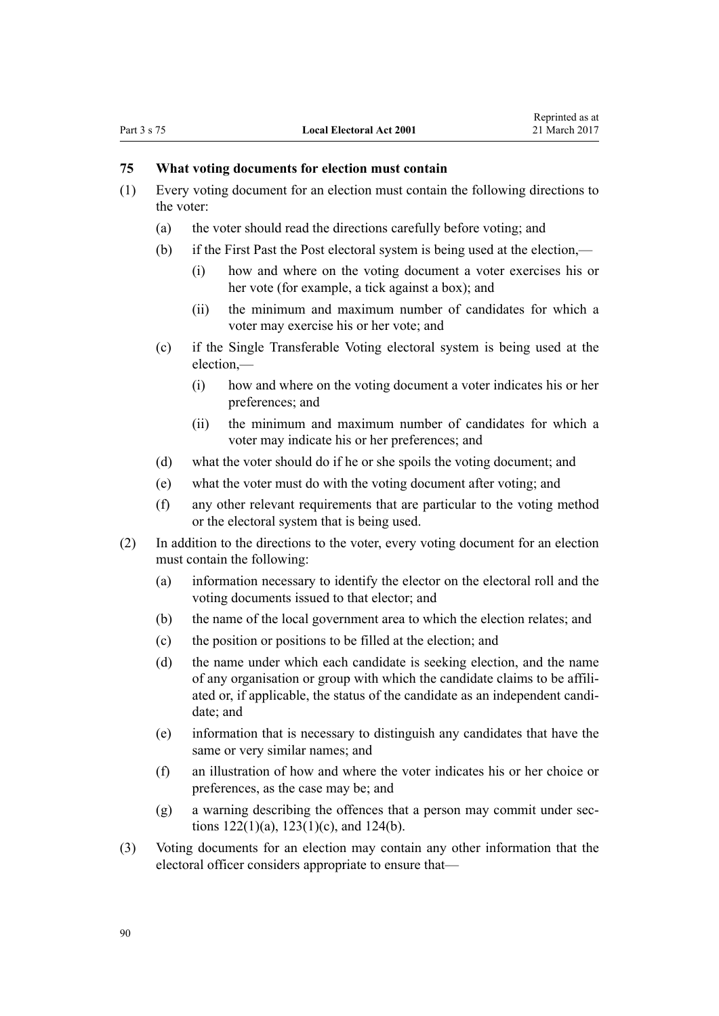## **75 What voting documents for election must contain**

- (1) Every voting document for an election must contain the following directions to the voter:
	- (a) the voter should read the directions carefully before voting; and
	- (b) if the First Past the Post electoral system is being used at the election,—
		- (i) how and where on the voting document a voter exercises his or her vote (for example, a tick against a box); and
		- (ii) the minimum and maximum number of candidates for which a voter may exercise his or her vote; and
	- (c) if the Single Transferable Voting electoral system is being used at the election,—
		- (i) how and where on the voting document a voter indicates his or her preferences; and
		- (ii) the minimum and maximum number of candidates for which a voter may indicate his or her preferences; and
	- (d) what the voter should do if he or she spoils the voting document; and
	- (e) what the voter must do with the voting document after voting; and
	- (f) any other relevant requirements that are particular to the voting method or the electoral system that is being used.
- (2) In addition to the directions to the voter, every voting document for an election must contain the following:
	- (a) information necessary to identify the elector on the electoral roll and the voting documents issued to that elector; and
	- (b) the name of the local government area to which the election relates; and
	- (c) the position or positions to be filled at the election; and
	- (d) the name under which each candidate is seeking election, and the name of any organisation or group with which the candidate claims to be affiliated or, if applicable, the status of the candidate as an independent candidate; and
	- (e) information that is necessary to distinguish any candidates that have the same or very similar names; and
	- (f) an illustration of how and where the voter indicates his or her choice or preferences, as the case may be; and
	- (g) a warning describing the offences that a person may commit under [sec](#page-124-0)tions  $122(1)(a)$ ,  $123(1)(c)$ , and  $124(b)$ .
- (3) Voting documents for an election may contain any other information that the electoral officer considers appropriate to ensure that—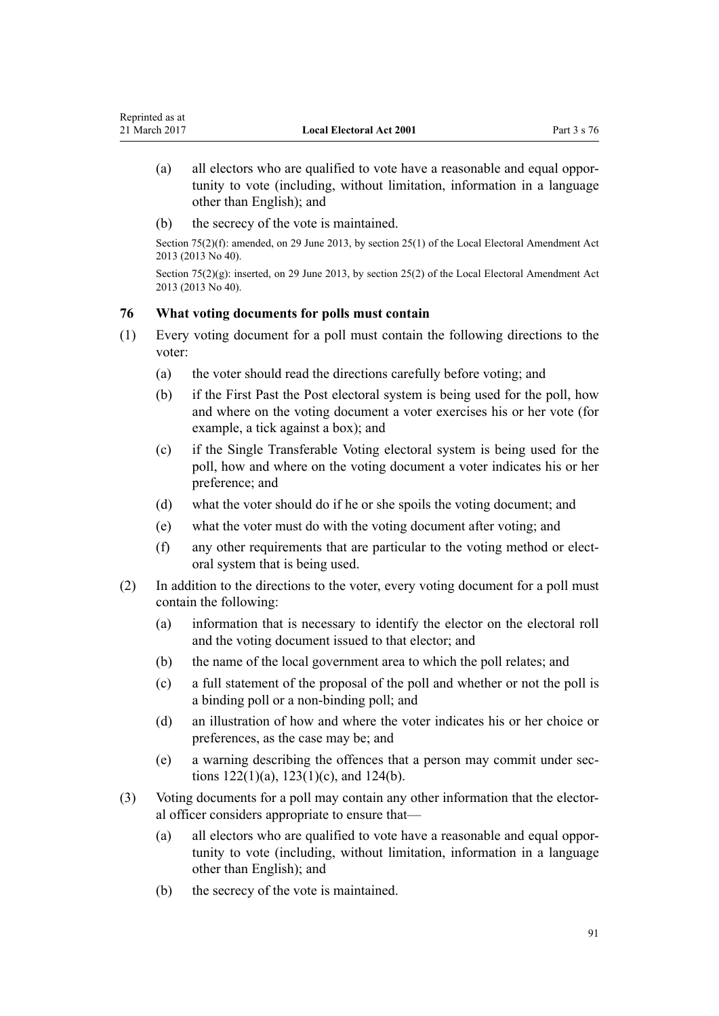- (a) all electors who are qualified to vote have a reasonable and equal opportunity to vote (including, without limitation, information in a language other than English); and
- (b) the secrecy of the vote is maintained.

Section 75(2)(f): amended, on 29 June 2013, by [section 25\(1\)](http://prd-lgnz-nlb.prd.pco.net.nz/pdflink.aspx?id=DLM4803548) of the Local Electoral Amendment Act 2013 (2013 No 40).

Section 75(2)(g): inserted, on 29 June 2013, by [section 25\(2\)](http://prd-lgnz-nlb.prd.pco.net.nz/pdflink.aspx?id=DLM4803548) of the Local Electoral Amendment Act 2013 (2013 No 40).

# **76 What voting documents for polls must contain**

- (1) Every voting document for a poll must contain the following directions to the voter:
	- (a) the voter should read the directions carefully before voting; and
	- (b) if the First Past the Post electoral system is being used for the poll, how and where on the voting document a voter exercises his or her vote (for example, a tick against a box); and
	- (c) if the Single Transferable Voting electoral system is being used for the poll, how and where on the voting document a voter indicates his or her preference; and
	- (d) what the voter should do if he or she spoils the voting document; and
	- (e) what the voter must do with the voting document after voting; and
	- (f) any other requirements that are particular to the voting method or electoral system that is being used.
- (2) In addition to the directions to the voter, every voting document for a poll must contain the following:
	- (a) information that is necessary to identify the elector on the electoral roll and the voting document issued to that elector; and
	- (b) the name of the local government area to which the poll relates; and
	- (c) a full statement of the proposal of the poll and whether or not the poll is a binding poll or a non-binding poll; and
	- (d) an illustration of how and where the voter indicates his or her choice or preferences, as the case may be; and
	- (e) a warning describing the offences that a person may commit under [sec](#page-124-0)tions  $122(1)(a)$ ,  $123(1)(c)$ , and  $124(b)$ .
- (3) Voting documents for a poll may contain any other information that the electoral officer considers appropriate to ensure that—
	- (a) all electors who are qualified to vote have a reasonable and equal opportunity to vote (including, without limitation, information in a language other than English); and
	- (b) the secrecy of the vote is maintained.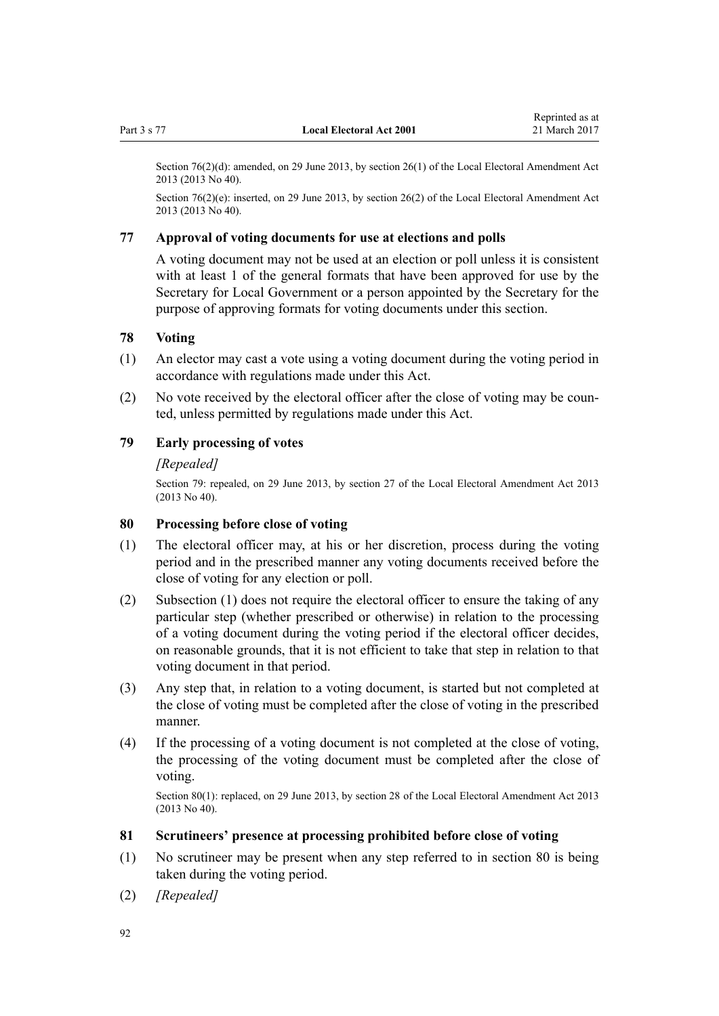<span id="page-91-0"></span>Section 76(2)(d): amended, on 29 June 2013, by [section 26\(1\)](http://prd-lgnz-nlb.prd.pco.net.nz/pdflink.aspx?id=DLM4803549) of the Local Electoral Amendment Act 2013 (2013 No 40).

Section 76(2)(e): inserted, on 29 June 2013, by [section 26\(2\)](http://prd-lgnz-nlb.prd.pco.net.nz/pdflink.aspx?id=DLM4803549) of the Local Electoral Amendment Act 2013 (2013 No 40).

#### **77 Approval of voting documents for use at elections and polls**

A voting document may not be used at an election or poll unless it is consistent with at least 1 of the general formats that have been approved for use by the Secretary for Local Government or a person appointed by the Secretary for the purpose of approving formats for voting documents under this section.

## **78 Voting**

- (1) An elector may cast a vote using a voting document during the voting period in accordance with regulations made under this Act.
- (2) No vote received by the electoral officer after the close of voting may be counted, unless permitted by regulations made under this Act.

# **79 Early processing of votes**

#### *[Repealed]*

Section 79: repealed, on 29 June 2013, by [section 27](http://prd-lgnz-nlb.prd.pco.net.nz/pdflink.aspx?id=DLM4803550) of the Local Electoral Amendment Act 2013 (2013 No 40).

#### **80 Processing before close of voting**

- (1) The electoral officer may, at his or her discretion, process during the voting period and in the prescribed manner any voting documents received before the close of voting for any election or poll.
- (2) Subsection (1) does not require the electoral officer to ensure the taking of any particular step (whether prescribed or otherwise) in relation to the processing of a voting document during the voting period if the electoral officer decides, on reasonable grounds, that it is not efficient to take that step in relation to that voting document in that period.
- (3) Any step that, in relation to a voting document, is started but not completed at the close of voting must be completed after the close of voting in the prescribed manner.
- (4) If the processing of a voting document is not completed at the close of voting, the processing of the voting document must be completed after the close of voting.

Section 80(1): replaced, on 29 June 2013, by [section 28](http://prd-lgnz-nlb.prd.pco.net.nz/pdflink.aspx?id=DLM4803551) of the Local Electoral Amendment Act 2013 (2013 No 40).

#### **81 Scrutineers' presence at processing prohibited before close of voting**

- (1) No scrutineer may be present when any step referred to in section 80 is being taken during the voting period.
- (2) *[Repealed]*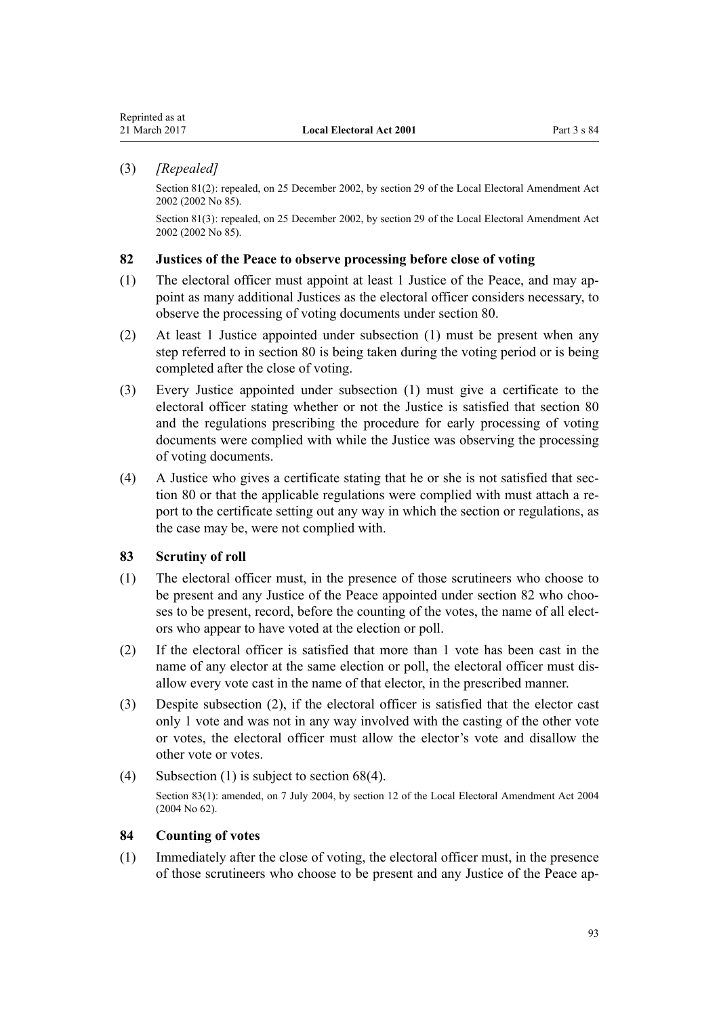#### <span id="page-92-0"></span>(3) *[Repealed]*

Section 81(2): repealed, on 25 December 2002, by [section 29](http://prd-lgnz-nlb.prd.pco.net.nz/pdflink.aspx?id=DLM181499) of the Local Electoral Amendment Act 2002 (2002 No 85).

Section 81(3): repealed, on 25 December 2002, by [section 29](http://prd-lgnz-nlb.prd.pco.net.nz/pdflink.aspx?id=DLM181499) of the Local Electoral Amendment Act 2002 (2002 No 85).

## **82 Justices of the Peace to observe processing before close of voting**

- (1) The electoral officer must appoint at least 1 Justice of the Peace, and may appoint as many additional Justices as the electoral officer considers necessary, to observe the processing of voting documents under [section 80](#page-91-0).
- (2) At least 1 Justice appointed under subsection (1) must be present when any step referred to in [section 80](#page-91-0) is being taken during the voting period or is being completed after the close of voting.
- (3) Every Justice appointed under subsection (1) must give a certificate to the electoral officer stating whether or not the Justice is satisfied that [section 80](#page-91-0) and the regulations prescribing the procedure for early processing of voting documents were complied with while the Justice was observing the processing of voting documents.
- (4) A Justice who gives a certificate stating that he or she is not satisfied that [sec](#page-91-0)[tion 80](#page-91-0) or that the applicable regulations were complied with must attach a report to the certificate setting out any way in which the section or regulations, as the case may be, were not complied with.

## **83 Scrutiny of roll**

- (1) The electoral officer must, in the presence of those scrutineers who choose to be present and any Justice of the Peace appointed under section 82 who chooses to be present, record, before the counting of the votes, the name of all electors who appear to have voted at the election or poll.
- (2) If the electoral officer is satisfied that more than 1 vote has been cast in the name of any elector at the same election or poll, the electoral officer must disallow every vote cast in the name of that elector, in the prescribed manner.
- (3) Despite subsection (2), if the electoral officer is satisfied that the elector cast only 1 vote and was not in any way involved with the casting of the other vote or votes, the electoral officer must allow the elector's vote and disallow the other vote or votes.
- (4) Subsection (1) is subject to [section 68\(4\)](#page-82-0). Section 83(1): amended, on 7 July 2004, by [section 12](http://prd-lgnz-nlb.prd.pco.net.nz/pdflink.aspx?id=DLM303178) of the Local Electoral Amendment Act 2004 (2004 No 62).

#### **84 Counting of votes**

(1) Immediately after the close of voting, the electoral officer must, in the presence of those scrutineers who choose to be present and any Justice of the Peace ap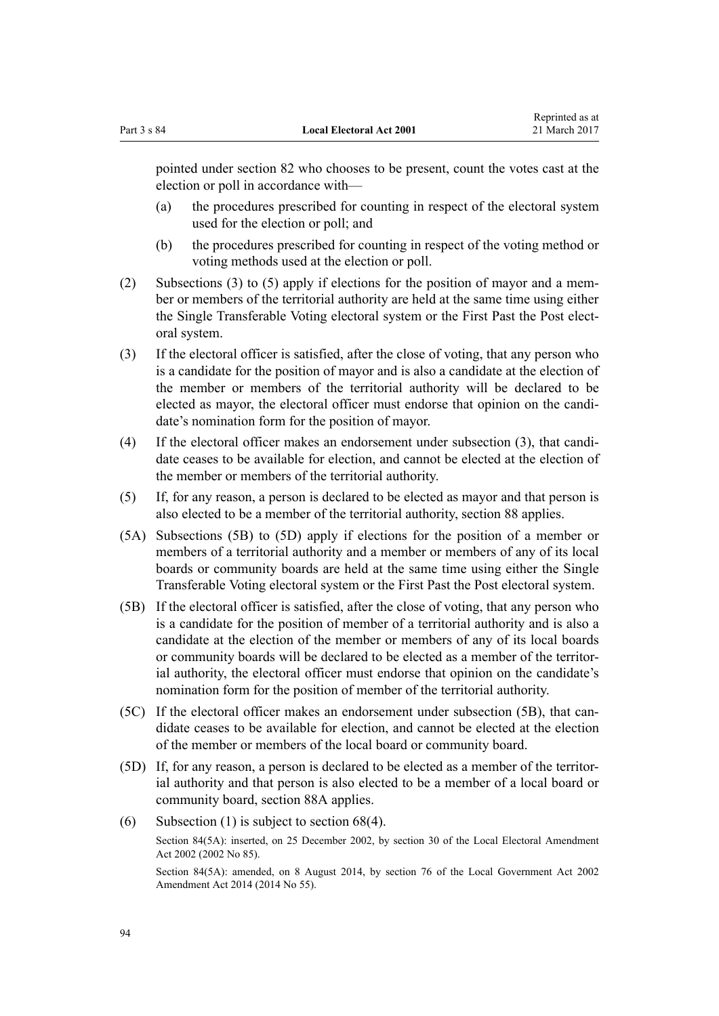pointed under [section 82](#page-92-0) who chooses to be present, count the votes cast at the election or poll in accordance with—

- (a) the procedures prescribed for counting in respect of the electoral system used for the election or poll; and
- (b) the procedures prescribed for counting in respect of the voting method or voting methods used at the election or poll.
- (2) Subsections (3) to (5) apply if elections for the position of mayor and a member or members of the territorial authority are held at the same time using either the Single Transferable Voting electoral system or the First Past the Post electoral system.
- (3) If the electoral officer is satisfied, after the close of voting, that any person who is a candidate for the position of mayor and is also a candidate at the election of the member or members of the territorial authority will be declared to be elected as mayor, the electoral officer must endorse that opinion on the candidate's nomination form for the position of mayor.
- (4) If the electoral officer makes an endorsement under subsection (3), that candidate ceases to be available for election, and cannot be elected at the election of the member or members of the territorial authority.
- (5) If, for any reason, a person is declared to be elected as mayor and that person is also elected to be a member of the territorial authority, [section 88](#page-95-0) applies.
- (5A) Subsections (5B) to (5D) apply if elections for the position of a member or members of a territorial authority and a member or members of any of its local boards or community boards are held at the same time using either the Single Transferable Voting electoral system or the First Past the Post electoral system.
- (5B) If the electoral officer is satisfied, after the close of voting, that any person who is a candidate for the position of member of a territorial authority and is also a candidate at the election of the member or members of any of its local boards or community boards will be declared to be elected as a member of the territorial authority, the electoral officer must endorse that opinion on the candidate's nomination form for the position of member of the territorial authority.
- (5C) If the electoral officer makes an endorsement under subsection (5B), that candidate ceases to be available for election, and cannot be elected at the election of the member or members of the local board or community board.
- (5D) If, for any reason, a person is declared to be elected as a member of the territorial authority and that person is also elected to be a member of a local board or community board, [section 88A](#page-96-0) applies.
- (6) Subsection (1) is subject to section  $68(4)$ . Section 84(5A): inserted, on 25 December 2002, by [section 30](http://prd-lgnz-nlb.prd.pco.net.nz/pdflink.aspx?id=DLM181900) of the Local Electoral Amendment Act 2002 (2002 No 85).

Section 84(5A): amended, on 8 August 2014, by [section 76](http://prd-lgnz-nlb.prd.pco.net.nz/pdflink.aspx?id=DLM5707313) of the Local Government Act 2002 Amendment Act 2014 (2014 No 55).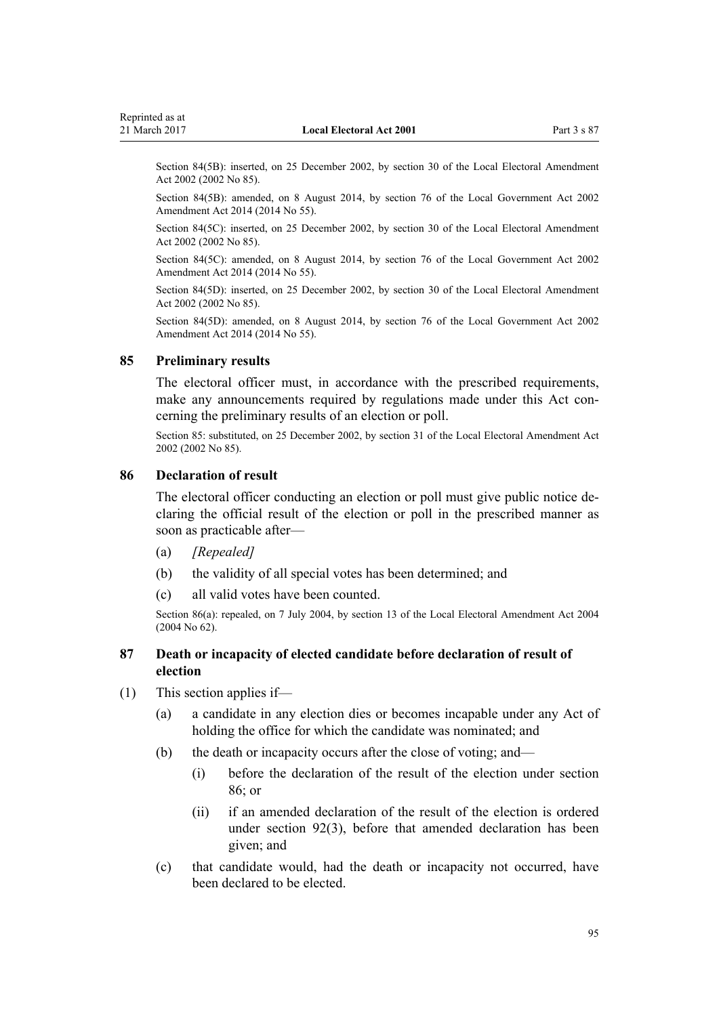<span id="page-94-0"></span>Section 84(5B): inserted, on 25 December 2002, by [section 30](http://prd-lgnz-nlb.prd.pco.net.nz/pdflink.aspx?id=DLM181900) of the Local Electoral Amendment Act 2002 (2002 No 85).

Section 84(5B): amended, on 8 August 2014, by [section 76](http://prd-lgnz-nlb.prd.pco.net.nz/pdflink.aspx?id=DLM5707313) of the Local Government Act 2002 Amendment Act 2014 (2014 No 55).

Section 84(5C): inserted, on 25 December 2002, by [section 30](http://prd-lgnz-nlb.prd.pco.net.nz/pdflink.aspx?id=DLM181900) of the Local Electoral Amendment Act 2002 (2002 No 85).

Section 84(5C): amended, on 8 August 2014, by [section 76](http://prd-lgnz-nlb.prd.pco.net.nz/pdflink.aspx?id=DLM5707313) of the Local Government Act 2002 Amendment Act 2014 (2014 No 55).

Section 84(5D): inserted, on 25 December 2002, by [section 30](http://prd-lgnz-nlb.prd.pco.net.nz/pdflink.aspx?id=DLM181900) of the Local Electoral Amendment Act 2002 (2002 No 85).

Section 84(5D): amended, on 8 August 2014, by [section 76](http://prd-lgnz-nlb.prd.pco.net.nz/pdflink.aspx?id=DLM5707313) of the Local Government Act 2002 Amendment Act 2014 (2014 No 55).

#### **85 Preliminary results**

The electoral officer must, in accordance with the prescribed requirements, make any announcements required by regulations made under this Act concerning the preliminary results of an election or poll.

Section 85: substituted, on 25 December 2002, by [section 31](http://prd-lgnz-nlb.prd.pco.net.nz/pdflink.aspx?id=DLM181901) of the Local Electoral Amendment Act 2002 (2002 No 85).

## **86 Declaration of result**

The electoral officer conducting an election or poll must give public notice declaring the official result of the election or poll in the prescribed manner as soon as practicable after—

- (a) *[Repealed]*
- (b) the validity of all special votes has been determined; and
- (c) all valid votes have been counted.

Section 86(a): repealed, on 7 July 2004, by [section 13](http://prd-lgnz-nlb.prd.pco.net.nz/pdflink.aspx?id=DLM303179) of the Local Electoral Amendment Act 2004 (2004 No 62).

## **87 Death or incapacity of elected candidate before declaration of result of election**

- (1) This section applies if—
	- (a) a candidate in any election dies or becomes incapable under any Act of holding the office for which the candidate was nominated; and
	- (b) the death or incapacity occurs after the close of voting; and—
		- (i) before the declaration of the result of the election under section  $86$ ; or
		- (ii) if an amended declaration of the result of the election is ordered under [section 92\(3\),](#page-101-0) before that amended declaration has been given; and
	- (c) that candidate would, had the death or incapacity not occurred, have been declared to be elected.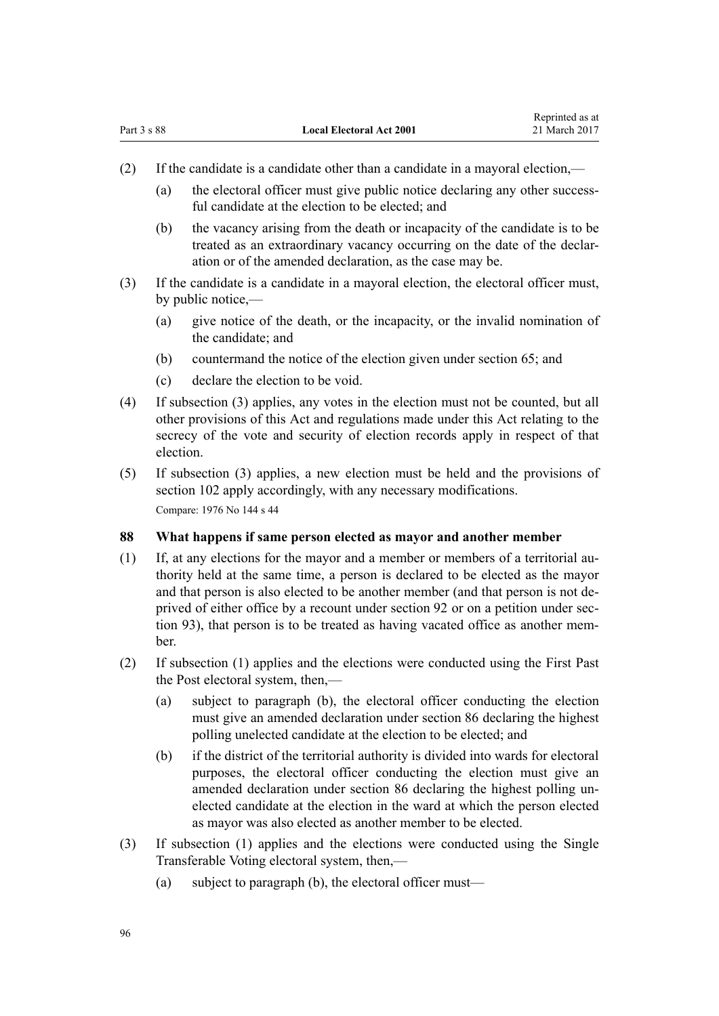- <span id="page-95-0"></span>(2) If the candidate is a candidate other than a candidate in a mayoral election,—
	- (a) the electoral officer must give public notice declaring any other successful candidate at the election to be elected; and

Reprinted as at

- (b) the vacancy arising from the death or incapacity of the candidate is to be treated as an extraordinary vacancy occurring on the date of the declaration or of the amended declaration, as the case may be.
- (3) If the candidate is a candidate in a mayoral election, the electoral officer must, by public notice,—
	- (a) give notice of the death, or the incapacity, or the invalid nomination of the candidate; and
	- (b) countermand the notice of the election given under [section 65](#page-81-0); and
	- (c) declare the election to be void.
- (4) If subsection (3) applies, any votes in the election must not be counted, but all other provisions of this Act and regulations made under this Act relating to the secrecy of the vote and security of election records apply in respect of that election.
- (5) If subsection (3) applies, a new election must be held and the provisions of [section 102](#page-104-0) apply accordingly, with any necessary modifications. Compare: 1976 No 144 s 44

## **88 What happens if same person elected as mayor and another member**

- (1) If, at any elections for the mayor and a member or members of a territorial authority held at the same time, a person is declared to be elected as the mayor and that person is also elected to be another member (and that person is not deprived of either office by a recount under [section 92](#page-101-0) or on a petition under [sec](#page-101-0)[tion 93](#page-101-0)), that person is to be treated as having vacated office as another member.
- (2) If subsection (1) applies and the elections were conducted using the First Past the Post electoral system, then,—
	- (a) subject to paragraph (b), the electoral officer conducting the election must give an amended declaration under [section 86](#page-94-0) declaring the highest polling unelected candidate at the election to be elected; and
	- (b) if the district of the territorial authority is divided into wards for electoral purposes, the electoral officer conducting the election must give an amended declaration under [section 86](#page-94-0) declaring the highest polling unelected candidate at the election in the ward at which the person elected as mayor was also elected as another member to be elected.
- (3) If subsection (1) applies and the elections were conducted using the Single Transferable Voting electoral system, then,—
	- (a) subject to paragraph (b), the electoral officer must—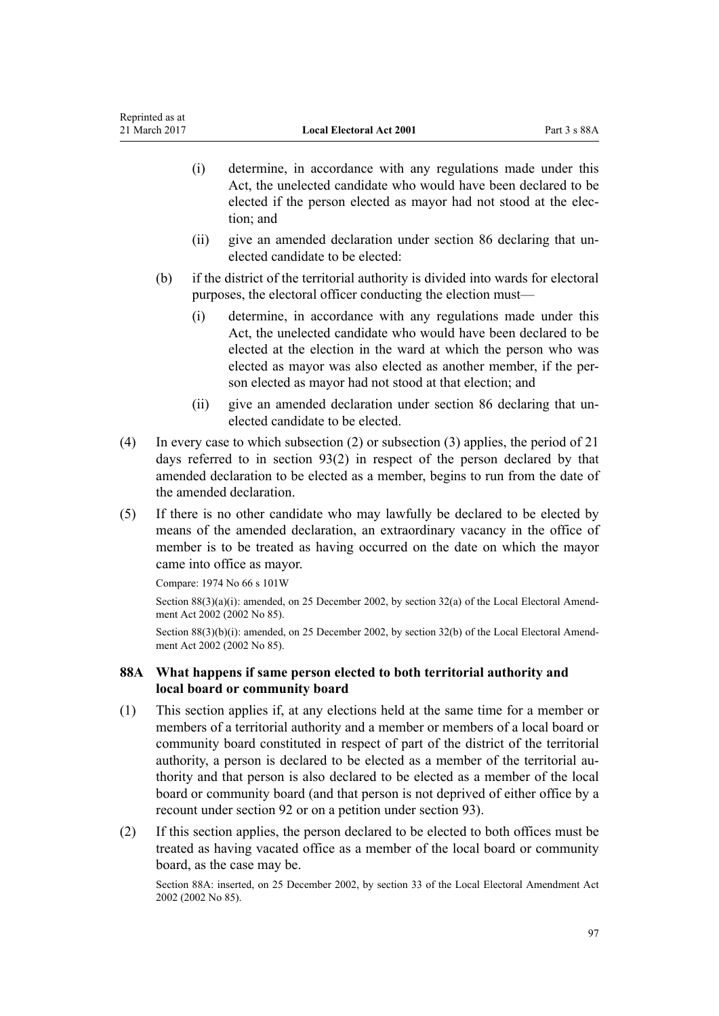- <span id="page-96-0"></span>(i) determine, in accordance with any regulations made under this Act, the unelected candidate who would have been declared to be elected if the person elected as mayor had not stood at the election; and
- (ii) give an amended declaration under [section 86](#page-94-0) declaring that unelected candidate to be elected:
- (b) if the district of the territorial authority is divided into wards for electoral purposes, the electoral officer conducting the election must—
	- (i) determine, in accordance with any regulations made under this Act, the unelected candidate who would have been declared to be elected at the election in the ward at which the person who was elected as mayor was also elected as another member, if the person elected as mayor had not stood at that election; and
	- (ii) give an amended declaration under section 86 declaring that unelected candidate to be elected.
- (4) In every case to which subsection (2) or subsection (3) applies, the period of 21 days referred to in [section 93\(2\)](#page-101-0) in respect of the person declared by that amended declaration to be elected as a member, begins to run from the date of the amended declaration.
- (5) If there is no other candidate who may lawfully be declared to be elected by means of the amended declaration, an extraordinary vacancy in the office of member is to be treated as having occurred on the date on which the mayor came into office as mayor.

Compare: 1974 No 66 [s 101W](http://prd-lgnz-nlb.prd.pco.net.nz/pdflink.aspx?id=DLM417840)

Section 88(3)(a)(i): amended, on 25 December 2002, by [section 32\(a\)](http://prd-lgnz-nlb.prd.pco.net.nz/pdflink.aspx?id=DLM181903) of the Local Electoral Amendment Act 2002 (2002 No 85).

Section 88(3)(b)(i): amended, on 25 December 2002, by [section 32\(b\)](http://prd-lgnz-nlb.prd.pco.net.nz/pdflink.aspx?id=DLM181903) of the Local Electoral Amendment Act 2002 (2002 No 85).

# **88A What happens if same person elected to both territorial authority and local board or community board**

- (1) This section applies if, at any elections held at the same time for a member or members of a territorial authority and a member or members of a local board or community board constituted in respect of part of the district of the territorial authority, a person is declared to be elected as a member of the territorial authority and that person is also declared to be elected as a member of the local board or community board (and that person is not deprived of either office by a recount under [section 92](#page-101-0) or on a petition under [section 93](#page-101-0)).
- (2) If this section applies, the person declared to be elected to both offices must be treated as having vacated office as a member of the local board or community board, as the case may be.

Section 88A: inserted, on 25 December 2002, by [section 33](http://prd-lgnz-nlb.prd.pco.net.nz/pdflink.aspx?id=DLM181904) of the Local Electoral Amendment Act 2002 (2002 No 85).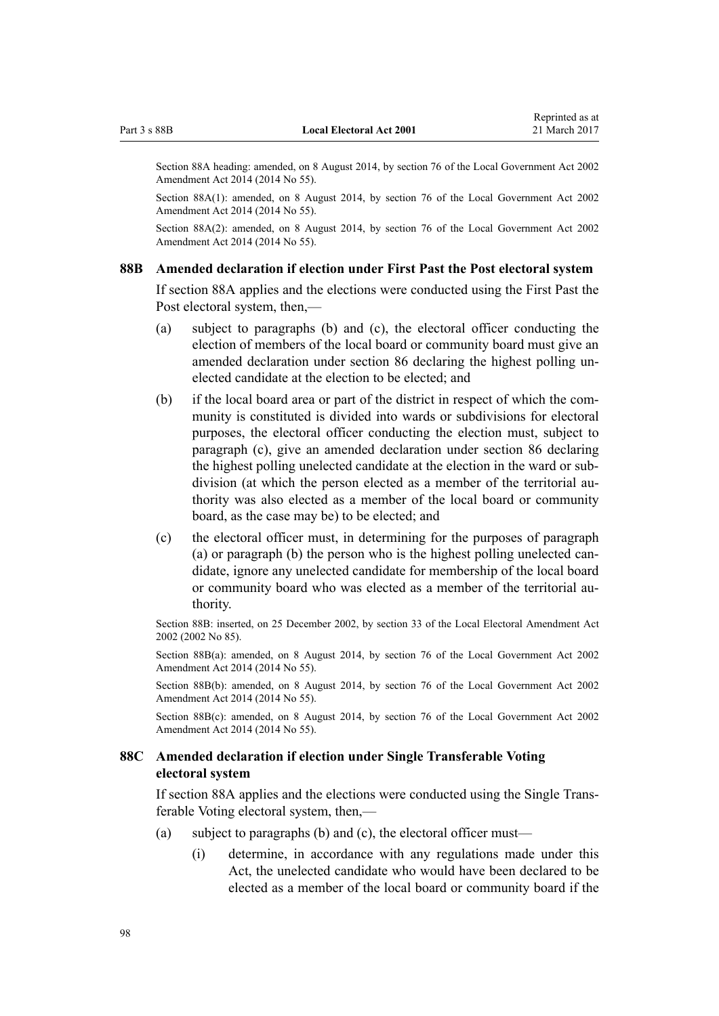<span id="page-97-0"></span>Section 88A heading: amended, on 8 August 2014, by [section 76](http://prd-lgnz-nlb.prd.pco.net.nz/pdflink.aspx?id=DLM5707313) of the Local Government Act 2002 Amendment Act 2014 (2014 No 55).

Section 88A(1): amended, on 8 August 2014, by [section 76](http://prd-lgnz-nlb.prd.pco.net.nz/pdflink.aspx?id=DLM5707313) of the Local Government Act 2002 Amendment Act 2014 (2014 No 55).

Section 88A(2): amended, on 8 August 2014, by [section 76](http://prd-lgnz-nlb.prd.pco.net.nz/pdflink.aspx?id=DLM5707313) of the Local Government Act 2002 Amendment Act 2014 (2014 No 55).

#### **88B Amended declaration if election under First Past the Post electoral system**

If [section 88A](#page-96-0) applies and the elections were conducted using the First Past the Post electoral system, then,—

- (a) subject to paragraphs (b) and (c), the electoral officer conducting the election of members of the local board or community board must give an amended declaration under [section 86](#page-94-0) declaring the highest polling unelected candidate at the election to be elected; and
- (b) if the local board area or part of the district in respect of which the community is constituted is divided into wards or subdivisions for electoral purposes, the electoral officer conducting the election must, subject to paragraph (c), give an amended declaration under section 86 declaring the highest polling unelected candidate at the election in the ward or subdivision (at which the person elected as a member of the territorial authority was also elected as a member of the local board or community board, as the case may be) to be elected; and
- (c) the electoral officer must, in determining for the purposes of paragraph (a) or paragraph (b) the person who is the highest polling unelected candidate, ignore any unelected candidate for membership of the local board or community board who was elected as a member of the territorial authority.

Section 88B: inserted, on 25 December 2002, by [section 33](http://prd-lgnz-nlb.prd.pco.net.nz/pdflink.aspx?id=DLM181904) of the Local Electoral Amendment Act 2002 (2002 No 85).

Section 88B(a): amended, on 8 August 2014, by [section 76](http://prd-lgnz-nlb.prd.pco.net.nz/pdflink.aspx?id=DLM5707313) of the Local Government Act 2002 Amendment Act 2014 (2014 No 55).

Section 88B(b): amended, on 8 August 2014, by [section 76](http://prd-lgnz-nlb.prd.pco.net.nz/pdflink.aspx?id=DLM5707313) of the Local Government Act 2002 Amendment Act 2014 (2014 No 55).

Section 88B(c): amended, on 8 August 2014, by [section 76](http://prd-lgnz-nlb.prd.pco.net.nz/pdflink.aspx?id=DLM5707313) of the Local Government Act 2002 Amendment Act 2014 (2014 No 55).

## **88C Amended declaration if election under Single Transferable Voting electoral system**

If [section 88A](#page-96-0) applies and the elections were conducted using the Single Transferable Voting electoral system, then,—

- (a) subject to paragraphs (b) and (c), the electoral officer must—
	- (i) determine, in accordance with any regulations made under this Act, the unelected candidate who would have been declared to be elected as a member of the local board or community board if the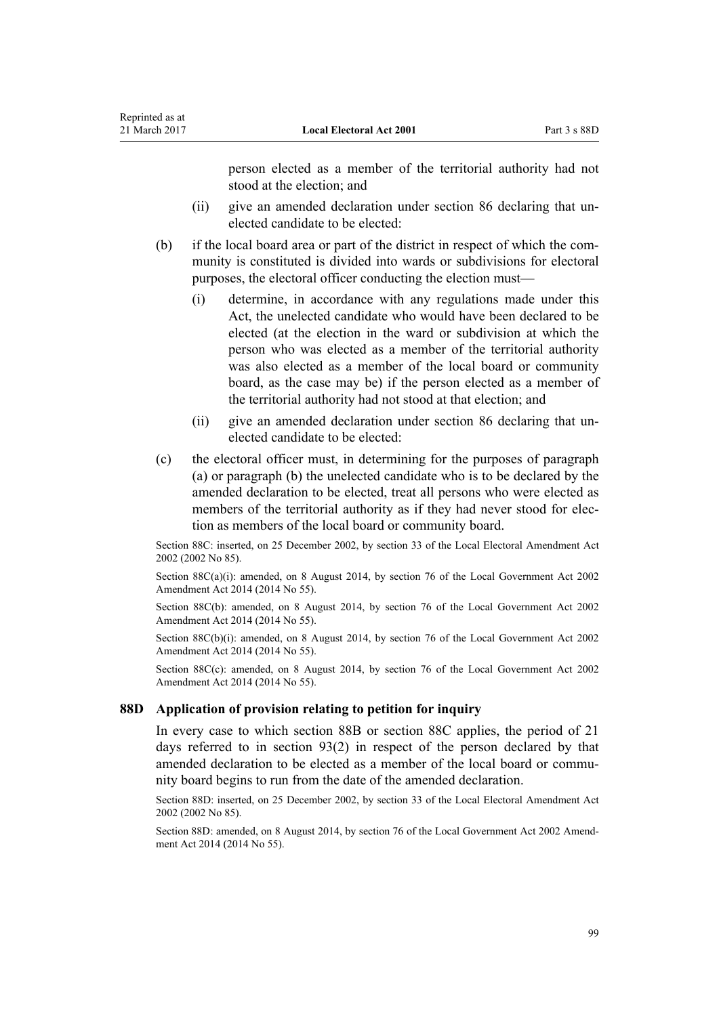person elected as a member of the territorial authority had not stood at the election; and

- (ii) give an amended declaration under [section 86](#page-94-0) declaring that unelected candidate to be elected:
- (b) if the local board area or part of the district in respect of which the community is constituted is divided into wards or subdivisions for electoral purposes, the electoral officer conducting the election must—
	- (i) determine, in accordance with any regulations made under this Act, the unelected candidate who would have been declared to be elected (at the election in the ward or subdivision at which the person who was elected as a member of the territorial authority was also elected as a member of the local board or community board, as the case may be) if the person elected as a member of the territorial authority had not stood at that election; and
	- (ii) give an amended declaration under [section 86](#page-94-0) declaring that unelected candidate to be elected:
- (c) the electoral officer must, in determining for the purposes of paragraph (a) or paragraph (b) the unelected candidate who is to be declared by the amended declaration to be elected, treat all persons who were elected as members of the territorial authority as if they had never stood for election as members of the local board or community board.

Section 88C: inserted, on 25 December 2002, by [section 33](http://prd-lgnz-nlb.prd.pco.net.nz/pdflink.aspx?id=DLM181904) of the Local Electoral Amendment Act 2002 (2002 No 85).

Section 88C(a)(i): amended, on 8 August 2014, by [section 76](http://prd-lgnz-nlb.prd.pco.net.nz/pdflink.aspx?id=DLM5707313) of the Local Government Act 2002 Amendment Act 2014 (2014 No 55).

Section 88C(b): amended, on 8 August 2014, by [section 76](http://prd-lgnz-nlb.prd.pco.net.nz/pdflink.aspx?id=DLM5707313) of the Local Government Act 2002 Amendment Act 2014 (2014 No 55).

Section 88C(b)(i): amended, on 8 August 2014, by [section 76](http://prd-lgnz-nlb.prd.pco.net.nz/pdflink.aspx?id=DLM5707313) of the Local Government Act 2002 Amendment Act 2014 (2014 No 55).

Section 88C(c): amended, on 8 August 2014, by [section 76](http://prd-lgnz-nlb.prd.pco.net.nz/pdflink.aspx?id=DLM5707313) of the Local Government Act 2002 Amendment Act 2014 (2014 No 55).

## **88D Application of provision relating to petition for inquiry**

In every case to which [section 88B](#page-97-0) or [section 88C](#page-97-0) applies, the period of 21 days referred to in [section 93\(2\)](#page-101-0) in respect of the person declared by that amended declaration to be elected as a member of the local board or community board begins to run from the date of the amended declaration.

Section 88D: inserted, on 25 December 2002, by [section 33](http://prd-lgnz-nlb.prd.pco.net.nz/pdflink.aspx?id=DLM181904) of the Local Electoral Amendment Act 2002 (2002 No 85).

Section 88D: amended, on 8 August 2014, by [section 76](http://prd-lgnz-nlb.prd.pco.net.nz/pdflink.aspx?id=DLM5707313) of the Local Government Act 2002 Amendment Act 2014 (2014 No 55).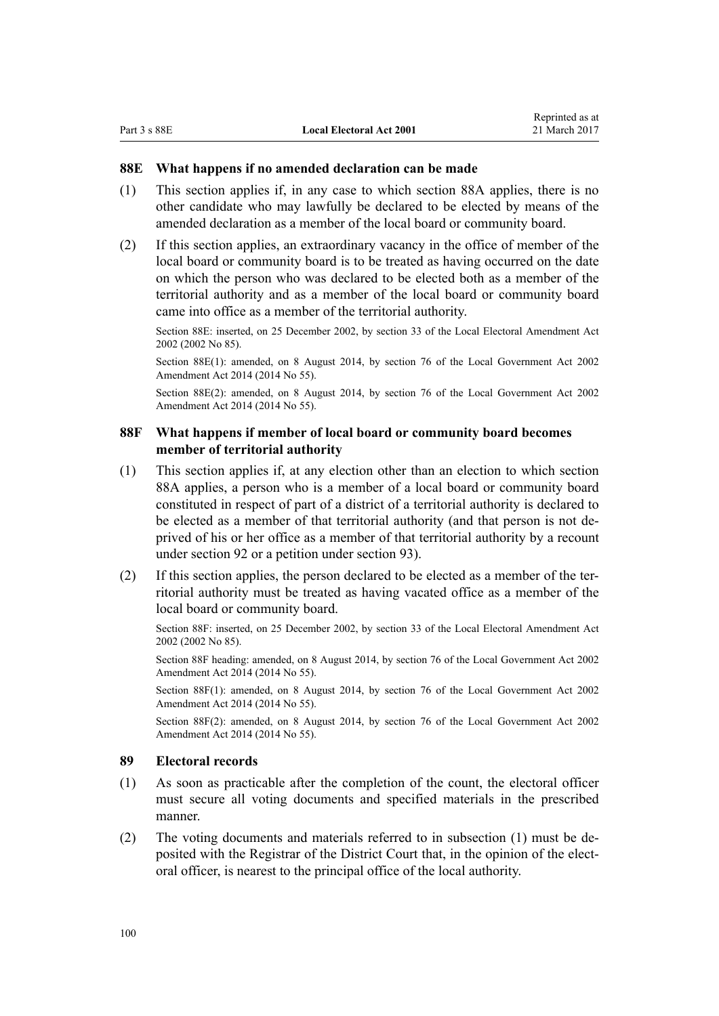#### **88E What happens if no amended declaration can be made**

- (1) This section applies if, in any case to which [section 88A](#page-96-0) applies, there is no other candidate who may lawfully be declared to be elected by means of the amended declaration as a member of the local board or community board.
- (2) If this section applies, an extraordinary vacancy in the office of member of the local board or community board is to be treated as having occurred on the date on which the person who was declared to be elected both as a member of the territorial authority and as a member of the local board or community board came into office as a member of the territorial authority.

Section 88E: inserted, on 25 December 2002, by [section 33](http://prd-lgnz-nlb.prd.pco.net.nz/pdflink.aspx?id=DLM181904) of the Local Electoral Amendment Act 2002 (2002 No 85).

Section 88E(1): amended, on 8 August 2014, by [section 76](http://prd-lgnz-nlb.prd.pco.net.nz/pdflink.aspx?id=DLM5707313) of the Local Government Act 2002 Amendment Act 2014 (2014 No 55).

Section 88E(2): amended, on 8 August 2014, by [section 76](http://prd-lgnz-nlb.prd.pco.net.nz/pdflink.aspx?id=DLM5707313) of the Local Government Act 2002 Amendment Act 2014 (2014 No 55).

## **88F What happens if member of local board or community board becomes member of territorial authority**

- (1) This section applies if, at any election other than an election to which [section](#page-96-0) [88A](#page-96-0) applies, a person who is a member of a local board or community board constituted in respect of part of a district of a territorial authority is declared to be elected as a member of that territorial authority (and that person is not deprived of his or her office as a member of that territorial authority by a recount under [section 92](#page-101-0) or a petition under [section 93\)](#page-101-0).
- (2) If this section applies, the person declared to be elected as a member of the territorial authority must be treated as having vacated office as a member of the local board or community board.

Section 88F: inserted, on 25 December 2002, by [section 33](http://prd-lgnz-nlb.prd.pco.net.nz/pdflink.aspx?id=DLM181904) of the Local Electoral Amendment Act 2002 (2002 No 85).

Section 88F heading: amended, on 8 August 2014, by [section 76](http://prd-lgnz-nlb.prd.pco.net.nz/pdflink.aspx?id=DLM5707313) of the Local Government Act 2002 Amendment Act 2014 (2014 No 55).

Section 88F(1): amended, on 8 August 2014, by [section 76](http://prd-lgnz-nlb.prd.pco.net.nz/pdflink.aspx?id=DLM5707313) of the Local Government Act 2002 Amendment Act 2014 (2014 No 55).

Section 88F(2): amended, on 8 August 2014, by [section 76](http://prd-lgnz-nlb.prd.pco.net.nz/pdflink.aspx?id=DLM5707313) of the Local Government Act 2002 Amendment Act 2014 (2014 No 55).

## **89 Electoral records**

- (1) As soon as practicable after the completion of the count, the electoral officer must secure all voting documents and specified materials in the prescribed manner.
- (2) The voting documents and materials referred to in subsection (1) must be deposited with the Registrar of the District Court that, in the opinion of the electoral officer, is nearest to the principal office of the local authority.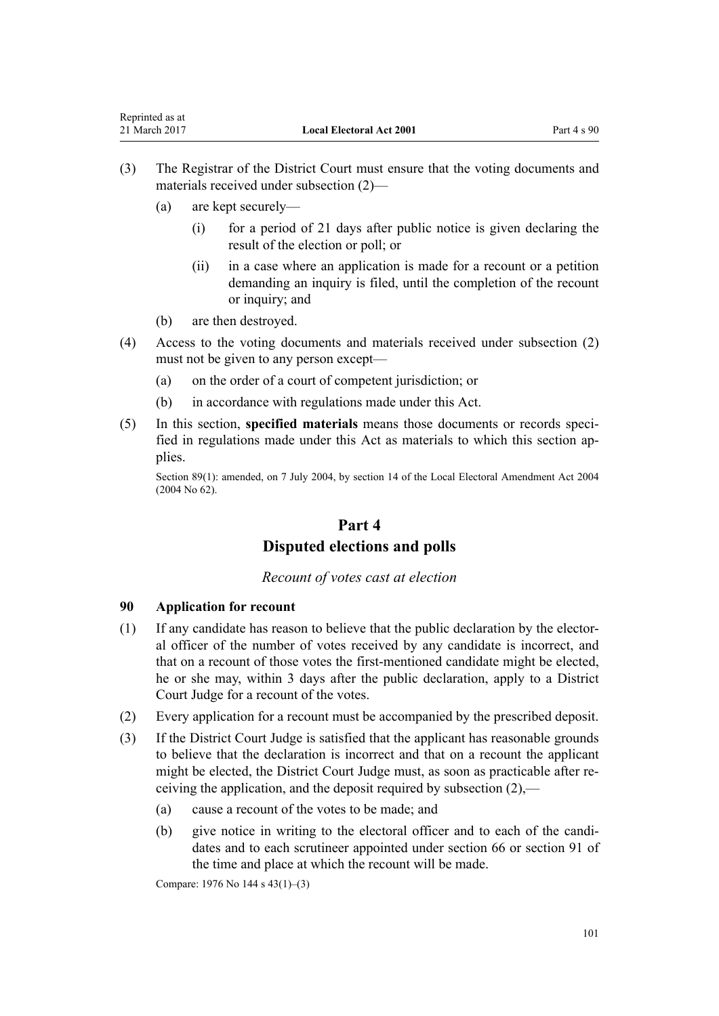- <span id="page-100-0"></span>(3) The Registrar of the District Court must ensure that the voting documents and materials received under subsection (2)—
	- (a) are kept securely—
		- (i) for a period of 21 days after public notice is given declaring the result of the election or poll; or
		- (ii) in a case where an application is made for a recount or a petition demanding an inquiry is filed, until the completion of the recount or inquiry; and
	- (b) are then destroyed.
- (4) Access to the voting documents and materials received under subsection (2) must not be given to any person except—
	- (a) on the order of a court of competent jurisdiction; or
	- (b) in accordance with regulations made under this Act.
- (5) In this section, **specified materials** means those documents or records specified in regulations made under this Act as materials to which this section applies.

Section 89(1): amended, on 7 July 2004, by [section 14](http://prd-lgnz-nlb.prd.pco.net.nz/pdflink.aspx?id=DLM303180) of the Local Electoral Amendment Act 2004 (2004 No 62).

# **Part 4 Disputed elections and polls**

*Recount of votes cast at election*

#### **90 Application for recount**

- (1) If any candidate has reason to believe that the public declaration by the electoral officer of the number of votes received by any candidate is incorrect, and that on a recount of those votes the first-mentioned candidate might be elected, he or she may, within 3 days after the public declaration, apply to a District Court Judge for a recount of the votes.
- (2) Every application for a recount must be accompanied by the prescribed deposit.
- (3) If the District Court Judge is satisfied that the applicant has reasonable grounds to believe that the declaration is incorrect and that on a recount the applicant might be elected, the District Court Judge must, as soon as practicable after receiving the application, and the deposit required by subsection (2),—
	- (a) cause a recount of the votes to be made; and
	- (b) give notice in writing to the electoral officer and to each of the candidates and to each scrutineer appointed under [section 66](#page-82-0) or [section 91](#page-101-0) of the time and place at which the recount will be made.

Compare: 1976 No 144 s 43(1)–(3)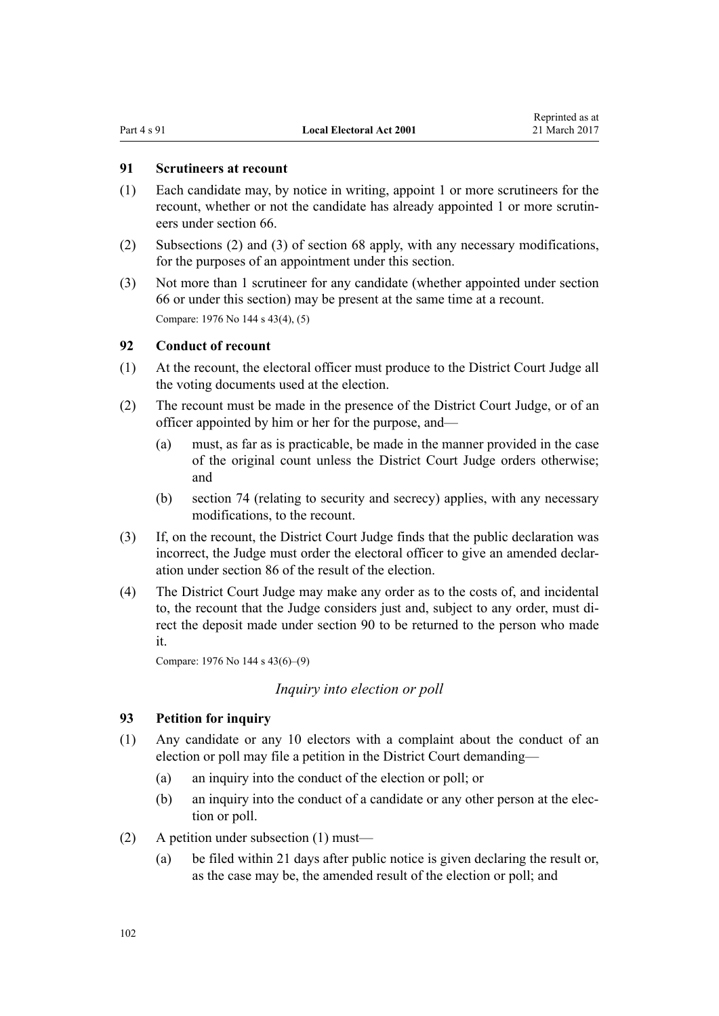## <span id="page-101-0"></span>**91 Scrutineers at recount**

- (1) Each candidate may, by notice in writing, appoint 1 or more scrutineers for the recount, whether or not the candidate has already appointed 1 or more scrutineers under [section 66.](#page-82-0)
- (2) Subsections (2) and (3) of [section 68](#page-82-0) apply, with any necessary modifications, for the purposes of an appointment under this section.
- (3) Not more than 1 scrutineer for any candidate (whether appointed under [section](#page-82-0) [66](#page-82-0) or under this section) may be present at the same time at a recount. Compare: 1976 No 144 s 43(4), (5)

## **92 Conduct of recount**

- (1) At the recount, the electoral officer must produce to the District Court Judge all the voting documents used at the election.
- (2) The recount must be made in the presence of the District Court Judge, or of an officer appointed by him or her for the purpose, and—
	- (a) must, as far as is practicable, be made in the manner provided in the case of the original count unless the District Court Judge orders otherwise; and
	- (b) [section 74](#page-88-0) (relating to security and secrecy) applies, with any necessary modifications, to the recount.
- (3) If, on the recount, the District Court Judge finds that the public declaration was incorrect, the Judge must order the electoral officer to give an amended declaration under [section 86](#page-94-0) of the result of the election.
- (4) The District Court Judge may make any order as to the costs of, and incidental to, the recount that the Judge considers just and, subject to any order, must direct the deposit made under [section 90](#page-100-0) to be returned to the person who made it.

Compare: 1976 No 144 s 43(6)–(9)

## *Inquiry into election or poll*

#### **93 Petition for inquiry**

- (1) Any candidate or any 10 electors with a complaint about the conduct of an election or poll may file a petition in the District Court demanding—
	- (a) an inquiry into the conduct of the election or poll; or
	- (b) an inquiry into the conduct of a candidate or any other person at the election or poll.
- (2) A petition under subsection (1) must—
	- (a) be filed within 21 days after public notice is given declaring the result or, as the case may be, the amended result of the election or poll; and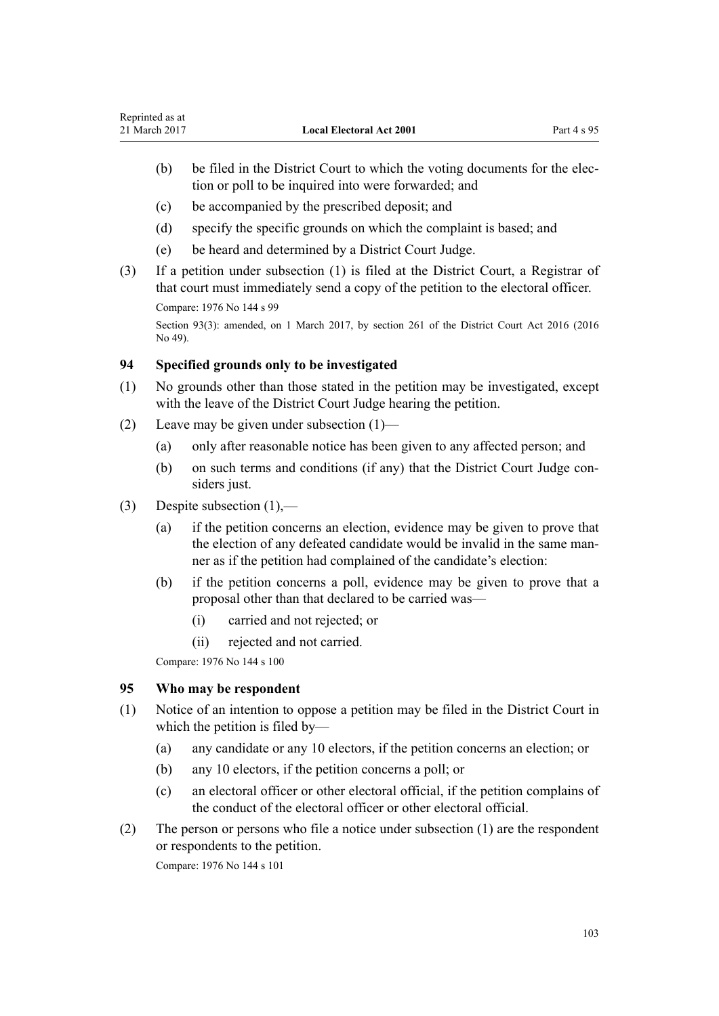- (b) be filed in the District Court to which the voting documents for the election or poll to be inquired into were forwarded; and
- (c) be accompanied by the prescribed deposit; and
- (d) specify the specific grounds on which the complaint is based; and
- (e) be heard and determined by a District Court Judge.
- (3) If a petition under subsection (1) is filed at the District Court, a Registrar of that court must immediately send a copy of the petition to the electoral officer.

Compare: 1976 No 144 s 99

Section 93(3): amended, on 1 March 2017, by [section 261](http://prd-lgnz-nlb.prd.pco.net.nz/pdflink.aspx?id=DLM6942680) of the District Court Act 2016 (2016) No 49).

# **94 Specified grounds only to be investigated**

- (1) No grounds other than those stated in the petition may be investigated, except with the leave of the District Court Judge hearing the petition.
- (2) Leave may be given under subsection (1)—
	- (a) only after reasonable notice has been given to any affected person; and
	- (b) on such terms and conditions (if any) that the District Court Judge considers just.
- (3) Despite subsection (1),—
	- (a) if the petition concerns an election, evidence may be given to prove that the election of any defeated candidate would be invalid in the same manner as if the petition had complained of the candidate's election:
	- (b) if the petition concerns a poll, evidence may be given to prove that a proposal other than that declared to be carried was—
		- (i) carried and not rejected; or
		- (ii) rejected and not carried.

Compare: 1976 No 144 s 100

# **95 Who may be respondent**

- (1) Notice of an intention to oppose a petition may be filed in the District Court in which the petition is filed by—
	- (a) any candidate or any 10 electors, if the petition concerns an election; or
	- (b) any 10 electors, if the petition concerns a poll; or
	- (c) an electoral officer or other electoral official, if the petition complains of the conduct of the electoral officer or other electoral official.
- (2) The person or persons who file a notice under subsection (1) are the respondent or respondents to the petition.

Compare: 1976 No 144 s 101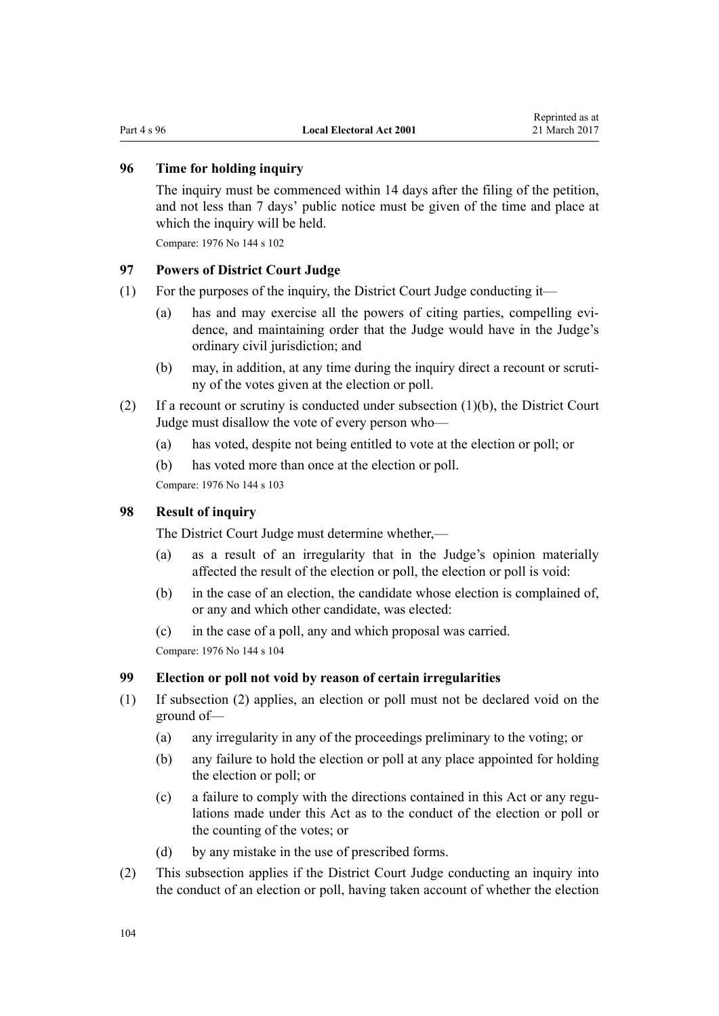# **96 Time for holding inquiry**

The inquiry must be commenced within 14 days after the filing of the petition, and not less than 7 days' public notice must be given of the time and place at which the inquiry will be held.

Compare: 1976 No 144 s 102

#### **97 Powers of District Court Judge**

- (1) For the purposes of the inquiry, the District Court Judge conducting it—
	- (a) has and may exercise all the powers of citing parties, compelling evidence, and maintaining order that the Judge would have in the Judge's ordinary civil jurisdiction; and
	- (b) may, in addition, at any time during the inquiry direct a recount or scrutiny of the votes given at the election or poll.
- (2) If a recount or scrutiny is conducted under subsection (1)(b), the District Court Judge must disallow the vote of every person who—
	- (a) has voted, despite not being entitled to vote at the election or poll; or
	- (b) has voted more than once at the election or poll.

Compare: 1976 No 144 s 103

## **98 Result of inquiry**

The District Court Judge must determine whether,—

- (a) as a result of an irregularity that in the Judge's opinion materially affected the result of the election or poll, the election or poll is void:
- (b) in the case of an election, the candidate whose election is complained of, or any and which other candidate, was elected:

(c) in the case of a poll, any and which proposal was carried. Compare: 1976 No 144 s 104

#### **99 Election or poll not void by reason of certain irregularities**

- (1) If subsection (2) applies, an election or poll must not be declared void on the ground of—
	- (a) any irregularity in any of the proceedings preliminary to the voting; or
	- (b) any failure to hold the election or poll at any place appointed for holding the election or poll; or
	- (c) a failure to comply with the directions contained in this Act or any regulations made under this Act as to the conduct of the election or poll or the counting of the votes; or
	- (d) by any mistake in the use of prescribed forms.
- (2) This subsection applies if the District Court Judge conducting an inquiry into the conduct of an election or poll, having taken account of whether the election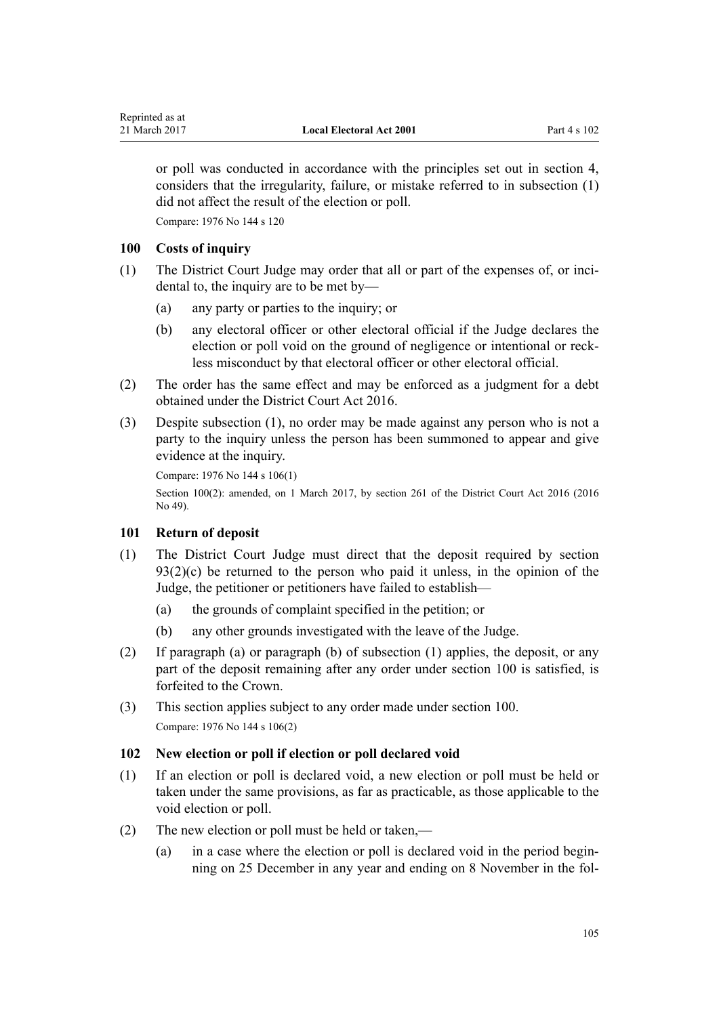<span id="page-104-0"></span>or poll was conducted in accordance with the principles set out in [section 4](#page-10-0), considers that the irregularity, failure, or mistake referred to in subsection (1) did not affect the result of the election or poll.

Compare: 1976 No 144 s 120

## **100 Costs of inquiry**

- (1) The District Court Judge may order that all or part of the expenses of, or incidental to, the inquiry are to be met by—
	- (a) any party or parties to the inquiry; or
	- (b) any electoral officer or other electoral official if the Judge declares the election or poll void on the ground of negligence or intentional or reckless misconduct by that electoral officer or other electoral official.
- (2) The order has the same effect and may be enforced as a judgment for a debt obtained under the [District Court Act 2016.](http://prd-lgnz-nlb.prd.pco.net.nz/pdflink.aspx?id=DLM6942200)
- (3) Despite subsection (1), no order may be made against any person who is not a party to the inquiry unless the person has been summoned to appear and give evidence at the inquiry.

```
Compare: 1976 No 144 s 106(1)
```
Section 100(2): amended, on 1 March 2017, by [section 261](http://prd-lgnz-nlb.prd.pco.net.nz/pdflink.aspx?id=DLM6942680) of the District Court Act 2016 (2016 No 49).

## **101 Return of deposit**

- (1) The District Court Judge must direct that the deposit required by [section](#page-101-0)  $93(2)(c)$  be returned to the person who paid it unless, in the opinion of the Judge, the petitioner or petitioners have failed to establish—
	- (a) the grounds of complaint specified in the petition; or
	- (b) any other grounds investigated with the leave of the Judge.
- (2) If paragraph (a) or paragraph (b) of subsection (1) applies, the deposit, or any part of the deposit remaining after any order under section 100 is satisfied, is forfeited to the Crown.
- (3) This section applies subject to any order made under section 100. Compare: 1976 No 144 s 106(2)

## **102 New election or poll if election or poll declared void**

- (1) If an election or poll is declared void, a new election or poll must be held or taken under the same provisions, as far as practicable, as those applicable to the void election or poll.
- (2) The new election or poll must be held or taken,—
	- (a) in a case where the election or poll is declared void in the period beginning on 25 December in any year and ending on 8 November in the fol-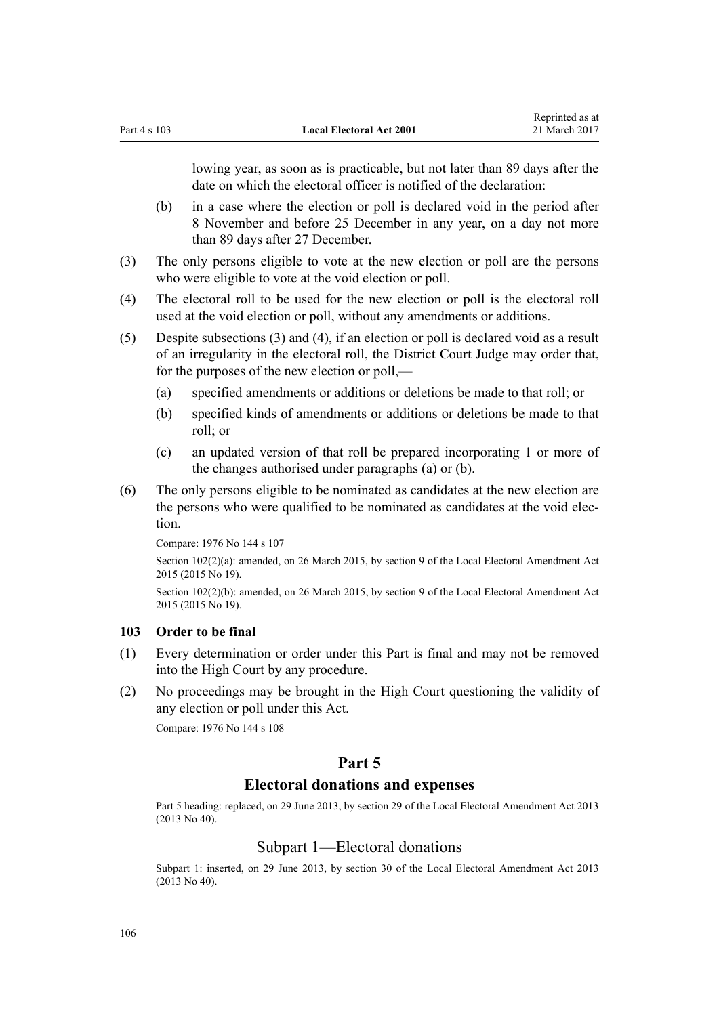lowing year, as soon as is practicable, but not later than 89 days after the date on which the electoral officer is notified of the declaration:

- (b) in a case where the election or poll is declared void in the period after 8 November and before 25 December in any year, on a day not more than 89 days after 27 December.
- (3) The only persons eligible to vote at the new election or poll are the persons who were eligible to vote at the void election or poll.
- (4) The electoral roll to be used for the new election or poll is the electoral roll used at the void election or poll, without any amendments or additions.
- (5) Despite subsections (3) and (4), if an election or poll is declared void as a result of an irregularity in the electoral roll, the District Court Judge may order that, for the purposes of the new election or poll,—
	- (a) specified amendments or additions or deletions be made to that roll; or
	- (b) specified kinds of amendments or additions or deletions be made to that roll; or
	- (c) an updated version of that roll be prepared incorporating 1 or more of the changes authorised under paragraphs (a) or (b).
- (6) The only persons eligible to be nominated as candidates at the new election are the persons who were qualified to be nominated as candidates at the void election.

```
Compare: 1976 No 144 s 107
```
Section 102(2)(a): amended, on 26 March 2015, by [section 9](http://prd-lgnz-nlb.prd.pco.net.nz/pdflink.aspx?id=DLM6403313) of the Local Electoral Amendment Act 2015 (2015 No 19).

Section 102(2)(b): amended, on 26 March 2015, by [section 9](http://prd-lgnz-nlb.prd.pco.net.nz/pdflink.aspx?id=DLM6403313) of the Local Electoral Amendment Act 2015 (2015 No 19).

## **103 Order to be final**

- (1) Every determination or order under this Part is final and may not be removed into the High Court by any procedure.
- (2) No proceedings may be brought in the High Court questioning the validity of any election or poll under this Act.

Compare: 1976 No 144 s 108

# **Part 5**

# **Electoral donations and expenses**

Part 5 heading: replaced, on 29 June 2013, by [section 29](http://prd-lgnz-nlb.prd.pco.net.nz/pdflink.aspx?id=DLM4803552) of the Local Electoral Amendment Act 2013 (2013 No 40).

#### Subpart 1—Electoral donations

Subpart 1: inserted, on 29 June 2013, by [section 30](http://prd-lgnz-nlb.prd.pco.net.nz/pdflink.aspx?id=DLM4803554) of the Local Electoral Amendment Act 2013  $(2013 \text{ No } 40)$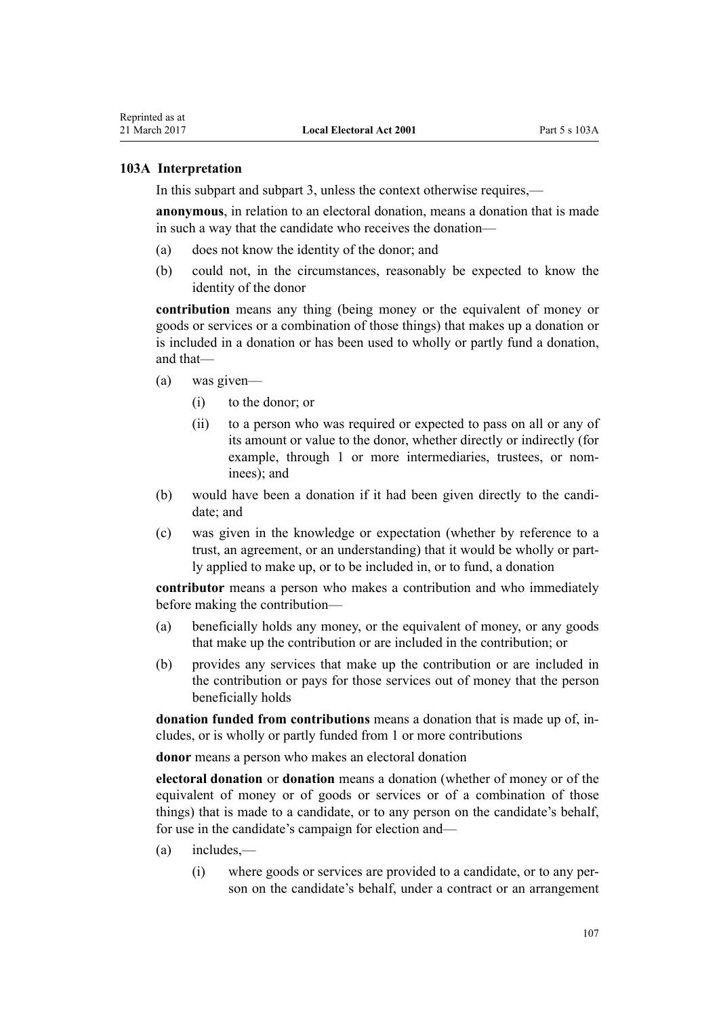#### **103A Interpretation**

In this subpart and [subpart 3,](#page-115-0) unless the context otherwise requires,—

**anonymous**, in relation to an electoral donation, means a donation that is made in such a way that the candidate who receives the donation—

- (a) does not know the identity of the donor; and
- (b) could not, in the circumstances, reasonably be expected to know the identity of the donor

**contribution** means any thing (being money or the equivalent of money or goods or services or a combination of those things) that makes up a donation or is included in a donation or has been used to wholly or partly fund a donation, and that—

- (a) was given—
	- (i) to the donor; or
	- (ii) to a person who was required or expected to pass on all or any of its amount or value to the donor, whether directly or indirectly (for example, through 1 or more intermediaries, trustees, or nominees); and
- (b) would have been a donation if it had been given directly to the candidate; and
- (c) was given in the knowledge or expectation (whether by reference to a trust, an agreement, or an understanding) that it would be wholly or partly applied to make up, or to be included in, or to fund, a donation

**contributor** means a person who makes a contribution and who immediately before making the contribution—

- (a) beneficially holds any money, or the equivalent of money, or any goods that make up the contribution or are included in the contribution; or
- (b) provides any services that make up the contribution or are included in the contribution or pays for those services out of money that the person beneficially holds

**donation funded from contributions** means a donation that is made up of, includes, or is wholly or partly funded from 1 or more contributions

**donor** means a person who makes an electoral donation

**electoral donation** or **donation** means a donation (whether of money or of the equivalent of money or of goods or services or of a combination of those things) that is made to a candidate, or to any person on the candidate's behalf, for use in the candidate's campaign for election and—

- (a) includes,—
	- (i) where goods or services are provided to a candidate, or to any person on the candidate's behalf, under a contract or an arrangement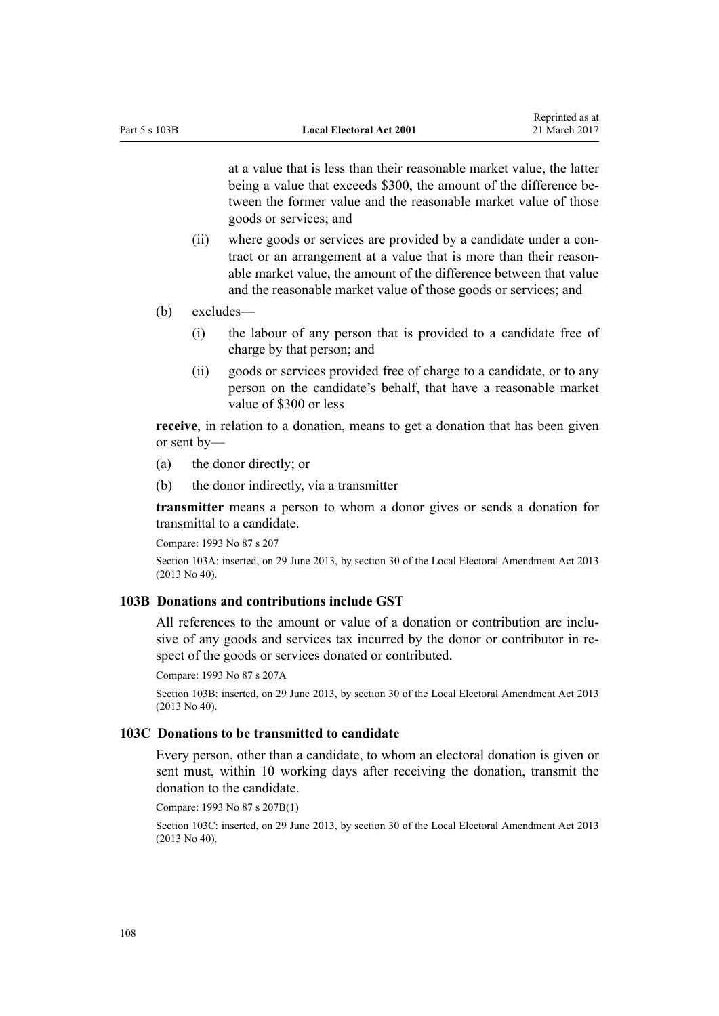at a value that is less than their reasonable market value, the latter being a value that exceeds \$300, the amount of the difference between the former value and the reasonable market value of those goods or services; and

- (ii) where goods or services are provided by a candidate under a contract or an arrangement at a value that is more than their reasonable market value, the amount of the difference between that value and the reasonable market value of those goods or services; and
- (b) excludes—
	- (i) the labour of any person that is provided to a candidate free of charge by that person; and
	- (ii) goods or services provided free of charge to a candidate, or to any person on the candidate's behalf, that have a reasonable market value of \$300 or less

**receive**, in relation to a donation, means to get a donation that has been given or sent by—

- (a) the donor directly; or
- (b) the donor indirectly, via a transmitter

**transmitter** means a person to whom a donor gives or sends a donation for transmittal to a candidate.

Compare: 1993 No 87 [s 207](http://prd-lgnz-nlb.prd.pco.net.nz/pdflink.aspx?id=DLM310099)

Section 103A: inserted, on 29 June 2013, by [section 30](http://prd-lgnz-nlb.prd.pco.net.nz/pdflink.aspx?id=DLM4803554) of the Local Electoral Amendment Act 2013 (2013 No 40).

#### **103B Donations and contributions include GST**

All references to the amount or value of a donation or contribution are inclusive of any goods and services tax incurred by the donor or contributor in respect of the goods or services donated or contributed.

Compare: 1993 No 87 [s 207A](http://prd-lgnz-nlb.prd.pco.net.nz/pdflink.aspx?id=DLM1868305)

Section 103B: inserted, on 29 June 2013, by [section 30](http://prd-lgnz-nlb.prd.pco.net.nz/pdflink.aspx?id=DLM4803554) of the Local Electoral Amendment Act 2013 (2013 No 40).

#### **103C Donations to be transmitted to candidate**

Every person, other than a candidate, to whom an electoral donation is given or sent must, within 10 working days after receiving the donation, transmit the donation to the candidate.

Compare: 1993 No 87 [s 207B\(1\)](http://prd-lgnz-nlb.prd.pco.net.nz/pdflink.aspx?id=DLM1868306)

Section 103C: inserted, on 29 June 2013, by [section 30](http://prd-lgnz-nlb.prd.pco.net.nz/pdflink.aspx?id=DLM4803554) of the Local Electoral Amendment Act 2013 (2013 No 40).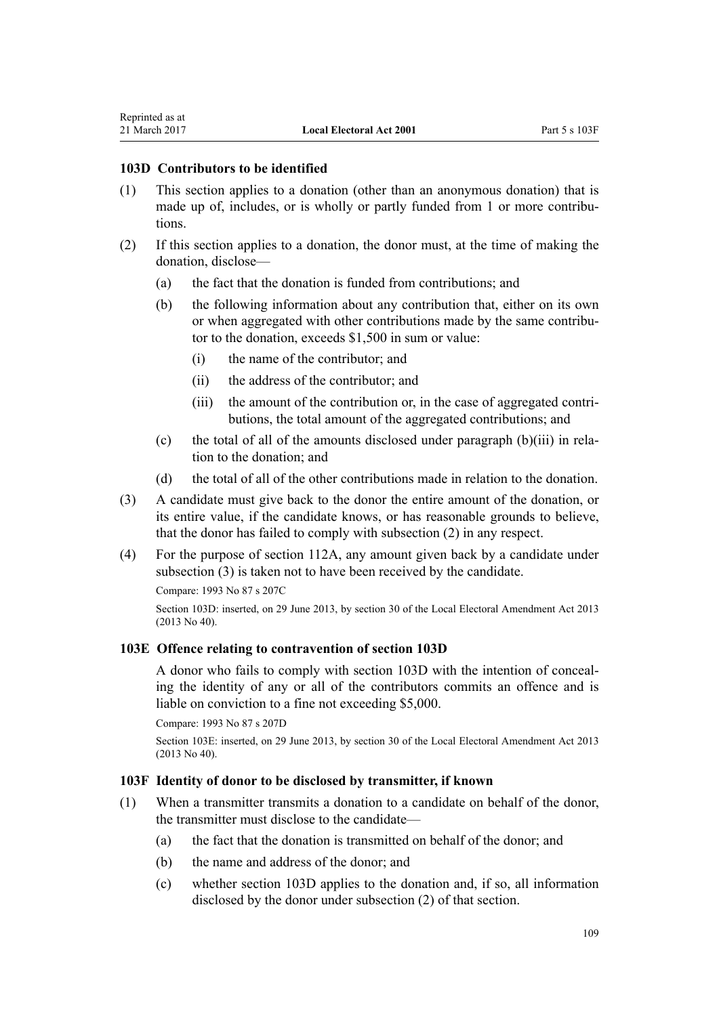#### <span id="page-108-0"></span>**103D Contributors to be identified**

- (1) This section applies to a donation (other than an anonymous donation) that is made up of, includes, or is wholly or partly funded from 1 or more contributions.
- (2) If this section applies to a donation, the donor must, at the time of making the donation, disclose—
	- (a) the fact that the donation is funded from contributions; and
	- (b) the following information about any contribution that, either on its own or when aggregated with other contributions made by the same contributor to the donation, exceeds \$1,500 in sum or value:
		- (i) the name of the contributor; and
		- (ii) the address of the contributor; and
		- (iii) the amount of the contribution or, in the case of aggregated contributions, the total amount of the aggregated contributions; and
	- (c) the total of all of the amounts disclosed under paragraph (b)(iii) in relation to the donation; and
	- (d) the total of all of the other contributions made in relation to the donation.
- (3) A candidate must give back to the donor the entire amount of the donation, or its entire value, if the candidate knows, or has reasonable grounds to believe, that the donor has failed to comply with subsection (2) in any respect.
- (4) For the purpose of [section 112A](#page-115-0), any amount given back by a candidate under subsection (3) is taken not to have been received by the candidate.

Compare: 1993 No 87 [s 207C](http://prd-lgnz-nlb.prd.pco.net.nz/pdflink.aspx?id=DLM1868307)

Section 103D: inserted, on 29 June 2013, by [section 30](http://prd-lgnz-nlb.prd.pco.net.nz/pdflink.aspx?id=DLM4803554) of the Local Electoral Amendment Act 2013 (2013 No 40).

### **103E Offence relating to contravention of section 103D**

A donor who fails to comply with section 103D with the intention of concealing the identity of any or all of the contributors commits an offence and is liable on conviction to a fine not exceeding \$5,000.

Compare: 1993 No 87 [s 207D](http://prd-lgnz-nlb.prd.pco.net.nz/pdflink.aspx?id=DLM1868308)

Section 103E: inserted, on 29 June 2013, by [section 30](http://prd-lgnz-nlb.prd.pco.net.nz/pdflink.aspx?id=DLM4803554) of the Local Electoral Amendment Act 2013 (2013 No 40).

# **103F Identity of donor to be disclosed by transmitter, if known**

- (1) When a transmitter transmits a donation to a candidate on behalf of the donor, the transmitter must disclose to the candidate—
	- (a) the fact that the donation is transmitted on behalf of the donor; and
	- (b) the name and address of the donor; and
	- (c) whether section 103D applies to the donation and, if so, all information disclosed by the donor under subsection (2) of that section.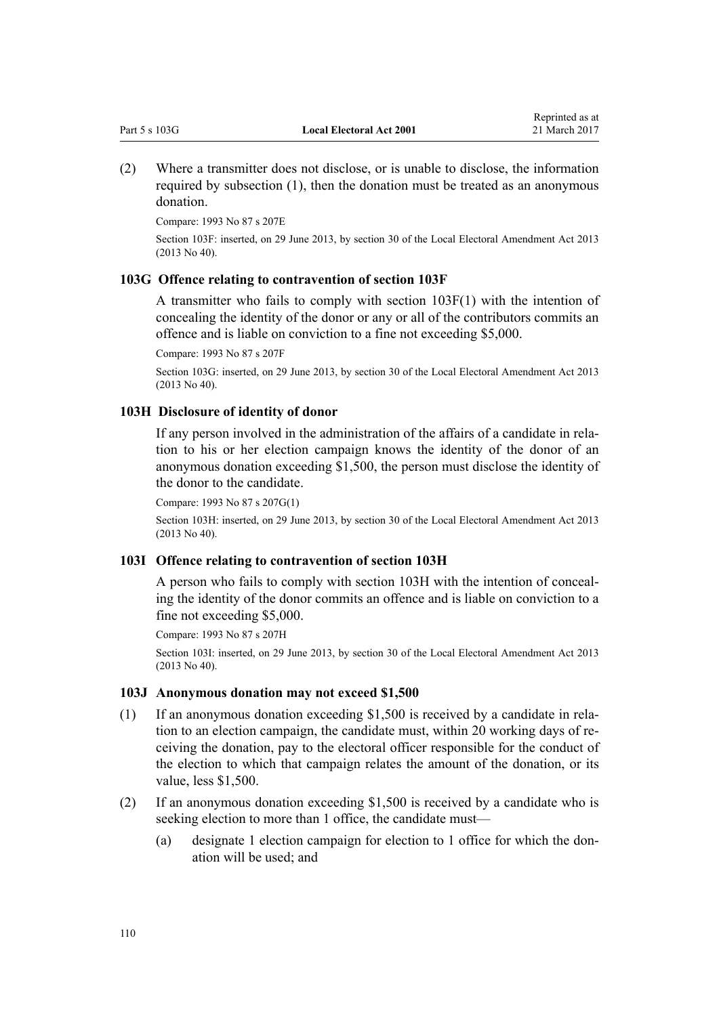<span id="page-109-0"></span>(2) Where a transmitter does not disclose, or is unable to disclose, the information required by subsection (1), then the donation must be treated as an anonymous donation.

Compare: 1993 No 87 [s 207E](http://prd-lgnz-nlb.prd.pco.net.nz/pdflink.aspx?id=DLM1868309)

Section 103F: inserted, on 29 June 2013, by [section 30](http://prd-lgnz-nlb.prd.pco.net.nz/pdflink.aspx?id=DLM4803554) of the Local Electoral Amendment Act 2013 (2013 No 40).

### **103G Offence relating to contravention of section 103F**

A transmitter who fails to comply with [section 103F\(1\)](#page-108-0) with the intention of concealing the identity of the donor or any or all of the contributors commits an offence and is liable on conviction to a fine not exceeding \$5,000.

Compare: 1993 No 87 [s 207F](http://prd-lgnz-nlb.prd.pco.net.nz/pdflink.aspx?id=DLM1868310)

Section 103G: inserted, on 29 June 2013, by [section 30](http://prd-lgnz-nlb.prd.pco.net.nz/pdflink.aspx?id=DLM4803554) of the Local Electoral Amendment Act 2013 (2013 No 40).

#### **103H Disclosure of identity of donor**

If any person involved in the administration of the affairs of a candidate in relation to his or her election campaign knows the identity of the donor of an anonymous donation exceeding \$1,500, the person must disclose the identity of the donor to the candidate.

Compare: 1993 No 87 [s 207G\(1\)](http://prd-lgnz-nlb.prd.pco.net.nz/pdflink.aspx?id=DLM1868311)

Section 103H: inserted, on 29 June 2013, by [section 30](http://prd-lgnz-nlb.prd.pco.net.nz/pdflink.aspx?id=DLM4803554) of the Local Electoral Amendment Act 2013 (2013 No 40).

### **103I Offence relating to contravention of section 103H**

A person who fails to comply with section 103H with the intention of concealing the identity of the donor commits an offence and is liable on conviction to a fine not exceeding \$5,000.

Compare: 1993 No 87 [s 207H](http://prd-lgnz-nlb.prd.pco.net.nz/pdflink.aspx?id=DLM1868312)

Section 103I: inserted, on 29 June 2013, by [section 30](http://prd-lgnz-nlb.prd.pco.net.nz/pdflink.aspx?id=DLM4803554) of the Local Electoral Amendment Act 2013 (2013 No 40).

#### **103J Anonymous donation may not exceed \$1,500**

- (1) If an anonymous donation exceeding \$1,500 is received by a candidate in relation to an election campaign, the candidate must, within 20 working days of receiving the donation, pay to the electoral officer responsible for the conduct of the election to which that campaign relates the amount of the donation, or its value, less \$1,500.
- (2) If an anonymous donation exceeding \$1,500 is received by a candidate who is seeking election to more than 1 office, the candidate must—
	- (a) designate 1 election campaign for election to 1 office for which the donation will be used; and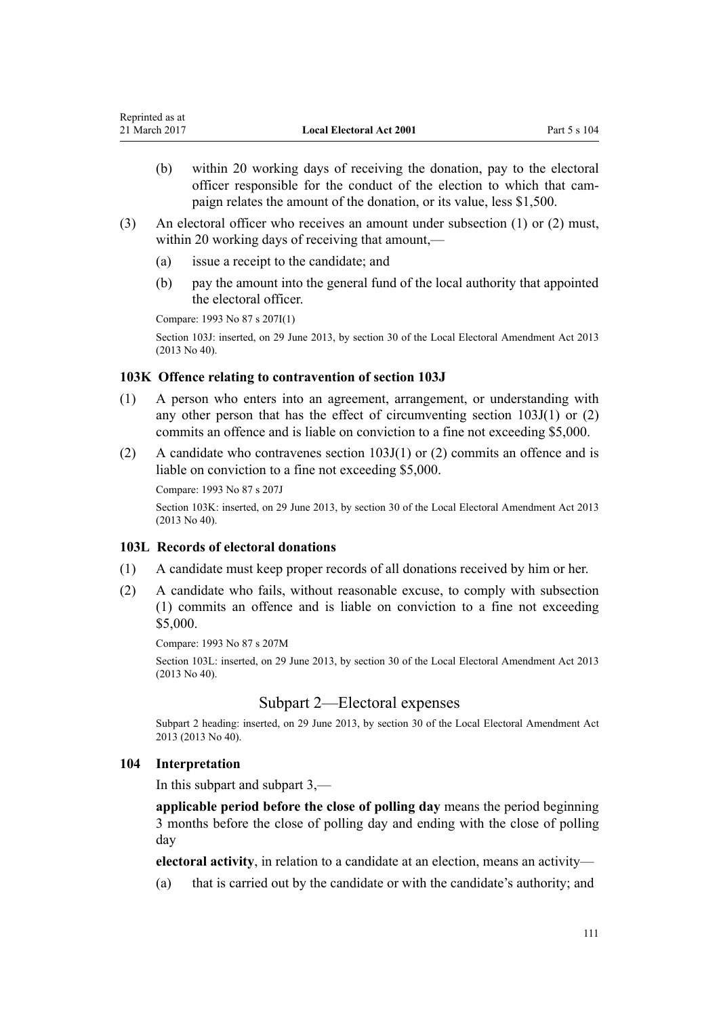- <span id="page-110-0"></span>(b) within 20 working days of receiving the donation, pay to the electoral officer responsible for the conduct of the election to which that campaign relates the amount of the donation, or its value, less \$1,500.
- (3) An electoral officer who receives an amount under subsection (1) or (2) must, within 20 working days of receiving that amount,—
	- (a) issue a receipt to the candidate; and
	- (b) pay the amount into the general fund of the local authority that appointed the electoral officer.

Compare: 1993 No 87 [s 207I\(1\)](http://prd-lgnz-nlb.prd.pco.net.nz/pdflink.aspx?id=DLM1868313)

Section 103J: inserted, on 29 June 2013, by [section 30](http://prd-lgnz-nlb.prd.pco.net.nz/pdflink.aspx?id=DLM4803554) of the Local Electoral Amendment Act 2013 (2013 No 40).

### **103K Offence relating to contravention of section 103J**

- (1) A person who enters into an agreement, arrangement, or understanding with any other person that has the effect of circumventing section 103J(1) or (2) commits an offence and is liable on conviction to a fine not exceeding \$5,000.
- (2) A candidate who contravenes section  $103J(1)$  or (2) commits an offence and is liable on conviction to a fine not exceeding \$5,000.

Compare: 1993 No 87 [s 207J](http://prd-lgnz-nlb.prd.pco.net.nz/pdflink.aspx?id=DLM1868314)

Section 103K: inserted, on 29 June 2013, by [section 30](http://prd-lgnz-nlb.prd.pco.net.nz/pdflink.aspx?id=DLM4803554) of the Local Electoral Amendment Act 2013 (2013 No 40).

### **103L Records of electoral donations**

- (1) A candidate must keep proper records of all donations received by him or her.
- (2) A candidate who fails, without reasonable excuse, to comply with subsection (1) commits an offence and is liable on conviction to a fine not exceeding \$5,000.

Compare: 1993 No 87 [s 207M](http://prd-lgnz-nlb.prd.pco.net.nz/pdflink.aspx?id=DLM1868318)

Section 103L: inserted, on 29 June 2013, by [section 30](http://prd-lgnz-nlb.prd.pco.net.nz/pdflink.aspx?id=DLM4803554) of the Local Electoral Amendment Act 2013 (2013 No 40).

# Subpart 2—Electoral expenses

Subpart 2 heading: inserted, on 29 June 2013, by [section 30](http://prd-lgnz-nlb.prd.pco.net.nz/pdflink.aspx?id=DLM4803554) of the Local Electoral Amendment Act 2013 (2013 No 40).

## **104 Interpretation**

In this subpart and subpart 3,—

**applicable period before the close of polling day** means the period beginning 3 months before the close of polling day and ending with the close of polling day

**electoral activity**, in relation to a candidate at an election, means an activity—

(a) that is carried out by the candidate or with the candidate's authority; and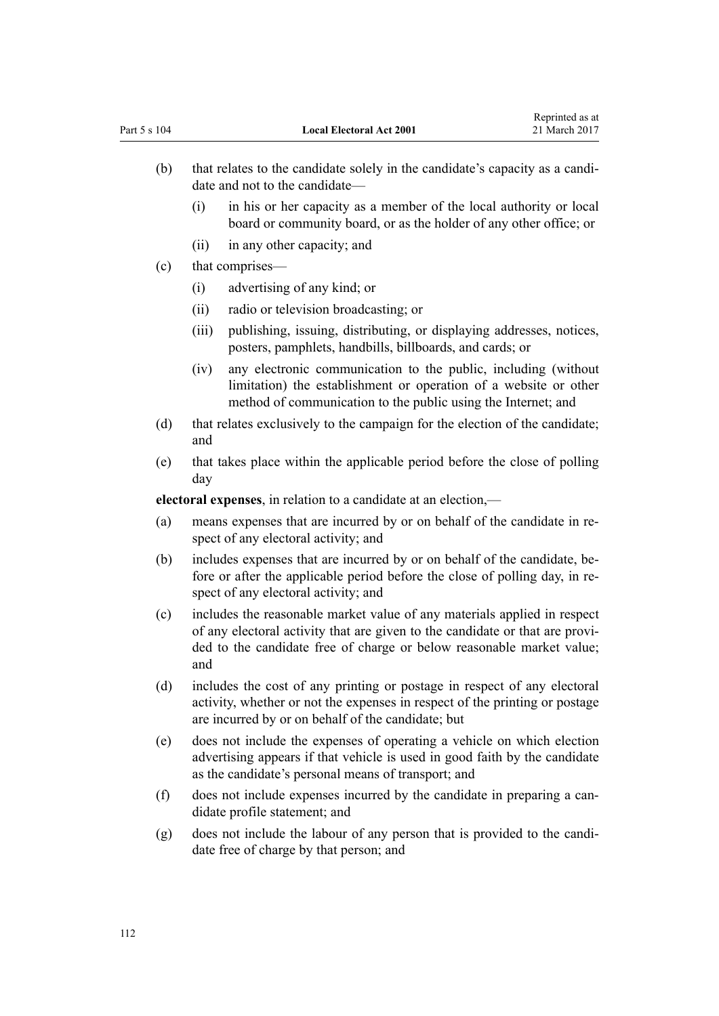- (b) that relates to the candidate solely in the candidate's capacity as a candidate and not to the candidate—
	- (i) in his or her capacity as a member of the local authority or local board or community board, or as the holder of any other office; or
	- (ii) in any other capacity; and
- (c) that comprises—
	- (i) advertising of any kind; or
	- (ii) radio or television broadcasting; or
	- (iii) publishing, issuing, distributing, or displaying addresses, notices, posters, pamphlets, handbills, billboards, and cards; or
	- (iv) any electronic communication to the public, including (without limitation) the establishment or operation of a website or other method of communication to the public using the Internet; and
- (d) that relates exclusively to the campaign for the election of the candidate; and
- (e) that takes place within the applicable period before the close of polling day

**electoral expenses**, in relation to a candidate at an election,—

- (a) means expenses that are incurred by or on behalf of the candidate in respect of any electoral activity; and
- (b) includes expenses that are incurred by or on behalf of the candidate, before or after the applicable period before the close of polling day, in respect of any electoral activity; and
- (c) includes the reasonable market value of any materials applied in respect of any electoral activity that are given to the candidate or that are provided to the candidate free of charge or below reasonable market value; and
- (d) includes the cost of any printing or postage in respect of any electoral activity, whether or not the expenses in respect of the printing or postage are incurred by or on behalf of the candidate; but
- (e) does not include the expenses of operating a vehicle on which election advertising appears if that vehicle is used in good faith by the candidate as the candidate's personal means of transport; and
- (f) does not include expenses incurred by the candidate in preparing a candidate profile statement; and
- (g) does not include the labour of any person that is provided to the candidate free of charge by that person; and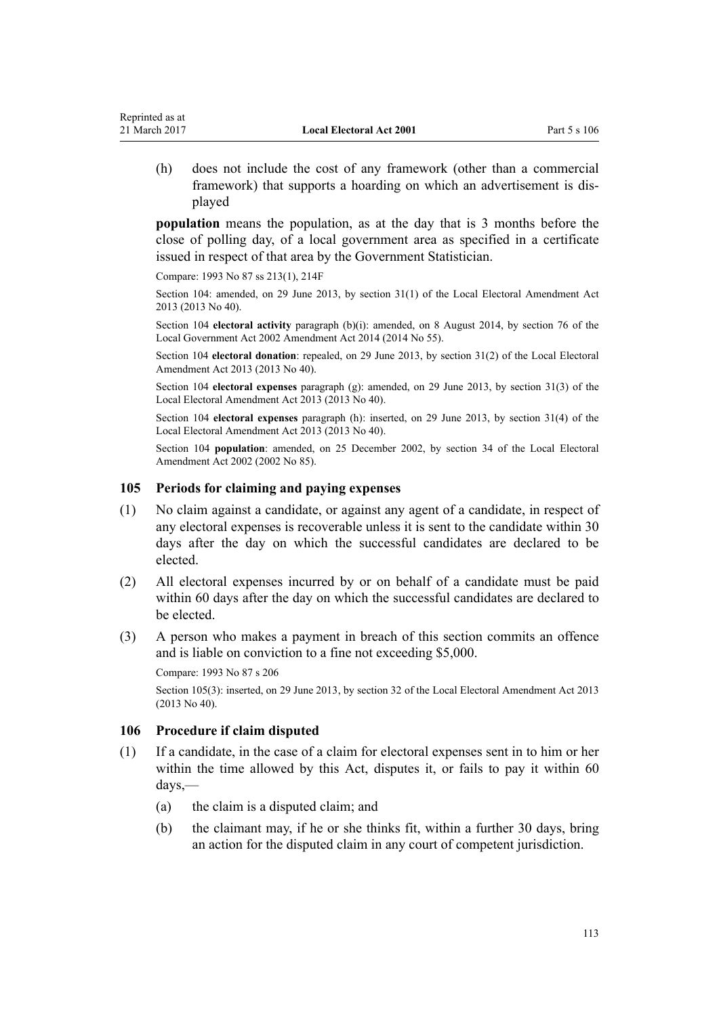(h) does not include the cost of any framework (other than a commercial framework) that supports a hoarding on which an advertisement is displayed

**population** means the population, as at the day that is 3 months before the close of polling day, of a local government area as specified in a certificate issued in respect of that area by the Government Statistician.

Compare: 1993 No 87 [ss 213\(1\),](http://prd-lgnz-nlb.prd.pco.net.nz/pdflink.aspx?id=DLM310318) [214F](http://prd-lgnz-nlb.prd.pco.net.nz/pdflink.aspx?id=DLM310369)

Reprinted as at

Section 104: amended, on 29 June 2013, by [section 31\(1\)](http://prd-lgnz-nlb.prd.pco.net.nz/pdflink.aspx?id=DLM4803578) of the Local Electoral Amendment Act 2013 (2013 No 40).

Section 104 **electoral activity** paragraph (b)(i): amended, on 8 August 2014, by [section 76](http://prd-lgnz-nlb.prd.pco.net.nz/pdflink.aspx?id=DLM5707313) of the Local Government Act 2002 Amendment Act 2014 (2014 No 55).

Section 104 **electoral donation**: repealed, on 29 June 2013, by [section 31\(2\)](http://prd-lgnz-nlb.prd.pco.net.nz/pdflink.aspx?id=DLM4803578) of the Local Electoral Amendment Act 2013 (2013 No 40).

Section 104 **electoral expenses** paragraph (g): amended, on 29 June 2013, by [section 31\(3\)](http://prd-lgnz-nlb.prd.pco.net.nz/pdflink.aspx?id=DLM4803578) of the Local Electoral Amendment Act 2013 (2013 No 40).

Section 104 **electoral expenses** paragraph (h): inserted, on 29 June 2013, by [section 31\(4\)](http://prd-lgnz-nlb.prd.pco.net.nz/pdflink.aspx?id=DLM4803578) of the Local Electoral Amendment Act 2013 (2013 No 40).

Section 104 **population**: amended, on 25 December 2002, by [section 34](http://prd-lgnz-nlb.prd.pco.net.nz/pdflink.aspx?id=DLM181911) of the Local Electoral Amendment Act 2002 (2002 No 85).

#### **105 Periods for claiming and paying expenses**

- (1) No claim against a candidate, or against any agent of a candidate, in respect of any electoral expenses is recoverable unless it is sent to the candidate within 30 days after the day on which the successful candidates are declared to be elected.
- (2) All electoral expenses incurred by or on behalf of a candidate must be paid within 60 days after the day on which the successful candidates are declared to be elected.
- (3) A person who makes a payment in breach of this section commits an offence and is liable on conviction to a fine not exceeding \$5,000.

Compare: 1993 No 87 [s 206](http://prd-lgnz-nlb.prd.pco.net.nz/pdflink.aspx?id=DLM310096)

Section 105(3): inserted, on 29 June 2013, by [section 32](http://prd-lgnz-nlb.prd.pco.net.nz/pdflink.aspx?id=DLM4803580) of the Local Electoral Amendment Act 2013 (2013 No 40).

#### **106 Procedure if claim disputed**

- (1) If a candidate, in the case of a claim for electoral expenses sent in to him or her within the time allowed by this Act, disputes it, or fails to pay it within 60 days,—
	- (a) the claim is a disputed claim; and
	- (b) the claimant may, if he or she thinks fit, within a further 30 days, bring an action for the disputed claim in any court of competent jurisdiction.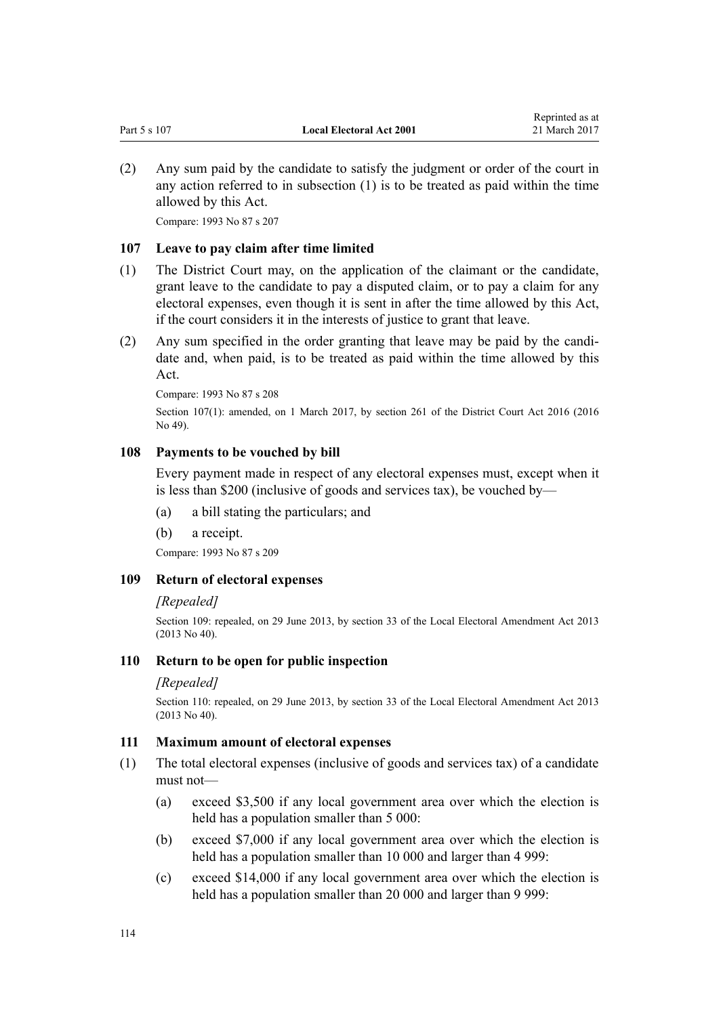<span id="page-113-0"></span>(2) Any sum paid by the candidate to satisfy the judgment or order of the court in any action referred to in subsection (1) is to be treated as paid within the time allowed by this Act.

Compare: 1993 No 87 [s 207](http://prd-lgnz-nlb.prd.pco.net.nz/pdflink.aspx?id=DLM310099)

### **107 Leave to pay claim after time limited**

- (1) The District Court may, on the application of the claimant or the candidate, grant leave to the candidate to pay a disputed claim, or to pay a claim for any electoral expenses, even though it is sent in after the time allowed by this Act, if the court considers it in the interests of justice to grant that leave.
- (2) Any sum specified in the order granting that leave may be paid by the candidate and, when paid, is to be treated as paid within the time allowed by this Act.

Compare: 1993 No 87 [s 208](http://prd-lgnz-nlb.prd.pco.net.nz/pdflink.aspx?id=DLM310301)

Section 107(1): amended, on 1 March 2017, by [section 261](http://prd-lgnz-nlb.prd.pco.net.nz/pdflink.aspx?id=DLM6942680) of the District Court Act 2016 (2016 No 49).

### **108 Payments to be vouched by bill**

Every payment made in respect of any electoral expenses must, except when it is less than \$200 (inclusive of goods and services tax), be vouched by—

- (a) a bill stating the particulars; and
- (b) a receipt.

Compare: 1993 No 87 [s 209](http://prd-lgnz-nlb.prd.pco.net.nz/pdflink.aspx?id=DLM310302)

# **109 Return of electoral expenses**

### *[Repealed]*

Section 109: repealed, on 29 June 2013, by [section 33](http://prd-lgnz-nlb.prd.pco.net.nz/pdflink.aspx?id=DLM4803581) of the Local Electoral Amendment Act 2013 (2013 No 40).

### **110 Return to be open for public inspection**

### *[Repealed]*

Section 110: repealed, on 29 June 2013, by [section 33](http://prd-lgnz-nlb.prd.pco.net.nz/pdflink.aspx?id=DLM4803581) of the Local Electoral Amendment Act 2013 (2013 No 40).

### **111 Maximum amount of electoral expenses**

- (1) The total electoral expenses (inclusive of goods and services tax) of a candidate must not—
	- (a) exceed \$3,500 if any local government area over which the election is held has a population smaller than 5 000:
	- (b) exceed \$7,000 if any local government area over which the election is held has a population smaller than 10 000 and larger than 4 999:
	- (c) exceed \$14,000 if any local government area over which the election is held has a population smaller than 20 000 and larger than 9 999: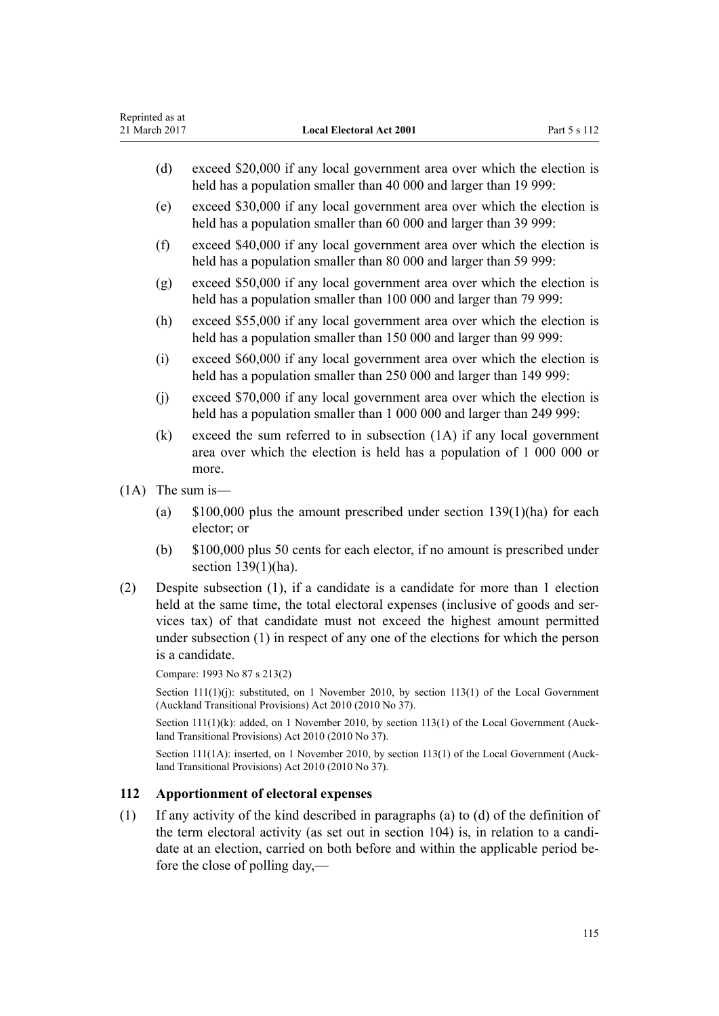- <span id="page-114-0"></span>(d) exceed \$20,000 if any local government area over which the election is held has a population smaller than 40 000 and larger than 19 999:
- (e) exceed \$30,000 if any local government area over which the election is held has a population smaller than 60 000 and larger than 39 999:
- (f) exceed \$40,000 if any local government area over which the election is held has a population smaller than 80 000 and larger than 59 999:
- (g) exceed \$50,000 if any local government area over which the election is held has a population smaller than 100 000 and larger than 79 999:
- (h) exceed \$55,000 if any local government area over which the election is held has a population smaller than 150 000 and larger than 99 999:
- (i) exceed \$60,000 if any local government area over which the election is held has a population smaller than 250 000 and larger than 149 999:
- (j) exceed \$70,000 if any local government area over which the election is held has a population smaller than 1 000 000 and larger than 249 999:
- (k) exceed the sum referred to in subsection (1A) if any local government area over which the election is held has a population of 1 000 000 or more.
- (1A) The sum is—
	- (a) \$100,000 plus the amount prescribed under [section 139\(1\)\(ha\)](#page-133-0) for each elector; or
	- (b) \$100,000 plus 50 cents for each elector, if no amount is prescribed under [section 139\(1\)\(ha\).](#page-133-0)
- (2) Despite subsection (1), if a candidate is a candidate for more than 1 election held at the same time, the total electoral expenses (inclusive of goods and services tax) of that candidate must not exceed the highest amount permitted under subsection (1) in respect of any one of the elections for which the person is a candidate.

Compare: 1993 No 87 [s 213\(2\)](http://prd-lgnz-nlb.prd.pco.net.nz/pdflink.aspx?id=DLM310318)

Section 111(1)(j): substituted, on 1 November 2010, by [section 113\(1\)](http://prd-lgnz-nlb.prd.pco.net.nz/pdflink.aspx?id=DLM3016880) of the Local Government (Auckland Transitional Provisions) Act 2010 (2010 No 37).

Section 111(1)(k): added, on 1 November 2010, by [section 113\(1\)](http://prd-lgnz-nlb.prd.pco.net.nz/pdflink.aspx?id=DLM3016880) of the Local Government (Auckland Transitional Provisions) Act 2010 (2010 No 37).

Section 111(1A): inserted, on 1 November 2010, by [section 113\(1\)](http://prd-lgnz-nlb.prd.pco.net.nz/pdflink.aspx?id=DLM3016880) of the Local Government (Auckland Transitional Provisions) Act 2010 (2010 No 37).

### **112 Apportionment of electoral expenses**

(1) If any activity of the kind described in paragraphs (a) to (d) of the definition of the term electoral activity (as set out in [section 104](#page-110-0)) is, in relation to a candidate at an election, carried on both before and within the applicable period before the close of polling day,—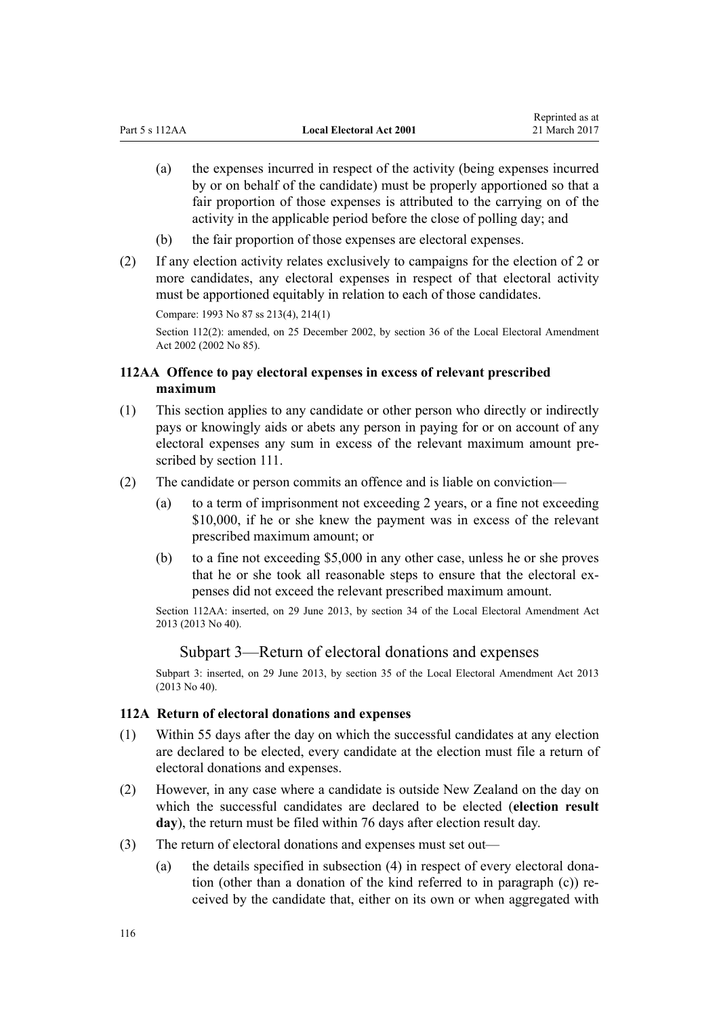- <span id="page-115-0"></span>(a) the expenses incurred in respect of the activity (being expenses incurred by or on behalf of the candidate) must be properly apportioned so that a fair proportion of those expenses is attributed to the carrying on of the activity in the applicable period before the close of polling day; and
- (b) the fair proportion of those expenses are electoral expenses.
- (2) If any election activity relates exclusively to campaigns for the election of 2 or more candidates, any electoral expenses in respect of that electoral activity must be apportioned equitably in relation to each of those candidates.

Compare: 1993 No 87 [ss 213\(4\),](http://prd-lgnz-nlb.prd.pco.net.nz/pdflink.aspx?id=DLM310318) [214\(1\)](http://prd-lgnz-nlb.prd.pco.net.nz/pdflink.aspx?id=DLM310331) Section 112(2): amended, on 25 December 2002, by [section 36](http://prd-lgnz-nlb.prd.pco.net.nz/pdflink.aspx?id=DLM181913) of the Local Electoral Amendment Act 2002 (2002 No 85).

# **112AA Offence to pay electoral expenses in excess of relevant prescribed maximum**

- (1) This section applies to any candidate or other person who directly or indirectly pays or knowingly aids or abets any person in paying for or on account of any electoral expenses any sum in excess of the relevant maximum amount prescribed by [section 111.](#page-113-0)
- (2) The candidate or person commits an offence and is liable on conviction—
	- (a) to a term of imprisonment not exceeding 2 years, or a fine not exceeding \$10,000, if he or she knew the payment was in excess of the relevant prescribed maximum amount; or
	- (b) to a fine not exceeding \$5,000 in any other case, unless he or she proves that he or she took all reasonable steps to ensure that the electoral expenses did not exceed the relevant prescribed maximum amount.

Section 112AA: inserted, on 29 June 2013, by [section 34](http://prd-lgnz-nlb.prd.pco.net.nz/pdflink.aspx?id=DLM5066609) of the Local Electoral Amendment Act 2013 (2013 No 40).

### Subpart 3—Return of electoral donations and expenses

Subpart 3: inserted, on 29 June 2013, by [section 35](http://prd-lgnz-nlb.prd.pco.net.nz/pdflink.aspx?id=DLM4803582) of the Local Electoral Amendment Act 2013 (2013 No 40).

#### **112A Return of electoral donations and expenses**

- (1) Within 55 days after the day on which the successful candidates at any election are declared to be elected, every candidate at the election must file a return of electoral donations and expenses.
- (2) However, in any case where a candidate is outside New Zealand on the day on which the successful candidates are declared to be elected (**election result day**), the return must be filed within 76 days after election result day.
- (3) The return of electoral donations and expenses must set out—
	- (a) the details specified in subsection (4) in respect of every electoral donation (other than a donation of the kind referred to in paragraph (c)) received by the candidate that, either on its own or when aggregated with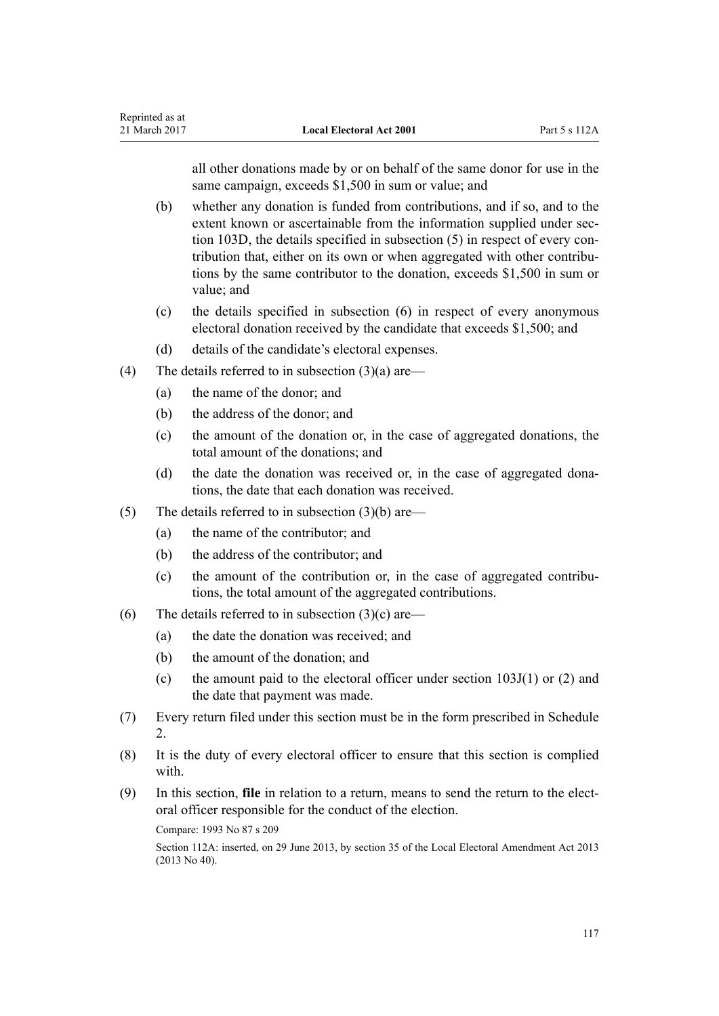all other donations made by or on behalf of the same donor for use in the same campaign, exceeds \$1,500 in sum or value; and

- (b) whether any donation is funded from contributions, and if so, and to the extent known or ascertainable from the information supplied under [sec](#page-108-0)[tion 103D,](#page-108-0) the details specified in subsection (5) in respect of every contribution that, either on its own or when aggregated with other contributions by the same contributor to the donation, exceeds \$1,500 in sum or value; and
- (c) the details specified in subsection (6) in respect of every anonymous electoral donation received by the candidate that exceeds \$1,500; and
- (d) details of the candidate's electoral expenses.
- (4) The details referred to in subsection  $(3)(a)$  are—
	- (a) the name of the donor; and
	- (b) the address of the donor; and
	- (c) the amount of the donation or, in the case of aggregated donations, the total amount of the donations; and
	- (d) the date the donation was received or, in the case of aggregated donations, the date that each donation was received.
- (5) The details referred to in subsection  $(3)(b)$  are—
	- (a) the name of the contributor; and
	- (b) the address of the contributor; and
	- (c) the amount of the contribution or, in the case of aggregated contributions, the total amount of the aggregated contributions.
- (6) The details referred to in subsection  $(3)(c)$  are—
	- (a) the date the donation was received; and
	- (b) the amount of the donation; and
	- (c) the amount paid to the electoral officer under section  $103J(1)$  or (2) and the date that payment was made.
- (7) Every return filed under this section must be in the form prescribed in [Schedule](#page-148-0) [2.](#page-148-0)
- (8) It is the duty of every electoral officer to ensure that this section is complied with.
- (9) In this section, **file** in relation to a return, means to send the return to the electoral officer responsible for the conduct of the election.

Compare: 1993 No 87 [s 209](http://prd-lgnz-nlb.prd.pco.net.nz/pdflink.aspx?id=DLM310302)

Section 112A: inserted, on 29 June 2013, by [section 35](http://prd-lgnz-nlb.prd.pco.net.nz/pdflink.aspx?id=DLM4803582) of the Local Electoral Amendment Act 2013 (2013 No 40).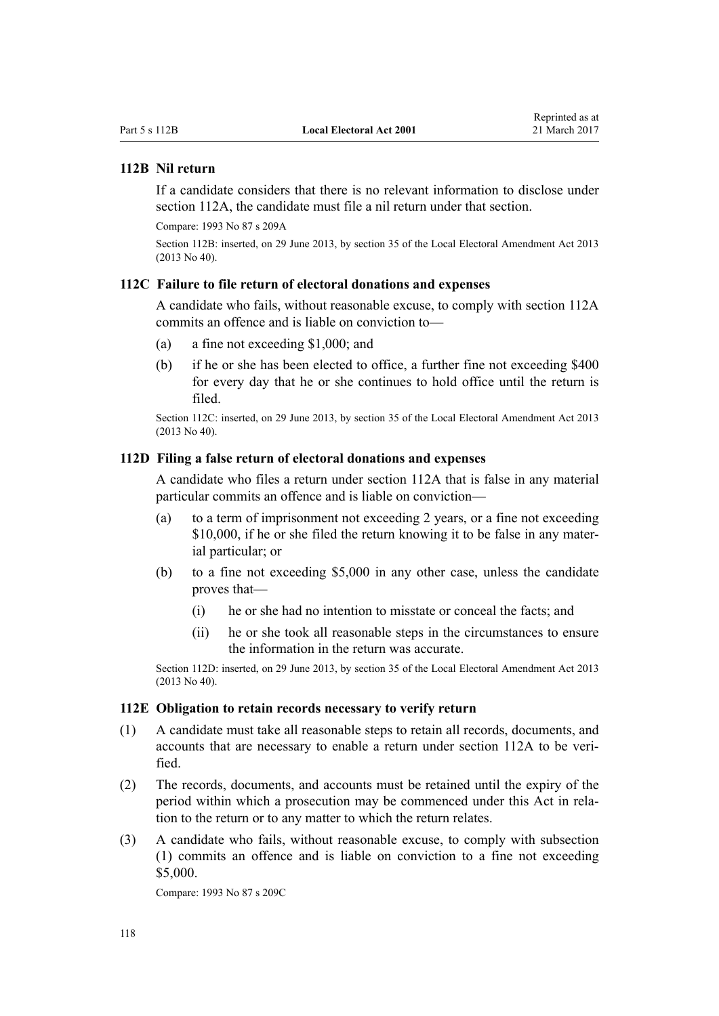# <span id="page-117-0"></span>**112B Nil return**

If a candidate considers that there is no relevant information to disclose under [section 112A,](#page-115-0) the candidate must file a nil return under that section.

Compare: 1993 No 87 [s 209A](http://prd-lgnz-nlb.prd.pco.net.nz/pdflink.aspx?id=DLM1868339)

Section 112B: inserted, on 29 June 2013, by [section 35](http://prd-lgnz-nlb.prd.pco.net.nz/pdflink.aspx?id=DLM4803582) of the Local Electoral Amendment Act 2013 (2013 No 40).

### **112C Failure to file return of electoral donations and expenses**

A candidate who fails, without reasonable excuse, to comply with [section 112A](#page-115-0) commits an offence and is liable on conviction to—

- (a) a fine not exceeding \$1,000; and
- (b) if he or she has been elected to office, a further fine not exceeding \$400 for every day that he or she continues to hold office until the return is filed.

Section 112C: inserted, on 29 June 2013, by [section 35](http://prd-lgnz-nlb.prd.pco.net.nz/pdflink.aspx?id=DLM4803582) of the Local Electoral Amendment Act 2013 (2013 No 40).

### **112D Filing a false return of electoral donations and expenses**

A candidate who files a return under [section 112A](#page-115-0) that is false in any material particular commits an offence and is liable on conviction—

- (a) to a term of imprisonment not exceeding 2 years, or a fine not exceeding \$10,000, if he or she filed the return knowing it to be false in any material particular; or
- (b) to a fine not exceeding \$5,000 in any other case, unless the candidate proves that—
	- (i) he or she had no intention to misstate or conceal the facts; and
	- (ii) he or she took all reasonable steps in the circumstances to ensure the information in the return was accurate.

Section 112D: inserted, on 29 June 2013, by [section 35](http://prd-lgnz-nlb.prd.pco.net.nz/pdflink.aspx?id=DLM4803582) of the Local Electoral Amendment Act 2013 (2013 No 40).

#### **112E Obligation to retain records necessary to verify return**

- (1) A candidate must take all reasonable steps to retain all records, documents, and accounts that are necessary to enable a return under [section 112A](#page-115-0) to be verified.
- (2) The records, documents, and accounts must be retained until the expiry of the period within which a prosecution may be commenced under this Act in relation to the return or to any matter to which the return relates.
- (3) A candidate who fails, without reasonable excuse, to comply with subsection (1) commits an offence and is liable on conviction to a fine not exceeding \$5,000.

Compare: 1993 No 87 [s 209C](http://prd-lgnz-nlb.prd.pco.net.nz/pdflink.aspx?id=DLM1868341)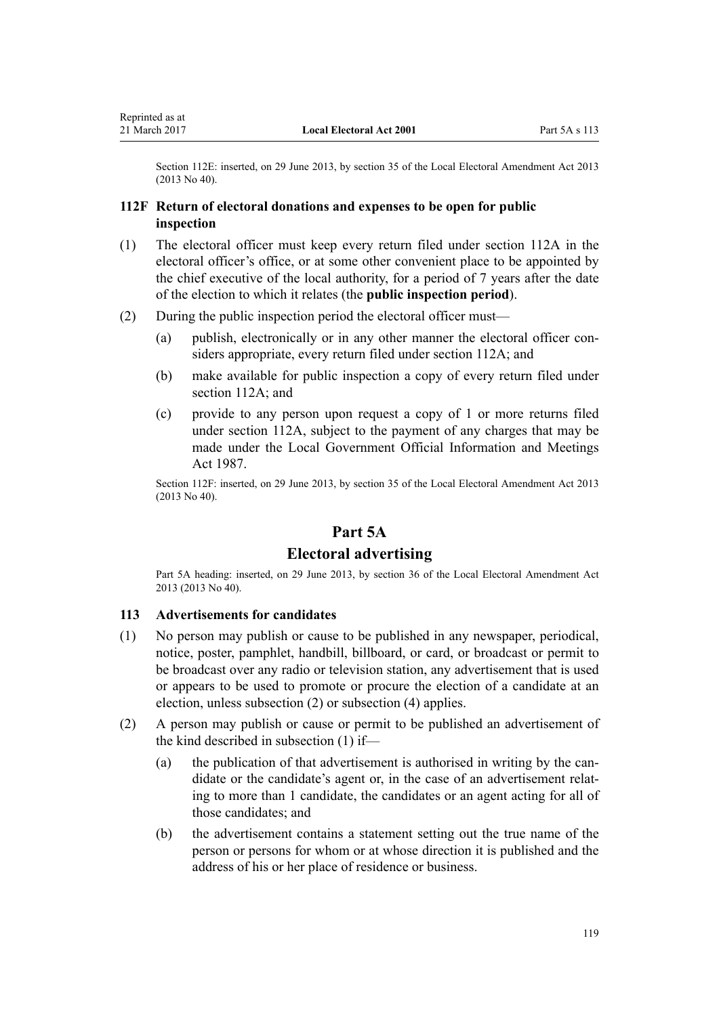<span id="page-118-0"></span>Section 112E: inserted, on 29 June 2013, by [section 35](http://prd-lgnz-nlb.prd.pco.net.nz/pdflink.aspx?id=DLM4803582) of the Local Electoral Amendment Act 2013 (2013 No 40).

### **112F Return of electoral donations and expenses to be open for public inspection**

- (1) The electoral officer must keep every return filed under [section 112A](#page-115-0) in the electoral officer's office, or at some other convenient place to be appointed by the chief executive of the local authority, for a period of 7 years after the date of the election to which it relates (the **public inspection period**).
- (2) During the public inspection period the electoral officer must—
	- (a) publish, electronically or in any other manner the electoral officer considers appropriate, every return filed under [section 112A](#page-115-0); and
	- (b) make available for public inspection a copy of every return filed under [section 112A;](#page-115-0) and
	- (c) provide to any person upon request a copy of 1 or more returns filed under [section 112A,](#page-115-0) subject to the payment of any charges that may be made under the [Local Government Official Information and Meetings](http://prd-lgnz-nlb.prd.pco.net.nz/pdflink.aspx?id=DLM122241) [Act 1987.](http://prd-lgnz-nlb.prd.pco.net.nz/pdflink.aspx?id=DLM122241)

Section 112F: inserted, on 29 June 2013, by [section 35](http://prd-lgnz-nlb.prd.pco.net.nz/pdflink.aspx?id=DLM4803582) of the Local Electoral Amendment Act 2013 (2013 No 40).

# **Part 5A**

### **Electoral advertising**

Part 5A heading: inserted, on 29 June 2013, by [section 36](http://prd-lgnz-nlb.prd.pco.net.nz/pdflink.aspx?id=DLM4803590) of the Local Electoral Amendment Act 2013 (2013 No 40).

#### **113 Advertisements for candidates**

- (1) No person may publish or cause to be published in any newspaper, periodical, notice, poster, pamphlet, handbill, billboard, or card, or broadcast or permit to be broadcast over any radio or television station, any advertisement that is used or appears to be used to promote or procure the election of a candidate at an election, unless subsection (2) or subsection (4) applies.
- (2) A person may publish or cause or permit to be published an advertisement of the kind described in subsection (1) if—
	- (a) the publication of that advertisement is authorised in writing by the candidate or the candidate's agent or, in the case of an advertisement relating to more than 1 candidate, the candidates or an agent acting for all of those candidates; and
	- (b) the advertisement contains a statement setting out the true name of the person or persons for whom or at whose direction it is published and the address of his or her place of residence or business.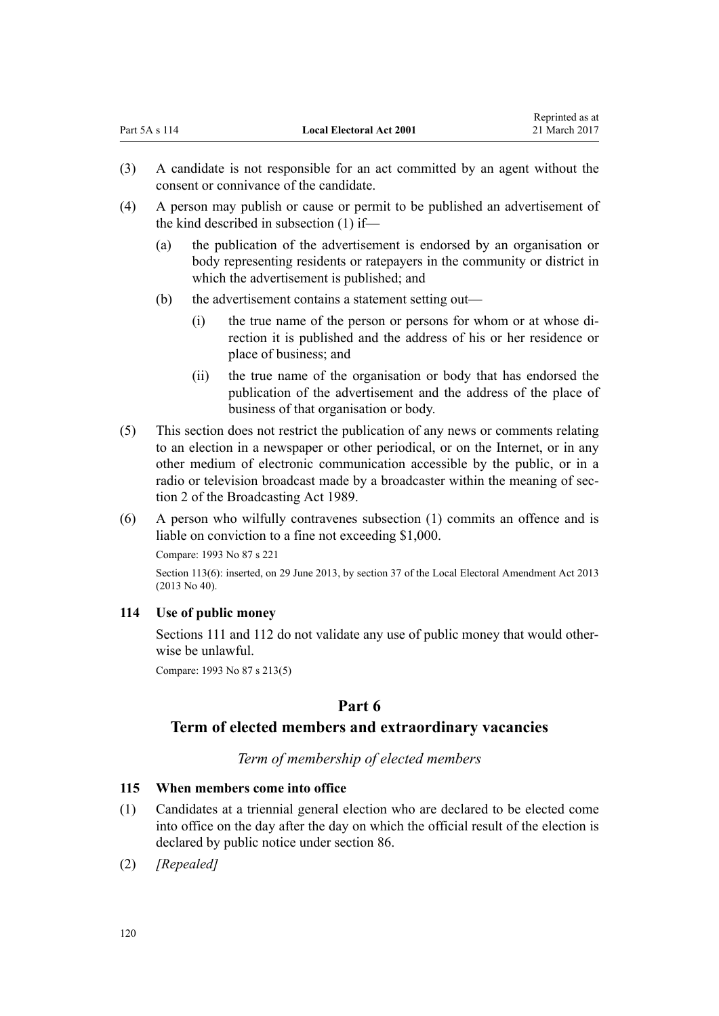- (4) A person may publish or cause or permit to be published an advertisement of the kind described in subsection (1) if—
	- (a) the publication of the advertisement is endorsed by an organisation or body representing residents or ratepayers in the community or district in which the advertisement is published; and
	- (b) the advertisement contains a statement setting out—
		- (i) the true name of the person or persons for whom or at whose direction it is published and the address of his or her residence or place of business; and
		- (ii) the true name of the organisation or body that has endorsed the publication of the advertisement and the address of the place of business of that organisation or body.
- (5) This section does not restrict the publication of any news or comments relating to an election in a newspaper or other periodical, or on the Internet, or in any other medium of electronic communication accessible by the public, or in a radio or television broadcast made by a broadcaster within the meaning of [sec](http://prd-lgnz-nlb.prd.pco.net.nz/pdflink.aspx?id=DLM155371)[tion 2](http://prd-lgnz-nlb.prd.pco.net.nz/pdflink.aspx?id=DLM155371) of the Broadcasting Act 1989.
- (6) A person who wilfully contravenes subsection (1) commits an offence and is liable on conviction to a fine not exceeding \$1,000.

Compare: 1993 No 87 [s 221](http://prd-lgnz-nlb.prd.pco.net.nz/pdflink.aspx?id=DLM1869249) Section 113(6): inserted, on 29 June 2013, by [section 37](http://prd-lgnz-nlb.prd.pco.net.nz/pdflink.aspx?id=DLM5066613) of the Local Electoral Amendment Act 2013 (2013 No 40).

# **114 Use of public money**

[Sections 111](#page-113-0) and [112](#page-114-0) do not validate any use of public money that would otherwise be unlawful.

Compare: 1993 No 87 [s 213\(5\)](http://prd-lgnz-nlb.prd.pco.net.nz/pdflink.aspx?id=DLM310318)

# **Part 6**

# **Term of elected members and extraordinary vacancies**

*Term of membership of elected members*

# **115 When members come into office**

- (1) Candidates at a triennial general election who are declared to be elected come into office on the day after the day on which the official result of the election is declared by public notice under [section 86](#page-94-0).
- (2) *[Repealed]*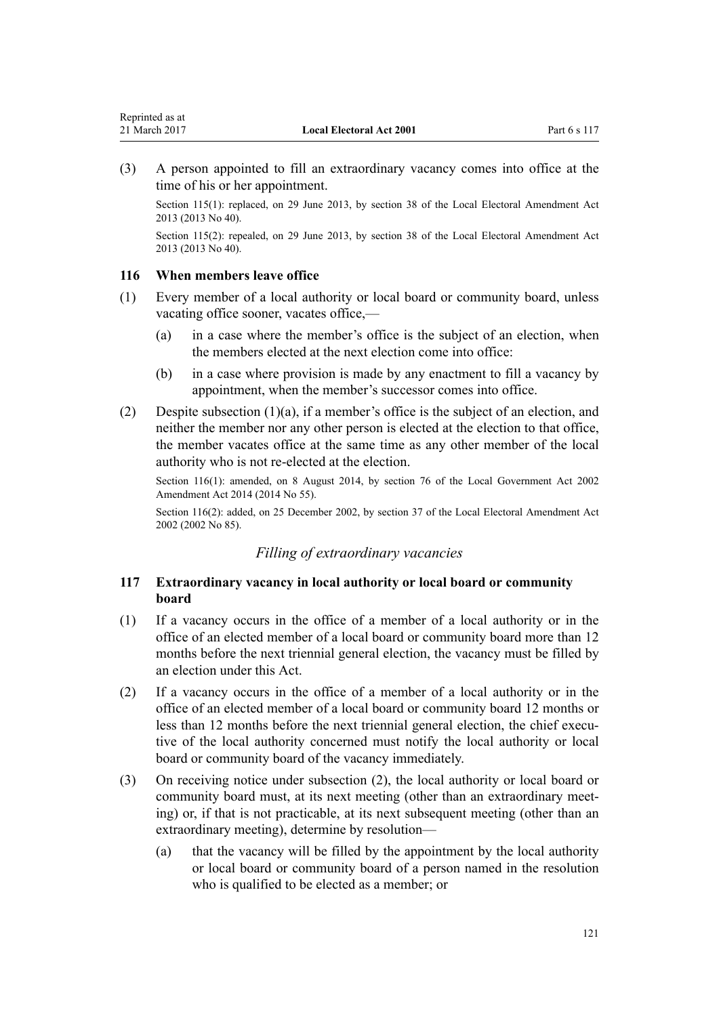<span id="page-120-0"></span>(3) A person appointed to fill an extraordinary vacancy comes into office at the time of his or her appointment.

Section 115(1): replaced, on 29 June 2013, by [section 38](http://prd-lgnz-nlb.prd.pco.net.nz/pdflink.aspx?id=DLM4803592) of the Local Electoral Amendment Act 2013 (2013 No 40).

Section 115(2): repealed, on 29 June 2013, by [section 38](http://prd-lgnz-nlb.prd.pco.net.nz/pdflink.aspx?id=DLM4803592) of the Local Electoral Amendment Act 2013 (2013 No 40).

# **116 When members leave office**

- (1) Every member of a local authority or local board or community board, unless vacating office sooner, vacates office,—
	- (a) in a case where the member's office is the subject of an election, when the members elected at the next election come into office:
	- (b) in a case where provision is made by any enactment to fill a vacancy by appointment, when the member's successor comes into office.
- (2) Despite subsection  $(1)(a)$ , if a member's office is the subject of an election, and neither the member nor any other person is elected at the election to that office, the member vacates office at the same time as any other member of the local authority who is not re-elected at the election.

Section 116(1): amended, on 8 August 2014, by [section 76](http://prd-lgnz-nlb.prd.pco.net.nz/pdflink.aspx?id=DLM5707313) of the Local Government Act 2002 Amendment Act 2014 (2014 No 55).

Section 116(2): added, on 25 December 2002, by [section 37](http://prd-lgnz-nlb.prd.pco.net.nz/pdflink.aspx?id=DLM181914) of the Local Electoral Amendment Act 2002 (2002 No 85).

### *Filling of extraordinary vacancies*

### **117 Extraordinary vacancy in local authority or local board or community board**

- (1) If a vacancy occurs in the office of a member of a local authority or in the office of an elected member of a local board or community board more than 12 months before the next triennial general election, the vacancy must be filled by an election under this Act.
- (2) If a vacancy occurs in the office of a member of a local authority or in the office of an elected member of a local board or community board 12 months or less than 12 months before the next triennial general election, the chief executive of the local authority concerned must notify the local authority or local board or community board of the vacancy immediately.
- (3) On receiving notice under subsection (2), the local authority or local board or community board must, at its next meeting (other than an extraordinary meeting) or, if that is not practicable, at its next subsequent meeting (other than an extraordinary meeting), determine by resolution—
	- (a) that the vacancy will be filled by the appointment by the local authority or local board or community board of a person named in the resolution who is qualified to be elected as a member; or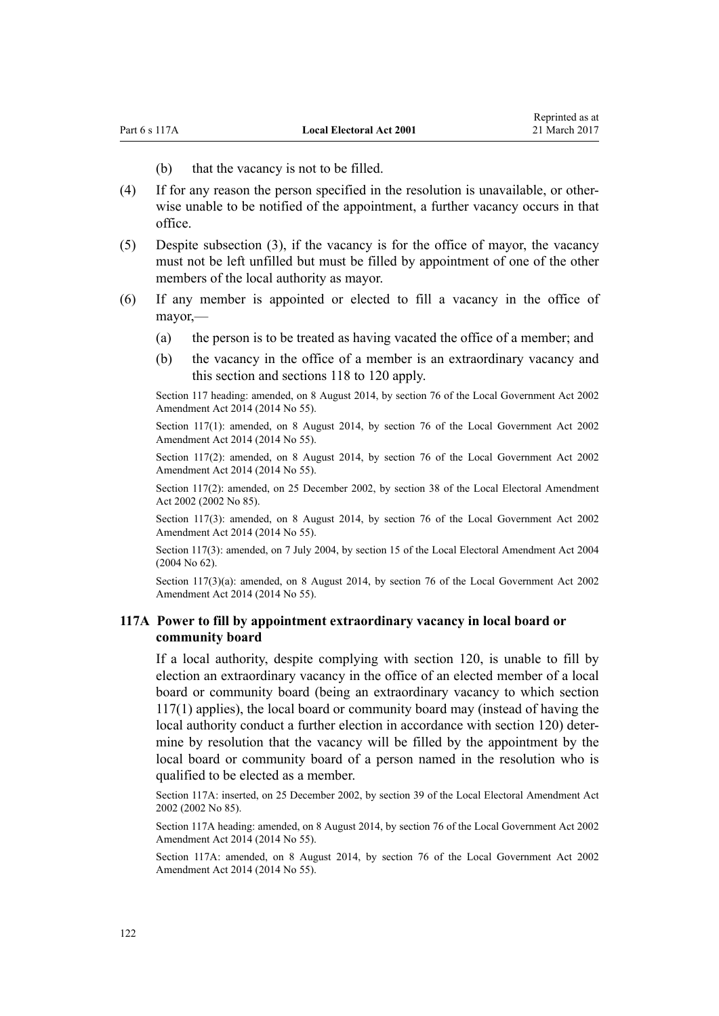(b) that the vacancy is not to be filled.

- <span id="page-121-0"></span>(4) If for any reason the person specified in the resolution is unavailable, or otherwise unable to be notified of the appointment, a further vacancy occurs in that office.
- (5) Despite subsection (3), if the vacancy is for the office of mayor, the vacancy must not be left unfilled but must be filled by appointment of one of the other members of the local authority as mayor.
- (6) If any member is appointed or elected to fill a vacancy in the office of mayor,—
	- (a) the person is to be treated as having vacated the office of a member; and
	- (b) the vacancy in the office of a member is an extraordinary vacancy and this section and [sections 118 to 120](#page-122-0) apply.

Section 117 heading: amended, on 8 August 2014, by [section 76](http://prd-lgnz-nlb.prd.pco.net.nz/pdflink.aspx?id=DLM5707313) of the Local Government Act 2002 Amendment Act 2014 (2014 No 55).

Section 117(1): amended, on 8 August 2014, by [section 76](http://prd-lgnz-nlb.prd.pco.net.nz/pdflink.aspx?id=DLM5707313) of the Local Government Act 2002 Amendment Act 2014 (2014 No 55).

Section 117(2): amended, on 8 August 2014, by [section 76](http://prd-lgnz-nlb.prd.pco.net.nz/pdflink.aspx?id=DLM5707313) of the Local Government Act 2002 Amendment Act 2014 (2014 No 55).

Section 117(2): amended, on 25 December 2002, by [section 38](http://prd-lgnz-nlb.prd.pco.net.nz/pdflink.aspx?id=DLM181915) of the Local Electoral Amendment Act 2002 (2002 No 85).

Section 117(3): amended, on 8 August 2014, by [section 76](http://prd-lgnz-nlb.prd.pco.net.nz/pdflink.aspx?id=DLM5707313) of the Local Government Act 2002 Amendment Act 2014 (2014 No 55).

Section 117(3): amended, on 7 July 2004, by [section 15](http://prd-lgnz-nlb.prd.pco.net.nz/pdflink.aspx?id=DLM303181) of the Local Electoral Amendment Act 2004 (2004 No 62).

Section 117(3)(a): amended, on 8 August 2014, by [section 76](http://prd-lgnz-nlb.prd.pco.net.nz/pdflink.aspx?id=DLM5707313) of the Local Government Act 2002 Amendment Act 2014 (2014 No 55).

### **117A Power to fill by appointment extraordinary vacancy in local board or community board**

If a local authority, despite complying with [section 120,](#page-122-0) is unable to fill by election an extraordinary vacancy in the office of an elected member of a local board or community board (being an extraordinary vacancy to which [section](#page-120-0) [117\(1\)](#page-120-0) applies), the local board or community board may (instead of having the local authority conduct a further election in accordance with section 120) determine by resolution that the vacancy will be filled by the appointment by the local board or community board of a person named in the resolution who is qualified to be elected as a member.

Section 117A: inserted, on 25 December 2002, by [section 39](http://prd-lgnz-nlb.prd.pco.net.nz/pdflink.aspx?id=DLM181916) of the Local Electoral Amendment Act 2002 (2002 No 85).

Section 117A heading: amended, on 8 August 2014, by [section 76](http://prd-lgnz-nlb.prd.pco.net.nz/pdflink.aspx?id=DLM5707313) of the Local Government Act 2002 Amendment Act 2014 (2014 No 55).

Section 117A: amended, on 8 August 2014, by [section 76](http://prd-lgnz-nlb.prd.pco.net.nz/pdflink.aspx?id=DLM5707313) of the Local Government Act 2002 Amendment Act 2014 (2014 No 55).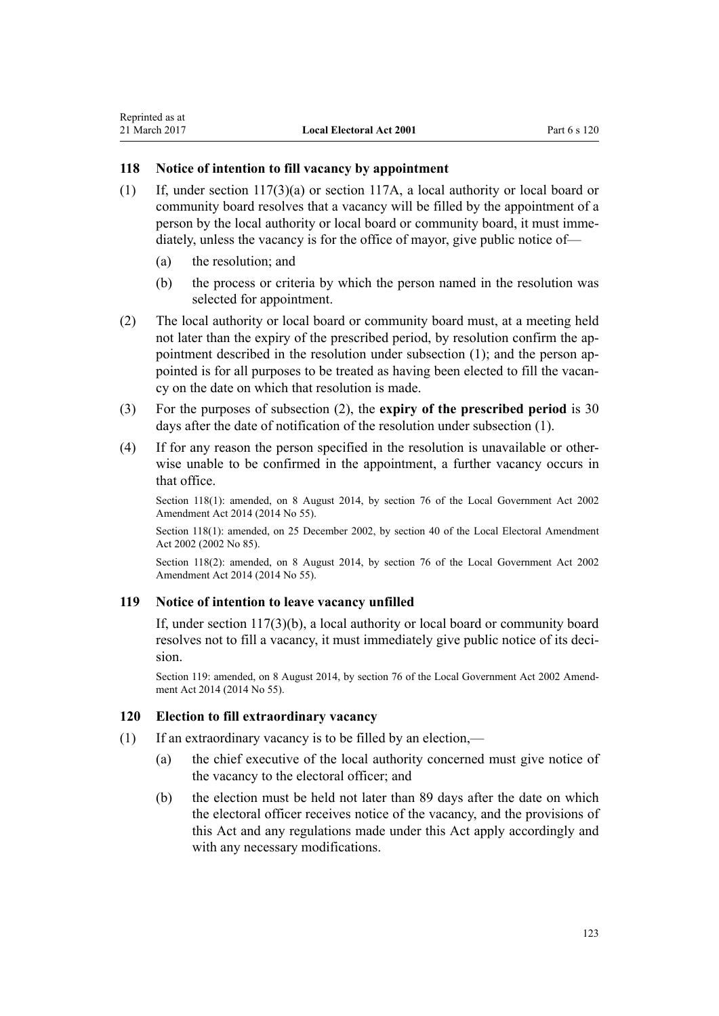### <span id="page-122-0"></span>**118 Notice of intention to fill vacancy by appointment**

- (1) If, under [section 117\(3\)\(a\)](#page-120-0) or [section 117A,](#page-121-0) a local authority or local board or community board resolves that a vacancy will be filled by the appointment of a person by the local authority or local board or community board, it must immediately, unless the vacancy is for the office of mayor, give public notice of—
	- (a) the resolution; and
	- (b) the process or criteria by which the person named in the resolution was selected for appointment.
- (2) The local authority or local board or community board must, at a meeting held not later than the expiry of the prescribed period, by resolution confirm the appointment described in the resolution under subsection (1); and the person appointed is for all purposes to be treated as having been elected to fill the vacancy on the date on which that resolution is made.
- (3) For the purposes of subsection (2), the **expiry of the prescribed period** is 30 days after the date of notification of the resolution under subsection (1).
- (4) If for any reason the person specified in the resolution is unavailable or otherwise unable to be confirmed in the appointment, a further vacancy occurs in that office.

Section 118(1): amended, on 8 August 2014, by [section 76](http://prd-lgnz-nlb.prd.pco.net.nz/pdflink.aspx?id=DLM5707313) of the Local Government Act 2002 Amendment Act 2014 (2014 No 55).

Section 118(1): amended, on 25 December 2002, by [section 40](http://prd-lgnz-nlb.prd.pco.net.nz/pdflink.aspx?id=DLM181918) of the Local Electoral Amendment Act 2002 (2002 No 85).

Section 118(2): amended, on 8 August 2014, by [section 76](http://prd-lgnz-nlb.prd.pco.net.nz/pdflink.aspx?id=DLM5707313) of the Local Government Act 2002 Amendment Act 2014 (2014 No 55).

### **119 Notice of intention to leave vacancy unfilled**

If, under [section 117\(3\)\(b\)](#page-120-0), a local authority or local board or community board resolves not to fill a vacancy, it must immediately give public notice of its decision.

Section 119: amended, on 8 August 2014, by [section 76](http://prd-lgnz-nlb.prd.pco.net.nz/pdflink.aspx?id=DLM5707313) of the Local Government Act 2002 Amendment Act 2014 (2014 No 55).

### **120 Election to fill extraordinary vacancy**

- (1) If an extraordinary vacancy is to be filled by an election,—
	- (a) the chief executive of the local authority concerned must give notice of the vacancy to the electoral officer; and
	- (b) the election must be held not later than 89 days after the date on which the electoral officer receives notice of the vacancy, and the provisions of this Act and any regulations made under this Act apply accordingly and with any necessary modifications.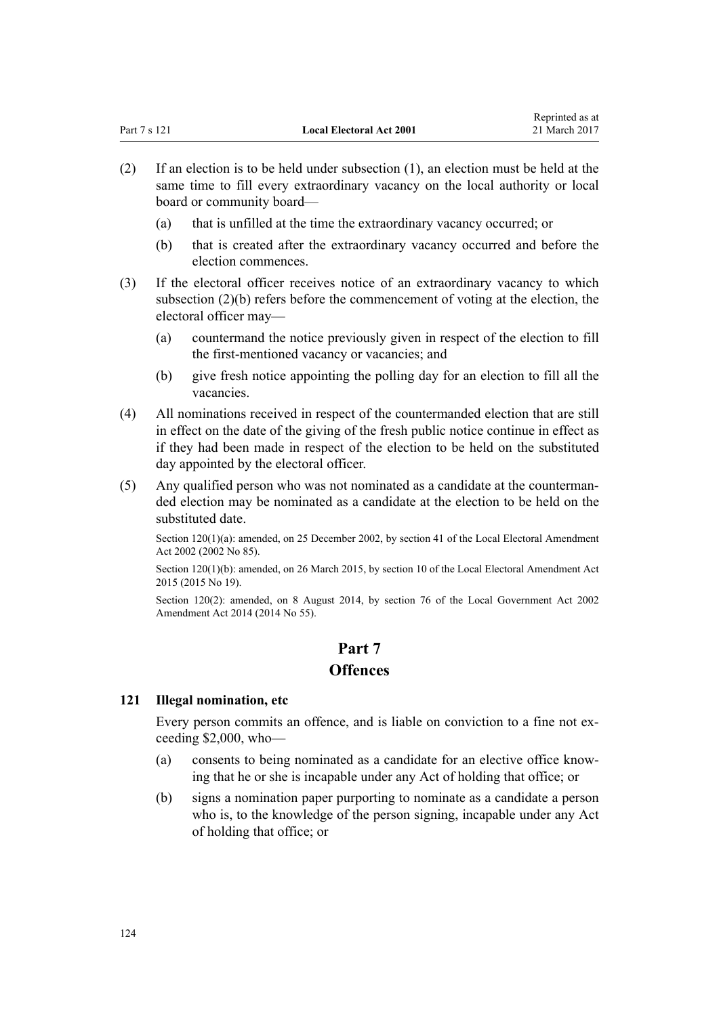- (2) If an election is to be held under subsection (1), an election must be held at the same time to fill every extraordinary vacancy on the local authority or local board or community board—
	- (a) that is unfilled at the time the extraordinary vacancy occurred; or
	- (b) that is created after the extraordinary vacancy occurred and before the election commences.
- (3) If the electoral officer receives notice of an extraordinary vacancy to which subsection (2)(b) refers before the commencement of voting at the election, the electoral officer may—
	- (a) countermand the notice previously given in respect of the election to fill the first-mentioned vacancy or vacancies; and
	- (b) give fresh notice appointing the polling day for an election to fill all the vacancies.
- (4) All nominations received in respect of the countermanded election that are still in effect on the date of the giving of the fresh public notice continue in effect as if they had been made in respect of the election to be held on the substituted day appointed by the electoral officer.
- (5) Any qualified person who was not nominated as a candidate at the countermanded election may be nominated as a candidate at the election to be held on the substituted date.

Section 120(1)(a): amended, on 25 December 2002, by [section 41](http://prd-lgnz-nlb.prd.pco.net.nz/pdflink.aspx?id=DLM181919) of the Local Electoral Amendment Act 2002 (2002 No 85).

Section 120(1)(b): amended, on 26 March 2015, by [section 10](http://prd-lgnz-nlb.prd.pco.net.nz/pdflink.aspx?id=DLM6403314) of the Local Electoral Amendment Act 2015 (2015 No 19).

Section 120(2): amended, on 8 August 2014, by [section 76](http://prd-lgnz-nlb.prd.pco.net.nz/pdflink.aspx?id=DLM5707313) of the Local Government Act 2002 Amendment Act 2014 (2014 No 55).

# **Part 7 Offences**

### **121 Illegal nomination, etc**

Every person commits an offence, and is liable on conviction to a fine not exceeding \$2,000, who—

- (a) consents to being nominated as a candidate for an elective office knowing that he or she is incapable under any Act of holding that office; or
- (b) signs a nomination paper purporting to nominate as a candidate a person who is, to the knowledge of the person signing, incapable under any Act of holding that office; or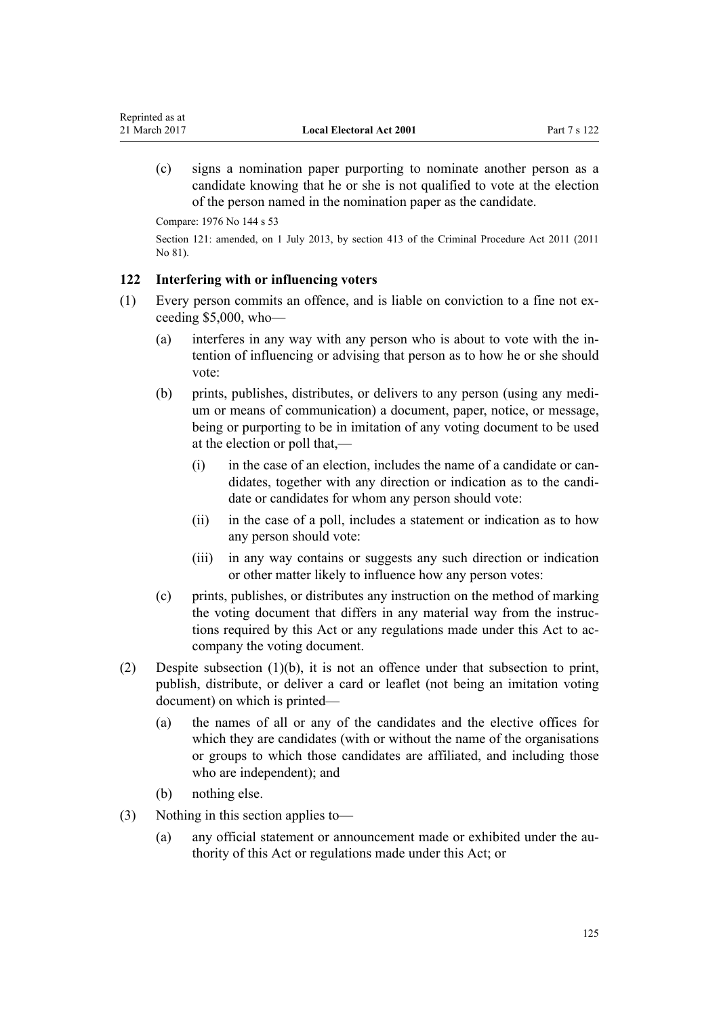(c) signs a nomination paper purporting to nominate another person as a candidate knowing that he or she is not qualified to vote at the election of the person named in the nomination paper as the candidate.

Compare: 1976 No 144 s 53

Reprinted as at

Section 121: amended, on 1 July 2013, by [section 413](http://prd-lgnz-nlb.prd.pco.net.nz/pdflink.aspx?id=DLM3360714) of the Criminal Procedure Act 2011 (2011 No 81).

#### **122 Interfering with or influencing voters**

- (1) Every person commits an offence, and is liable on conviction to a fine not exceeding \$5,000, who—
	- (a) interferes in any way with any person who is about to vote with the intention of influencing or advising that person as to how he or she should vote:
	- (b) prints, publishes, distributes, or delivers to any person (using any medium or means of communication) a document, paper, notice, or message, being or purporting to be in imitation of any voting document to be used at the election or poll that,—
		- (i) in the case of an election, includes the name of a candidate or candidates, together with any direction or indication as to the candidate or candidates for whom any person should vote:
		- (ii) in the case of a poll, includes a statement or indication as to how any person should vote:
		- (iii) in any way contains or suggests any such direction or indication or other matter likely to influence how any person votes:
	- (c) prints, publishes, or distributes any instruction on the method of marking the voting document that differs in any material way from the instructions required by this Act or any regulations made under this Act to accompany the voting document.
- (2) Despite subsection (1)(b), it is not an offence under that subsection to print, publish, distribute, or deliver a card or leaflet (not being an imitation voting document) on which is printed—
	- (a) the names of all or any of the candidates and the elective offices for which they are candidates (with or without the name of the organisations or groups to which those candidates are affiliated, and including those who are independent); and
	- (b) nothing else.
- (3) Nothing in this section applies to—
	- (a) any official statement or announcement made or exhibited under the authority of this Act or regulations made under this Act; or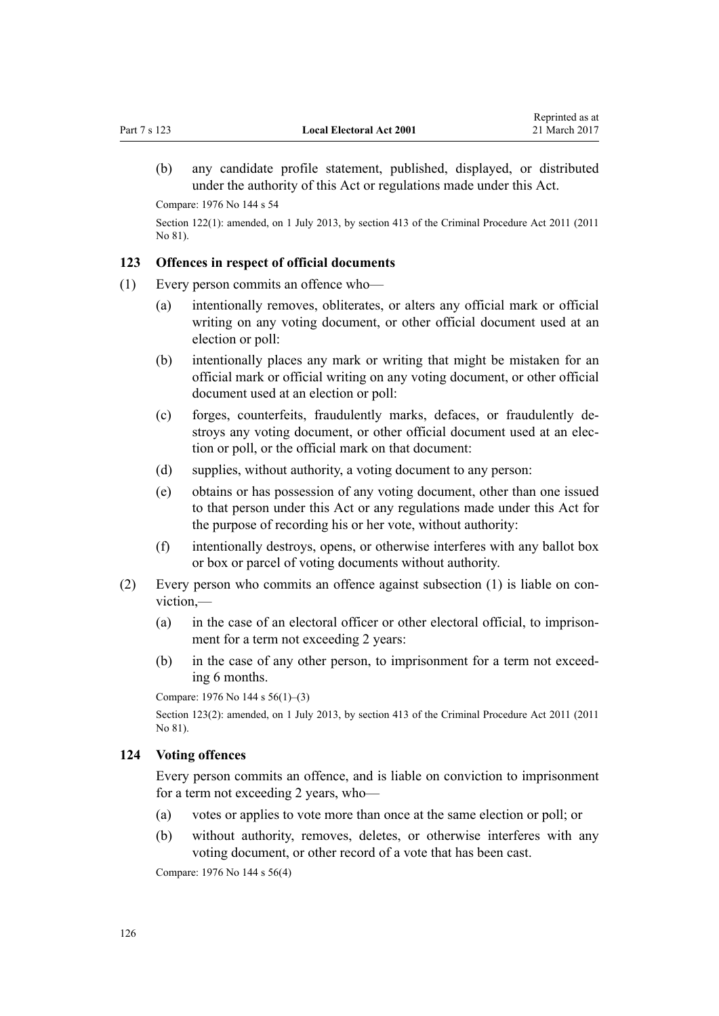(b) any candidate profile statement, published, displayed, or distributed under the authority of this Act or regulations made under this Act.

Compare: 1976 No 144 s 54

Section 122(1): amended, on 1 July 2013, by [section 413](http://prd-lgnz-nlb.prd.pco.net.nz/pdflink.aspx?id=DLM3360714) of the Criminal Procedure Act 2011 (2011 No 81).

### **123 Offences in respect of official documents**

- (1) Every person commits an offence who—
	- (a) intentionally removes, obliterates, or alters any official mark or official writing on any voting document, or other official document used at an election or poll:
	- (b) intentionally places any mark or writing that might be mistaken for an official mark or official writing on any voting document, or other official document used at an election or poll:
	- (c) forges, counterfeits, fraudulently marks, defaces, or fraudulently destroys any voting document, or other official document used at an election or poll, or the official mark on that document:
	- (d) supplies, without authority, a voting document to any person:
	- (e) obtains or has possession of any voting document, other than one issued to that person under this Act or any regulations made under this Act for the purpose of recording his or her vote, without authority:
	- (f) intentionally destroys, opens, or otherwise interferes with any ballot box or box or parcel of voting documents without authority.
- (2) Every person who commits an offence against subsection (1) is liable on conviction,—
	- (a) in the case of an electoral officer or other electoral official, to imprisonment for a term not exceeding 2 years:
	- (b) in the case of any other person, to imprisonment for a term not exceeding 6 months.

Compare: 1976 No 144 s 56(1)–(3)

Section 123(2): amended, on 1 July 2013, by [section 413](http://prd-lgnz-nlb.prd.pco.net.nz/pdflink.aspx?id=DLM3360714) of the Criminal Procedure Act 2011 (2011 No 81).

## **124 Voting offences**

Every person commits an offence, and is liable on conviction to imprisonment for a term not exceeding 2 years, who—

- (a) votes or applies to vote more than once at the same election or poll; or
- (b) without authority, removes, deletes, or otherwise interferes with any voting document, or other record of a vote that has been cast.

Compare: 1976 No 144 s 56(4)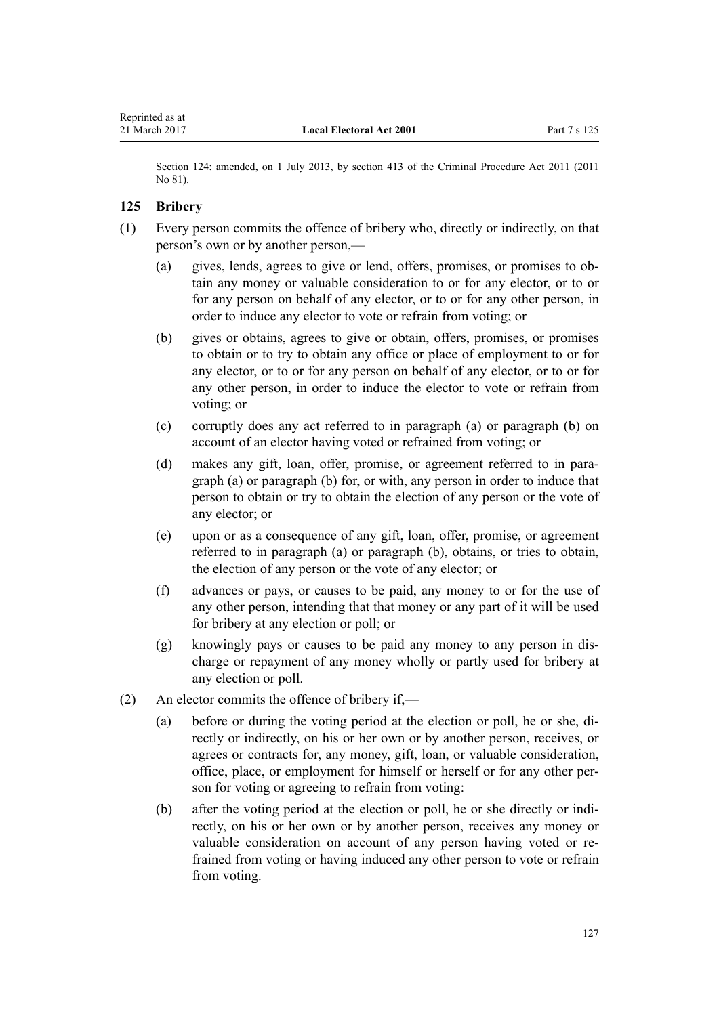Section 124: amended, on 1 July 2013, by [section 413](http://prd-lgnz-nlb.prd.pco.net.nz/pdflink.aspx?id=DLM3360714) of the Criminal Procedure Act 2011 (2011 No 81).

### **125 Bribery**

- (1) Every person commits the offence of bribery who, directly or indirectly, on that person's own or by another person,—
	- (a) gives, lends, agrees to give or lend, offers, promises, or promises to obtain any money or valuable consideration to or for any elector, or to or for any person on behalf of any elector, or to or for any other person, in order to induce any elector to vote or refrain from voting; or
	- (b) gives or obtains, agrees to give or obtain, offers, promises, or promises to obtain or to try to obtain any office or place of employment to or for any elector, or to or for any person on behalf of any elector, or to or for any other person, in order to induce the elector to vote or refrain from voting; or
	- (c) corruptly does any act referred to in paragraph (a) or paragraph (b) on account of an elector having voted or refrained from voting; or
	- (d) makes any gift, loan, offer, promise, or agreement referred to in paragraph (a) or paragraph (b) for, or with, any person in order to induce that person to obtain or try to obtain the election of any person or the vote of any elector; or
	- (e) upon or as a consequence of any gift, loan, offer, promise, or agreement referred to in paragraph (a) or paragraph (b), obtains, or tries to obtain, the election of any person or the vote of any elector; or
	- (f) advances or pays, or causes to be paid, any money to or for the use of any other person, intending that that money or any part of it will be used for bribery at any election or poll; or
	- (g) knowingly pays or causes to be paid any money to any person in discharge or repayment of any money wholly or partly used for bribery at any election or poll.
- (2) An elector commits the offence of bribery if,—
	- (a) before or during the voting period at the election or poll, he or she, directly or indirectly, on his or her own or by another person, receives, or agrees or contracts for, any money, gift, loan, or valuable consideration, office, place, or employment for himself or herself or for any other person for voting or agreeing to refrain from voting:
	- (b) after the voting period at the election or poll, he or she directly or indirectly, on his or her own or by another person, receives any money or valuable consideration on account of any person having voted or refrained from voting or having induced any other person to vote or refrain from voting.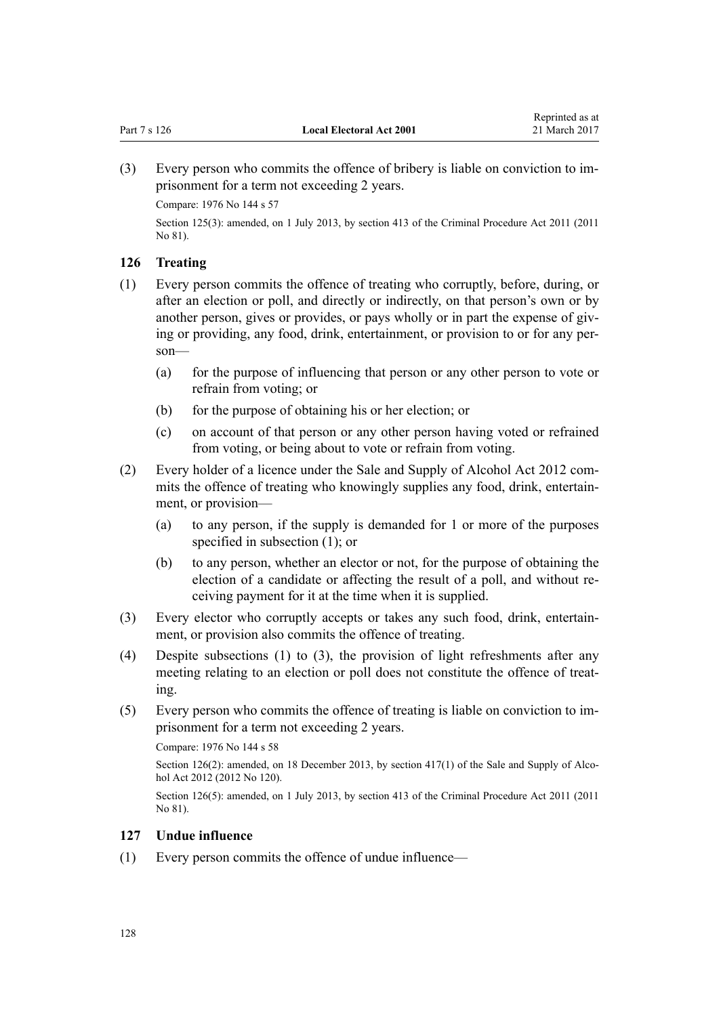(3) Every person who commits the offence of bribery is liable on conviction to imprisonment for a term not exceeding 2 years.

Compare: 1976 No 144 s 57

Section 125(3): amended, on 1 July 2013, by [section 413](http://prd-lgnz-nlb.prd.pco.net.nz/pdflink.aspx?id=DLM3360714) of the Criminal Procedure Act 2011 (2011 No 81).

### **126 Treating**

- (1) Every person commits the offence of treating who corruptly, before, during, or after an election or poll, and directly or indirectly, on that person's own or by another person, gives or provides, or pays wholly or in part the expense of giving or providing, any food, drink, entertainment, or provision to or for any person—
	- (a) for the purpose of influencing that person or any other person to vote or refrain from voting; or
	- (b) for the purpose of obtaining his or her election; or
	- (c) on account of that person or any other person having voted or refrained from voting, or being about to vote or refrain from voting.
- (2) Every holder of a licence under the [Sale and Supply of Alcohol Act 2012](http://prd-lgnz-nlb.prd.pco.net.nz/pdflink.aspx?id=DLM3339302) commits the offence of treating who knowingly supplies any food, drink, entertainment, or provision—
	- (a) to any person, if the supply is demanded for 1 or more of the purposes specified in subsection (1); or
	- (b) to any person, whether an elector or not, for the purpose of obtaining the election of a candidate or affecting the result of a poll, and without receiving payment for it at the time when it is supplied.
- (3) Every elector who corruptly accepts or takes any such food, drink, entertainment, or provision also commits the offence of treating.
- (4) Despite subsections (1) to (3), the provision of light refreshments after any meeting relating to an election or poll does not constitute the offence of treating.
- (5) Every person who commits the offence of treating is liable on conviction to imprisonment for a term not exceeding 2 years.

Compare: 1976 No 144 s 58

Section 126(2): amended, on 18 December 2013, by [section 417\(1\)](http://prd-lgnz-nlb.prd.pco.net.nz/pdflink.aspx?id=DLM3339984) of the Sale and Supply of Alcohol Act 2012 (2012 No 120).

Section 126(5): amended, on 1 July 2013, by [section 413](http://prd-lgnz-nlb.prd.pco.net.nz/pdflink.aspx?id=DLM3360714) of the Criminal Procedure Act 2011 (2011 No 81).

### **127 Undue influence**

(1) Every person commits the offence of undue influence—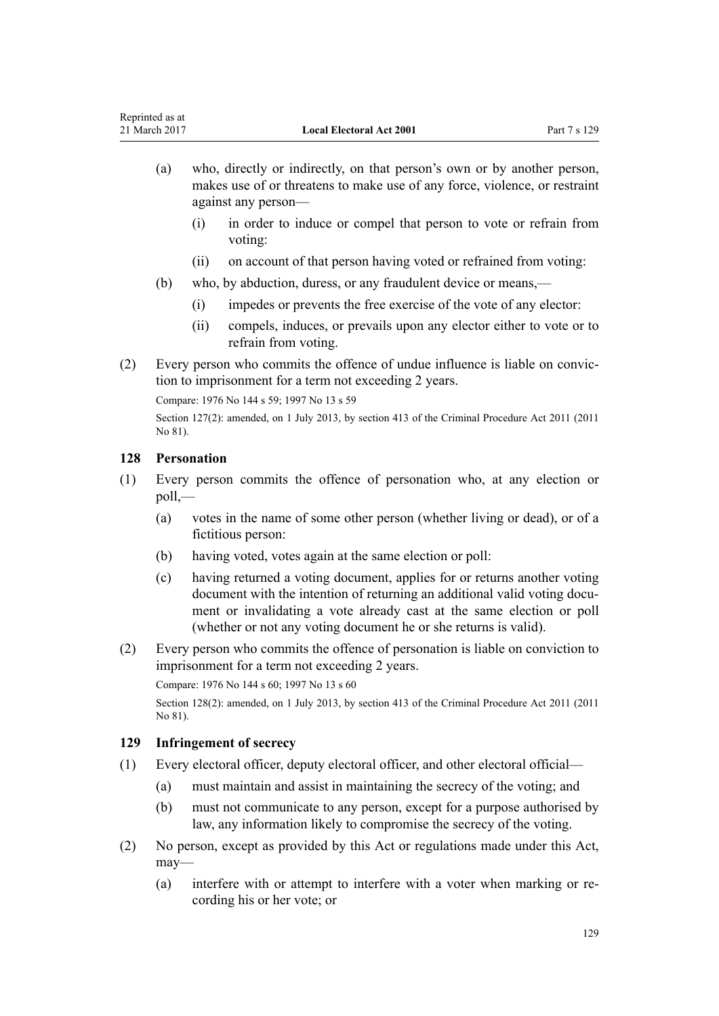- (a) who, directly or indirectly, on that person's own or by another person, makes use of or threatens to make use of any force, violence, or restraint against any person—
	- (i) in order to induce or compel that person to vote or refrain from voting:
	- (ii) on account of that person having voted or refrained from voting:
- (b) who, by abduction, duress, or any fraudulent device or means,—
	- (i) impedes or prevents the free exercise of the vote of any elector:
	- (ii) compels, induces, or prevails upon any elector either to vote or to refrain from voting.
- (2) Every person who commits the offence of undue influence is liable on conviction to imprisonment for a term not exceeding 2 years.

Compare: 1976 No 144 s 59; 1997 No 13 [s 59](http://prd-lgnz-nlb.prd.pco.net.nz/pdflink.aspx?id=DLM408916)

Section 127(2): amended, on 1 July 2013, by [section 413](http://prd-lgnz-nlb.prd.pco.net.nz/pdflink.aspx?id=DLM3360714) of the Criminal Procedure Act 2011 (2011) No 81).

# **128 Personation**

- (1) Every person commits the offence of personation who, at any election or poll,—
	- (a) votes in the name of some other person (whether living or dead), or of a fictitious person:
	- (b) having voted, votes again at the same election or poll:
	- (c) having returned a voting document, applies for or returns another voting document with the intention of returning an additional valid voting document or invalidating a vote already cast at the same election or poll (whether or not any voting document he or she returns is valid).
- (2) Every person who commits the offence of personation is liable on conviction to imprisonment for a term not exceeding 2 years.

Compare: 1976 No 144 s 60; 1997 No 13 [s 60](http://prd-lgnz-nlb.prd.pco.net.nz/pdflink.aspx?id=DLM408917)

Section 128(2): amended, on 1 July 2013, by [section 413](http://prd-lgnz-nlb.prd.pco.net.nz/pdflink.aspx?id=DLM3360714) of the Criminal Procedure Act 2011 (2011 No 81).

# **129 Infringement of secrecy**

- (1) Every electoral officer, deputy electoral officer, and other electoral official—
	- (a) must maintain and assist in maintaining the secrecy of the voting; and
	- (b) must not communicate to any person, except for a purpose authorised by law, any information likely to compromise the secrecy of the voting.
- (2) No person, except as provided by this Act or regulations made under this Act, may—
	- (a) interfere with or attempt to interfere with a voter when marking or recording his or her vote; or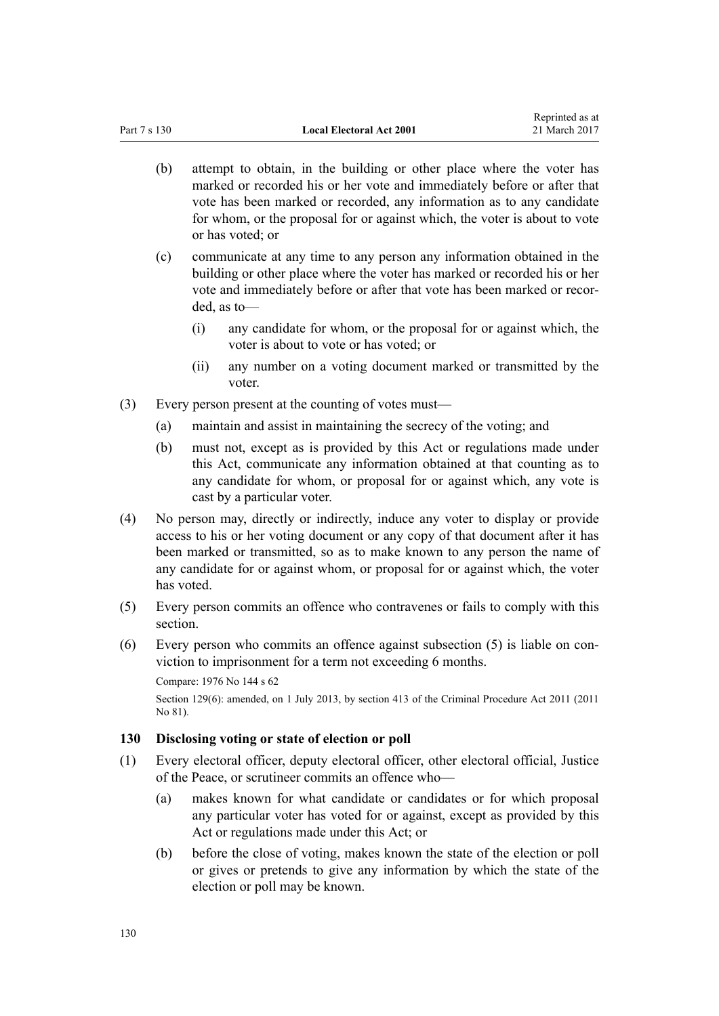- (b) attempt to obtain, in the building or other place where the voter has marked or recorded his or her vote and immediately before or after that vote has been marked or recorded, any information as to any candidate for whom, or the proposal for or against which, the voter is about to vote or has voted; or
- (c) communicate at any time to any person any information obtained in the building or other place where the voter has marked or recorded his or her vote and immediately before or after that vote has been marked or recorded, as to—
	- (i) any candidate for whom, or the proposal for or against which, the voter is about to vote or has voted; or
	- (ii) any number on a voting document marked or transmitted by the voter.
- (3) Every person present at the counting of votes must—
	- (a) maintain and assist in maintaining the secrecy of the voting; and
	- (b) must not, except as is provided by this Act or regulations made under this Act, communicate any information obtained at that counting as to any candidate for whom, or proposal for or against which, any vote is cast by a particular voter.
- (4) No person may, directly or indirectly, induce any voter to display or provide access to his or her voting document or any copy of that document after it has been marked or transmitted, so as to make known to any person the name of any candidate for or against whom, or proposal for or against which, the voter has voted.
- (5) Every person commits an offence who contravenes or fails to comply with this section.
- (6) Every person who commits an offence against subsection (5) is liable on conviction to imprisonment for a term not exceeding 6 months.

```
Compare: 1976 No 144 s 62
```
Section 129(6): amended, on 1 July 2013, by [section 413](http://prd-lgnz-nlb.prd.pco.net.nz/pdflink.aspx?id=DLM3360714) of the Criminal Procedure Act 2011 (2011 No 81).

# **130 Disclosing voting or state of election or poll**

- (1) Every electoral officer, deputy electoral officer, other electoral official, Justice of the Peace, or scrutineer commits an offence who—
	- (a) makes known for what candidate or candidates or for which proposal any particular voter has voted for or against, except as provided by this Act or regulations made under this Act; or
	- (b) before the close of voting, makes known the state of the election or poll or gives or pretends to give any information by which the state of the election or poll may be known.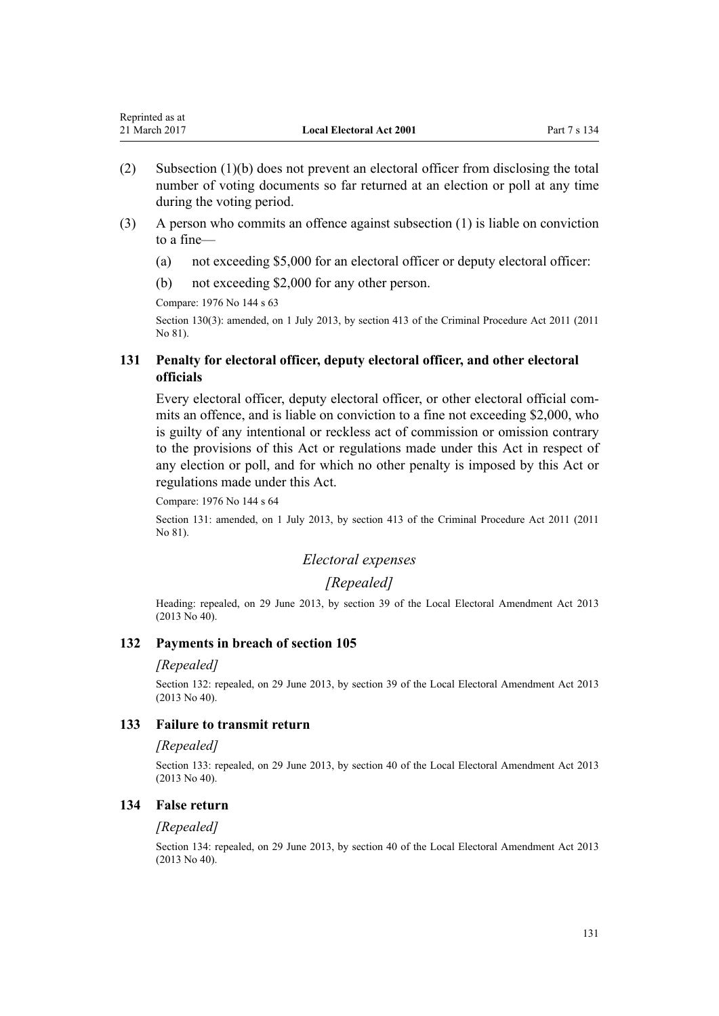| Reprinted as at |                                 |              |
|-----------------|---------------------------------|--------------|
| 21 March 2017   | <b>Local Electoral Act 2001</b> | Part 7 s 134 |

- (2) Subsection (1)(b) does not prevent an electoral officer from disclosing the total number of voting documents so far returned at an election or poll at any time during the voting period.
- (3) A person who commits an offence against subsection (1) is liable on conviction to a fine—
	- (a) not exceeding \$5,000 for an electoral officer or deputy electoral officer:
	- (b) not exceeding \$2,000 for any other person.

Compare: 1976 No 144 s 63

Section 130(3): amended, on 1 July 2013, by [section 413](http://prd-lgnz-nlb.prd.pco.net.nz/pdflink.aspx?id=DLM3360714) of the Criminal Procedure Act 2011 (2011 No 81).

### **131 Penalty for electoral officer, deputy electoral officer, and other electoral officials**

Every electoral officer, deputy electoral officer, or other electoral official commits an offence, and is liable on conviction to a fine not exceeding \$2,000, who is guilty of any intentional or reckless act of commission or omission contrary to the provisions of this Act or regulations made under this Act in respect of any election or poll, and for which no other penalty is imposed by this Act or regulations made under this Act.

Compare: 1976 No 144 s 64

Section 131: amended, on 1 July 2013, by [section 413](http://prd-lgnz-nlb.prd.pco.net.nz/pdflink.aspx?id=DLM3360714) of the Criminal Procedure Act 2011 (2011 No 81).

### *Electoral expenses*

#### *[Repealed]*

Heading: repealed, on 29 June 2013, by [section 39](http://prd-lgnz-nlb.prd.pco.net.nz/pdflink.aspx?id=DLM4803593) of the Local Electoral Amendment Act 2013 (2013 No 40).

#### **132 Payments in breach of section 105**

#### *[Repealed]*

Section 132: repealed, on 29 June 2013, by [section 39](http://prd-lgnz-nlb.prd.pco.net.nz/pdflink.aspx?id=DLM4803593) of the Local Electoral Amendment Act 2013 (2013 No 40).

#### **133 Failure to transmit return**

#### *[Repealed]*

Section 133: repealed, on 29 June 2013, by [section 40](http://prd-lgnz-nlb.prd.pco.net.nz/pdflink.aspx?id=DLM4803594) of the Local Electoral Amendment Act 2013 (2013 No 40).

#### **134 False return**

#### *[Repealed]*

Section 134: repealed, on 29 June 2013, by [section 40](http://prd-lgnz-nlb.prd.pco.net.nz/pdflink.aspx?id=DLM4803594) of the Local Electoral Amendment Act 2013 (2013 No 40).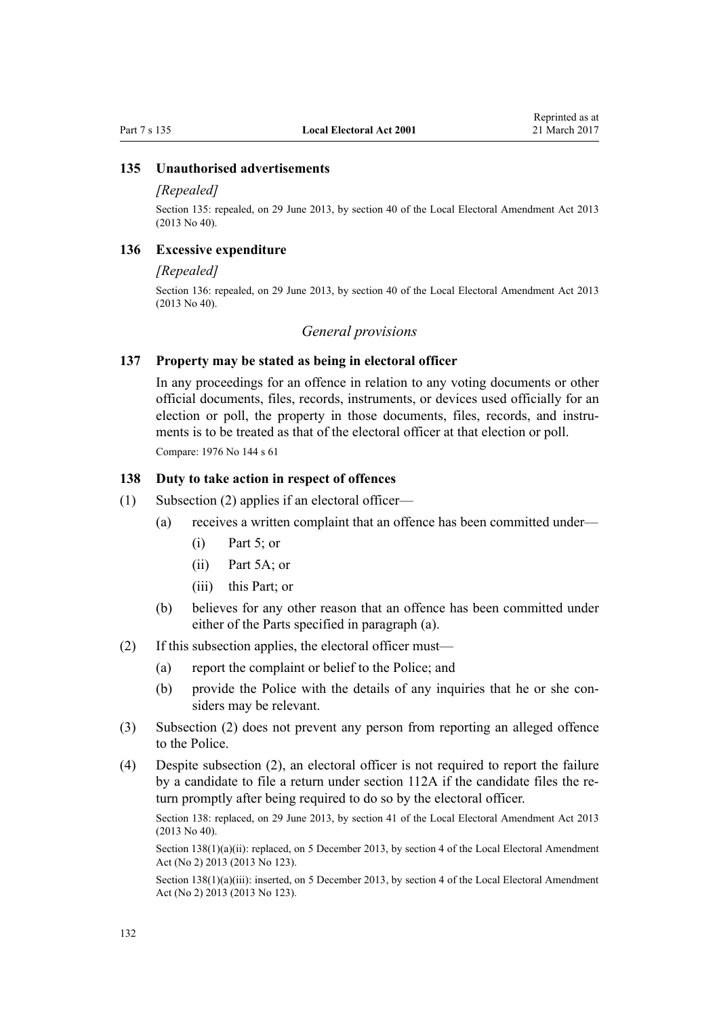#### **135 Unauthorised advertisements**

#### *[Repealed]*

Section 135: repealed, on 29 June 2013, by [section 40](http://prd-lgnz-nlb.prd.pco.net.nz/pdflink.aspx?id=DLM4803594) of the Local Electoral Amendment Act 2013 (2013 No 40).

#### **136 Excessive expenditure**

#### *[Repealed]*

Section 136: repealed, on 29 June 2013, by [section 40](http://prd-lgnz-nlb.prd.pco.net.nz/pdflink.aspx?id=DLM4803594) of the Local Electoral Amendment Act 2013 (2013 No 40).

#### *General provisions*

#### **137 Property may be stated as being in electoral officer**

In any proceedings for an offence in relation to any voting documents or other official documents, files, records, instruments, or devices used officially for an election or poll, the property in those documents, files, records, and instruments is to be treated as that of the electoral officer at that election or poll. Compare: 1976 No 144 s 61

#### **138 Duty to take action in respect of offences**

- (1) Subsection (2) applies if an electoral officer—
	- (a) receives a written complaint that an offence has been committed under—
		- $(i)$  [Part 5](#page-105-0); or
		- (ii) [Part 5A;](#page-118-0) or
		- (iii) this Part; or
	- (b) believes for any other reason that an offence has been committed under either of the Parts specified in paragraph (a).
- (2) If this subsection applies, the electoral officer must—
	- (a) report the complaint or belief to the Police; and
	- (b) provide the Police with the details of any inquiries that he or she considers may be relevant.
- (3) Subsection (2) does not prevent any person from reporting an alleged offence to the Police.
- (4) Despite subsection (2), an electoral officer is not required to report the failure by a candidate to file a return under [section 112A](#page-115-0) if the candidate files the return promptly after being required to do so by the electoral officer.

Section 138: replaced, on 29 June 2013, by [section 41](http://prd-lgnz-nlb.prd.pco.net.nz/pdflink.aspx?id=DLM4803595) of the Local Electoral Amendment Act 2013 (2013 No 40).

Section 138(1)(a)(ii): replaced, on 5 December 2013, by [section 4](http://prd-lgnz-nlb.prd.pco.net.nz/pdflink.aspx?id=DLM5623402) of the Local Electoral Amendment Act (No 2) 2013 (2013 No 123).

Section 138(1)(a)(iii): inserted, on 5 December 2013, by [section 4](http://prd-lgnz-nlb.prd.pco.net.nz/pdflink.aspx?id=DLM5623402) of the Local Electoral Amendment Act (No 2) 2013 (2013 No 123).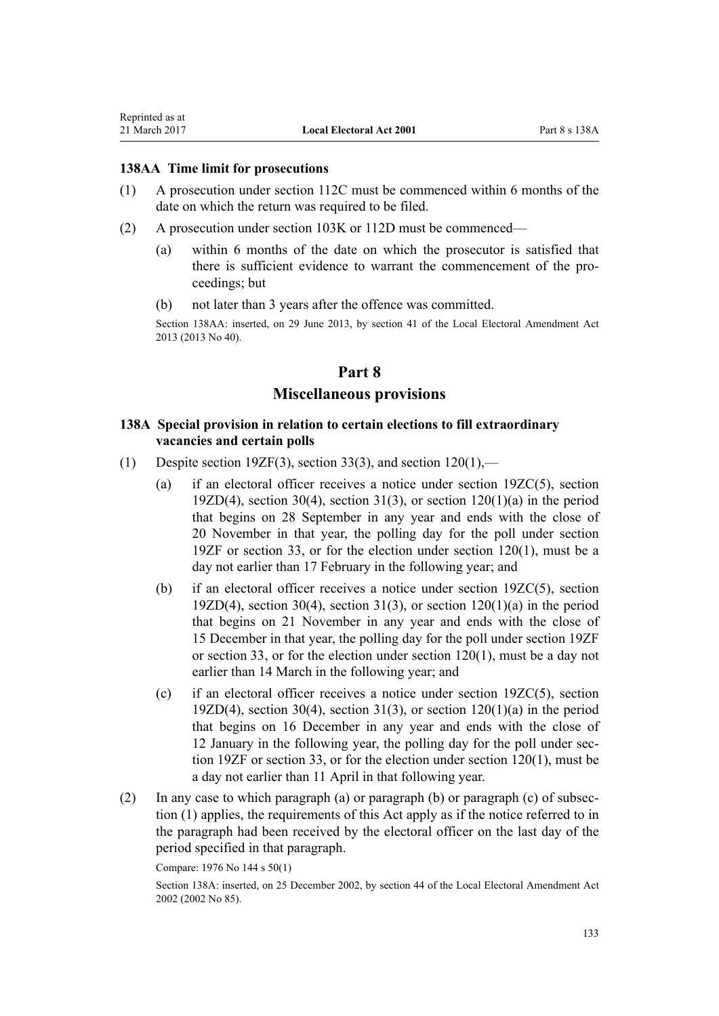Reprinted as at

#### **138AA Time limit for prosecutions**

- (1) A prosecution under [section 112C](#page-117-0) must be commenced within 6 months of the date on which the return was required to be filed.
- (2) A prosecution under [section 103K](#page-110-0) or [112D](#page-117-0) must be commenced—
	- (a) within 6 months of the date on which the prosecutor is satisfied that there is sufficient evidence to warrant the commencement of the proceedings; but
	- (b) not later than 3 years after the offence was committed.

Section 138AA: inserted, on 29 June 2013, by [section 41](http://prd-lgnz-nlb.prd.pco.net.nz/pdflink.aspx?id=DLM4803595) of the Local Electoral Amendment Act 2013 (2013 No 40).

# **Part 8 Miscellaneous provisions**

### **138A Special provision in relation to certain elections to fill extraordinary vacancies and certain polls**

- (1) Despite [section 19ZF\(3\),](#page-50-0) [section 33\(3\)](#page-63-0), and section  $120(1)$ ,—
	- (a) if an electoral officer receives a notice under [section 19ZC\(5\)](#page-47-0), [section](#page-49-0) [19ZD\(4\)](#page-49-0), [section 30\(4\),](#page-61-0) [section 31\(3\)](#page-62-0), or section  $120(1)(a)$  in the period that begins on 28 September in any year and ends with the close of 20 November in that year, the polling day for the poll under [section](#page-50-0) [19ZF](#page-50-0) or [section 33,](#page-63-0) or for the election under section 120(1), must be a day not earlier than 17 February in the following year; and
	- (b) if an electoral officer receives a notice under [section 19ZC\(5\)](#page-47-0), [section](#page-49-0) [19ZD\(4\)](#page-49-0), [section 30\(4\),](#page-61-0) [section 31\(3\)](#page-62-0), or section  $120(1)(a)$  in the period that begins on 21 November in any year and ends with the close of 15 December in that year, the polling day for the poll under [section 19ZF](#page-50-0) or [section 33](#page-63-0), or for the election under section 120(1), must be a day not earlier than 14 March in the following year; and
	- (c) if an electoral officer receives a notice under [section 19ZC\(5\)](#page-47-0), [section](#page-49-0) [19ZD\(4\)](#page-49-0), [section 30\(4\),](#page-61-0) [section 31\(3\)](#page-62-0), or section  $120(1)(a)$  in the period that begins on 16 December in any year and ends with the close of 12 January in the following year, the polling day for the poll under [sec](#page-50-0)[tion 19ZF](#page-50-0) or [section 33,](#page-63-0) or for the election under section 120(1), must be a day not earlier than 11 April in that following year.
- (2) In any case to which paragraph (a) or paragraph (b) or paragraph (c) of subsection (1) applies, the requirements of this Act apply as if the notice referred to in the paragraph had been received by the electoral officer on the last day of the period specified in that paragraph.

Compare: 1976 No 144 s 50(1)

Section 138A: inserted, on 25 December 2002, by [section 44](http://prd-lgnz-nlb.prd.pco.net.nz/pdflink.aspx?id=DLM181923) of the Local Electoral Amendment Act 2002 (2002 No 85).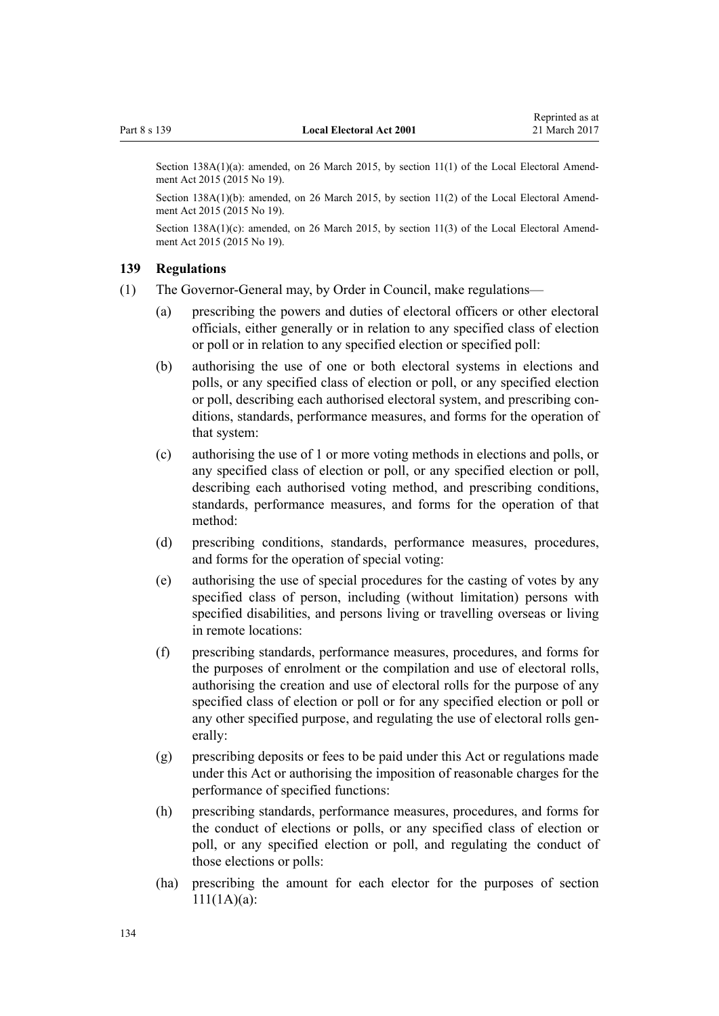<span id="page-133-0"></span>Section 138A(1)(a): amended, on 26 March 2015, by [section 11\(1\)](http://prd-lgnz-nlb.prd.pco.net.nz/pdflink.aspx?id=DLM6403315) of the Local Electoral Amendment Act 2015 (2015 No 19).

Section 138A(1)(b): amended, on 26 March 2015, by [section 11\(2\)](http://prd-lgnz-nlb.prd.pco.net.nz/pdflink.aspx?id=DLM6403315) of the Local Electoral Amendment Act 2015 (2015 No 19).

Section 138A(1)(c): amended, on 26 March 2015, by [section 11\(3\)](http://prd-lgnz-nlb.prd.pco.net.nz/pdflink.aspx?id=DLM6403315) of the Local Electoral Amendment Act 2015 (2015 No 19).

#### **139 Regulations**

- (1) The Governor-General may, by Order in Council, make regulations—
	- (a) prescribing the powers and duties of electoral officers or other electoral officials, either generally or in relation to any specified class of election or poll or in relation to any specified election or specified poll:
	- (b) authorising the use of one or both electoral systems in elections and polls, or any specified class of election or poll, or any specified election or poll, describing each authorised electoral system, and prescribing conditions, standards, performance measures, and forms for the operation of that system:
	- (c) authorising the use of 1 or more voting methods in elections and polls, or any specified class of election or poll, or any specified election or poll, describing each authorised voting method, and prescribing conditions, standards, performance measures, and forms for the operation of that method:
	- (d) prescribing conditions, standards, performance measures, procedures, and forms for the operation of special voting:
	- (e) authorising the use of special procedures for the casting of votes by any specified class of person, including (without limitation) persons with specified disabilities, and persons living or travelling overseas or living in remote locations:
	- (f) prescribing standards, performance measures, procedures, and forms for the purposes of enrolment or the compilation and use of electoral rolls, authorising the creation and use of electoral rolls for the purpose of any specified class of election or poll or for any specified election or poll or any other specified purpose, and regulating the use of electoral rolls generally:
	- (g) prescribing deposits or fees to be paid under this Act or regulations made under this Act or authorising the imposition of reasonable charges for the performance of specified functions:
	- (h) prescribing standards, performance measures, procedures, and forms for the conduct of elections or polls, or any specified class of election or poll, or any specified election or poll, and regulating the conduct of those elections or polls:
	- (ha) prescribing the amount for each elector for the purposes of [section](#page-113-0) [111\(1A\)\(a\)](#page-113-0):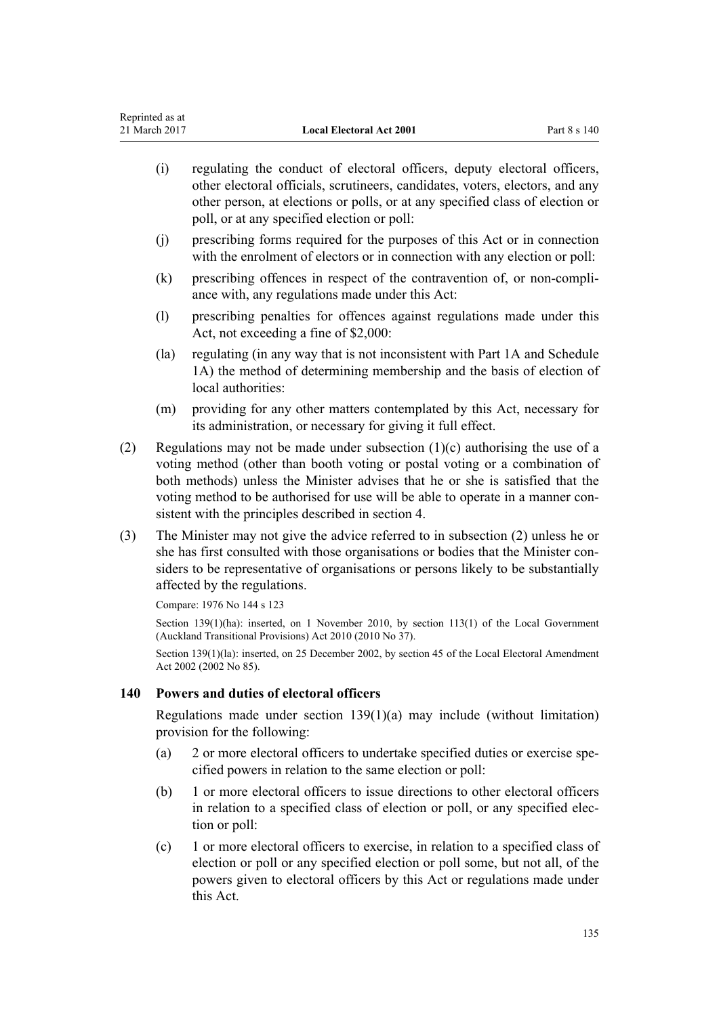- (i) regulating the conduct of electoral officers, deputy electoral officers, other electoral officials, scrutineers, candidates, voters, electors, and any other person, at elections or polls, or at any specified class of election or poll, or at any specified election or poll: (j) prescribing forms required for the purposes of this Act or in connection with the enrolment of electors or in connection with any election or poll: (k) prescribing offences in respect of the contravention of, or non-compliance with, any regulations made under this Act:
- (l) prescribing penalties for offences against regulations made under this Act, not exceeding a fine of \$2,000:
- (la) regulating (in any way that is not inconsistent with [Part 1A](#page-24-0) and [Schedule](#page-142-0) [1A](#page-142-0)) the method of determining membership and the basis of election of local authorities:
- (m) providing for any other matters contemplated by this Act, necessary for its administration, or necessary for giving it full effect.
- (2) Regulations may not be made under subsection  $(1)(c)$  authorising the use of a voting method (other than booth voting or postal voting or a combination of both methods) unless the Minister advises that he or she is satisfied that the voting method to be authorised for use will be able to operate in a manner consistent with the principles described in [section 4.](#page-10-0)
- (3) The Minister may not give the advice referred to in subsection (2) unless he or she has first consulted with those organisations or bodies that the Minister considers to be representative of organisations or persons likely to be substantially affected by the regulations.

Compare: 1976 No 144 s 123

Section 139(1)(ha): inserted, on 1 November 2010, by [section 113\(1\)](http://prd-lgnz-nlb.prd.pco.net.nz/pdflink.aspx?id=DLM3016880) of the Local Government (Auckland Transitional Provisions) Act 2010 (2010 No 37).

Section 139(1)(la): inserted, on 25 December 2002, by [section 45](http://prd-lgnz-nlb.prd.pco.net.nz/pdflink.aspx?id=DLM181925) of the Local Electoral Amendment Act 2002 (2002 No 85).

### **140 Powers and duties of electoral officers**

Regulations made under [section 139\(1\)\(a\)](#page-133-0) may include (without limitation) provision for the following:

- (a) 2 or more electoral officers to undertake specified duties or exercise specified powers in relation to the same election or poll:
- (b) 1 or more electoral officers to issue directions to other electoral officers in relation to a specified class of election or poll, or any specified election or poll:
- (c) 1 or more electoral officers to exercise, in relation to a specified class of election or poll or any specified election or poll some, but not all, of the powers given to electoral officers by this Act or regulations made under this Act.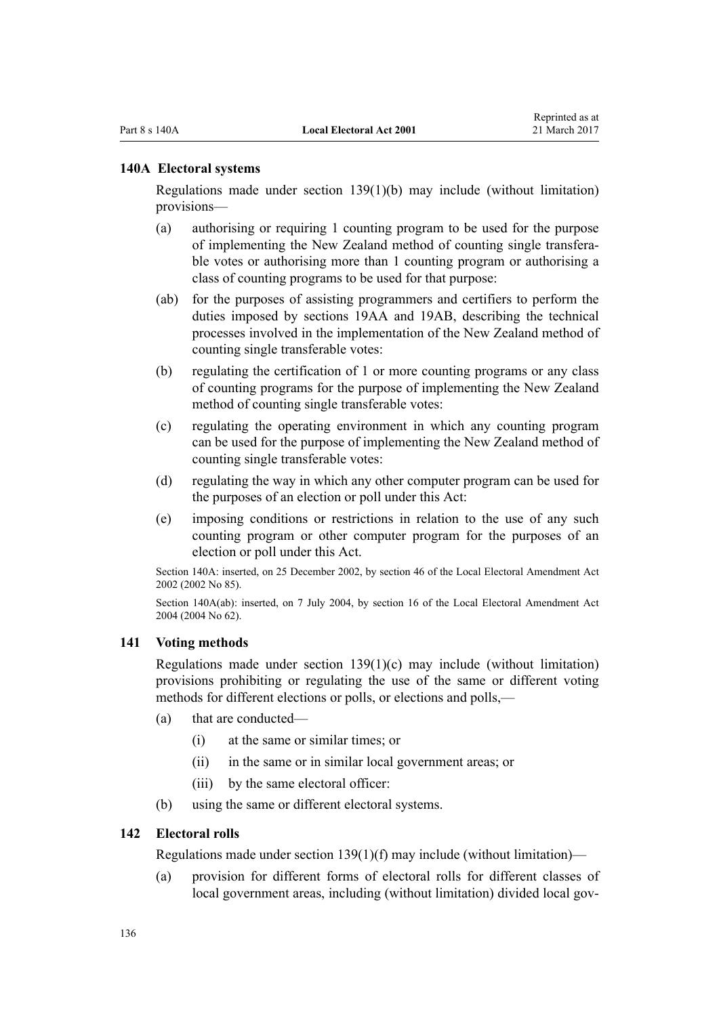#### **140A Electoral systems**

Regulations made under [section 139\(1\)\(b\)](#page-133-0) may include (without limitation) provisions—

- (a) authorising or requiring 1 counting program to be used for the purpose of implementing the New Zealand method of counting single transferable votes or authorising more than 1 counting program or authorising a class of counting programs to be used for that purpose:
- (ab) for the purposes of assisting programmers and certifiers to perform the duties imposed by [sections 19AA](#page-24-0) and [19AB](#page-24-0), describing the technical processes involved in the implementation of the New Zealand method of counting single transferable votes:
- (b) regulating the certification of 1 or more counting programs or any class of counting programs for the purpose of implementing the New Zealand method of counting single transferable votes:
- (c) regulating the operating environment in which any counting program can be used for the purpose of implementing the New Zealand method of counting single transferable votes:
- (d) regulating the way in which any other computer program can be used for the purposes of an election or poll under this Act:
- (e) imposing conditions or restrictions in relation to the use of any such counting program or other computer program for the purposes of an election or poll under this Act.

Section 140A: inserted, on 25 December 2002, by [section 46](http://prd-lgnz-nlb.prd.pco.net.nz/pdflink.aspx?id=DLM181926) of the Local Electoral Amendment Act 2002 (2002 No 85).

Section 140A(ab): inserted, on 7 July 2004, by [section 16](http://prd-lgnz-nlb.prd.pco.net.nz/pdflink.aspx?id=DLM303182) of the Local Electoral Amendment Act 2004 (2004 No 62).

### **141 Voting methods**

Regulations made under section  $139(1)(c)$  may include (without limitation) provisions prohibiting or regulating the use of the same or different voting methods for different elections or polls, or elections and polls,—

- (a) that are conducted—
	- (i) at the same or similar times; or
	- (ii) in the same or in similar local government areas; or
	- (iii) by the same electoral officer:
- (b) using the same or different electoral systems.

#### **142 Electoral rolls**

Regulations made under section  $139(1)(f)$  may include (without limitation)—

(a) provision for different forms of electoral rolls for different classes of local government areas, including (without limitation) divided local gov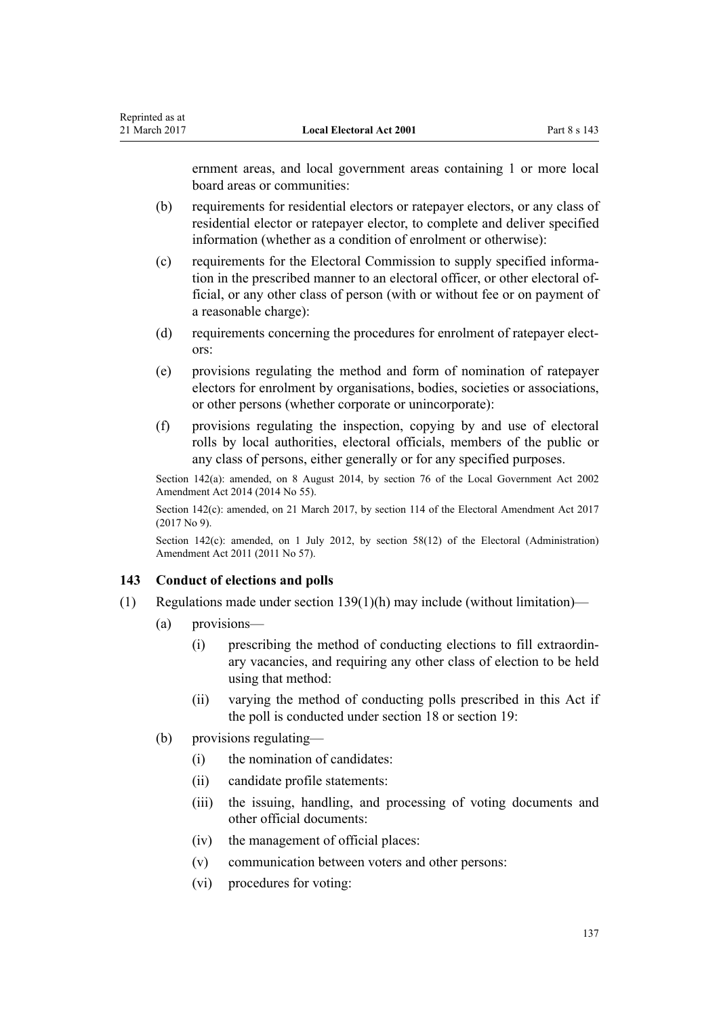ernment areas, and local government areas containing 1 or more local board areas or communities:

- (b) requirements for residential electors or ratepayer electors, or any class of residential elector or ratepayer elector, to complete and deliver specified information (whether as a condition of enrolment or otherwise):
- (c) requirements for the Electoral Commission to supply specified information in the prescribed manner to an electoral officer, or other electoral official, or any other class of person (with or without fee or on payment of a reasonable charge):
- (d) requirements concerning the procedures for enrolment of ratepayer electors:
- (e) provisions regulating the method and form of nomination of ratepayer electors for enrolment by organisations, bodies, societies or associations, or other persons (whether corporate or unincorporate):
- (f) provisions regulating the inspection, copying by and use of electoral rolls by local authorities, electoral officials, members of the public or any class of persons, either generally or for any specified purposes.

Section 142(a): amended, on 8 August 2014, by [section 76](http://prd-lgnz-nlb.prd.pco.net.nz/pdflink.aspx?id=DLM5707313) of the Local Government Act 2002 Amendment Act 2014 (2014 No 55).

Section 142(c): amended, on 21 March 2017, by [section 114](http://prd-lgnz-nlb.prd.pco.net.nz/pdflink.aspx?id=DLM6963887) of the Electoral Amendment Act 2017 (2017 No 9).

Section 142(c): amended, on 1 July 2012, by [section 58\(12\)](http://prd-lgnz-nlb.prd.pco.net.nz/pdflink.aspx?id=DLM3367693) of the Electoral (Administration) Amendment Act 2011 (2011 No 57).

#### **143 Conduct of elections and polls**

- (1) Regulations made under [section 139\(1\)\(h\)](#page-133-0) may include (without limitation)—
	- (a) provisions—

Reprinted as at

- (i) prescribing the method of conducting elections to fill extraordinary vacancies, and requiring any other class of election to be held using that method:
- (ii) varying the method of conducting polls prescribed in this Act if the poll is conducted under [section 18](#page-22-0) or [section 19:](#page-23-0)
- (b) provisions regulating—
	- (i) the nomination of candidates:
	- (ii) candidate profile statements:
	- (iii) the issuing, handling, and processing of voting documents and other official documents:
	- (iv) the management of official places:
	- (v) communication between voters and other persons:
	- (vi) procedures for voting: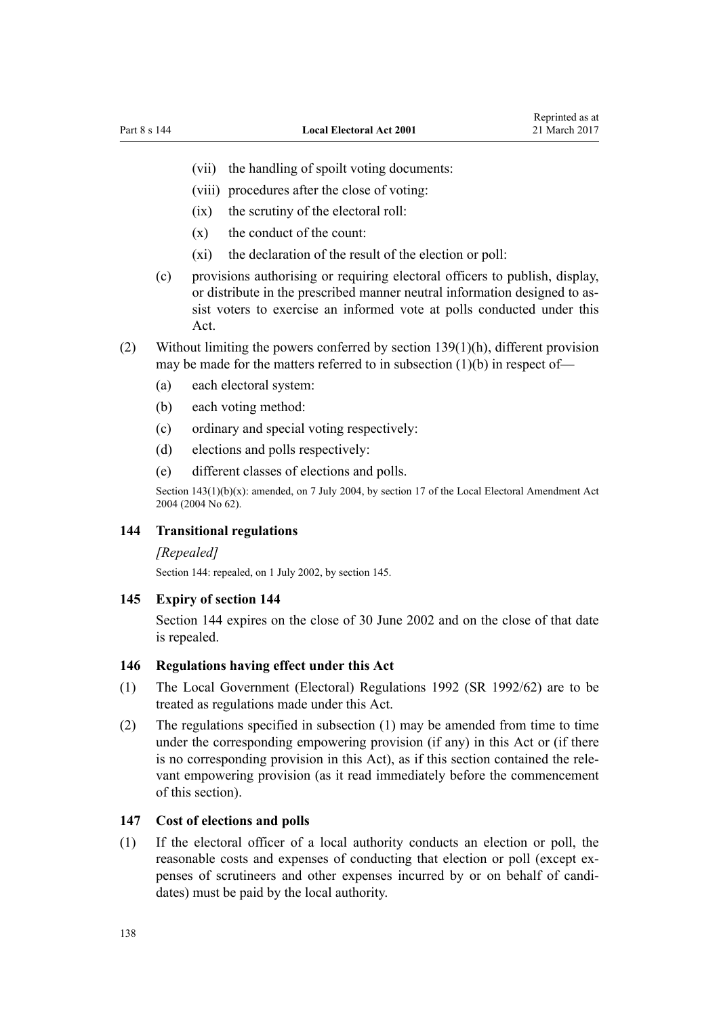- (vii) the handling of spoilt voting documents:
- (viii) procedures after the close of voting:
- (ix) the scrutiny of the electoral roll:
- $(x)$  the conduct of the count:
- (xi) the declaration of the result of the election or poll:
- (c) provisions authorising or requiring electoral officers to publish, display, or distribute in the prescribed manner neutral information designed to assist voters to exercise an informed vote at polls conducted under this Act.
- (2) Without limiting the powers conferred by [section 139\(1\)\(h\)](#page-133-0), different provision may be made for the matters referred to in subsection  $(1)(b)$  in respect of-
	- (a) each electoral system:
	- (b) each voting method:
	- (c) ordinary and special voting respectively:
	- (d) elections and polls respectively:
	- (e) different classes of elections and polls.

Section 143(1)(b)(x): amended, on 7 July 2004, by [section 17](http://prd-lgnz-nlb.prd.pco.net.nz/pdflink.aspx?id=DLM303183) of the Local Electoral Amendment Act 2004 (2004 No 62).

#### **144 Transitional regulations**

#### *[Repealed]*

Section 144: repealed, on 1 July 2002, by section 145.

#### **145 Expiry of section 144**

Section 144 expires on the close of 30 June 2002 and on the close of that date is repealed.

### **146 Regulations having effect under this Act**

- (1) The Local Government (Electoral) Regulations 1992 (SR 1992/62) are to be treated as regulations made under this Act.
- (2) The regulations specified in subsection (1) may be amended from time to time under the corresponding empowering provision (if any) in this Act or (if there is no corresponding provision in this Act), as if this section contained the relevant empowering provision (as it read immediately before the commencement of this section).

## **147 Cost of elections and polls**

(1) If the electoral officer of a local authority conducts an election or poll, the reasonable costs and expenses of conducting that election or poll (except expenses of scrutineers and other expenses incurred by or on behalf of candidates) must be paid by the local authority.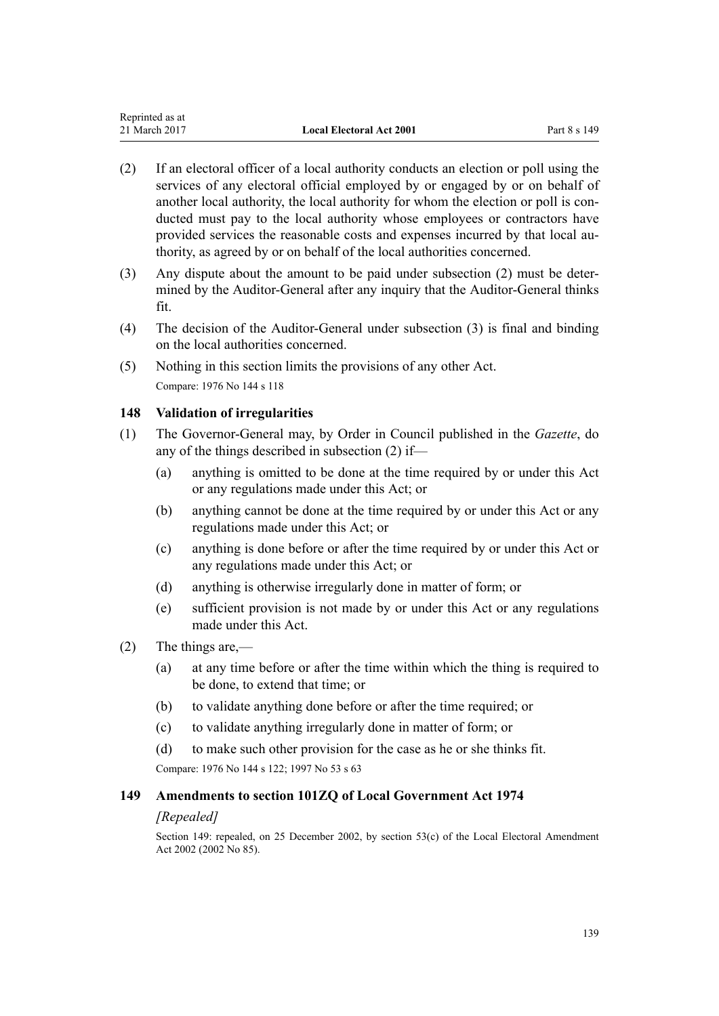- (2) If an electoral officer of a local authority conducts an election or poll using the services of any electoral official employed by or engaged by or on behalf of another local authority, the local authority for whom the election or poll is conducted must pay to the local authority whose employees or contractors have provided services the reasonable costs and expenses incurred by that local authority, as agreed by or on behalf of the local authorities concerned.
- (3) Any dispute about the amount to be paid under subsection (2) must be determined by the Auditor-General after any inquiry that the Auditor-General thinks fit.
- (4) The decision of the Auditor-General under subsection (3) is final and binding on the local authorities concerned.
- (5) Nothing in this section limits the provisions of any other Act. Compare: 1976 No 144 s 118

# **148 Validation of irregularities**

- (1) The Governor-General may, by Order in Council published in the *Gazette*, do any of the things described in subsection (2) if—
	- (a) anything is omitted to be done at the time required by or under this Act or any regulations made under this Act; or
	- (b) anything cannot be done at the time required by or under this Act or any regulations made under this Act; or
	- (c) anything is done before or after the time required by or under this Act or any regulations made under this Act; or
	- (d) anything is otherwise irregularly done in matter of form; or
	- (e) sufficient provision is not made by or under this Act or any regulations made under this Act.
- (2) The things are,—
	- (a) at any time before or after the time within which the thing is required to be done, to extend that time; or
	- (b) to validate anything done before or after the time required; or
	- (c) to validate anything irregularly done in matter of form; or
	- (d) to make such other provision for the case as he or she thinks fit.

Compare: 1976 No 144 s 122; 1997 No 53 [s 63](http://prd-lgnz-nlb.prd.pco.net.nz/pdflink.aspx?id=DLM408922)

### **149 Amendments to section 101ZQ of Local Government Act 1974**

### *[Repealed]*

Section 149: repealed, on 25 December 2002, by [section 53\(c\)](http://prd-lgnz-nlb.prd.pco.net.nz/pdflink.aspx?id=DLM181940) of the Local Electoral Amendment Act 2002 (2002 No 85).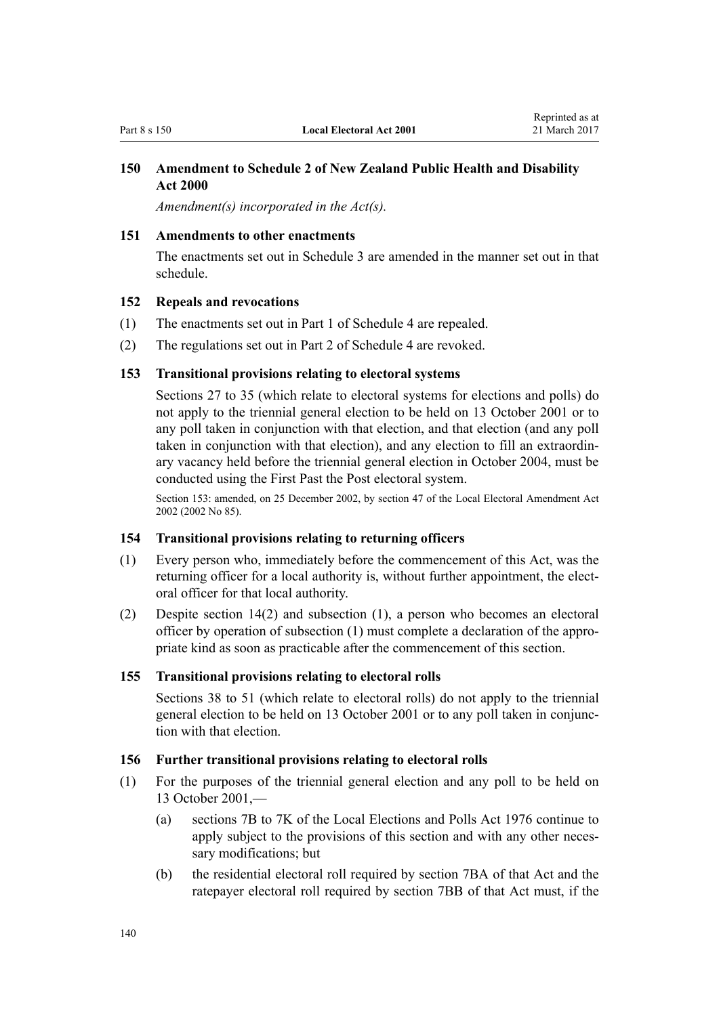# <span id="page-139-0"></span>**150 Amendment to Schedule 2 of New Zealand Public Health and Disability Act 2000**

*Amendment(s) incorporated in the [Act\(s\).](http://prd-lgnz-nlb.prd.pco.net.nz/pdflink.aspx?id=DLM81686)*

### **151 Amendments to other enactments**

The enactments set out in [Schedule 3](#page-150-0) are amended in the manner set out in that schedule.

#### **152 Repeals and revocations**

- (1) The enactments set out in [Part 1](#page-152-0) of Schedule 4 are repealed.
- (2) The regulations set out in [Part 2](#page-152-0) of Schedule 4 are revoked.

## **153 Transitional provisions relating to electoral systems**

[Sections 27 to 35](#page-59-0) (which relate to electoral systems for elections and polls) do not apply to the triennial general election to be held on 13 October 2001 or to any poll taken in conjunction with that election, and that election (and any poll taken in conjunction with that election), and any election to fill an extraordinary vacancy held before the triennial general election in October 2004, must be conducted using the First Past the Post electoral system.

Section 153: amended, on 25 December 2002, by [section 47](http://prd-lgnz-nlb.prd.pco.net.nz/pdflink.aspx?id=DLM181928) of the Local Electoral Amendment Act 2002 (2002 No 85).

#### **154 Transitional provisions relating to returning officers**

- (1) Every person who, immediately before the commencement of this Act, was the returning officer for a local authority is, without further appointment, the electoral officer for that local authority.
- (2) Despite [section 14\(2\)](#page-20-0) and subsection (1), a person who becomes an electoral officer by operation of subsection (1) must complete a declaration of the appropriate kind as soon as practicable after the commencement of this section.

#### **155 Transitional provisions relating to electoral rolls**

[Sections 38 to 51](#page-66-0) (which relate to electoral rolls) do not apply to the triennial general election to be held on 13 October 2001 or to any poll taken in conjunction with that election.

#### **156 Further transitional provisions relating to electoral rolls**

- (1) For the purposes of the triennial general election and any poll to be held on 13 October 2001,—
	- (a) sections 7B to 7K of the Local Elections and Polls Act 1976 continue to apply subject to the provisions of this section and with any other necessary modifications; but
	- (b) the residential electoral roll required by section 7BA of that Act and the ratepayer electoral roll required by section 7BB of that Act must, if the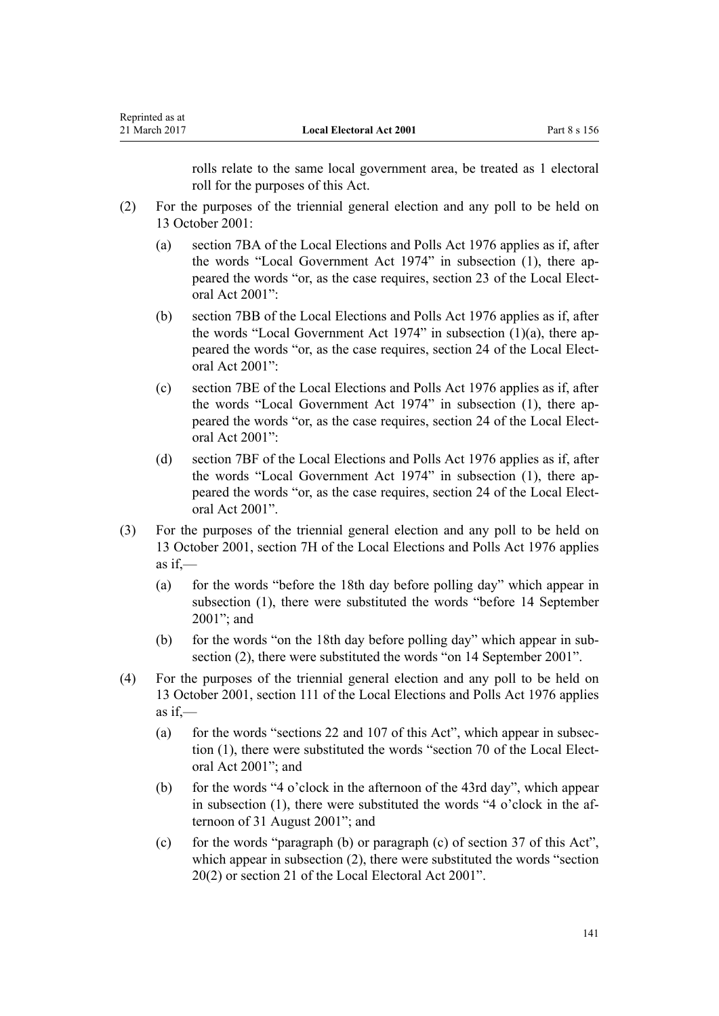| Reprinted as at |  |
|-----------------|--|
| 21 March 2017   |  |

rolls relate to the same local government area, be treated as 1 electoral roll for the purposes of this Act.

- (2) For the purposes of the triennial general election and any poll to be held on 13 October 2001:
	- (a) section 7BA of the Local Elections and Polls Act 1976 applies as if, after the words ["Local Government Act 1974"](http://prd-lgnz-nlb.prd.pco.net.nz/pdflink.aspx?id=DLM415531) in subsection (1), there appeared the words "or, as the case requires, [section 23](#page-54-0) of the Local Electoral Act 2001":
	- (b) section 7BB of the Local Elections and Polls Act 1976 applies as if, after the words "Local Government Act 1974" in subsection (1)(a), there appeared the words "or, as the case requires, [section 24](#page-54-0) of the Local Electoral Act 2001":
	- (c) section 7BE of the Local Elections and Polls Act 1976 applies as if, after the words "Local Government Act 1974" in subsection (1), there appeared the words "or, as the case requires, section 24 of the Local Electoral Act 2001":
	- (d) section 7BF of the Local Elections and Polls Act 1976 applies as if, after the words "Local Government Act 1974" in subsection (1), there appeared the words "or, as the case requires, section 24 of the Local Electoral Act 2001".
- (3) For the purposes of the triennial general election and any poll to be held on 13 October 2001, section 7H of the Local Elections and Polls Act 1976 applies as if,—
	- (a) for the words "before the 18th day before polling day" which appear in subsection (1), there were substituted the words "before 14 September 2001"; and
	- (b) for the words "on the 18th day before polling day" which appear in subsection (2), there were substituted the words "on 14 September 2001".
- (4) For the purposes of the triennial general election and any poll to be held on 13 October 2001, section 111 of the Local Elections and Polls Act 1976 applies as if,—
	- (a) for the words ["sections 22](#page-54-0) and [107](#page-113-0) of this Act", which appear in subsection (1), there were substituted the words "[section 70](#page-84-0) of the Local Electoral Act 2001"; and
	- (b) for the words "4 o'clock in the afternoon of the 43rd day", which appear in subsection (1), there were substituted the words "4 o'clock in the afternoon of 31 August 2001"; and
	- (c) for the words "paragraph (b) or paragraph (c) of section 37 of this Act", which appear in subsection (2), there were substituted the words ["section](#page-53-0) [20\(2\)](#page-53-0) or [section 21](#page-54-0) of the Local Electoral Act 2001".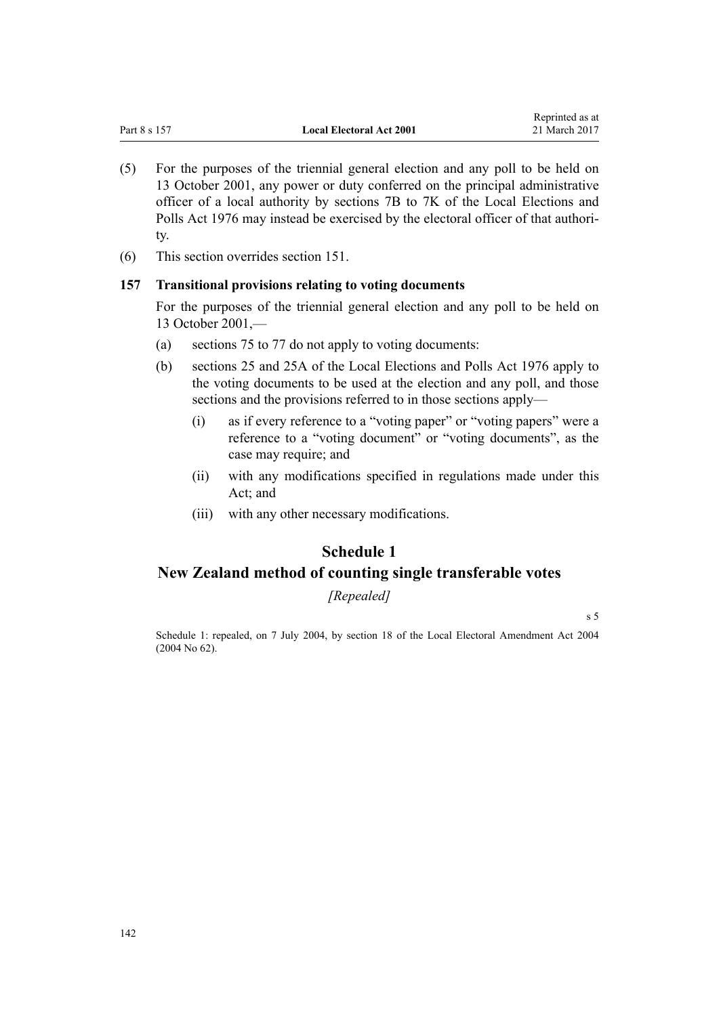- (5) For the purposes of the triennial general election and any poll to be held on 13 October 2001, any power or duty conferred on the principal administrative officer of a local authority by sections 7B to 7K of the Local Elections and Polls Act 1976 may instead be exercised by the electoral officer of that authority.
- (6) This section overrides [section 151](#page-139-0).

# **157 Transitional provisions relating to voting documents**

For the purposes of the triennial general election and any poll to be held on 13 October 2001,—

- (a) [sections 75 to 77](#page-89-0) do not apply to voting documents:
- (b) sections 25 and 25A of the Local Elections and Polls Act 1976 apply to the voting documents to be used at the election and any poll, and those sections and the provisions referred to in those sections apply—
	- (i) as if every reference to a "voting paper" or "voting papers" were a reference to a "voting document" or "voting documents", as the case may require; and
	- (ii) with any modifications specified in regulations made under this Act; and
	- (iii) with any other necessary modifications.

# **Schedule 1**

# **New Zealand method of counting single transferable votes**

*[Repealed]*

[s 5](#page-10-0)

Schedule 1: repealed, on 7 July 2004, by [section 18](http://prd-lgnz-nlb.prd.pco.net.nz/pdflink.aspx?id=DLM303184) of the Local Electoral Amendment Act 2004 (2004 No 62).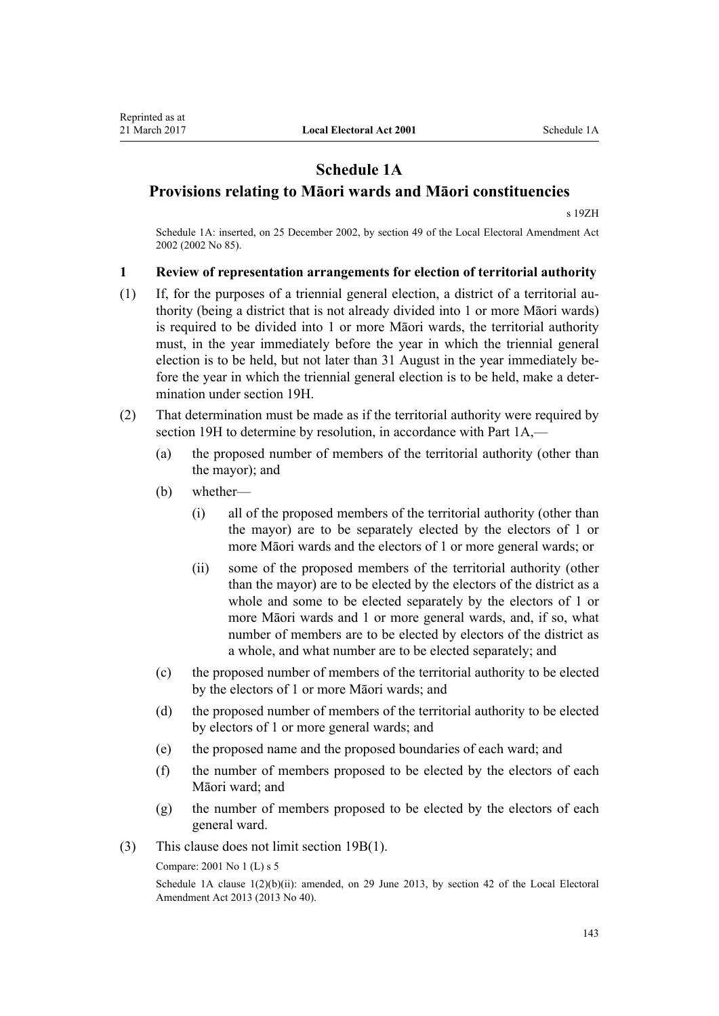# **Schedule 1A**

# <span id="page-142-0"></span>**Provisions relating to Māori wards and Māori constituencies**

[s 19ZH](#page-52-0)

Schedule 1A: inserted, on 25 December 2002, by [section 49](http://prd-lgnz-nlb.prd.pco.net.nz/pdflink.aspx?id=DLM181935) of the Local Electoral Amendment Act 2002 (2002 No 85).

# **1 Review of representation arrangements for election of territorial authority**

- (1) If, for the purposes of a triennial general election, a district of a territorial authority (being a district that is not already divided into 1 or more Māori wards) is required to be divided into 1 or more Māori wards, the territorial authority must, in the year immediately before the year in which the triennial general election is to be held, but not later than 31 August in the year immediately before the year in which the triennial general election is to be held, make a determination under [section 19H](#page-28-0).
- (2) That determination must be made as if the territorial authority were required by [section 19H](#page-28-0) to determine by resolution, in accordance with [Part 1A](#page-24-0),—
	- (a) the proposed number of members of the territorial authority (other than the mayor); and
	- (b) whether—
		- (i) all of the proposed members of the territorial authority (other than the mayor) are to be separately elected by the electors of 1 or more Māori wards and the electors of 1 or more general wards; or
		- (ii) some of the proposed members of the territorial authority (other than the mayor) are to be elected by the electors of the district as a whole and some to be elected separately by the electors of 1 or more Māori wards and 1 or more general wards, and, if so, what number of members are to be elected by electors of the district as a whole, and what number are to be elected separately; and
	- (c) the proposed number of members of the territorial authority to be elected by the electors of 1 or more Māori wards; and
	- (d) the proposed number of members of the territorial authority to be elected by electors of 1 or more general wards; and
	- (e) the proposed name and the proposed boundaries of each ward; and
	- (f) the number of members proposed to be elected by the electors of each Māori ward; and
	- (g) the number of members proposed to be elected by the electors of each general ward.
- (3) This clause does not limit [section 19B\(1\)](#page-24-0).

Compare: 2001 No 1 (L) [s 5](http://prd-lgnz-nlb.prd.pco.net.nz/pdflink.aspx?id=DLM85390)

Schedule 1A clause  $1(2)(b)(ii)$ : amended, on 29 June 2013, by [section 42](http://prd-lgnz-nlb.prd.pco.net.nz/pdflink.aspx?id=DLM4803597) of the Local Electoral Amendment Act 2013 (2013 No 40).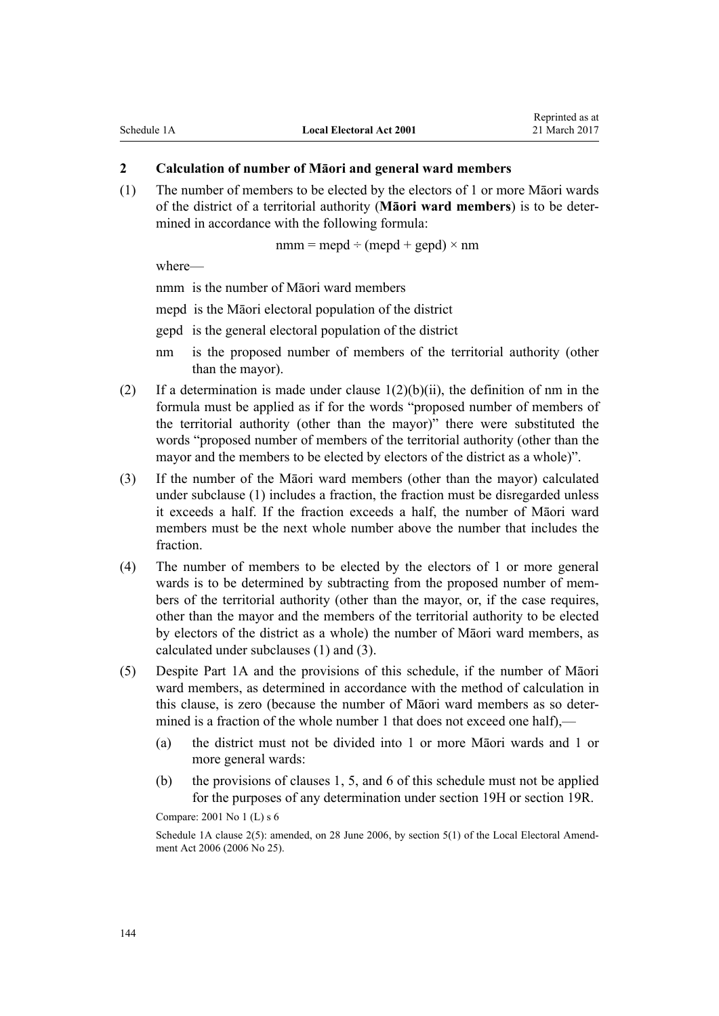# **2 Calculation of number of Māori and general ward members**

(1) The number of members to be elected by the electors of 1 or more Māori wards of the district of a territorial authority (**Māori ward members**) is to be determined in accordance with the following formula:

 $nmm = med \div (mepd + gepd) \times nm$ 

where—

nmm is the number of Māori ward members

mepd is the Māori electoral population of the district

- gepd is the general electoral population of the district
- nm is the proposed number of members of the territorial authority (other than the mayor).
- (2) If a determination is made under clause  $1(2)(b)(ii)$ , the definition of nm in the formula must be applied as if for the words "proposed number of members of the territorial authority (other than the mayor)" there were substituted the words "proposed number of members of the territorial authority (other than the mayor and the members to be elected by electors of the district as a whole)".
- (3) If the number of the Māori ward members (other than the mayor) calculated under subclause (1) includes a fraction, the fraction must be disregarded unless it exceeds a half. If the fraction exceeds a half, the number of Māori ward members must be the next whole number above the number that includes the fraction.
- (4) The number of members to be elected by the electors of 1 or more general wards is to be determined by subtracting from the proposed number of members of the territorial authority (other than the mayor, or, if the case requires, other than the mayor and the members of the territorial authority to be elected by electors of the district as a whole) the number of Māori ward members, as calculated under subclauses (1) and (3).
- (5) Despite [Part 1A](#page-24-0) and the provisions of this schedule, if the number of Māori ward members, as determined in accordance with the method of calculation in this clause, is zero (because the number of Māori ward members as so determined is a fraction of the whole number 1 that does not exceed one half).—
	- (a) the district must not be divided into 1 or more Māori wards and 1 or more general wards:
	- (b) the provisions of [clauses 1](#page-142-0), [5](#page-145-0), and [6](#page-145-0) of this schedule must not be applied for the purposes of any determination under [section 19H](#page-28-0) or [section 19R](#page-39-0).

Compare: 2001 No 1 (L) [s 6](http://prd-lgnz-nlb.prd.pco.net.nz/pdflink.aspx?id=DLM85392)

Schedule 1A clause 2(5): amended, on 28 June 2006, by [section 5\(1\)](http://prd-lgnz-nlb.prd.pco.net.nz/pdflink.aspx?id=DLM373906) of the Local Electoral Amendment Act 2006 (2006 No 25).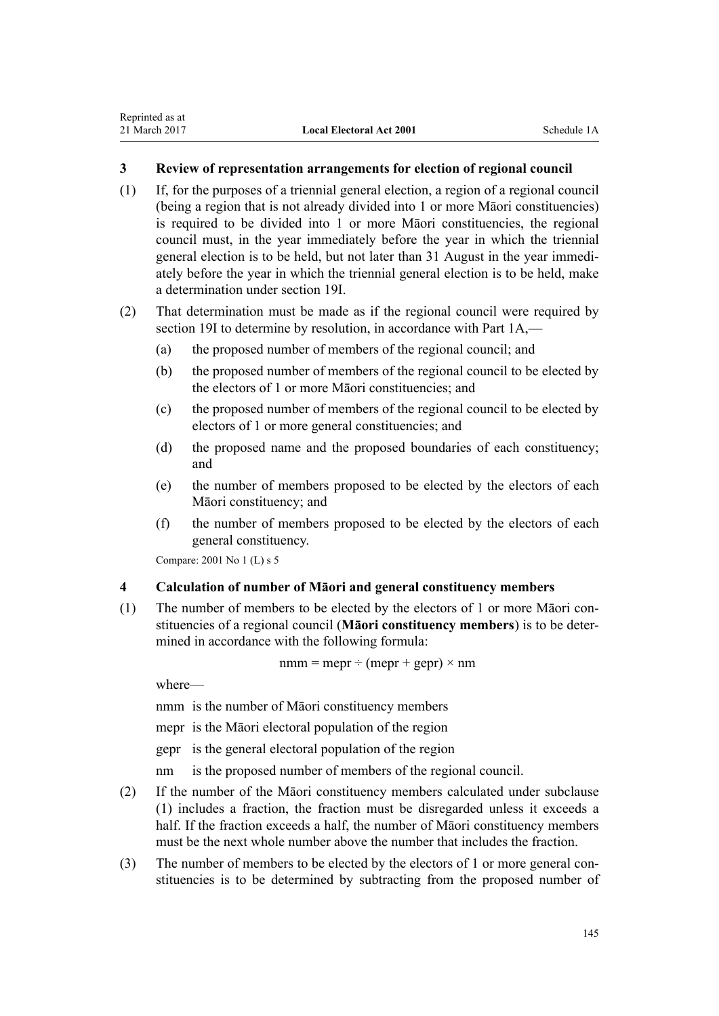#### <span id="page-144-0"></span>**3 Review of representation arrangements for election of regional council**

- (1) If, for the purposes of a triennial general election, a region of a regional council (being a region that is not already divided into 1 or more Māori constituencies) is required to be divided into 1 or more Māori constituencies, the regional council must, in the year immediately before the year in which the triennial general election is to be held, but not later than 31 August in the year immediately before the year in which the triennial general election is to be held, make a determination under [section 19I.](#page-29-0)
- (2) That determination must be made as if the regional council were required by [section 19I](#page-29-0) to determine by resolution, in accordance with [Part 1A,](#page-24-0)—
	- (a) the proposed number of members of the regional council; and
	- (b) the proposed number of members of the regional council to be elected by the electors of 1 or more Māori constituencies; and
	- (c) the proposed number of members of the regional council to be elected by electors of 1 or more general constituencies; and
	- (d) the proposed name and the proposed boundaries of each constituency; and
	- (e) the number of members proposed to be elected by the electors of each Māori constituency; and
	- (f) the number of members proposed to be elected by the electors of each general constituency.

Compare: 2001 No 1 (L) [s 5](http://prd-lgnz-nlb.prd.pco.net.nz/pdflink.aspx?id=DLM85390)

#### **4 Calculation of number of Māori and general constituency members**

(1) The number of members to be elected by the electors of 1 or more Māori constituencies of a regional council (**Māori constituency members**) is to be determined in accordance with the following formula:

 $nmm = mepr \div (mepr + gepr) \times nm$ 

where—

nmm is the number of Māori constituency members

mepr is the Māori electoral population of the region

gepr is the general electoral population of the region

nm is the proposed number of members of the regional council.

- (2) If the number of the Māori constituency members calculated under subclause (1) includes a fraction, the fraction must be disregarded unless it exceeds a half. If the fraction exceeds a half, the number of Māori constituency members must be the next whole number above the number that includes the fraction.
- (3) The number of members to be elected by the electors of 1 or more general constituencies is to be determined by subtracting from the proposed number of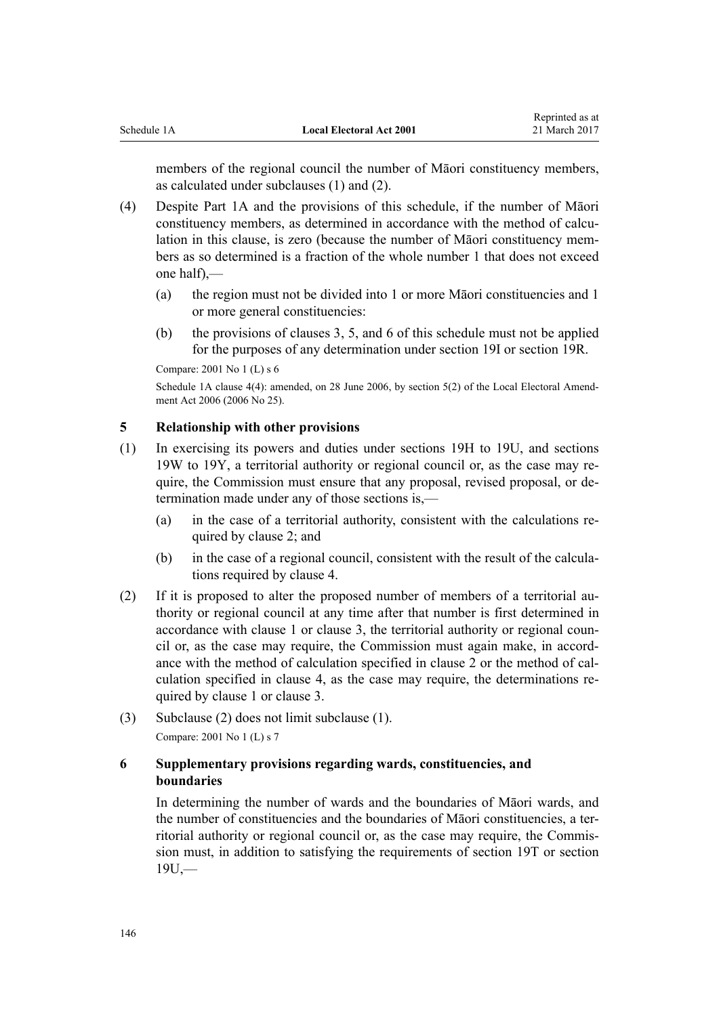members of the regional council the number of Māori constituency members, as calculated under subclauses (1) and (2).

- (4) Despite [Part 1A](#page-24-0) and the provisions of this schedule, if the number of Māori constituency members, as determined in accordance with the method of calculation in this clause, is zero (because the number of Māori constituency members as so determined is a fraction of the whole number 1 that does not exceed one half),—
	- (a) the region must not be divided into 1 or more Māori constituencies and 1 or more general constituencies:
	- (b) the provisions of [clauses 3](#page-144-0), 5, and 6 of this schedule must not be applied for the purposes of any determination under [section 19I](#page-29-0) or [section 19R.](#page-39-0)

Compare: 2001 No 1 (L) [s 6](http://prd-lgnz-nlb.prd.pco.net.nz/pdflink.aspx?id=DLM85392)

Schedule 1A clause 4(4): amended, on 28 June 2006, by [section 5\(2\)](http://prd-lgnz-nlb.prd.pco.net.nz/pdflink.aspx?id=DLM373906) of the Local Electoral Amendment Act 2006 (2006 No 25).

#### **5 Relationship with other provisions**

- (1) In exercising its powers and duties under [sections 19H to 19U,](#page-28-0) and [sections](#page-43-0) [19W to 19Y](#page-43-0), a territorial authority or regional council or, as the case may require, the Commission must ensure that any proposal, revised proposal, or determination made under any of those sections is,—
	- (a) in the case of a territorial authority, consistent with the calculations required by [clause 2](#page-143-0); and
	- (b) in the case of a regional council, consistent with the result of the calculations required by [clause 4](#page-144-0).
- (2) If it is proposed to alter the proposed number of members of a territorial authority or regional council at any time after that number is first determined in accordance with [clause 1](#page-142-0) or [clause 3](#page-144-0), the territorial authority or regional council or, as the case may require, the Commission must again make, in accordance with the method of calculation specified in [clause 2](#page-143-0) or the method of calculation specified in [clause 4](#page-144-0), as the case may require, the determinations required by clause 1 or clause 3.
- (3) Subclause (2) does not limit subclause (1). Compare: 2001 No 1 (L) [s 7](http://prd-lgnz-nlb.prd.pco.net.nz/pdflink.aspx?id=DLM85396)

#### **6 Supplementary provisions regarding wards, constituencies, and boundaries**

In determining the number of wards and the boundaries of Māori wards, and the number of constituencies and the boundaries of Māori constituencies, a territorial authority or regional council or, as the case may require, the Commission must, in addition to satisfying the requirements of [section 19T](#page-40-0) or [section](#page-41-0)  $19U$ .—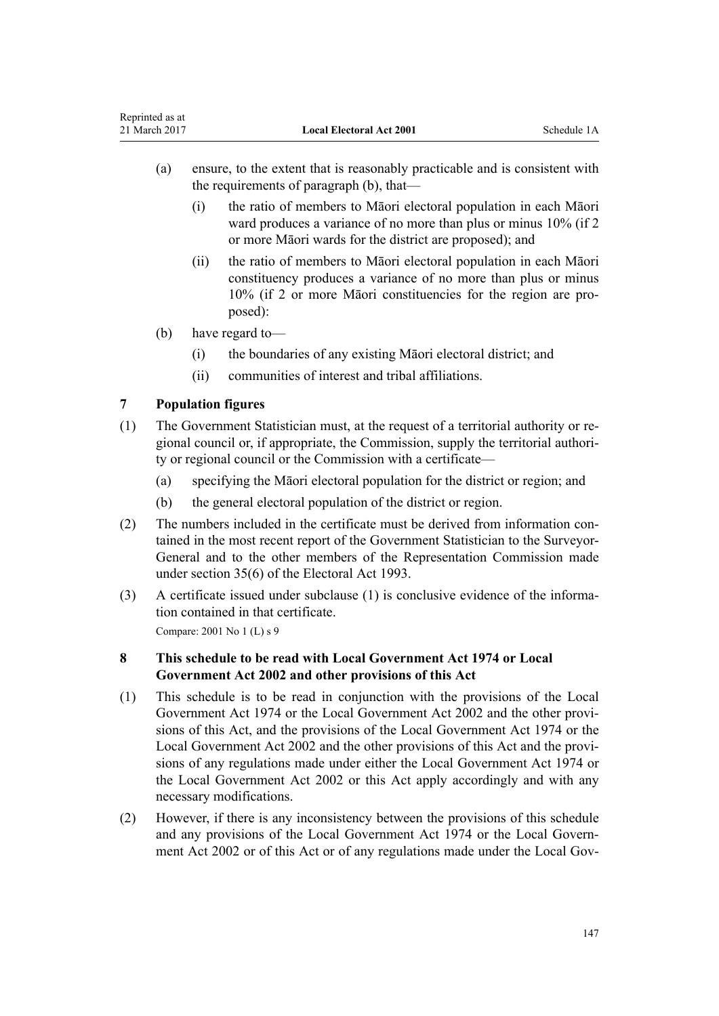- (a) ensure, to the extent that is reasonably practicable and is consistent with the requirements of paragraph (b), that—
	- (i) the ratio of members to Māori electoral population in each Māori ward produces a variance of no more than plus or minus 10% (if 2 or more Māori wards for the district are proposed); and
	- (ii) the ratio of members to Māori electoral population in each Māori constituency produces a variance of no more than plus or minus 10% (if 2 or more Māori constituencies for the region are proposed):
- (b) have regard to—
	- (i) the boundaries of any existing Māori electoral district; and
	- (ii) communities of interest and tribal affiliations.

### **7 Population figures**

- (1) The Government Statistician must, at the request of a territorial authority or regional council or, if appropriate, the Commission, supply the territorial authority or regional council or the Commission with a certificate—
	- (a) specifying the Māori electoral population for the district or region; and
	- (b) the general electoral population of the district or region.
- (2) The numbers included in the certificate must be derived from information contained in the most recent report of the Government Statistician to the Surveyor-General and to the other members of the Representation Commission made under [section 35\(6\)](http://prd-lgnz-nlb.prd.pco.net.nz/pdflink.aspx?id=DLM308195) of the Electoral Act 1993.
- (3) A certificate issued under subclause (1) is conclusive evidence of the information contained in that certificate.

Compare: 2001 No 1 (L) [s 9](http://prd-lgnz-nlb.prd.pco.net.nz/pdflink.aspx?id=DLM85701)

#### **8 This schedule to be read with Local Government Act 1974 or Local Government Act 2002 and other provisions of this Act**

- (1) This schedule is to be read in conjunction with the provisions of the [Local](http://prd-lgnz-nlb.prd.pco.net.nz/pdflink.aspx?id=DLM415531) [Government Act 1974](http://prd-lgnz-nlb.prd.pco.net.nz/pdflink.aspx?id=DLM415531) or the [Local Government Act 2002](http://prd-lgnz-nlb.prd.pco.net.nz/pdflink.aspx?id=DLM170872) and the other provisions of this Act, and the provisions of the Local Government Act 1974 or the Local Government Act 2002 and the other provisions of this Act and the provisions of any regulations made under either the Local Government Act 1974 or the Local Government Act 2002 or this Act apply accordingly and with any necessary modifications.
- (2) However, if there is any inconsistency between the provisions of this schedule and any provisions of the [Local Government Act 1974](http://prd-lgnz-nlb.prd.pco.net.nz/pdflink.aspx?id=DLM415531) or the [Local Govern](http://prd-lgnz-nlb.prd.pco.net.nz/pdflink.aspx?id=DLM170872)[ment Act 2002](http://prd-lgnz-nlb.prd.pco.net.nz/pdflink.aspx?id=DLM170872) or of this Act or of any regulations made under the Local Gov-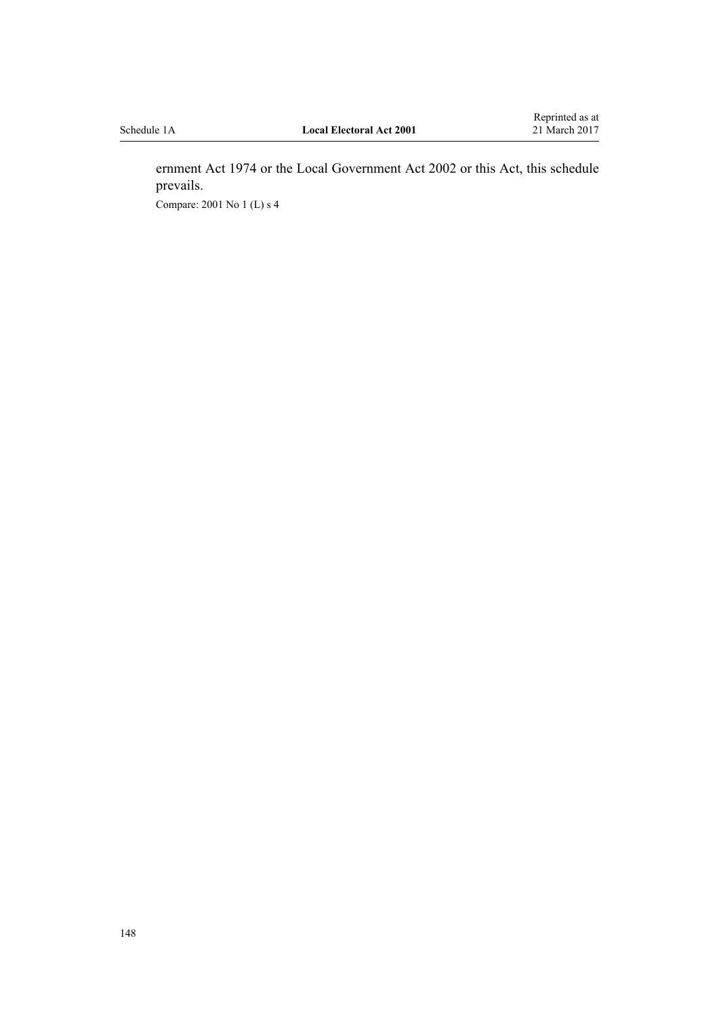ernment Act 1974 or the Local Government Act 2002 or this Act, this schedule prevails. Compare: 2001 No 1 (L) [s 4](http://prd-lgnz-nlb.prd.pco.net.nz/pdflink.aspx?id=DLM85385)

148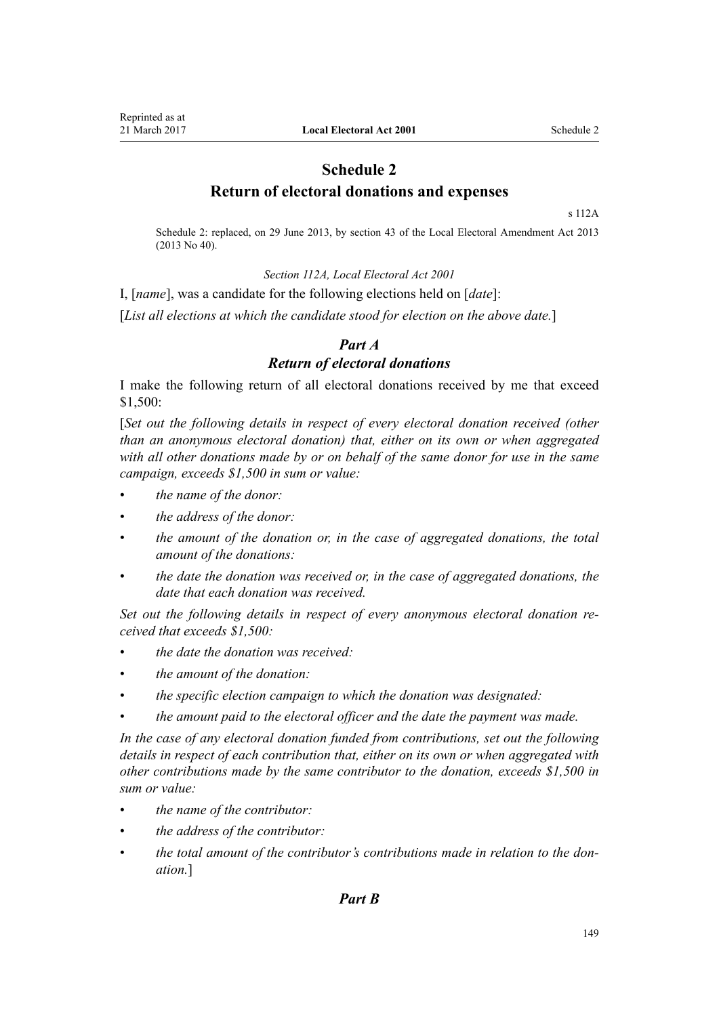## **Schedule 2 Return of electoral donations and expenses**

[s 112A](#page-115-0)

Schedule 2: replaced, on 29 June 2013, by [section 43](http://prd-lgnz-nlb.prd.pco.net.nz/pdflink.aspx?id=DLM4803598) of the Local Electoral Amendment Act 2013 (2013 No 40).

*[Section 112A,](#page-115-0) Local Electoral Act 2001*

I, [*name*], was a candidate for the following elections held on [*date*]:

[*List all elections at which the candidate stood for election on the above date.*]

### *Part A Return of electoral donations*

I make the following return of all electoral donations received by me that exceed \$1,500:

[*Set out the following details in respect of every electoral donation received (other than an anonymous electoral donation) that, either on its own or when aggregated with all other donations made by or on behalf of the same donor for use in the same campaign, exceeds \$1,500 in sum or value:*

- *the name of the donor:*
- *the address of the donor:*
- *the amount of the donation or, in the case of aggregated donations, the total amount of the donations:*
- *the date the donation was received or, in the case of aggregated donations, the date that each donation was received.*

*Set out the following details in respect of every anonymous electoral donation received that exceeds \$1,500:*

- *the date the donation was received:*
- *the amount of the donation:*
- *the specific election campaign to which the donation was designated:*
- *the amount paid to the electoral officer and the date the payment was made.*

*In the case of any electoral donation funded from contributions, set out the following details in respect of each contribution that, either on its own or when aggregated with other contributions made by the same contributor to the donation, exceeds \$1,500 in sum or value:*

- *the name of the contributor:*
- *the address of the contributor:*
- *the total amount of the contributor's contributions made in relation to the donation.*]

#### *Part B*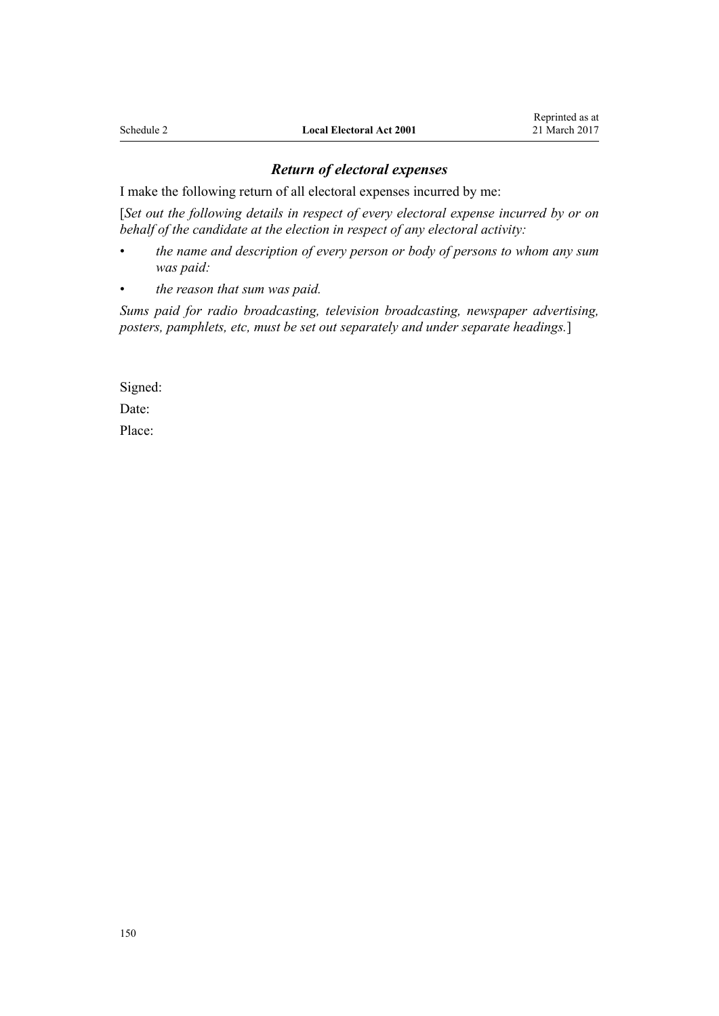#### *Return of electoral expenses*

I make the following return of all electoral expenses incurred by me:

[*Set out the following details in respect of every electoral expense incurred by or on behalf of the candidate at the election in respect of any electoral activity:*

- *the name and description of every person or body of persons to whom any sum was paid:*
- *the reason that sum was paid.*

*Sums paid for radio broadcasting, television broadcasting, newspaper advertising, posters, pamphlets, etc, must be set out separately and under separate headings.*]

Signed:

Date:

Place: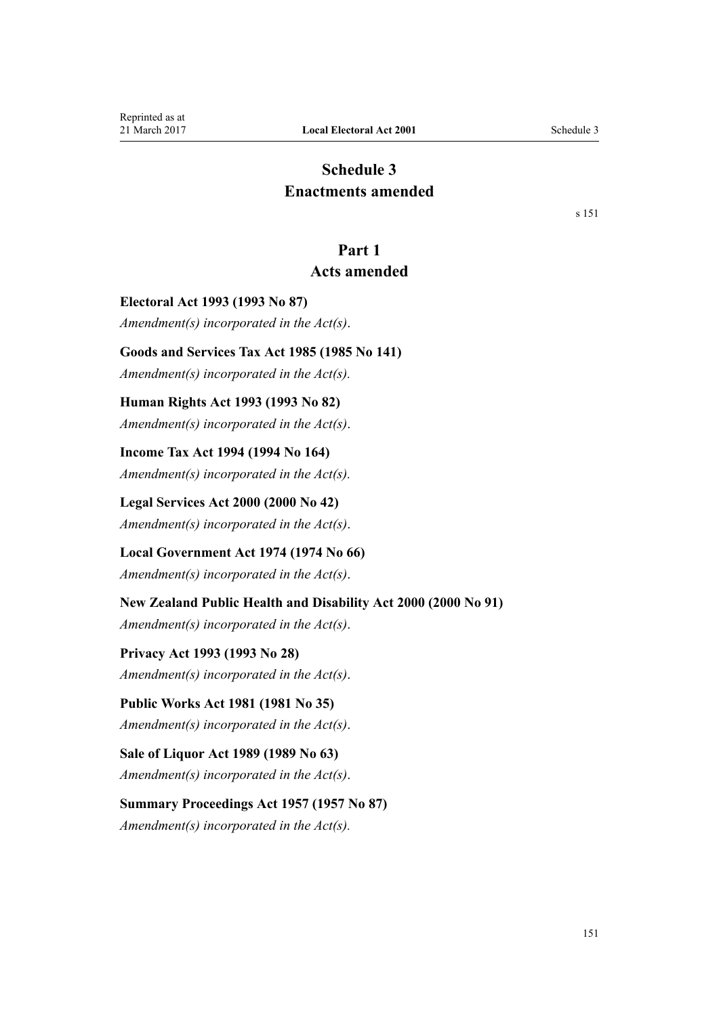## **Schedule 3 Enactments amended**

[s 151](#page-139-0)

## **Part 1**

## **Acts amended**

**Electoral Act 1993 (1993 No 87)** *Amendment(s) incorporated in the [Act\(s\)](http://prd-lgnz-nlb.prd.pco.net.nz/pdflink.aspx?id=DLM309174)*.

**Goods and Services Tax Act 1985 (1985 No 141)**

*Amendment(s) incorporated in the Act(s).*

#### **Human Rights Act 1993 (1993 No 82)**

*Amendment(s) incorporated in the [Act\(s\)](http://prd-lgnz-nlb.prd.pco.net.nz/pdflink.aspx?id=DLM304497)*.

**Income Tax Act 1994 (1994 No 164)** *Amendment(s) incorporated in the Act(s).*

**Legal Services Act 2000 (2000 No 42)** *Amendment(s) incorporated in the [Act\(s\)](http://prd-lgnz-nlb.prd.pco.net.nz/pdflink.aspx?id=DLM71928)*.

## **Local Government Act 1974 (1974 No 66)**

*Amendment(s) incorporated in the [Act\(s\)](http://prd-lgnz-nlb.prd.pco.net.nz/pdflink.aspx?id=DLM415539)*.

### **New Zealand Public Health and Disability Act 2000 (2000 No 91)**

*Amendment(s) incorporated in the [Act\(s\)](http://prd-lgnz-nlb.prd.pco.net.nz/pdflink.aspx?id=DLM80802)*.

# **Privacy Act 1993 (1993 No 28)**

*Amendment(s) incorporated in the [Act\(s\)](http://prd-lgnz-nlb.prd.pco.net.nz/pdflink.aspx?id=DLM298477)*.

### **Public Works Act 1981 (1981 No 35)**

*Amendment(s) incorporated in the [Act\(s\)](http://prd-lgnz-nlb.prd.pco.net.nz/pdflink.aspx?id=DLM48175)*.

## **Sale of Liquor Act 1989 (1989 No 63)**

*Amendment(s) incorporated in the [Act\(s\)](http://prd-lgnz-nlb.prd.pco.net.nz/pdflink.aspx?id=DLM166671)*.

# **Summary Proceedings Act 1957 (1957 No 87)**

*Amendment(s) incorporated in the Act(s).*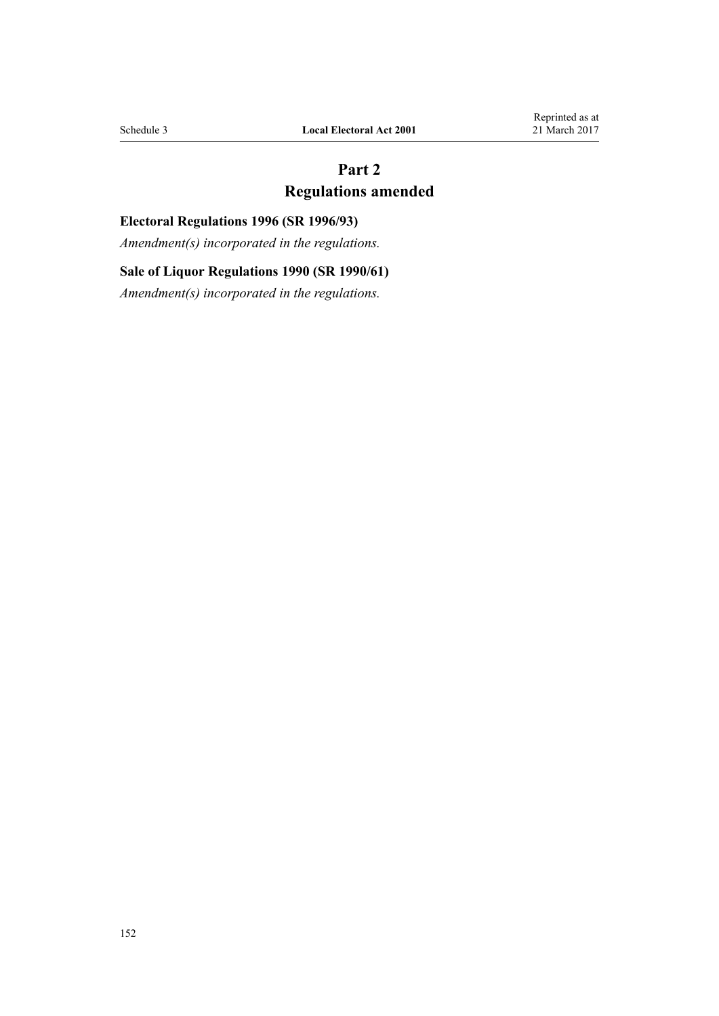## **Part 2 Regulations amended**

## **Electoral Regulations 1996 (SR 1996/93)**

*Amendment(s) incorporated in the [regulations](http://prd-lgnz-nlb.prd.pco.net.nz/pdflink.aspx?id=DLM210031).*

## **Sale of Liquor Regulations 1990 (SR 1990/61)**

*Amendment(s) incorporated in the [regulations](http://prd-lgnz-nlb.prd.pco.net.nz/pdflink.aspx?id=DLM136304).*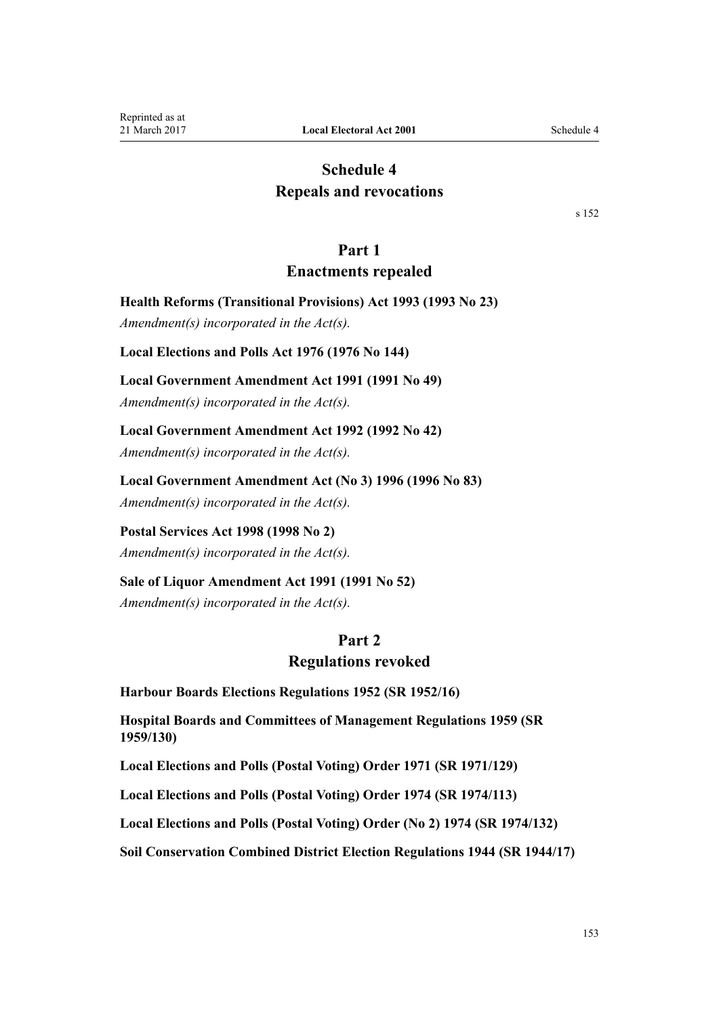## **Schedule 4 Repeals and revocations**

[s 152](#page-139-0)

#### **Part 1**

#### **Enactments repealed**

**Health Reforms (Transitional Provisions) Act 1993 (1993 No 23)**

*Amendment(s) incorporated in the [Act\(s\).](http://prd-lgnz-nlb.prd.pco.net.nz/pdflink.aspx?id=DLM295712)*

**Local Elections and Polls Act 1976 (1976 No 144)**

#### **Local Government Amendment Act 1991 (1991 No 49)**

*Amendment(s) incorporated in the [Act\(s\).](http://prd-lgnz-nlb.prd.pco.net.nz/pdflink.aspx?id=DLM229852)*

**Local Government Amendment Act 1992 (1992 No 42)**

*Amendment(s) incorporated in the [Act\(s\).](http://prd-lgnz-nlb.prd.pco.net.nz/pdflink.aspx?id=DLM261649)*

**Local Government Amendment Act (No 3) 1996 (1996 No 83)**

*Amendment(s) incorporated in the [Act\(s\).](http://prd-lgnz-nlb.prd.pco.net.nz/pdflink.aspx?id=DLM394164)*

**Postal Services Act 1998 (1998 No 2)** *Amendment(s) incorporated in the [Act\(s\).](http://prd-lgnz-nlb.prd.pco.net.nz/pdflink.aspx?id=DLM423790)*

**Sale of Liquor Amendment Act 1991 (1991 No 52)** *Amendment(s) incorporated in the Act(s).*

#### **Part 2**

#### **Regulations revoked**

**Harbour Boards Elections Regulations 1952 (SR 1952/16)**

**Hospital Boards and Committees of Management Regulations 1959 (SR 1959/130)**

**Local Elections and Polls (Postal Voting) Order 1971 (SR 1971/129)**

**Local Elections and Polls (Postal Voting) Order 1974 (SR 1974/113)**

**Local Elections and Polls (Postal Voting) Order (No 2) 1974 (SR 1974/132)**

**Soil Conservation Combined District Election Regulations 1944 (SR 1944/17)**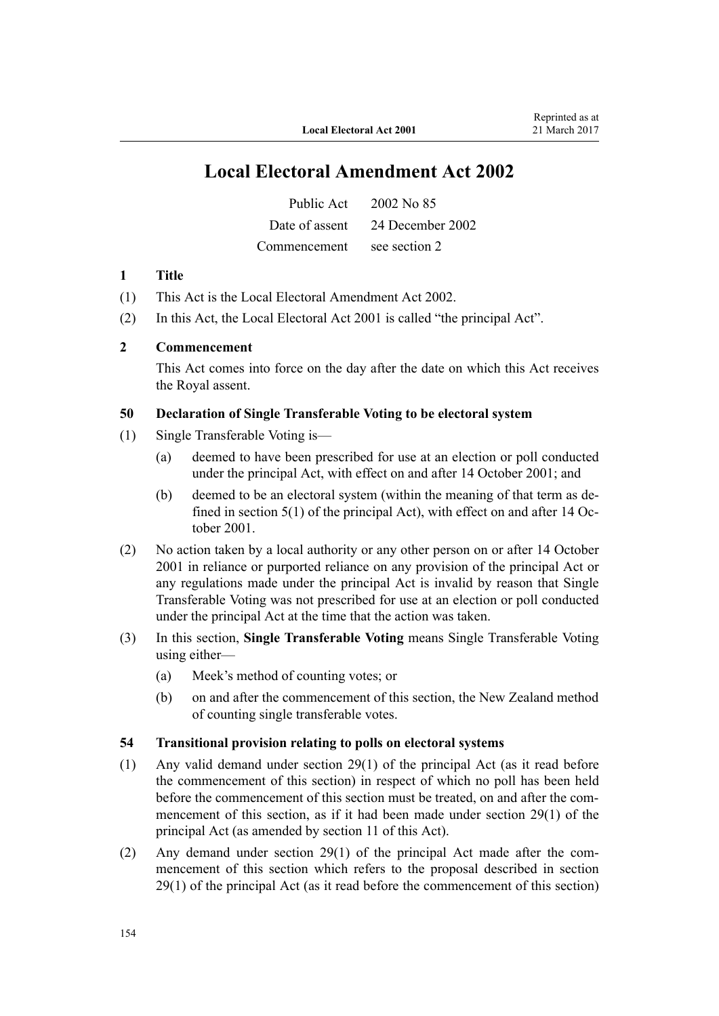## **Local Electoral Amendment Act 2002**

| Public Act     | 2002 No 85       |
|----------------|------------------|
| Date of assent | 24 December 2002 |
| Commencement   | see section 2    |

#### **1 Title**

- (1) This Act is the [Local Electoral Amendment Act 2002](http://prd-lgnz-nlb.prd.pco.net.nz/pdflink.aspx?id=DLM179983).
- (2) In this Act, the Local Electoral Act 2001 is called "the principal Act".

#### **2 Commencement**

This Act comes into force on the day after the date on which this Act receives the Royal assent.

#### **50 Declaration of Single Transferable Voting to be electoral system**

- (1) Single Transferable Voting is—
	- (a) deemed to have been prescribed for use at an election or poll conducted under the principal Act, with effect on and after 14 October 2001; and
	- (b) deemed to be an electoral system (within the meaning of that term as defined in section 5(1) of the principal Act), with effect on and after 14 October 2001.
- (2) No action taken by a local authority or any other person on or after 14 October 2001 in reliance or purported reliance on any provision of the principal Act or any regulations made under the principal Act is invalid by reason that Single Transferable Voting was not prescribed for use at an election or poll conducted under the principal Act at the time that the action was taken.
- (3) In this section, **Single Transferable Voting** means Single Transferable Voting using either—
	- (a) Meek's method of counting votes; or
	- (b) on and after the commencement of this section, the New Zealand method of counting single transferable votes.

#### **54 Transitional provision relating to polls on electoral systems**

- (1) Any valid demand under section 29(1) of the principal Act (as it read before the commencement of this section) in respect of which no poll has been held before the commencement of this section must be treated, on and after the commencement of this section, as if it had been made under section 29(1) of the principal Act (as amended by section 11 of this Act).
- (2) Any demand under section 29(1) of the principal Act made after the commencement of this section which refers to the proposal described in section 29(1) of the principal Act (as it read before the commencement of this section)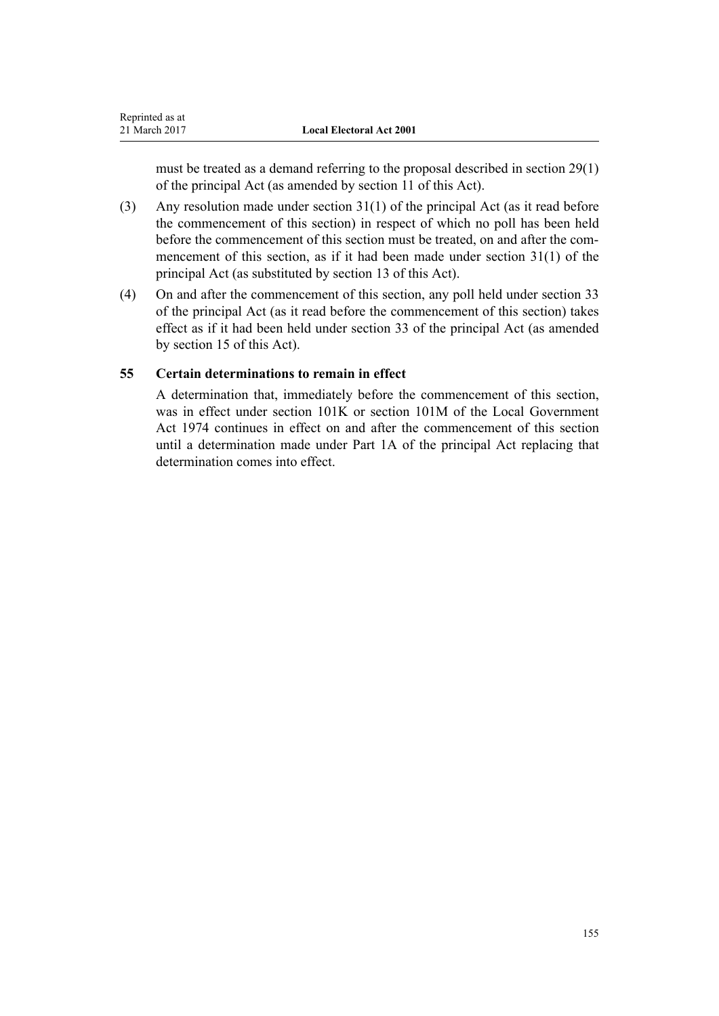must be treated as a demand referring to the proposal described in section 29(1) of the principal Act (as amended by section 11 of this Act).

- (3) Any resolution made under section 31(1) of the principal Act (as it read before the commencement of this section) in respect of which no poll has been held before the commencement of this section must be treated, on and after the commencement of this section, as if it had been made under section 31(1) of the principal Act (as substituted by section 13 of this Act).
- (4) On and after the commencement of this section, any poll held under section 33 of the principal Act (as it read before the commencement of this section) takes effect as if it had been held under section 33 of the principal Act (as amended by section 15 of this Act).

### **55 Certain determinations to remain in effect**

A determination that, immediately before the commencement of this section, was in effect under section 101K or section 101M of the Local Government Act 1974 continues in effect on and after the commencement of this section until a determination made under Part 1A of the principal Act replacing that determination comes into effect.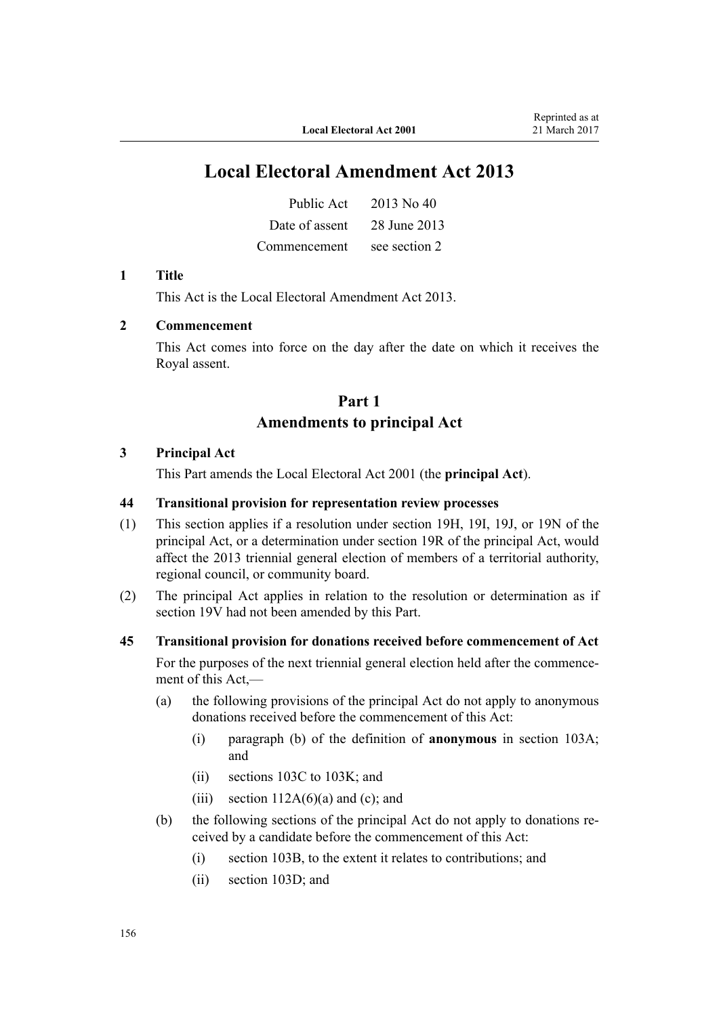## **Local Electoral Amendment Act 2013**

| Public Act     | 2013 No 40    |
|----------------|---------------|
| Date of assent | 28 June 2013  |
| Commencement   | see section 2 |

#### **1 Title**

This Act is the [Local Electoral Amendment Act 2013](http://prd-lgnz-nlb.prd.pco.net.nz/pdflink.aspx?id=DLM4803501).

#### **2 Commencement**

This Act comes into force on the day after the date on which it receives the Royal assent.

## **Part 1 Amendments to principal Act**

#### **3 Principal Act**

This Part amends the Local Electoral Act 2001 (the **principal Act**).

#### **44 Transitional provision for representation review processes**

- (1) This section applies if a resolution under section 19H, 19I, 19J, or 19N of the principal Act, or a determination under section 19R of the principal Act, would affect the 2013 triennial general election of members of a territorial authority, regional council, or community board.
- (2) The principal Act applies in relation to the resolution or determination as if section 19V had not been amended by this Part.

#### **45 Transitional provision for donations received before commencement of Act**

For the purposes of the next triennial general election held after the commencement of this Act,—

- (a) the following provisions of the principal Act do not apply to anonymous donations received before the commencement of this Act:
	- (i) paragraph (b) of the definition of **anonymous** in section 103A; and
	- (ii) sections 103C to 103K; and
	- (iii) section  $112A(6)(a)$  and (c); and
- (b) the following sections of the principal Act do not apply to donations received by a candidate before the commencement of this Act:
	- (i) section 103B, to the extent it relates to contributions; and
	- (ii) section 103D; and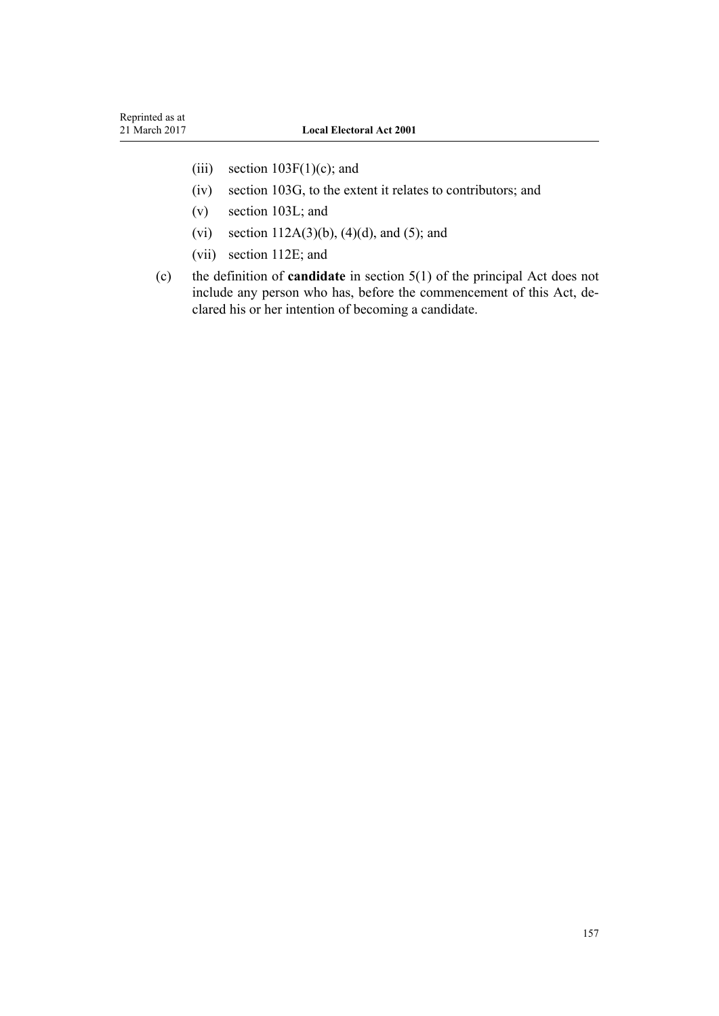- (iii) section  $103F(1)(c)$ ; and
- (iv) section 103G, to the extent it relates to contributors; and
- (v) section 103L; and
- (vi) section  $112A(3)(b)$ ,  $(4)(d)$ , and  $(5)$ ; and
- (vii) section 112E; and
- (c) the definition of **candidate** in section 5(1) of the principal Act does not include any person who has, before the commencement of this Act, declared his or her intention of becoming a candidate.